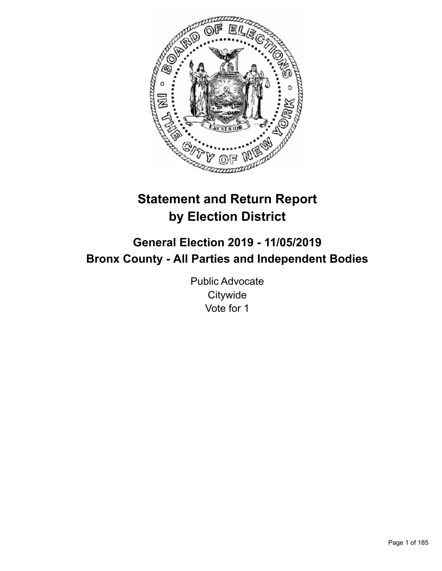

# **Statement and Return Report by Election District**

# **General Election 2019 - 11/05/2019 Bronx County - All Parties and Independent Bodies**

Public Advocate **Citywide** Vote for 1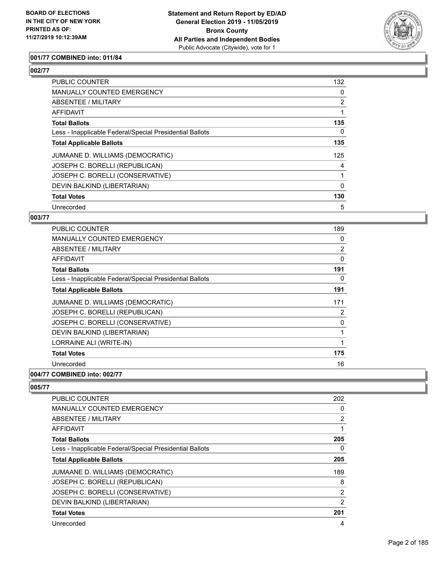

#### **001/77 COMBINED into: 011/84**

#### **002/77**

| PUBLIC COUNTER                                           | 132            |
|----------------------------------------------------------|----------------|
| MANUALLY COUNTED EMERGENCY                               | 0              |
| ABSENTEE / MILITARY                                      | $\overline{2}$ |
| AFFIDAVIT                                                |                |
| <b>Total Ballots</b>                                     | 135            |
| Less - Inapplicable Federal/Special Presidential Ballots | 0              |
| <b>Total Applicable Ballots</b>                          | 135            |
| JUMAANE D. WILLIAMS (DEMOCRATIC)                         | 125            |
| JOSEPH C. BORELLI (REPUBLICAN)                           | 4              |
| JOSEPH C. BORELLI (CONSERVATIVE)                         |                |
| DEVIN BALKIND (LIBERTARIAN)                              | 0              |
| <b>Total Votes</b>                                       | 130            |
| Unrecorded                                               | 5              |

#### **003/77**

| <b>PUBLIC COUNTER</b>                                    | 189            |
|----------------------------------------------------------|----------------|
| <b>MANUALLY COUNTED EMERGENCY</b>                        | 0              |
| ABSENTEE / MILITARY                                      | $\overline{2}$ |
| AFFIDAVIT                                                | $\mathbf 0$    |
| <b>Total Ballots</b>                                     | 191            |
| Less - Inapplicable Federal/Special Presidential Ballots | 0              |
| <b>Total Applicable Ballots</b>                          | 191            |
| JUMAANE D. WILLIAMS (DEMOCRATIC)                         | 171            |
| JOSEPH C. BORELLI (REPUBLICAN)                           | 2              |
| JOSEPH C. BORELLI (CONSERVATIVE)                         | $\mathbf 0$    |
| DEVIN BALKIND (LIBERTARIAN)                              |                |
| LORRAINE ALI (WRITE-IN)                                  |                |
| <b>Total Votes</b>                                       | 175            |
| Unrecorded                                               | 16             |
| 004/77 COMBINED into: 002/77                             |                |

| <b>PUBLIC COUNTER</b>                                    | 202            |
|----------------------------------------------------------|----------------|
| <b>MANUALLY COUNTED EMERGENCY</b>                        | 0              |
| ABSENTEE / MILITARY                                      | $\overline{2}$ |
| <b>AFFIDAVIT</b>                                         |                |
| <b>Total Ballots</b>                                     | 205            |
| Less - Inapplicable Federal/Special Presidential Ballots | 0              |
| <b>Total Applicable Ballots</b>                          | 205            |
| JUMAANE D. WILLIAMS (DEMOCRATIC)                         | 189            |
| JOSEPH C. BORELLI (REPUBLICAN)                           | 8              |
| JOSEPH C. BORELLI (CONSERVATIVE)                         | 2              |
| DEVIN BALKIND (LIBERTARIAN)                              | 2              |
| <b>Total Votes</b>                                       | 201            |
| Unrecorded                                               | 4              |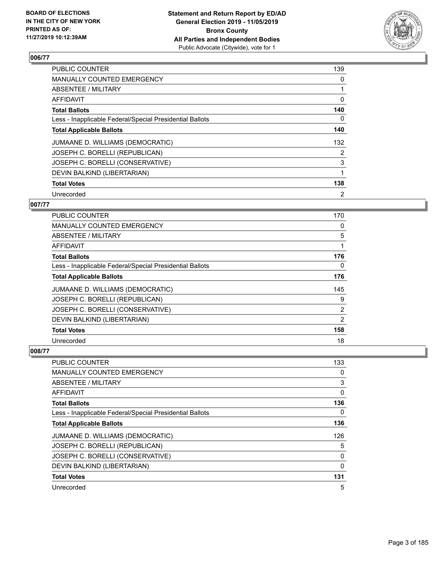

| <b>PUBLIC COUNTER</b>                                    | 139            |
|----------------------------------------------------------|----------------|
| <b>MANUALLY COUNTED EMERGENCY</b>                        | 0              |
| ABSENTEE / MILITARY                                      | 1              |
| <b>AFFIDAVIT</b>                                         | 0              |
| <b>Total Ballots</b>                                     | 140            |
| Less - Inapplicable Federal/Special Presidential Ballots | 0              |
| <b>Total Applicable Ballots</b>                          | 140            |
| JUMAANE D. WILLIAMS (DEMOCRATIC)                         | 132            |
| JOSEPH C. BORELLI (REPUBLICAN)                           | 2              |
| JOSEPH C. BORELLI (CONSERVATIVE)                         | 3              |
| DEVIN BALKIND (LIBERTARIAN)                              | 1              |
| <b>Total Votes</b>                                       | 138            |
| Unrecorded                                               | $\overline{2}$ |

#### **007/77**

| PUBLIC COUNTER                                           | 170            |
|----------------------------------------------------------|----------------|
| MANUALLY COUNTED EMERGENCY                               | 0              |
| <b>ABSENTEE / MILITARY</b>                               | 5              |
| AFFIDAVIT                                                |                |
| <b>Total Ballots</b>                                     | 176            |
| Less - Inapplicable Federal/Special Presidential Ballots | 0              |
| <b>Total Applicable Ballots</b>                          | 176            |
| JUMAANE D. WILLIAMS (DEMOCRATIC)                         | 145            |
| JOSEPH C. BORELLI (REPUBLICAN)                           | 9              |
| JOSEPH C. BORELLI (CONSERVATIVE)                         | $\overline{2}$ |
| DEVIN BALKIND (LIBERTARIAN)                              | 2              |
| <b>Total Votes</b>                                       | 158            |
| Unrecorded                                               | 18             |

| PUBLIC COUNTER                                           | 133      |
|----------------------------------------------------------|----------|
| MANUALLY COUNTED EMERGENCY                               | 0        |
| ABSENTEE / MILITARY                                      | 3        |
| AFFIDAVIT                                                | 0        |
| <b>Total Ballots</b>                                     | 136      |
| Less - Inapplicable Federal/Special Presidential Ballots | 0        |
| <b>Total Applicable Ballots</b>                          | 136      |
| JUMAANE D. WILLIAMS (DEMOCRATIC)                         | 126      |
| JOSEPH C. BORELLI (REPUBLICAN)                           | 5        |
| JOSEPH C. BORELLI (CONSERVATIVE)                         | $\Omega$ |
| DEVIN BALKIND (LIBERTARIAN)                              | $\Omega$ |
| <b>Total Votes</b>                                       | 131      |
| Unrecorded                                               | 5        |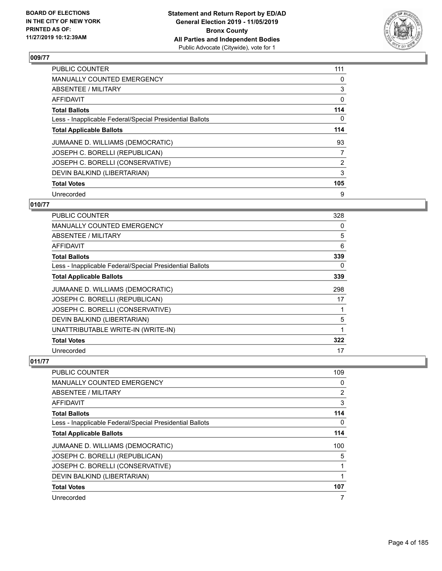

| <b>PUBLIC COUNTER</b>                                    | 111 |
|----------------------------------------------------------|-----|
| <b>MANUALLY COUNTED EMERGENCY</b>                        | 0   |
| ABSENTEE / MILITARY                                      | 3   |
| AFFIDAVIT                                                | 0   |
| <b>Total Ballots</b>                                     | 114 |
| Less - Inapplicable Federal/Special Presidential Ballots | 0   |
| <b>Total Applicable Ballots</b>                          | 114 |
| JUMAANE D. WILLIAMS (DEMOCRATIC)                         | 93  |
| JOSEPH C. BORELLI (REPUBLICAN)                           | 7   |
| JOSEPH C. BORELLI (CONSERVATIVE)                         | 2   |
| DEVIN BALKIND (LIBERTARIAN)                              | 3   |
| <b>Total Votes</b>                                       | 105 |
| Unrecorded                                               | 9   |

#### **010/77**

| <b>PUBLIC COUNTER</b>                                    | 328 |
|----------------------------------------------------------|-----|
| <b>MANUALLY COUNTED EMERGENCY</b>                        | 0   |
| ABSENTEE / MILITARY                                      | 5   |
| <b>AFFIDAVIT</b>                                         | 6   |
| <b>Total Ballots</b>                                     | 339 |
| Less - Inapplicable Federal/Special Presidential Ballots | 0   |
| <b>Total Applicable Ballots</b>                          | 339 |
| JUMAANE D. WILLIAMS (DEMOCRATIC)                         | 298 |
| JOSEPH C. BORELLI (REPUBLICAN)                           | 17  |
| JOSEPH C. BORELLI (CONSERVATIVE)                         |     |
| DEVIN BALKIND (LIBERTARIAN)                              | 5   |
| UNATTRIBUTABLE WRITE-IN (WRITE-IN)                       | 1   |
| <b>Total Votes</b>                                       | 322 |
| Unrecorded                                               | 17  |

| PUBLIC COUNTER                                           | 109      |
|----------------------------------------------------------|----------|
| MANUALLY COUNTED EMERGENCY                               | $\Omega$ |
| ABSENTEE / MILITARY                                      | 2        |
| AFFIDAVIT                                                | 3        |
| <b>Total Ballots</b>                                     | 114      |
| Less - Inapplicable Federal/Special Presidential Ballots | 0        |
| <b>Total Applicable Ballots</b>                          | 114      |
| JUMAANE D. WILLIAMS (DEMOCRATIC)                         | 100      |
| JOSEPH C. BORELLI (REPUBLICAN)                           | 5        |
| JOSEPH C. BORELLI (CONSERVATIVE)                         |          |
| DEVIN BALKIND (LIBERTARIAN)                              |          |
| <b>Total Votes</b>                                       | 107      |
| Unrecorded                                               | 7        |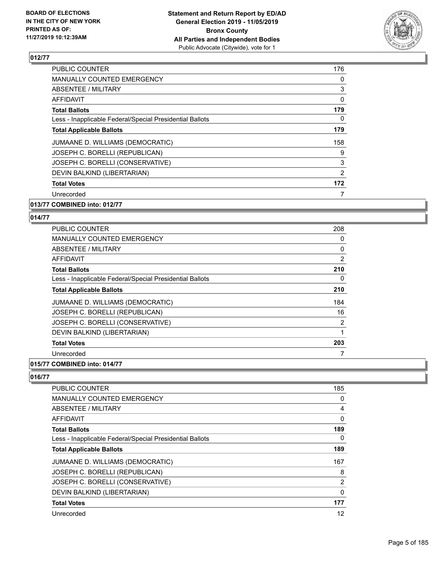

| <b>PUBLIC COUNTER</b>                                    | 176 |
|----------------------------------------------------------|-----|
| <b>MANUALLY COUNTED EMERGENCY</b>                        | 0   |
| ABSENTEE / MILITARY                                      | 3   |
| <b>AFFIDAVIT</b>                                         | 0   |
| <b>Total Ballots</b>                                     | 179 |
| Less - Inapplicable Federal/Special Presidential Ballots | 0   |
| <b>Total Applicable Ballots</b>                          | 179 |
| JUMAANE D. WILLIAMS (DEMOCRATIC)                         | 158 |
| JOSEPH C. BORELLI (REPUBLICAN)                           | 9   |
| JOSEPH C. BORELLI (CONSERVATIVE)                         | 3   |
| DEVIN BALKIND (LIBERTARIAN)                              | 2   |
| <b>Total Votes</b>                                       | 172 |
| Unrecorded                                               |     |
| 013/77 COMBINED into: 012/77                             |     |

## **014/77**

| <b>PUBLIC COUNTER</b>                                    | 208            |
|----------------------------------------------------------|----------------|
| <b>MANUALLY COUNTED EMERGENCY</b>                        | 0              |
| ABSENTEE / MILITARY                                      | 0              |
| AFFIDAVIT                                                | $\overline{2}$ |
| <b>Total Ballots</b>                                     | 210            |
| Less - Inapplicable Federal/Special Presidential Ballots | 0              |
| <b>Total Applicable Ballots</b>                          | 210            |
| JUMAANE D. WILLIAMS (DEMOCRATIC)                         | 184            |
| JOSEPH C. BORELLI (REPUBLICAN)                           | 16             |
| JOSEPH C. BORELLI (CONSERVATIVE)                         | 2              |
| DEVIN BALKIND (LIBERTARIAN)                              |                |
| <b>Total Votes</b>                                       | 203            |
| Unrecorded                                               | 7              |
|                                                          |                |

#### **015/77 COMBINED into: 014/77**

| <b>PUBLIC COUNTER</b>                                    | 185      |
|----------------------------------------------------------|----------|
| <b>MANUALLY COUNTED EMERGENCY</b>                        | 0        |
| ABSENTEE / MILITARY                                      | 4        |
| AFFIDAVIT                                                | 0        |
| <b>Total Ballots</b>                                     | 189      |
| Less - Inapplicable Federal/Special Presidential Ballots | 0        |
| <b>Total Applicable Ballots</b>                          | 189      |
| JUMAANE D. WILLIAMS (DEMOCRATIC)                         | 167      |
| JOSEPH C. BORELLI (REPUBLICAN)                           | 8        |
| JOSEPH C. BORELLI (CONSERVATIVE)                         | 2        |
| DEVIN BALKIND (LIBERTARIAN)                              | $\Omega$ |
| <b>Total Votes</b>                                       | 177      |
| Unrecorded                                               | 12       |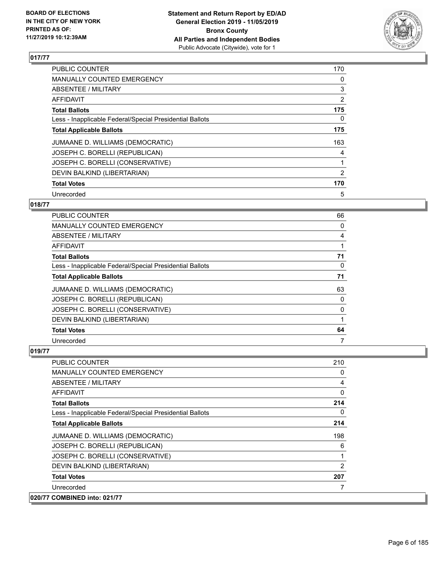

| <b>PUBLIC COUNTER</b>                                    | 170 |
|----------------------------------------------------------|-----|
| <b>MANUALLY COUNTED EMERGENCY</b>                        | 0   |
| ABSENTEE / MILITARY                                      | 3   |
| <b>AFFIDAVIT</b>                                         | 2   |
| <b>Total Ballots</b>                                     | 175 |
| Less - Inapplicable Federal/Special Presidential Ballots | 0   |
| <b>Total Applicable Ballots</b>                          | 175 |
| JUMAANE D. WILLIAMS (DEMOCRATIC)                         | 163 |
| JOSEPH C. BORELLI (REPUBLICAN)                           | 4   |
| JOSEPH C. BORELLI (CONSERVATIVE)                         |     |
| DEVIN BALKIND (LIBERTARIAN)                              | 2   |
| <b>Total Votes</b>                                       | 170 |
| Unrecorded                                               | 5   |

#### **018/77**

| PUBLIC COUNTER                                           | 66       |
|----------------------------------------------------------|----------|
| MANUALLY COUNTED EMERGENCY                               | 0        |
| ABSENTEE / MILITARY                                      | 4        |
| AFFIDAVIT                                                |          |
| <b>Total Ballots</b>                                     | 71       |
| Less - Inapplicable Federal/Special Presidential Ballots | $\Omega$ |
| <b>Total Applicable Ballots</b>                          | 71       |
| JUMAANE D. WILLIAMS (DEMOCRATIC)                         | 63       |
| JOSEPH C. BORELLI (REPUBLICAN)                           | 0        |
| JOSEPH C. BORELLI (CONSERVATIVE)                         | 0        |
| DEVIN BALKIND (LIBERTARIAN)                              |          |
| <b>Total Votes</b>                                       | 64       |
| Unrecorded                                               | 7        |

| PUBLIC COUNTER                                           | 210            |
|----------------------------------------------------------|----------------|
| MANUALLY COUNTED EMERGENCY                               | 0              |
| ABSENTEE / MILITARY                                      | 4              |
| <b>AFFIDAVIT</b>                                         | $\Omega$       |
| <b>Total Ballots</b>                                     | 214            |
| Less - Inapplicable Federal/Special Presidential Ballots | 0              |
| <b>Total Applicable Ballots</b>                          | 214            |
| JUMAANE D. WILLIAMS (DEMOCRATIC)                         | 198            |
| JOSEPH C. BORELLI (REPUBLICAN)                           | 6              |
| JOSEPH C. BORELLI (CONSERVATIVE)                         |                |
| DEVIN BALKIND (LIBERTARIAN)                              | $\mathfrak{p}$ |
| <b>Total Votes</b>                                       | 207            |
| Unrecorded                                               |                |
| 020/77 COMBINED into: 021/77                             |                |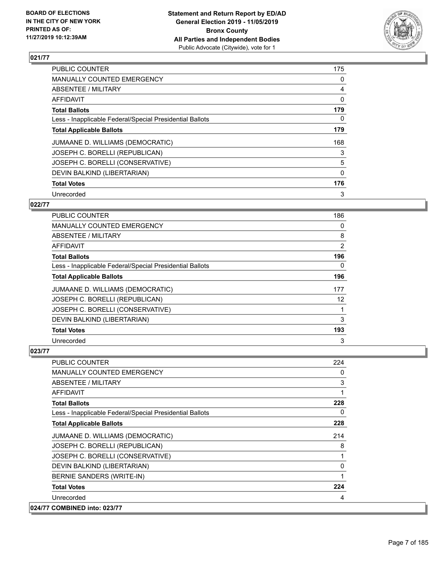

| PUBLIC COUNTER                                           | 175      |
|----------------------------------------------------------|----------|
| <b>MANUALLY COUNTED EMERGENCY</b>                        | 0        |
| ABSENTEE / MILITARY                                      | 4        |
| AFFIDAVIT                                                | $\Omega$ |
| <b>Total Ballots</b>                                     | 179      |
| Less - Inapplicable Federal/Special Presidential Ballots | 0        |
| <b>Total Applicable Ballots</b>                          | 179      |
| JUMAANE D. WILLIAMS (DEMOCRATIC)                         | 168      |
| JOSEPH C. BORELLI (REPUBLICAN)                           | 3        |
| JOSEPH C. BORELLI (CONSERVATIVE)                         | 5        |
| DEVIN BALKIND (LIBERTARIAN)                              | $\Omega$ |
| <b>Total Votes</b>                                       | 176      |
| Unrecorded                                               | 3        |

#### **022/77**

| PUBLIC COUNTER                                           | 186 |
|----------------------------------------------------------|-----|
| MANUALLY COUNTED EMERGENCY                               | 0   |
| ABSENTEE / MILITARY                                      | 8   |
| AFFIDAVIT                                                | 2   |
| <b>Total Ballots</b>                                     | 196 |
| Less - Inapplicable Federal/Special Presidential Ballots | 0   |
| <b>Total Applicable Ballots</b>                          | 196 |
| JUMAANE D. WILLIAMS (DEMOCRATIC)                         | 177 |
| JOSEPH C. BORELLI (REPUBLICAN)                           | 12  |
| JOSEPH C. BORELLI (CONSERVATIVE)                         |     |
| DEVIN BALKIND (LIBERTARIAN)                              | 3   |
| <b>Total Votes</b>                                       | 193 |
| Unrecorded                                               | 3   |

| <b>PUBLIC COUNTER</b>                                    | 224         |
|----------------------------------------------------------|-------------|
| <b>MANUALLY COUNTED EMERGENCY</b>                        | 0           |
| ABSENTEE / MILITARY                                      | 3           |
| AFFIDAVIT                                                | 1           |
| <b>Total Ballots</b>                                     | 228         |
| Less - Inapplicable Federal/Special Presidential Ballots | 0           |
| <b>Total Applicable Ballots</b>                          | 228         |
| JUMAANE D. WILLIAMS (DEMOCRATIC)                         | 214         |
| JOSEPH C. BORELLI (REPUBLICAN)                           | 8           |
| JOSEPH C. BORELLI (CONSERVATIVE)                         | 1           |
| DEVIN BALKIND (LIBERTARIAN)                              | $\mathbf 0$ |
| BERNIE SANDERS (WRITE-IN)                                | 1           |
| <b>Total Votes</b>                                       | 224         |
| Unrecorded                                               | 4           |
| 024/77 COMBINED into: 023/77                             |             |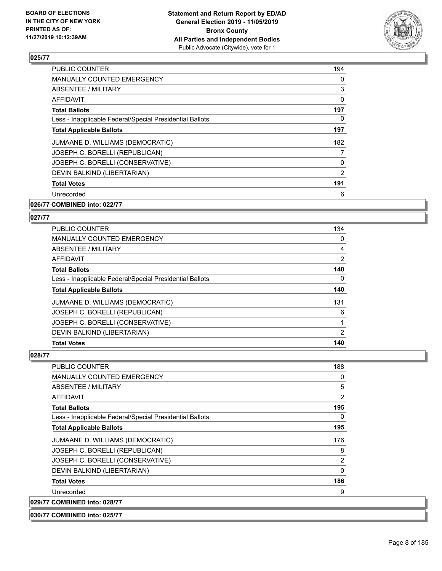

| <b>PUBLIC COUNTER</b>                                    | 194 |
|----------------------------------------------------------|-----|
| <b>MANUALLY COUNTED EMERGENCY</b>                        | 0   |
| ABSENTEE / MILITARY                                      | 3   |
| AFFIDAVIT                                                | 0   |
| <b>Total Ballots</b>                                     | 197 |
| Less - Inapplicable Federal/Special Presidential Ballots | 0   |
| <b>Total Applicable Ballots</b>                          | 197 |
| JUMAANE D. WILLIAMS (DEMOCRATIC)                         | 182 |
| JOSEPH C. BORELLI (REPUBLICAN)                           | 7   |
| JOSEPH C. BORELLI (CONSERVATIVE)                         | 0   |
| DEVIN BALKIND (LIBERTARIAN)                              | 2   |
| <b>Total Votes</b>                                       | 191 |
| Unrecorded                                               | 6   |
|                                                          |     |

#### **026/77 COMBINED into: 022/77**

#### **027/77**

| PUBLIC COUNTER                                           | 134            |
|----------------------------------------------------------|----------------|
| <b>MANUALLY COUNTED EMERGENCY</b>                        | $\Omega$       |
| ABSENTEE / MILITARY                                      | 4              |
| AFFIDAVIT                                                | $\overline{2}$ |
| <b>Total Ballots</b>                                     | 140            |
| Less - Inapplicable Federal/Special Presidential Ballots | 0              |
| <b>Total Applicable Ballots</b>                          | 140            |
| JUMAANE D. WILLIAMS (DEMOCRATIC)                         | 131            |
| JOSEPH C. BORELLI (REPUBLICAN)                           | 6              |
| JOSEPH C. BORELLI (CONSERVATIVE)                         |                |
| DEVIN BALKIND (LIBERTARIAN)                              | 2              |
| <b>Total Votes</b>                                       | 140            |

| <b>PUBLIC COUNTER</b>                                    | 188      |
|----------------------------------------------------------|----------|
| <b>MANUALLY COUNTED EMERGENCY</b>                        | 0        |
| <b>ABSENTEE / MILITARY</b>                               | 5        |
| AFFIDAVIT                                                | 2        |
| <b>Total Ballots</b>                                     | 195      |
| Less - Inapplicable Federal/Special Presidential Ballots | $\Omega$ |
| <b>Total Applicable Ballots</b>                          | 195      |
| JUMAANE D. WILLIAMS (DEMOCRATIC)                         | 176      |
| JOSEPH C. BORELLI (REPUBLICAN)                           | 8        |
| JOSEPH C. BORELLI (CONSERVATIVE)                         | 2        |
| DEVIN BALKIND (LIBERTARIAN)                              | 0        |
| <b>Total Votes</b>                                       | 186      |
| Unrecorded                                               | 9        |
| 029/77 COMBINED into: 028/77                             |          |
| 030/77 COMBINED into: 025/77                             |          |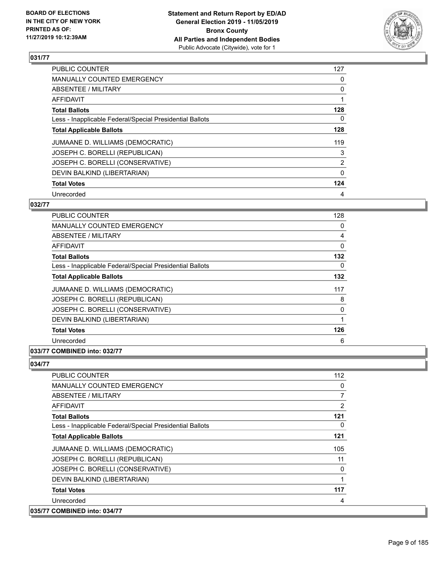

| <b>PUBLIC COUNTER</b>                                    | 127            |
|----------------------------------------------------------|----------------|
| <b>MANUALLY COUNTED EMERGENCY</b>                        | 0              |
| ABSENTEE / MILITARY                                      | 0              |
| <b>AFFIDAVIT</b>                                         |                |
| <b>Total Ballots</b>                                     | 128            |
| Less - Inapplicable Federal/Special Presidential Ballots | 0              |
| <b>Total Applicable Ballots</b>                          | 128            |
| JUMAANE D. WILLIAMS (DEMOCRATIC)                         | 119            |
| JOSEPH C. BORELLI (REPUBLICAN)                           | 3              |
| JOSEPH C. BORELLI (CONSERVATIVE)                         | $\overline{2}$ |
| DEVIN BALKIND (LIBERTARIAN)                              | $\Omega$       |
| <b>Total Votes</b>                                       | 124            |
| Unrecorded                                               | 4              |

#### **032/77**

| <b>PUBLIC COUNTER</b>                                    | 128 |
|----------------------------------------------------------|-----|
| <b>MANUALLY COUNTED EMERGENCY</b>                        | 0   |
| ABSENTEE / MILITARY                                      | 4   |
| <b>AFFIDAVIT</b>                                         | 0   |
| <b>Total Ballots</b>                                     | 132 |
| Less - Inapplicable Federal/Special Presidential Ballots | 0   |
| <b>Total Applicable Ballots</b>                          | 132 |
| JUMAANE D. WILLIAMS (DEMOCRATIC)                         | 117 |
| JOSEPH C. BORELLI (REPUBLICAN)                           | 8   |
| JOSEPH C. BORELLI (CONSERVATIVE)                         | 0   |
| DEVIN BALKIND (LIBERTARIAN)                              | 1   |
| <b>Total Votes</b>                                       | 126 |
| Unrecorded                                               | 6   |
|                                                          |     |

### **033/77 COMBINED into: 032/77**

| <b>PUBLIC COUNTER</b>                                    | 112      |
|----------------------------------------------------------|----------|
| <b>MANUALLY COUNTED EMERGENCY</b>                        | 0        |
| ABSENTEE / MILITARY                                      | 7        |
| <b>AFFIDAVIT</b>                                         | 2        |
| <b>Total Ballots</b>                                     | 121      |
| Less - Inapplicable Federal/Special Presidential Ballots | $\Omega$ |
| <b>Total Applicable Ballots</b>                          | 121      |
| JUMAANE D. WILLIAMS (DEMOCRATIC)                         | 105      |
| JOSEPH C. BORELLI (REPUBLICAN)                           | 11       |
| JOSEPH C. BORELLI (CONSERVATIVE)                         | $\Omega$ |
| DEVIN BALKIND (LIBERTARIAN)                              | 1        |
| <b>Total Votes</b>                                       | 117      |
| Unrecorded                                               | 4        |
| 035/77 COMBINED into: 034/77                             |          |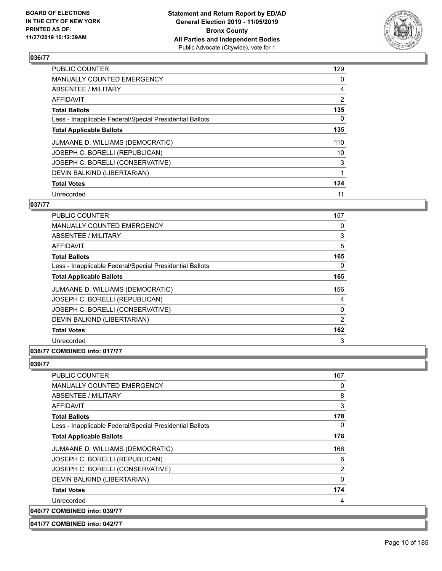

| <b>PUBLIC COUNTER</b>                                    | 129            |
|----------------------------------------------------------|----------------|
| <b>MANUALLY COUNTED EMERGENCY</b>                        | 0              |
| ABSENTEE / MILITARY                                      | 4              |
| <b>AFFIDAVIT</b>                                         | $\overline{2}$ |
| <b>Total Ballots</b>                                     | 135            |
| Less - Inapplicable Federal/Special Presidential Ballots | 0              |
| <b>Total Applicable Ballots</b>                          | 135            |
| JUMAANE D. WILLIAMS (DEMOCRATIC)                         | 110            |
| JOSEPH C. BORELLI (REPUBLICAN)                           | 10             |
| JOSEPH C. BORELLI (CONSERVATIVE)                         | 3              |
| DEVIN BALKIND (LIBERTARIAN)                              |                |
| <b>Total Votes</b>                                       | 124            |
| Unrecorded                                               | 11             |

#### **037/77**

| <b>PUBLIC COUNTER</b>                                    | 157 |
|----------------------------------------------------------|-----|
| MANUALLY COUNTED EMERGENCY                               | 0   |
| ABSENTEE / MILITARY                                      | 3   |
| AFFIDAVIT                                                | 5   |
| <b>Total Ballots</b>                                     | 165 |
| Less - Inapplicable Federal/Special Presidential Ballots | 0   |
| <b>Total Applicable Ballots</b>                          | 165 |
| JUMAANE D. WILLIAMS (DEMOCRATIC)                         | 156 |
| JOSEPH C. BORELLI (REPUBLICAN)                           | 4   |
| JOSEPH C. BORELLI (CONSERVATIVE)                         | 0   |
| DEVIN BALKIND (LIBERTARIAN)                              | 2   |
| <b>Total Votes</b>                                       | 162 |
| Unrecorded                                               | 3   |
|                                                          |     |

#### **038/77 COMBINED into: 017/77**

#### **039/77**

| <b>PUBLIC COUNTER</b>                                    | 167      |
|----------------------------------------------------------|----------|
| MANUALLY COUNTED EMERGENCY                               | 0        |
| ABSENTEE / MILITARY                                      | 8        |
| AFFIDAVIT                                                | 3        |
| <b>Total Ballots</b>                                     | 178      |
| Less - Inapplicable Federal/Special Presidential Ballots | 0        |
| <b>Total Applicable Ballots</b>                          | 178      |
| JUMAANE D. WILLIAMS (DEMOCRATIC)                         | 166      |
| JOSEPH C. BORELLI (REPUBLICAN)                           | 6        |
| JOSEPH C. BORELLI (CONSERVATIVE)                         | 2        |
| DEVIN BALKIND (LIBERTARIAN)                              | $\Omega$ |
| <b>Total Votes</b>                                       | 174      |
| Unrecorded                                               | 4        |
| 040/77 COMBINED into: 039/77                             |          |

**041/77 COMBINED into: 042/77**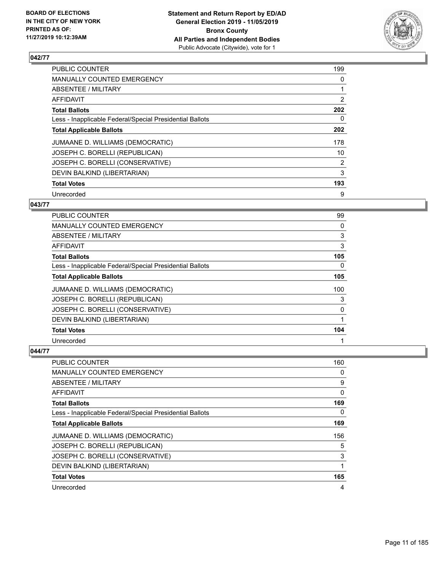

| <b>PUBLIC COUNTER</b>                                    | 199 |
|----------------------------------------------------------|-----|
| <b>MANUALLY COUNTED EMERGENCY</b>                        | 0   |
| ABSENTEE / MILITARY                                      |     |
| <b>AFFIDAVIT</b>                                         | 2   |
| <b>Total Ballots</b>                                     | 202 |
| Less - Inapplicable Federal/Special Presidential Ballots | 0   |
| <b>Total Applicable Ballots</b>                          | 202 |
| JUMAANE D. WILLIAMS (DEMOCRATIC)                         | 178 |
| JOSEPH C. BORELLI (REPUBLICAN)                           | 10  |
| JOSEPH C. BORELLI (CONSERVATIVE)                         | 2   |
| DEVIN BALKIND (LIBERTARIAN)                              | 3   |
| <b>Total Votes</b>                                       | 193 |
| Unrecorded                                               | 9   |

#### **043/77**

| PUBLIC COUNTER                                           | 99       |
|----------------------------------------------------------|----------|
| MANUALLY COUNTED EMERGENCY                               | $\Omega$ |
| ABSENTEE / MILITARY                                      | 3        |
| AFFIDAVIT                                                | 3        |
| <b>Total Ballots</b>                                     | 105      |
| Less - Inapplicable Federal/Special Presidential Ballots | 0        |
| <b>Total Applicable Ballots</b>                          | 105      |
| JUMAANE D. WILLIAMS (DEMOCRATIC)                         | 100      |
| JOSEPH C. BORELLI (REPUBLICAN)                           | 3        |
| JOSEPH C. BORELLI (CONSERVATIVE)                         | 0        |
| DEVIN BALKIND (LIBERTARIAN)                              |          |
| <b>Total Votes</b>                                       | 104      |
| Unrecorded                                               |          |

| <b>PUBLIC COUNTER</b>                                    | 160 |
|----------------------------------------------------------|-----|
| MANUALLY COUNTED EMERGENCY                               | 0   |
| ABSENTEE / MILITARY                                      | 9   |
| AFFIDAVIT                                                | 0   |
| <b>Total Ballots</b>                                     | 169 |
| Less - Inapplicable Federal/Special Presidential Ballots | 0   |
| <b>Total Applicable Ballots</b>                          | 169 |
| JUMAANE D. WILLIAMS (DEMOCRATIC)                         | 156 |
| JOSEPH C. BORELLI (REPUBLICAN)                           | 5   |
| JOSEPH C. BORELLI (CONSERVATIVE)                         | 3   |
| DEVIN BALKIND (LIBERTARIAN)                              |     |
| <b>Total Votes</b>                                       | 165 |
| Unrecorded                                               | 4   |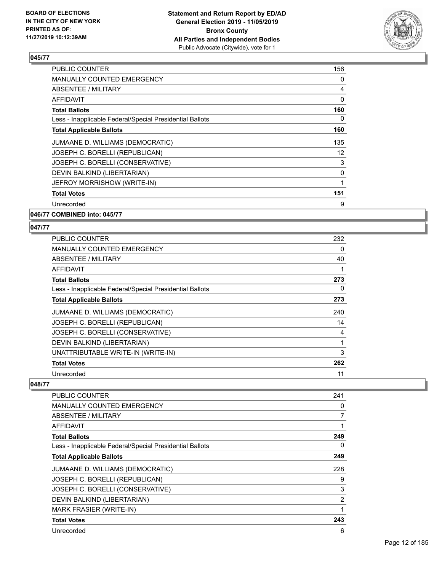

| <b>PUBLIC COUNTER</b>                                    | 156 |
|----------------------------------------------------------|-----|
| MANUALLY COUNTED EMERGENCY                               | 0   |
| ABSENTEE / MILITARY                                      | 4   |
| AFFIDAVIT                                                | 0   |
| <b>Total Ballots</b>                                     | 160 |
| Less - Inapplicable Federal/Special Presidential Ballots | 0   |
| <b>Total Applicable Ballots</b>                          | 160 |
| JUMAANE D. WILLIAMS (DEMOCRATIC)                         | 135 |
| JOSEPH C. BORELLI (REPUBLICAN)                           | 12  |
| JOSEPH C. BORELLI (CONSERVATIVE)                         | 3   |
| DEVIN BALKIND (LIBERTARIAN)                              | 0   |
| JEFROY MORRISHOW (WRITE-IN)                              | 1   |
| <b>Total Votes</b>                                       | 151 |
| Unrecorded                                               | 9   |
|                                                          |     |

**046/77 COMBINED into: 045/77**

#### **047/77**

| <b>PUBLIC COUNTER</b>                                    | 232 |
|----------------------------------------------------------|-----|
| <b>MANUALLY COUNTED EMERGENCY</b>                        | 0   |
| ABSENTEE / MILITARY                                      | 40  |
| AFFIDAVIT                                                |     |
| <b>Total Ballots</b>                                     | 273 |
| Less - Inapplicable Federal/Special Presidential Ballots | 0   |
| <b>Total Applicable Ballots</b>                          | 273 |
| JUMAANE D. WILLIAMS (DEMOCRATIC)                         | 240 |
| JOSEPH C. BORELLI (REPUBLICAN)                           | 14  |
| JOSEPH C. BORELLI (CONSERVATIVE)                         | 4   |
| DEVIN BALKIND (LIBERTARIAN)                              | 1   |
| UNATTRIBUTABLE WRITE-IN (WRITE-IN)                       | 3   |
| <b>Total Votes</b>                                       | 262 |
| Unrecorded                                               | 11  |

| <b>PUBLIC COUNTER</b>                                    | 241 |
|----------------------------------------------------------|-----|
| <b>MANUALLY COUNTED EMERGENCY</b>                        | 0   |
| ABSENTEE / MILITARY                                      | 7   |
| AFFIDAVIT                                                | 1   |
| <b>Total Ballots</b>                                     | 249 |
| Less - Inapplicable Federal/Special Presidential Ballots | 0   |
| <b>Total Applicable Ballots</b>                          | 249 |
| JUMAANE D. WILLIAMS (DEMOCRATIC)                         | 228 |
| JOSEPH C. BORELLI (REPUBLICAN)                           | 9   |
| JOSEPH C. BORELLI (CONSERVATIVE)                         | 3   |
| DEVIN BALKIND (LIBERTARIAN)                              | 2   |
| MARK FRASIER (WRITE-IN)                                  | 1   |
| <b>Total Votes</b>                                       | 243 |
| Unrecorded                                               | 6   |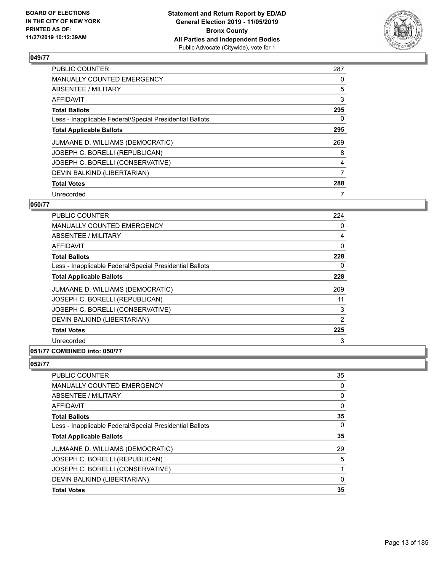

| <b>PUBLIC COUNTER</b>                                    | 287 |
|----------------------------------------------------------|-----|
| MANUALLY COUNTED EMERGENCY                               | 0   |
| ABSENTEE / MILITARY                                      | 5   |
| AFFIDAVIT                                                | 3   |
| <b>Total Ballots</b>                                     | 295 |
| Less - Inapplicable Federal/Special Presidential Ballots | 0   |
| <b>Total Applicable Ballots</b>                          | 295 |
| JUMAANE D. WILLIAMS (DEMOCRATIC)                         | 269 |
| JOSEPH C. BORELLI (REPUBLICAN)                           | 8   |
| JOSEPH C. BORELLI (CONSERVATIVE)                         | 4   |
| DEVIN BALKIND (LIBERTARIAN)                              | 7   |
| <b>Total Votes</b>                                       | 288 |
| Unrecorded                                               |     |

#### **050/77**

| <b>PUBLIC COUNTER</b>                                    | 224            |
|----------------------------------------------------------|----------------|
| MANUALLY COUNTED EMERGENCY                               | 0              |
| ABSENTEE / MILITARY                                      | 4              |
| <b>AFFIDAVIT</b>                                         | 0              |
| <b>Total Ballots</b>                                     | 228            |
| Less - Inapplicable Federal/Special Presidential Ballots | 0              |
| <b>Total Applicable Ballots</b>                          | 228            |
| JUMAANE D. WILLIAMS (DEMOCRATIC)                         | 209            |
| JOSEPH C. BORELLI (REPUBLICAN)                           | 11             |
| JOSEPH C. BORELLI (CONSERVATIVE)                         | 3              |
| DEVIN BALKIND (LIBERTARIAN)                              | $\overline{2}$ |
| <b>Total Votes</b>                                       | 225            |
| Unrecorded                                               | 3              |
|                                                          |                |

#### **051/77 COMBINED into: 050/77**

| PUBLIC COUNTER                                           | 35       |
|----------------------------------------------------------|----------|
| MANUALLY COUNTED EMERGENCY                               | 0        |
| ABSENTEE / MILITARY                                      | 0        |
| AFFIDAVIT                                                | 0        |
| <b>Total Ballots</b>                                     | 35       |
| Less - Inapplicable Federal/Special Presidential Ballots | $\Omega$ |
| <b>Total Applicable Ballots</b>                          | 35       |
| JUMAANE D. WILLIAMS (DEMOCRATIC)                         | 29       |
| JOSEPH C. BORELLI (REPUBLICAN)                           | 5        |
| JOSEPH C. BORELLI (CONSERVATIVE)                         |          |
| DEVIN BALKIND (LIBERTARIAN)                              | 0        |
| <b>Total Votes</b>                                       | 35       |
|                                                          |          |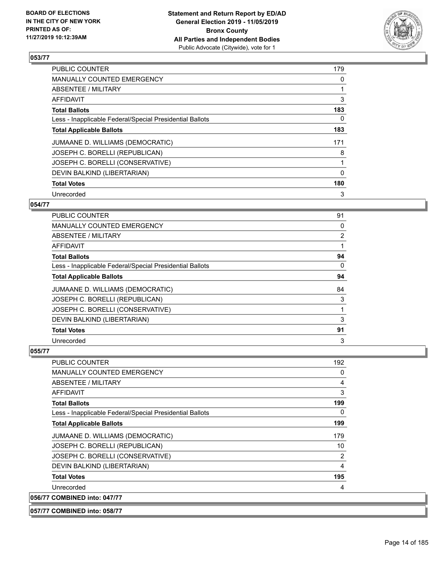

| <b>PUBLIC COUNTER</b>                                    | 179      |
|----------------------------------------------------------|----------|
| <b>MANUALLY COUNTED EMERGENCY</b>                        | 0        |
| ABSENTEE / MILITARY                                      |          |
| <b>AFFIDAVIT</b>                                         | 3        |
| <b>Total Ballots</b>                                     | 183      |
| Less - Inapplicable Federal/Special Presidential Ballots | 0        |
| <b>Total Applicable Ballots</b>                          | 183      |
| JUMAANE D. WILLIAMS (DEMOCRATIC)                         | 171      |
| JOSEPH C. BORELLI (REPUBLICAN)                           | 8        |
| JOSEPH C. BORELLI (CONSERVATIVE)                         |          |
| DEVIN BALKIND (LIBERTARIAN)                              | $\Omega$ |
| <b>Total Votes</b>                                       | 180      |
| Unrecorded                                               | 3        |

#### **054/77**

| PUBLIC COUNTER                                           | 91             |
|----------------------------------------------------------|----------------|
| MANUALLY COUNTED EMERGENCY                               | $\Omega$       |
| ABSENTEE / MILITARY                                      | $\overline{2}$ |
| AFFIDAVIT                                                |                |
| <b>Total Ballots</b>                                     | 94             |
| Less - Inapplicable Federal/Special Presidential Ballots | $\Omega$       |
| <b>Total Applicable Ballots</b>                          | 94             |
| JUMAANE D. WILLIAMS (DEMOCRATIC)                         | 84             |
| JOSEPH C. BORELLI (REPUBLICAN)                           | 3              |
| JOSEPH C. BORELLI (CONSERVATIVE)                         |                |
| DEVIN BALKIND (LIBERTARIAN)                              | 3              |
| <b>Total Votes</b>                                       | 91             |
| Unrecorded                                               | 3              |

| <b>PUBLIC COUNTER</b>                                    | 192            |
|----------------------------------------------------------|----------------|
| <b>MANUALLY COUNTED EMERGENCY</b>                        | 0              |
| <b>ABSENTEE / MILITARY</b>                               | 4              |
| AFFIDAVIT                                                | 3              |
| <b>Total Ballots</b>                                     | 199            |
| Less - Inapplicable Federal/Special Presidential Ballots | 0              |
| <b>Total Applicable Ballots</b>                          | 199            |
| JUMAANE D. WILLIAMS (DEMOCRATIC)                         | 179            |
| JOSEPH C. BORELLI (REPUBLICAN)                           | 10             |
| JOSEPH C. BORELLI (CONSERVATIVE)                         | $\overline{2}$ |
| DEVIN BALKIND (LIBERTARIAN)                              | 4              |
| <b>Total Votes</b>                                       | 195            |
| Unrecorded                                               | 4              |
| 056/77 COMBINED into: 047/77                             |                |
| 057/77 COMBINED into: 058/77                             |                |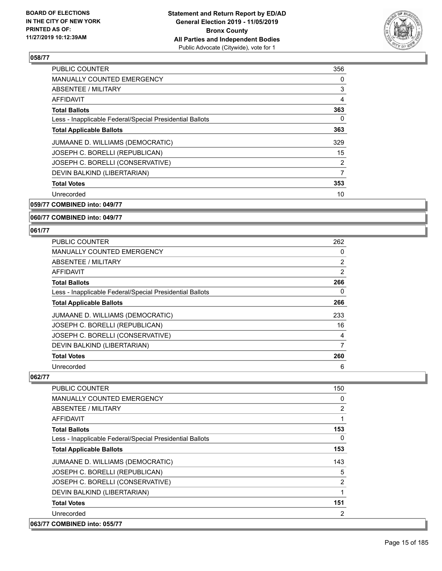

| <b>PUBLIC COUNTER</b>                                    | 356            |
|----------------------------------------------------------|----------------|
| MANUALLY COUNTED EMERGENCY                               | 0              |
| ABSENTEE / MILITARY                                      | 3              |
| <b>AFFIDAVIT</b>                                         | 4              |
| <b>Total Ballots</b>                                     | 363            |
| Less - Inapplicable Federal/Special Presidential Ballots | 0              |
| <b>Total Applicable Ballots</b>                          | 363            |
| JUMAANE D. WILLIAMS (DEMOCRATIC)                         | 329            |
| JOSEPH C. BORELLI (REPUBLICAN)                           | 15             |
| JOSEPH C. BORELLI (CONSERVATIVE)                         | $\overline{2}$ |
| DEVIN BALKIND (LIBERTARIAN)                              | 7              |
| <b>Total Votes</b>                                       | 353            |
| Unrecorded                                               | 10             |
|                                                          |                |

**059/77 COMBINED into: 049/77**

#### **060/77 COMBINED into: 049/77**

#### **061/77**

| <b>PUBLIC COUNTER</b>                                    | 262 |
|----------------------------------------------------------|-----|
| MANUALLY COUNTED EMERGENCY                               | 0   |
| ABSENTEE / MILITARY                                      | 2   |
| AFFIDAVIT                                                | 2   |
| <b>Total Ballots</b>                                     | 266 |
| Less - Inapplicable Federal/Special Presidential Ballots | 0   |
| <b>Total Applicable Ballots</b>                          | 266 |
| JUMAANE D. WILLIAMS (DEMOCRATIC)                         | 233 |
| JOSEPH C. BORELLI (REPUBLICAN)                           | 16  |
| JOSEPH C. BORELLI (CONSERVATIVE)                         | 4   |
| DEVIN BALKIND (LIBERTARIAN)                              | 7   |
| <b>Total Votes</b>                                       | 260 |
| Unrecorded                                               | 6   |

| <b>PUBLIC COUNTER</b>                                    | 150            |
|----------------------------------------------------------|----------------|
| <b>MANUALLY COUNTED EMERGENCY</b>                        | 0              |
| ABSENTEE / MILITARY                                      | $\overline{2}$ |
| <b>AFFIDAVIT</b>                                         |                |
| <b>Total Ballots</b>                                     | 153            |
| Less - Inapplicable Federal/Special Presidential Ballots | $\Omega$       |
| <b>Total Applicable Ballots</b>                          | 153            |
| JUMAANE D. WILLIAMS (DEMOCRATIC)                         | 143            |
| JOSEPH C. BORELLI (REPUBLICAN)                           | 5              |
| JOSEPH C. BORELLI (CONSERVATIVE)                         | $\overline{2}$ |
| DEVIN BALKIND (LIBERTARIAN)                              |                |
| <b>Total Votes</b>                                       | 151            |
| Unrecorded                                               | 2              |
| 063/77 COMBINED into: 055/77                             |                |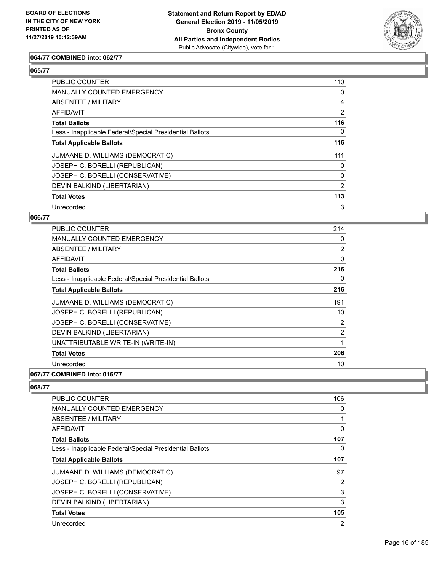

#### **064/77 COMBINED into: 062/77**

#### **065/77**

| PUBLIC COUNTER                                           | 110            |
|----------------------------------------------------------|----------------|
| MANUALLY COUNTED EMERGENCY                               | 0              |
| ABSENTEE / MILITARY                                      | 4              |
| AFFIDAVIT                                                | $\overline{2}$ |
| <b>Total Ballots</b>                                     | 116            |
| Less - Inapplicable Federal/Special Presidential Ballots | $\Omega$       |
| <b>Total Applicable Ballots</b>                          | 116            |
| JUMAANE D. WILLIAMS (DEMOCRATIC)                         | 111            |
| JOSEPH C. BORELLI (REPUBLICAN)                           | 0              |
| JOSEPH C. BORELLI (CONSERVATIVE)                         | 0              |
| DEVIN BALKIND (LIBERTARIAN)                              | 2              |
| <b>Total Votes</b>                                       | 113            |
| Unrecorded                                               | 3              |

#### **066/77**

| <b>PUBLIC COUNTER</b>                                    | 214            |
|----------------------------------------------------------|----------------|
| <b>MANUALLY COUNTED EMERGENCY</b>                        | 0              |
| ABSENTEE / MILITARY                                      | 2              |
| AFFIDAVIT                                                | 0              |
| <b>Total Ballots</b>                                     | 216            |
| Less - Inapplicable Federal/Special Presidential Ballots | 0              |
| <b>Total Applicable Ballots</b>                          | 216            |
| JUMAANE D. WILLIAMS (DEMOCRATIC)                         | 191            |
| JOSEPH C. BORELLI (REPUBLICAN)                           | 10             |
| JOSEPH C. BORELLI (CONSERVATIVE)                         | 2              |
| DEVIN BALKIND (LIBERTARIAN)                              | $\overline{2}$ |
| UNATTRIBUTABLE WRITE-IN (WRITE-IN)                       | 1              |
| <b>Total Votes</b>                                       | 206            |
| Unrecorded                                               | 10             |

#### **067/77 COMBINED into: 016/77**

| <b>PUBLIC COUNTER</b>                                    | 106      |
|----------------------------------------------------------|----------|
| <b>MANUALLY COUNTED EMERGENCY</b>                        | $\Omega$ |
| ABSENTEE / MILITARY                                      |          |
| <b>AFFIDAVIT</b>                                         | $\Omega$ |
| <b>Total Ballots</b>                                     | 107      |
| Less - Inapplicable Federal/Special Presidential Ballots | 0        |
| <b>Total Applicable Ballots</b>                          | 107      |
| JUMAANE D. WILLIAMS (DEMOCRATIC)                         | 97       |
| JOSEPH C. BORELLI (REPUBLICAN)                           | 2        |
| JOSEPH C. BORELLI (CONSERVATIVE)                         | 3        |
| DEVIN BALKIND (LIBERTARIAN)                              | 3        |
| <b>Total Votes</b>                                       | 105      |
| Unrecorded                                               | 2        |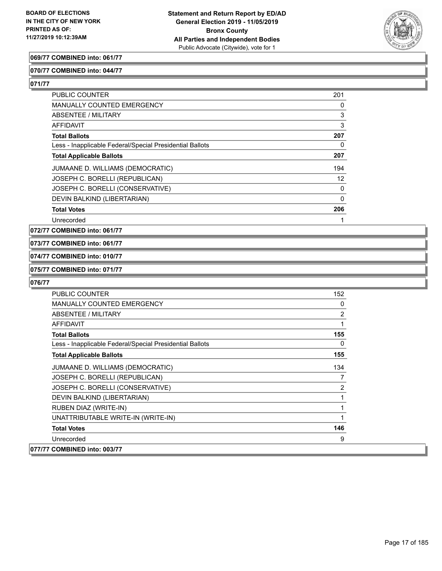

#### **069/77 COMBINED into: 061/77**

#### **070/77 COMBINED into: 044/77**

**071/77** 

| <b>PUBLIC COUNTER</b>                                    | 201 |
|----------------------------------------------------------|-----|
| <b>MANUALLY COUNTED EMERGENCY</b>                        | 0   |
| ABSENTEE / MILITARY                                      | 3   |
| AFFIDAVIT                                                | 3   |
| <b>Total Ballots</b>                                     | 207 |
| Less - Inapplicable Federal/Special Presidential Ballots | 0   |
| <b>Total Applicable Ballots</b>                          | 207 |
| JUMAANE D. WILLIAMS (DEMOCRATIC)                         | 194 |
| JOSEPH C. BORELLI (REPUBLICAN)                           | 12  |
| JOSEPH C. BORELLI (CONSERVATIVE)                         | 0   |
| DEVIN BALKIND (LIBERTARIAN)                              | 0   |
| <b>Total Votes</b>                                       | 206 |
| Unrecorded                                               |     |

**072/77 COMBINED into: 061/77**

#### **073/77 COMBINED into: 061/77**

**074/77 COMBINED into: 010/77**

#### **075/77 COMBINED into: 071/77**

| <b>PUBLIC COUNTER</b>                                    | 152            |
|----------------------------------------------------------|----------------|
| <b>MANUALLY COUNTED EMERGENCY</b>                        | 0              |
| ABSENTEE / MILITARY                                      | $\overline{2}$ |
| <b>AFFIDAVIT</b>                                         | 1              |
| <b>Total Ballots</b>                                     | 155            |
| Less - Inapplicable Federal/Special Presidential Ballots | 0              |
| <b>Total Applicable Ballots</b>                          | 155            |
| JUMAANE D. WILLIAMS (DEMOCRATIC)                         | 134            |
| JOSEPH C. BORELLI (REPUBLICAN)                           | 7              |
| JOSEPH C. BORELLI (CONSERVATIVE)                         | $\overline{2}$ |
| DEVIN BALKIND (LIBERTARIAN)                              | 1              |
| RUBEN DIAZ (WRITE-IN)                                    | 1              |
| UNATTRIBUTABLE WRITE-IN (WRITE-IN)                       | 1              |
| <b>Total Votes</b>                                       | 146            |
| Unrecorded                                               | 9              |
| 077/77 COMBINED into: 003/77                             |                |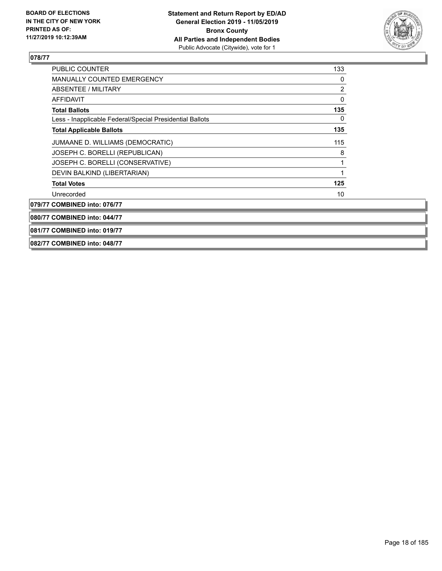

| PUBLIC COUNTER                                           | 133 |
|----------------------------------------------------------|-----|
| <b>MANUALLY COUNTED EMERGENCY</b>                        | 0   |
| ABSENTEE / MILITARY                                      | 2   |
| <b>AFFIDAVIT</b>                                         | 0   |
| <b>Total Ballots</b>                                     | 135 |
| Less - Inapplicable Federal/Special Presidential Ballots | 0   |
| <b>Total Applicable Ballots</b>                          | 135 |
| JUMAANE D. WILLIAMS (DEMOCRATIC)                         | 115 |
| JOSEPH C. BORELLI (REPUBLICAN)                           | 8   |
| JOSEPH C. BORELLI (CONSERVATIVE)                         |     |
| DEVIN BALKIND (LIBERTARIAN)                              |     |
| <b>Total Votes</b>                                       | 125 |
| Unrecorded                                               | 10  |
| 079/77 COMBINED into: 076/77                             |     |
| 080/77 COMBINED into: 044/77                             |     |
| 081/77 COMBINED into: 019/77                             |     |

**082/77 COMBINED into: 048/77**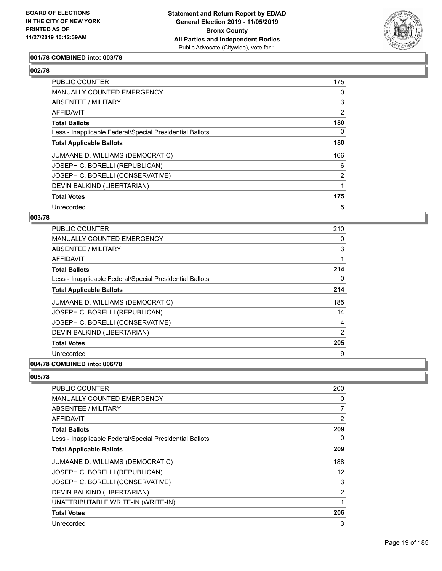

#### **001/78 COMBINED into: 003/78**

#### **002/78**

| PUBLIC COUNTER                                           | 175            |
|----------------------------------------------------------|----------------|
| MANUALLY COUNTED EMERGENCY                               | 0              |
| ABSENTEE / MILITARY                                      | 3              |
| AFFIDAVIT                                                | $\overline{2}$ |
| <b>Total Ballots</b>                                     | 180            |
| Less - Inapplicable Federal/Special Presidential Ballots | 0              |
| <b>Total Applicable Ballots</b>                          | 180            |
| JUMAANE D. WILLIAMS (DEMOCRATIC)                         | 166            |
| JOSEPH C. BORELLI (REPUBLICAN)                           | 6              |
| JOSEPH C. BORELLI (CONSERVATIVE)                         | $\overline{2}$ |
| DEVIN BALKIND (LIBERTARIAN)                              |                |
| <b>Total Votes</b>                                       | 175            |
| Unrecorded                                               | 5              |

#### **003/78**

| <b>PUBLIC COUNTER</b>                                    | 210 |
|----------------------------------------------------------|-----|
| MANUALLY COUNTED EMERGENCY                               | 0   |
| ABSENTEE / MILITARY                                      | 3   |
| AFFIDAVIT                                                |     |
| <b>Total Ballots</b>                                     | 214 |
| Less - Inapplicable Federal/Special Presidential Ballots | 0   |
| <b>Total Applicable Ballots</b>                          | 214 |
| JUMAANE D. WILLIAMS (DEMOCRATIC)                         | 185 |
| JOSEPH C. BORELLI (REPUBLICAN)                           | 14  |
| JOSEPH C. BORELLI (CONSERVATIVE)                         | 4   |
| DEVIN BALKIND (LIBERTARIAN)                              | 2   |
| <b>Total Votes</b>                                       | 205 |
| Unrecorded                                               | 9   |
| $A$ $A$                                                  |     |

#### **004/78 COMBINED into: 006/78**

| PUBLIC COUNTER                                           | 200            |
|----------------------------------------------------------|----------------|
| <b>MANUALLY COUNTED EMERGENCY</b>                        | 0              |
| ABSENTEE / MILITARY                                      | 7              |
| <b>AFFIDAVIT</b>                                         | $\overline{2}$ |
| <b>Total Ballots</b>                                     | 209            |
| Less - Inapplicable Federal/Special Presidential Ballots | 0              |
| <b>Total Applicable Ballots</b>                          | 209            |
| JUMAANE D. WILLIAMS (DEMOCRATIC)                         | 188            |
| JOSEPH C. BORELLI (REPUBLICAN)                           | 12             |
| JOSEPH C. BORELLI (CONSERVATIVE)                         | 3              |
| DEVIN BALKIND (LIBERTARIAN)                              | $\overline{2}$ |
| UNATTRIBUTABLE WRITE-IN (WRITE-IN)                       | 1              |
| <b>Total Votes</b>                                       | 206            |
| Unrecorded                                               | 3              |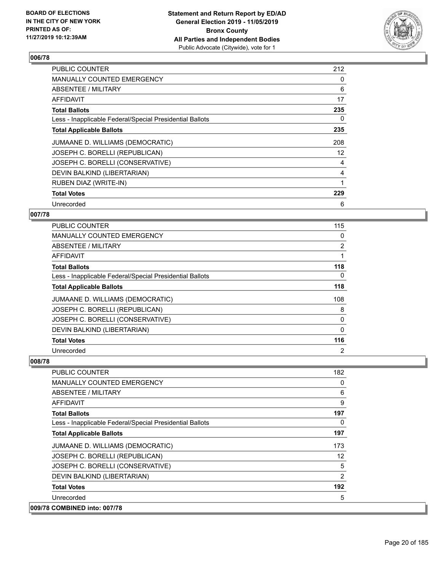

| PUBLIC COUNTER                                           | 212 |
|----------------------------------------------------------|-----|
| MANUALLY COUNTED EMERGENCY                               | 0   |
| ABSENTEE / MILITARY                                      | 6   |
| AFFIDAVIT                                                | 17  |
| <b>Total Ballots</b>                                     | 235 |
| Less - Inapplicable Federal/Special Presidential Ballots | 0   |
| <b>Total Applicable Ballots</b>                          | 235 |
| JUMAANE D. WILLIAMS (DEMOCRATIC)                         | 208 |
| JOSEPH C. BORELLI (REPUBLICAN)                           | 12  |
| JOSEPH C. BORELLI (CONSERVATIVE)                         | 4   |
| DEVIN BALKIND (LIBERTARIAN)                              | 4   |
| <b>RUBEN DIAZ (WRITE-IN)</b>                             |     |
| <b>Total Votes</b>                                       | 229 |
| Unrecorded                                               | 6   |

#### **007/78**

| PUBLIC COUNTER                                           | 115            |
|----------------------------------------------------------|----------------|
| MANUALLY COUNTED EMERGENCY                               | 0              |
| ABSENTEE / MILITARY                                      | 2              |
| AFFIDAVIT                                                | 1              |
| <b>Total Ballots</b>                                     | 118            |
| Less - Inapplicable Federal/Special Presidential Ballots | $\Omega$       |
| <b>Total Applicable Ballots</b>                          | 118            |
| JUMAANE D. WILLIAMS (DEMOCRATIC)                         | 108            |
| JOSEPH C. BORELLI (REPUBLICAN)                           | 8              |
| JOSEPH C. BORELLI (CONSERVATIVE)                         | 0              |
| DEVIN BALKIND (LIBERTARIAN)                              | 0              |
| <b>Total Votes</b>                                       | 116            |
| Unrecorded                                               | $\overline{2}$ |

| <b>PUBLIC COUNTER</b>                                    | 182      |
|----------------------------------------------------------|----------|
| MANUALLY COUNTED EMERGENCY                               | 0        |
| ABSENTEE / MILITARY                                      | 6        |
| AFFIDAVIT                                                | 9        |
| <b>Total Ballots</b>                                     | 197      |
| Less - Inapplicable Federal/Special Presidential Ballots | $\Omega$ |
| <b>Total Applicable Ballots</b>                          | 197      |
| JUMAANE D. WILLIAMS (DEMOCRATIC)                         | 173      |
| JOSEPH C. BORELLI (REPUBLICAN)                           | 12       |
| JOSEPH C. BORELLI (CONSERVATIVE)                         | 5        |
| DEVIN BALKIND (LIBERTARIAN)                              | 2        |
| <b>Total Votes</b>                                       | 192      |
| Unrecorded                                               | 5        |
| 009/78 COMBINED into: 007/78                             |          |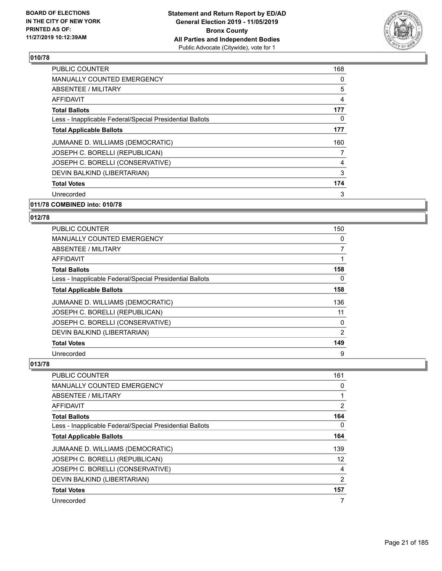

| <b>PUBLIC COUNTER</b>                                    | 168 |
|----------------------------------------------------------|-----|
| <b>MANUALLY COUNTED EMERGENCY</b>                        | 0   |
| ABSENTEE / MILITARY                                      | 5   |
| AFFIDAVIT                                                | 4   |
| <b>Total Ballots</b>                                     | 177 |
| Less - Inapplicable Federal/Special Presidential Ballots | 0   |
| <b>Total Applicable Ballots</b>                          | 177 |
| JUMAANE D. WILLIAMS (DEMOCRATIC)                         | 160 |
| JOSEPH C. BORELLI (REPUBLICAN)                           | 7   |
| JOSEPH C. BORELLI (CONSERVATIVE)                         | 4   |
| DEVIN BALKIND (LIBERTARIAN)                              | 3   |
| <b>Total Votes</b>                                       | 174 |
| Unrecorded                                               | 3   |
| 011/78 COMBINED into: 010/78                             |     |

### **012/78**

| <b>PUBLIC COUNTER</b>                                    | 150 |
|----------------------------------------------------------|-----|
| MANUALLY COUNTED EMERGENCY                               | 0   |
| ABSENTEE / MILITARY                                      | 7   |
| AFFIDAVIT                                                | 1   |
| <b>Total Ballots</b>                                     | 158 |
| Less - Inapplicable Federal/Special Presidential Ballots | 0   |
| <b>Total Applicable Ballots</b>                          | 158 |
| JUMAANE D. WILLIAMS (DEMOCRATIC)                         | 136 |
| JOSEPH C. BORELLI (REPUBLICAN)                           | 11  |
| JOSEPH C. BORELLI (CONSERVATIVE)                         | 0   |
| DEVIN BALKIND (LIBERTARIAN)                              | 2   |
| <b>Total Votes</b>                                       | 149 |
| Unrecorded                                               | 9   |

| <b>PUBLIC COUNTER</b>                                    | 161 |
|----------------------------------------------------------|-----|
| MANUALLY COUNTED EMERGENCY                               | 0   |
| ABSENTEE / MILITARY                                      |     |
| AFFIDAVIT                                                | 2   |
| <b>Total Ballots</b>                                     | 164 |
| Less - Inapplicable Federal/Special Presidential Ballots | 0   |
| <b>Total Applicable Ballots</b>                          | 164 |
| JUMAANE D. WILLIAMS (DEMOCRATIC)                         | 139 |
| JOSEPH C. BORELLI (REPUBLICAN)                           | 12  |
| JOSEPH C. BORELLI (CONSERVATIVE)                         | 4   |
| DEVIN BALKIND (LIBERTARIAN)                              | 2   |
| <b>Total Votes</b>                                       | 157 |
| Unrecorded                                               | 7   |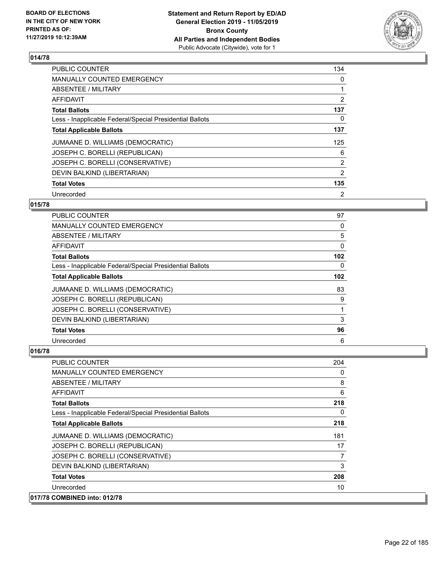

| <b>PUBLIC COUNTER</b>                                    | 134            |
|----------------------------------------------------------|----------------|
| <b>MANUALLY COUNTED EMERGENCY</b>                        | 0              |
| ABSENTEE / MILITARY                                      |                |
| <b>AFFIDAVIT</b>                                         | 2              |
| <b>Total Ballots</b>                                     | 137            |
| Less - Inapplicable Federal/Special Presidential Ballots | 0              |
| <b>Total Applicable Ballots</b>                          | 137            |
| JUMAANE D. WILLIAMS (DEMOCRATIC)                         | 125            |
| JOSEPH C. BORELLI (REPUBLICAN)                           | 6              |
| JOSEPH C. BORELLI (CONSERVATIVE)                         | 2              |
| DEVIN BALKIND (LIBERTARIAN)                              | 2              |
| <b>Total Votes</b>                                       | 135            |
| Unrecorded                                               | $\overline{2}$ |

#### **015/78**

| PUBLIC COUNTER                                           | 97               |
|----------------------------------------------------------|------------------|
| <b>MANUALLY COUNTED EMERGENCY</b>                        | $\Omega$         |
| ABSENTEE / MILITARY                                      | 5                |
| AFFIDAVIT                                                | 0                |
| <b>Total Ballots</b>                                     | 102 <sub>2</sub> |
| Less - Inapplicable Federal/Special Presidential Ballots | 0                |
| <b>Total Applicable Ballots</b>                          | 102              |
| JUMAANE D. WILLIAMS (DEMOCRATIC)                         | 83               |
| JOSEPH C. BORELLI (REPUBLICAN)                           | 9                |
| JOSEPH C. BORELLI (CONSERVATIVE)                         |                  |
| DEVIN BALKIND (LIBERTARIAN)                              | 3                |
| <b>Total Votes</b>                                       | 96               |
| Unrecorded                                               | 6                |

| PUBLIC COUNTER                                           | 204 |
|----------------------------------------------------------|-----|
| MANUALLY COUNTED EMERGENCY                               | 0   |
| ABSENTEE / MILITARY                                      | 8   |
| AFFIDAVIT                                                | 6   |
| <b>Total Ballots</b>                                     | 218 |
| Less - Inapplicable Federal/Special Presidential Ballots | 0   |
| <b>Total Applicable Ballots</b>                          | 218 |
| JUMAANE D. WILLIAMS (DEMOCRATIC)                         | 181 |
| JOSEPH C. BORELLI (REPUBLICAN)                           | 17  |
| JOSEPH C. BORELLI (CONSERVATIVE)                         | 7   |
| DEVIN BALKIND (LIBERTARIAN)                              | 3   |
| <b>Total Votes</b>                                       | 208 |
| Unrecorded                                               | 10  |
| 017/78 COMBINED into: 012/78                             |     |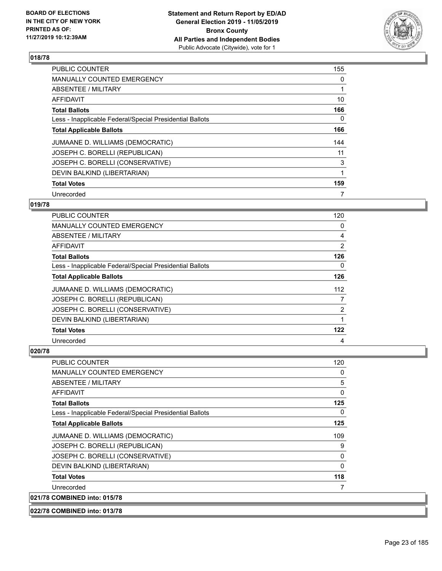

| <b>PUBLIC COUNTER</b>                                    | 155 |
|----------------------------------------------------------|-----|
| MANUALLY COUNTED EMERGENCY                               | 0   |
| ABSENTEE / MILITARY                                      |     |
| <b>AFFIDAVIT</b>                                         | 10  |
| <b>Total Ballots</b>                                     | 166 |
| Less - Inapplicable Federal/Special Presidential Ballots | 0   |
| <b>Total Applicable Ballots</b>                          | 166 |
| JUMAANE D. WILLIAMS (DEMOCRATIC)                         | 144 |
| JOSEPH C. BORELLI (REPUBLICAN)                           | 11  |
| JOSEPH C. BORELLI (CONSERVATIVE)                         | 3   |
| DEVIN BALKIND (LIBERTARIAN)                              | 1   |
| <b>Total Votes</b>                                       | 159 |
| Unrecorded                                               | 7   |

#### **019/78**

| PUBLIC COUNTER                                           | 120            |
|----------------------------------------------------------|----------------|
| MANUALLY COUNTED EMERGENCY                               | 0              |
| ABSENTEE / MILITARY                                      | 4              |
| AFFIDAVIT                                                | 2              |
| <b>Total Ballots</b>                                     | 126            |
| Less - Inapplicable Federal/Special Presidential Ballots | 0              |
| <b>Total Applicable Ballots</b>                          | 126            |
| JUMAANE D. WILLIAMS (DEMOCRATIC)                         | 112            |
| JOSEPH C. BORELLI (REPUBLICAN)                           | 7              |
| JOSEPH C. BORELLI (CONSERVATIVE)                         | $\overline{2}$ |
| DEVIN BALKIND (LIBERTARIAN)                              |                |
| <b>Total Votes</b>                                       | 122            |
| Unrecorded                                               | 4              |

| <b>PUBLIC COUNTER</b>                                    | 120      |
|----------------------------------------------------------|----------|
| <b>MANUALLY COUNTED EMERGENCY</b>                        | 0        |
| ABSENTEE / MILITARY                                      | 5        |
| <b>AFFIDAVIT</b>                                         | 0        |
| <b>Total Ballots</b>                                     | 125      |
| Less - Inapplicable Federal/Special Presidential Ballots | 0        |
| <b>Total Applicable Ballots</b>                          | 125      |
| JUMAANE D. WILLIAMS (DEMOCRATIC)                         | 109      |
| JOSEPH C. BORELLI (REPUBLICAN)                           | 9        |
| JOSEPH C. BORELLI (CONSERVATIVE)                         | 0        |
| DEVIN BALKIND (LIBERTARIAN)                              | $\Omega$ |
| <b>Total Votes</b>                                       | 118      |
| Unrecorded                                               | 7        |
| 021/78 COMBINED into: 015/78                             |          |
| 022/78 COMBINED into: 013/78                             |          |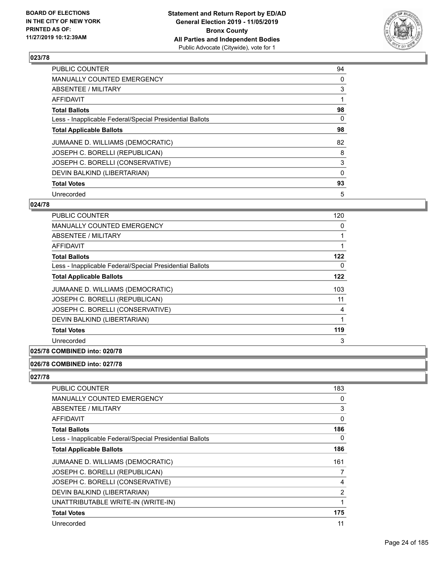

| <b>PUBLIC COUNTER</b>                                    | 94       |
|----------------------------------------------------------|----------|
| <b>MANUALLY COUNTED EMERGENCY</b>                        | 0        |
| ABSENTEE / MILITARY                                      | 3        |
| <b>AFFIDAVIT</b>                                         |          |
| <b>Total Ballots</b>                                     | 98       |
| Less - Inapplicable Federal/Special Presidential Ballots | 0        |
| <b>Total Applicable Ballots</b>                          | 98       |
| JUMAANE D. WILLIAMS (DEMOCRATIC)                         | 82       |
| JOSEPH C. BORELLI (REPUBLICAN)                           | 8        |
| JOSEPH C. BORELLI (CONSERVATIVE)                         | 3        |
| DEVIN BALKIND (LIBERTARIAN)                              | $\Omega$ |
| <b>Total Votes</b>                                       | 93       |
| Unrecorded                                               | 5        |

#### **024/78**

| <b>PUBLIC COUNTER</b>                                    | 120 |
|----------------------------------------------------------|-----|
| <b>MANUALLY COUNTED EMERGENCY</b>                        | 0   |
| ABSENTEE / MILITARY                                      |     |
| <b>AFFIDAVIT</b>                                         |     |
| <b>Total Ballots</b>                                     | 122 |
| Less - Inapplicable Federal/Special Presidential Ballots | 0   |
| <b>Total Applicable Ballots</b>                          | 122 |
| JUMAANE D. WILLIAMS (DEMOCRATIC)                         | 103 |
| JOSEPH C. BORELLI (REPUBLICAN)                           | 11  |
| JOSEPH C. BORELLI (CONSERVATIVE)                         | 4   |
| DEVIN BALKIND (LIBERTARIAN)                              | 1   |
| <b>Total Votes</b>                                       | 119 |
| Unrecorded                                               | 3   |
|                                                          |     |

#### **025/78 COMBINED into: 020/78**

#### **026/78 COMBINED into: 027/78**

| PUBLIC COUNTER                                           | 183            |
|----------------------------------------------------------|----------------|
| <b>MANUALLY COUNTED EMERGENCY</b>                        | 0              |
| ABSENTEE / MILITARY                                      | 3              |
| AFFIDAVIT                                                | 0              |
| <b>Total Ballots</b>                                     | 186            |
| Less - Inapplicable Federal/Special Presidential Ballots | $\Omega$       |
| <b>Total Applicable Ballots</b>                          | 186            |
| JUMAANE D. WILLIAMS (DEMOCRATIC)                         | 161            |
| JOSEPH C. BORELLI (REPUBLICAN)                           | 7              |
| JOSEPH C. BORELLI (CONSERVATIVE)                         | 4              |
| DEVIN BALKIND (LIBERTARIAN)                              | $\overline{2}$ |
| UNATTRIBUTABLE WRITE-IN (WRITE-IN)                       | 1              |
| <b>Total Votes</b>                                       | 175            |
| Unrecorded                                               | 11             |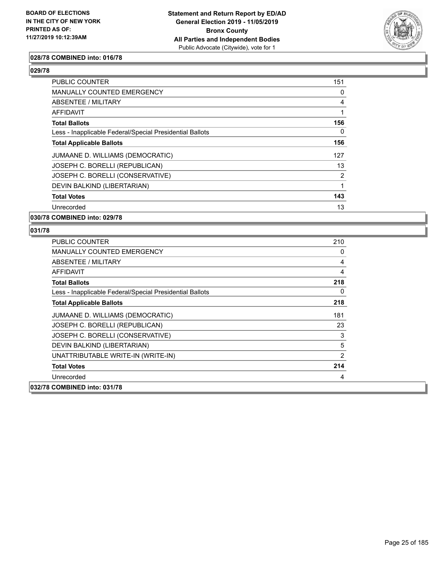

#### **028/78 COMBINED into: 016/78**

#### **029/78**

| <b>PUBLIC COUNTER</b>                                    | 151 |
|----------------------------------------------------------|-----|
| <b>MANUALLY COUNTED EMERGENCY</b>                        | 0   |
| ABSENTEE / MILITARY                                      | 4   |
| AFFIDAVIT                                                |     |
| <b>Total Ballots</b>                                     | 156 |
| Less - Inapplicable Federal/Special Presidential Ballots | 0   |
| <b>Total Applicable Ballots</b>                          | 156 |
| JUMAANE D. WILLIAMS (DEMOCRATIC)                         | 127 |
| JOSEPH C. BORELLI (REPUBLICAN)                           | 13  |
| JOSEPH C. BORELLI (CONSERVATIVE)                         | 2   |
| DEVIN BALKIND (LIBERTARIAN)                              |     |
| <b>Total Votes</b>                                       | 143 |
| Unrecorded                                               | 13  |

#### **030/78 COMBINED into: 029/78**

| <b>PUBLIC COUNTER</b>                                    | 210            |
|----------------------------------------------------------|----------------|
| <b>MANUALLY COUNTED EMERGENCY</b>                        | 0              |
| ABSENTEE / MILITARY                                      | 4              |
| AFFIDAVIT                                                | 4              |
| <b>Total Ballots</b>                                     | 218            |
| Less - Inapplicable Federal/Special Presidential Ballots | 0              |
| <b>Total Applicable Ballots</b>                          | 218            |
| JUMAANE D. WILLIAMS (DEMOCRATIC)                         | 181            |
| JOSEPH C. BORELLI (REPUBLICAN)                           | 23             |
| JOSEPH C. BORELLI (CONSERVATIVE)                         | 3              |
| DEVIN BALKIND (LIBERTARIAN)                              | 5              |
| UNATTRIBUTABLE WRITE-IN (WRITE-IN)                       | $\overline{2}$ |
| <b>Total Votes</b>                                       | 214            |
| Unrecorded                                               | 4              |
| 032/78 COMBINED into: 031/78                             |                |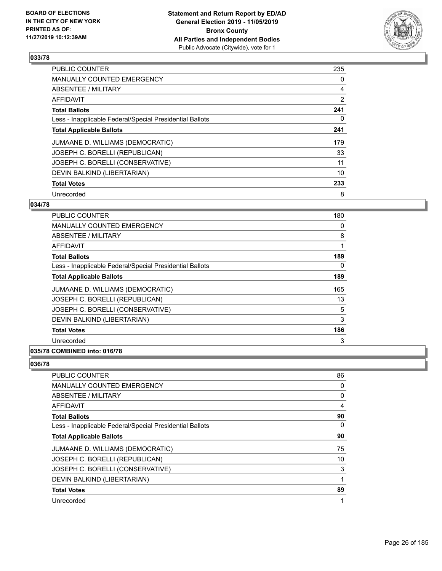

| <b>PUBLIC COUNTER</b>                                    | 235            |
|----------------------------------------------------------|----------------|
| <b>MANUALLY COUNTED EMERGENCY</b>                        | 0              |
| ABSENTEE / MILITARY                                      | 4              |
| AFFIDAVIT                                                | $\overline{2}$ |
| <b>Total Ballots</b>                                     | 241            |
| Less - Inapplicable Federal/Special Presidential Ballots | 0              |
| <b>Total Applicable Ballots</b>                          | 241            |
| JUMAANE D. WILLIAMS (DEMOCRATIC)                         | 179            |
| JOSEPH C. BORELLI (REPUBLICAN)                           | 33             |
| JOSEPH C. BORELLI (CONSERVATIVE)                         | 11             |
| DEVIN BALKIND (LIBERTARIAN)                              | 10             |
| <b>Total Votes</b>                                       | 233            |
| Unrecorded                                               | 8              |

#### **034/78**

| PUBLIC COUNTER                                           | 180 |
|----------------------------------------------------------|-----|
| <b>MANUALLY COUNTED EMERGENCY</b>                        | 0   |
| <b>ABSENTEE / MILITARY</b>                               | 8   |
| <b>AFFIDAVIT</b>                                         | 1   |
| <b>Total Ballots</b>                                     | 189 |
| Less - Inapplicable Federal/Special Presidential Ballots | 0   |
| <b>Total Applicable Ballots</b>                          | 189 |
| JUMAANE D. WILLIAMS (DEMOCRATIC)                         | 165 |
| JOSEPH C. BORELLI (REPUBLICAN)                           | 13  |
| JOSEPH C. BORELLI (CONSERVATIVE)                         | 5   |
| DEVIN BALKIND (LIBERTARIAN)                              | 3   |
| <b>Total Votes</b>                                       | 186 |
| Unrecorded                                               | 3   |
| 035/78 COMBINED into: 016/78                             |     |

| PUBLIC COUNTER                                           | 86       |
|----------------------------------------------------------|----------|
| <b>MANUALLY COUNTED EMERGENCY</b>                        | 0        |
| ABSENTEE / MILITARY                                      | 0        |
| AFFIDAVIT                                                | 4        |
| <b>Total Ballots</b>                                     | 90       |
| Less - Inapplicable Federal/Special Presidential Ballots | $\Omega$ |
| <b>Total Applicable Ballots</b>                          | 90       |
| JUMAANE D. WILLIAMS (DEMOCRATIC)                         | 75       |
| JOSEPH C. BORELLI (REPUBLICAN)                           | 10       |
| JOSEPH C. BORELLI (CONSERVATIVE)                         | 3        |
| DEVIN BALKIND (LIBERTARIAN)                              | 1        |
| <b>Total Votes</b>                                       | 89       |
| Unrecorded                                               | 1        |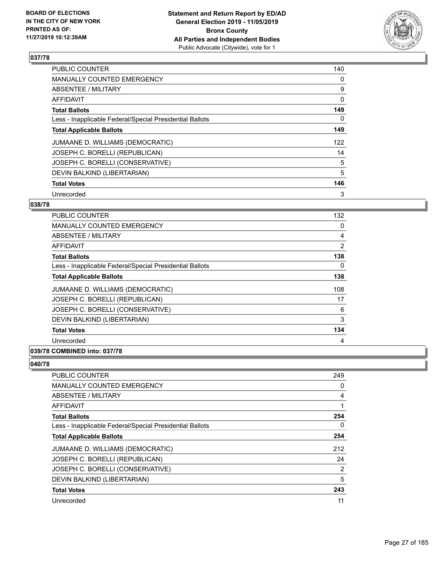

| <b>PUBLIC COUNTER</b>                                    | 140 |
|----------------------------------------------------------|-----|
| MANUALLY COUNTED EMERGENCY                               | 0   |
| <b>ABSENTEE / MILITARY</b>                               | 9   |
| AFFIDAVIT                                                | 0   |
| <b>Total Ballots</b>                                     | 149 |
| Less - Inapplicable Federal/Special Presidential Ballots | 0   |
| <b>Total Applicable Ballots</b>                          | 149 |
| JUMAANE D. WILLIAMS (DEMOCRATIC)                         | 122 |
| JOSEPH C. BORELLI (REPUBLICAN)                           | 14  |
| JOSEPH C. BORELLI (CONSERVATIVE)                         | 5   |
| DEVIN BALKIND (LIBERTARIAN)                              | 5   |
| <b>Total Votes</b>                                       | 146 |
| Unrecorded                                               | 3   |

#### **038/78**

| <b>PUBLIC COUNTER</b>                                    | 132      |
|----------------------------------------------------------|----------|
| <b>MANUALLY COUNTED EMERGENCY</b>                        | 0        |
| ABSENTEE / MILITARY                                      | 4        |
| AFFIDAVIT                                                | 2        |
| <b>Total Ballots</b>                                     | 138      |
| Less - Inapplicable Federal/Special Presidential Ballots | $\Omega$ |
| <b>Total Applicable Ballots</b>                          | 138      |
| JUMAANE D. WILLIAMS (DEMOCRATIC)                         | 108      |
| JOSEPH C. BORELLI (REPUBLICAN)                           | 17       |
| JOSEPH C. BORELLI (CONSERVATIVE)                         | 6        |
| DEVIN BALKIND (LIBERTARIAN)                              | 3        |
| <b>Total Votes</b>                                       | 134      |
| Unrecorded                                               | 4        |
| 039/78 COMBINED into: 037/78                             |          |

| PUBLIC COUNTER                                           | 249            |
|----------------------------------------------------------|----------------|
| <b>MANUALLY COUNTED EMERGENCY</b>                        | 0              |
| ABSENTEE / MILITARY                                      | $\overline{4}$ |
| AFFIDAVIT                                                | 1              |
| <b>Total Ballots</b>                                     | 254            |
| Less - Inapplicable Federal/Special Presidential Ballots | $\Omega$       |
| <b>Total Applicable Ballots</b>                          | 254            |
| JUMAANE D. WILLIAMS (DEMOCRATIC)                         | 212            |
| JOSEPH C. BORELLI (REPUBLICAN)                           | 24             |
| JOSEPH C. BORELLI (CONSERVATIVE)                         | 2              |
| DEVIN BALKIND (LIBERTARIAN)                              | 5              |
| <b>Total Votes</b>                                       | 243            |
| Unrecorded                                               | 11             |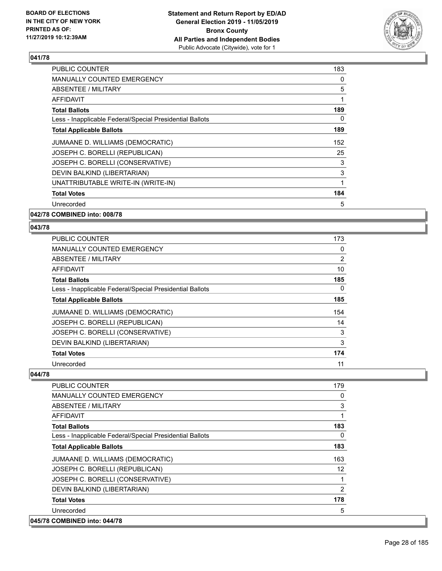

| <b>PUBLIC COUNTER</b>                                    | 183 |
|----------------------------------------------------------|-----|
| MANUALLY COUNTED EMERGENCY                               | 0   |
| ABSENTEE / MILITARY                                      | 5   |
| AFFIDAVIT                                                | 1   |
| <b>Total Ballots</b>                                     | 189 |
| Less - Inapplicable Federal/Special Presidential Ballots | 0   |
| <b>Total Applicable Ballots</b>                          | 189 |
| JUMAANE D. WILLIAMS (DEMOCRATIC)                         | 152 |
| JOSEPH C. BORELLI (REPUBLICAN)                           | 25  |
| JOSEPH C. BORELLI (CONSERVATIVE)                         | 3   |
| DEVIN BALKIND (LIBERTARIAN)                              | 3   |
| UNATTRIBUTABLE WRITE-IN (WRITE-IN)                       | 1   |
| <b>Total Votes</b>                                       | 184 |
| Unrecorded                                               | 5   |
|                                                          |     |

**042/78 COMBINED into: 008/78**

**043/78** 

| <b>PUBLIC COUNTER</b>                                    | 173 |
|----------------------------------------------------------|-----|
| <b>MANUALLY COUNTED EMERGENCY</b>                        | 0   |
| ABSENTEE / MILITARY                                      | 2   |
| AFFIDAVIT                                                | 10  |
| <b>Total Ballots</b>                                     | 185 |
| Less - Inapplicable Federal/Special Presidential Ballots | 0   |
| <b>Total Applicable Ballots</b>                          | 185 |
| JUMAANE D. WILLIAMS (DEMOCRATIC)                         | 154 |
| JOSEPH C. BORELLI (REPUBLICAN)                           | 14  |
| JOSEPH C. BORELLI (CONSERVATIVE)                         | 3   |
| DEVIN BALKIND (LIBERTARIAN)                              | 3   |
| <b>Total Votes</b>                                       | 174 |
| Unrecorded                                               | 11  |

| <b>PUBLIC COUNTER</b>                                    | 179               |
|----------------------------------------------------------|-------------------|
| <b>MANUALLY COUNTED EMERGENCY</b>                        | 0                 |
| ABSENTEE / MILITARY                                      | 3                 |
| <b>AFFIDAVIT</b>                                         | 1                 |
| <b>Total Ballots</b>                                     | 183               |
| Less - Inapplicable Federal/Special Presidential Ballots | 0                 |
| <b>Total Applicable Ballots</b>                          | 183               |
| JUMAANE D. WILLIAMS (DEMOCRATIC)                         | 163               |
| JOSEPH C. BORELLI (REPUBLICAN)                           | $12 \overline{ }$ |
| JOSEPH C. BORELLI (CONSERVATIVE)                         | 1                 |
| DEVIN BALKIND (LIBERTARIAN)                              | 2                 |
| <b>Total Votes</b>                                       | 178               |
| Unrecorded                                               | 5                 |
| 045/78 COMBINED into: 044/78                             |                   |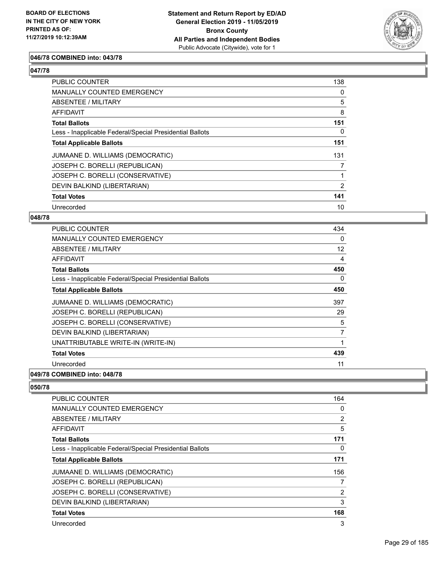

#### **046/78 COMBINED into: 043/78**

#### **047/78**

| PUBLIC COUNTER                                           | 138 |
|----------------------------------------------------------|-----|
| <b>MANUALLY COUNTED EMERGENCY</b>                        | 0   |
| ABSENTEE / MILITARY                                      | 5   |
| AFFIDAVIT                                                | 8   |
| <b>Total Ballots</b>                                     | 151 |
| Less - Inapplicable Federal/Special Presidential Ballots | 0   |
| <b>Total Applicable Ballots</b>                          | 151 |
| JUMAANE D. WILLIAMS (DEMOCRATIC)                         | 131 |
| JOSEPH C. BORELLI (REPUBLICAN)                           | 7   |
| JOSEPH C. BORELLI (CONSERVATIVE)                         |     |
| DEVIN BALKIND (LIBERTARIAN)                              | 2   |
| <b>Total Votes</b>                                       | 141 |
| Unrecorded                                               | 10  |

#### **048/78**

| <b>PUBLIC COUNTER</b>                                    | 434            |
|----------------------------------------------------------|----------------|
| <b>MANUALLY COUNTED EMERGENCY</b>                        | $\Omega$       |
| ABSENTEE / MILITARY                                      | 12             |
| AFFIDAVIT                                                | 4              |
| <b>Total Ballots</b>                                     | 450            |
| Less - Inapplicable Federal/Special Presidential Ballots | 0              |
| <b>Total Applicable Ballots</b>                          | 450            |
| JUMAANE D. WILLIAMS (DEMOCRATIC)                         | 397            |
| JOSEPH C. BORELLI (REPUBLICAN)                           | 29             |
| JOSEPH C. BORELLI (CONSERVATIVE)                         | 5              |
| DEVIN BALKIND (LIBERTARIAN)                              | $\overline{7}$ |
| UNATTRIBUTABLE WRITE-IN (WRITE-IN)                       |                |
| <b>Total Votes</b>                                       | 439            |
| Unrecorded                                               | 11             |
| 049/78 COMBINED into: 048/78                             |                |

| PUBLIC COUNTER                                           | 164            |
|----------------------------------------------------------|----------------|
| <b>MANUALLY COUNTED EMERGENCY</b>                        | 0              |
| ABSENTEE / MILITARY                                      | 2              |
| <b>AFFIDAVIT</b>                                         | 5              |
| <b>Total Ballots</b>                                     | 171            |
| Less - Inapplicable Federal/Special Presidential Ballots | 0              |
| <b>Total Applicable Ballots</b>                          | 171            |
| JUMAANE D. WILLIAMS (DEMOCRATIC)                         | 156            |
| JOSEPH C. BORELLI (REPUBLICAN)                           |                |
| JOSEPH C. BORELLI (CONSERVATIVE)                         | $\overline{2}$ |
| DEVIN BALKIND (LIBERTARIAN)                              | 3              |
| <b>Total Votes</b>                                       | 168            |
| Unrecorded                                               | 3              |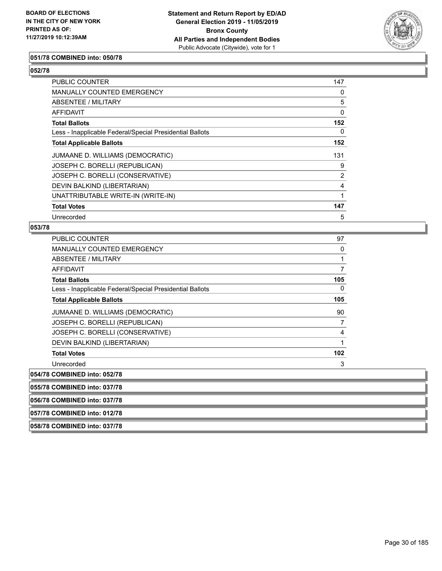

#### **051/78 COMBINED into: 050/78**

#### **052/78**

| <b>PUBLIC COUNTER</b>                                    | 147            |
|----------------------------------------------------------|----------------|
| <b>MANUALLY COUNTED EMERGENCY</b>                        | 0              |
| ABSENTEE / MILITARY                                      | 5              |
| AFFIDAVIT                                                | 0              |
| <b>Total Ballots</b>                                     | 152            |
| Less - Inapplicable Federal/Special Presidential Ballots | $\Omega$       |
| <b>Total Applicable Ballots</b>                          | 152            |
| JUMAANE D. WILLIAMS (DEMOCRATIC)                         | 131            |
| JOSEPH C. BORELLI (REPUBLICAN)                           | 9              |
| JOSEPH C. BORELLI (CONSERVATIVE)                         | $\overline{2}$ |
| DEVIN BALKIND (LIBERTARIAN)                              | 4              |
| UNATTRIBUTABLE WRITE-IN (WRITE-IN)                       | 1              |
| <b>Total Votes</b>                                       | 147            |
| Unrecorded                                               | 5              |

#### **053/78**

| $AFL/70$ $AALDIRID$ $$ $A27/70$                          |          |
|----------------------------------------------------------|----------|
| 054/78 COMBINED into: 052/78                             |          |
| Unrecorded                                               | 3        |
| <b>Total Votes</b>                                       | 102      |
| DEVIN BALKIND (LIBERTARIAN)                              | 1        |
| JOSEPH C. BORELLI (CONSERVATIVE)                         | 4        |
| JOSEPH C. BORELLI (REPUBLICAN)                           | 7        |
| JUMAANE D. WILLIAMS (DEMOCRATIC)                         | 90       |
| <b>Total Applicable Ballots</b>                          | 105      |
| Less - Inapplicable Federal/Special Presidential Ballots | 0        |
| <b>Total Ballots</b>                                     | 105      |
| AFFIDAVIT                                                | 7        |
| ABSENTEE / MILITARY                                      | 1        |
| <b>MANUALLY COUNTED EMERGENCY</b>                        | $\Omega$ |
| <b>PUBLIC COUNTER</b>                                    | 97       |

**055/78 COMBINED into: 037/78**

**056/78 COMBINED into: 037/78**

**057/78 COMBINED into: 012/78**

**058/78 COMBINED into: 037/78**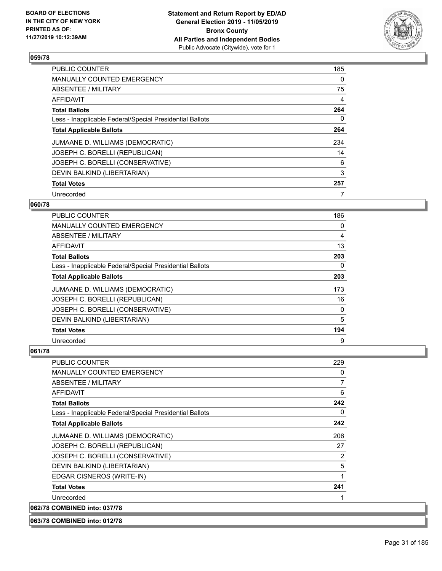

| <b>PUBLIC COUNTER</b>                                    | 185 |
|----------------------------------------------------------|-----|
| <b>MANUALLY COUNTED EMERGENCY</b>                        | 0   |
| ABSENTEE / MILITARY                                      | 75  |
| <b>AFFIDAVIT</b>                                         | 4   |
| <b>Total Ballots</b>                                     | 264 |
| Less - Inapplicable Federal/Special Presidential Ballots | 0   |
| <b>Total Applicable Ballots</b>                          | 264 |
| JUMAANE D. WILLIAMS (DEMOCRATIC)                         | 234 |
| JOSEPH C. BORELLI (REPUBLICAN)                           | 14  |
| JOSEPH C. BORELLI (CONSERVATIVE)                         | 6   |
| DEVIN BALKIND (LIBERTARIAN)                              | 3   |
| <b>Total Votes</b>                                       | 257 |
| Unrecorded                                               | 7   |

#### **060/78**

| PUBLIC COUNTER                                           | 186      |
|----------------------------------------------------------|----------|
| <b>MANUALLY COUNTED EMERGENCY</b>                        | $\Omega$ |
| ABSENTEE / MILITARY                                      | 4        |
| AFFIDAVIT                                                | 13       |
| <b>Total Ballots</b>                                     | 203      |
| Less - Inapplicable Federal/Special Presidential Ballots | 0        |
| <b>Total Applicable Ballots</b>                          | 203      |
| JUMAANE D. WILLIAMS (DEMOCRATIC)                         | 173      |
| JOSEPH C. BORELLI (REPUBLICAN)                           | 16       |
| JOSEPH C. BORELLI (CONSERVATIVE)                         | 0        |
| DEVIN BALKIND (LIBERTARIAN)                              | 5        |
| <b>Total Votes</b>                                       | 194      |
| Unrecorded                                               | 9        |

#### **061/78**

| PUBLIC COUNTER                                           | 229      |
|----------------------------------------------------------|----------|
| <b>MANUALLY COUNTED EMERGENCY</b>                        | 0        |
| ABSENTEE / MILITARY                                      | 7        |
| AFFIDAVIT                                                | 6        |
| <b>Total Ballots</b>                                     | 242      |
| Less - Inapplicable Federal/Special Presidential Ballots | $\Omega$ |
| <b>Total Applicable Ballots</b>                          | 242      |
| JUMAANE D. WILLIAMS (DEMOCRATIC)                         | 206      |
| JOSEPH C. BORELLI (REPUBLICAN)                           | 27       |
| JOSEPH C. BORELLI (CONSERVATIVE)                         | 2        |
| DEVIN BALKIND (LIBERTARIAN)                              | 5        |
| EDGAR CISNEROS (WRITE-IN)                                | 1        |
| <b>Total Votes</b>                                       | 241      |
| Unrecorded                                               |          |
| 062/78 COMBINED into: 037/78                             |          |

**063/78 COMBINED into: 012/78**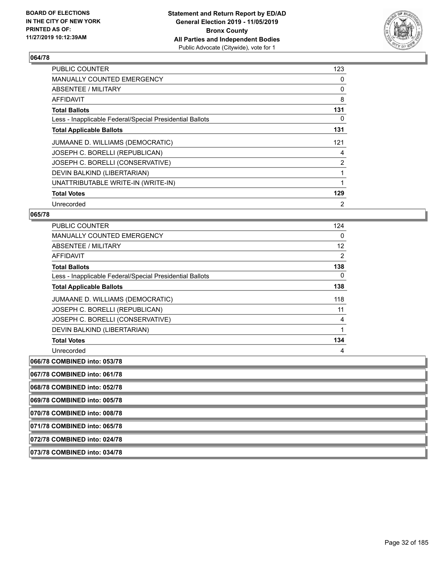

| <b>PUBLIC COUNTER</b>                                    | 123            |
|----------------------------------------------------------|----------------|
| <b>MANUALLY COUNTED EMERGENCY</b>                        | 0              |
| ABSENTEE / MILITARY                                      | 0              |
| AFFIDAVIT                                                | 8              |
| <b>Total Ballots</b>                                     | 131            |
| Less - Inapplicable Federal/Special Presidential Ballots | 0              |
| <b>Total Applicable Ballots</b>                          | 131            |
| JUMAANE D. WILLIAMS (DEMOCRATIC)                         | 121            |
| JOSEPH C. BORELLI (REPUBLICAN)                           | 4              |
| JOSEPH C. BORELLI (CONSERVATIVE)                         | $\overline{2}$ |
| DEVIN BALKIND (LIBERTARIAN)                              | 1              |
| UNATTRIBUTABLE WRITE-IN (WRITE-IN)                       |                |
| <b>Total Votes</b>                                       | 129            |
| Unrecorded                                               | 2              |

#### **065/78**

| PUBLIC COUNTER                                           | 124               |
|----------------------------------------------------------|-------------------|
| <b>MANUALLY COUNTED EMERGENCY</b>                        | 0                 |
| ABSENTEE / MILITARY                                      | $12 \overline{ }$ |
| <b>AFFIDAVIT</b>                                         | 2                 |
| <b>Total Ballots</b>                                     | 138               |
| Less - Inapplicable Federal/Special Presidential Ballots | 0                 |
| <b>Total Applicable Ballots</b>                          | 138               |
| JUMAANE D. WILLIAMS (DEMOCRATIC)                         | 118               |
| JOSEPH C. BORELLI (REPUBLICAN)                           | 11                |
| JOSEPH C. BORELLI (CONSERVATIVE)                         | 4                 |
| DEVIN BALKIND (LIBERTARIAN)                              | 1                 |
| <b>Total Votes</b>                                       | 134               |
| Unrecorded                                               | 4                 |
| 066/78 COMBINED into: 053/78                             |                   |

**067/78 COMBINED into: 061/78**

**068/78 COMBINED into: 052/78**

**069/78 COMBINED into: 005/78**

**070/78 COMBINED into: 008/78**

**071/78 COMBINED into: 065/78**

**072/78 COMBINED into: 024/78**

**073/78 COMBINED into: 034/78**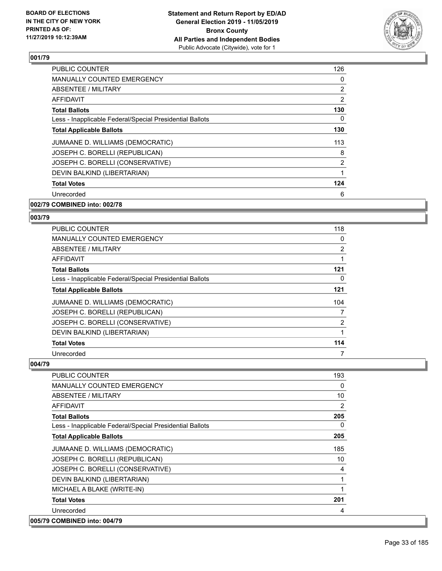

| PUBLIC COUNTER                                           | 126            |
|----------------------------------------------------------|----------------|
| <b>MANUALLY COUNTED EMERGENCY</b>                        | 0              |
| ABSENTEE / MILITARY                                      | 2              |
| AFFIDAVIT                                                | $\overline{2}$ |
| <b>Total Ballots</b>                                     | 130            |
| Less - Inapplicable Federal/Special Presidential Ballots | 0              |
| <b>Total Applicable Ballots</b>                          | 130            |
| JUMAANE D. WILLIAMS (DEMOCRATIC)                         | 113            |
| JOSEPH C. BORELLI (REPUBLICAN)                           | 8              |
| JOSEPH C. BORELLI (CONSERVATIVE)                         | 2              |
| DEVIN BALKIND (LIBERTARIAN)                              | 1              |
| <b>Total Votes</b>                                       | 124            |
| Unrecorded                                               | 6              |
|                                                          |                |

#### **002/79 COMBINED into: 002/78**

#### **003/79**

| PUBLIC COUNTER                                           | 118 |
|----------------------------------------------------------|-----|
| MANUALLY COUNTED EMERGENCY                               | 0   |
| <b>ABSENTEE / MILITARY</b>                               | 2   |
| AFFIDAVIT                                                |     |
| <b>Total Ballots</b>                                     | 121 |
| Less - Inapplicable Federal/Special Presidential Ballots | 0   |
| <b>Total Applicable Ballots</b>                          | 121 |
| JUMAANE D. WILLIAMS (DEMOCRATIC)                         | 104 |
| JOSEPH C. BORELLI (REPUBLICAN)                           | 7   |
| JOSEPH C. BORELLI (CONSERVATIVE)                         | 2   |
| DEVIN BALKIND (LIBERTARIAN)                              |     |
| <b>Total Votes</b>                                       | 114 |
| Unrecorded                                               | 7   |

| <b>PUBLIC COUNTER</b>                                    | 193          |
|----------------------------------------------------------|--------------|
| <b>MANUALLY COUNTED EMERGENCY</b>                        | 0            |
| ABSENTEE / MILITARY                                      | 10           |
| <b>AFFIDAVIT</b>                                         | 2            |
| <b>Total Ballots</b>                                     | 205          |
| Less - Inapplicable Federal/Special Presidential Ballots | 0            |
| <b>Total Applicable Ballots</b>                          | 205          |
| JUMAANE D. WILLIAMS (DEMOCRATIC)                         | 185          |
| JOSEPH C. BORELLI (REPUBLICAN)                           | 10           |
| JOSEPH C. BORELLI (CONSERVATIVE)                         | 4            |
| DEVIN BALKIND (LIBERTARIAN)                              | $\mathbf{1}$ |
| MICHAEL A BLAKE (WRITE-IN)                               | 1            |
| <b>Total Votes</b>                                       | 201          |
| Unrecorded                                               | 4            |
| 005/79 COMBINED into: 004/79                             |              |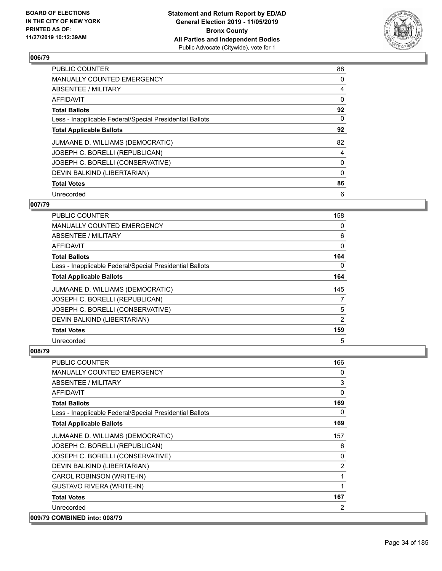

| <b>PUBLIC COUNTER</b>                                    | 88       |
|----------------------------------------------------------|----------|
| <b>MANUALLY COUNTED EMERGENCY</b>                        | 0        |
| ABSENTEE / MILITARY                                      | 4        |
| <b>AFFIDAVIT</b>                                         | 0        |
| <b>Total Ballots</b>                                     | 92       |
| Less - Inapplicable Federal/Special Presidential Ballots | $\Omega$ |
| <b>Total Applicable Ballots</b>                          | 92       |
| JUMAANE D. WILLIAMS (DEMOCRATIC)                         | 82       |
| JOSEPH C. BORELLI (REPUBLICAN)                           | 4        |
| JOSEPH C. BORELLI (CONSERVATIVE)                         | 0        |
| DEVIN BALKIND (LIBERTARIAN)                              | $\Omega$ |
| <b>Total Votes</b>                                       | 86       |
| Unrecorded                                               | 6        |

#### **007/79**

| PUBLIC COUNTER                                           | 158 |
|----------------------------------------------------------|-----|
| <b>MANUALLY COUNTED EMERGENCY</b>                        | 0   |
| ABSENTEE / MILITARY                                      | 6   |
| AFFIDAVIT                                                | 0   |
| <b>Total Ballots</b>                                     | 164 |
| Less - Inapplicable Federal/Special Presidential Ballots | 0   |
| <b>Total Applicable Ballots</b>                          | 164 |
| JUMAANE D. WILLIAMS (DEMOCRATIC)                         | 145 |
| JOSEPH C. BORELLI (REPUBLICAN)                           | 7   |
| JOSEPH C. BORELLI (CONSERVATIVE)                         | 5   |
| DEVIN BALKIND (LIBERTARIAN)                              | 2   |
| <b>Total Votes</b>                                       | 159 |
| Unrecorded                                               | 5   |

| <b>PUBLIC COUNTER</b>                                    | 166            |
|----------------------------------------------------------|----------------|
| <b>MANUALLY COUNTED EMERGENCY</b>                        | 0              |
| ABSENTEE / MILITARY                                      | 3              |
| <b>AFFIDAVIT</b>                                         | $\Omega$       |
| <b>Total Ballots</b>                                     | 169            |
| Less - Inapplicable Federal/Special Presidential Ballots | $\Omega$       |
| <b>Total Applicable Ballots</b>                          | 169            |
| JUMAANE D. WILLIAMS (DEMOCRATIC)                         | 157            |
| JOSEPH C. BORELLI (REPUBLICAN)                           | 6              |
| JOSEPH C. BORELLI (CONSERVATIVE)                         | 0              |
| DEVIN BALKIND (LIBERTARIAN)                              | $\overline{2}$ |
| CAROL ROBINSON (WRITE-IN)                                | 1              |
| <b>GUSTAVO RIVERA (WRITE-IN)</b>                         | 1              |
| <b>Total Votes</b>                                       | 167            |
| Unrecorded                                               | 2              |
| 009/79 COMBINED into: 008/79                             |                |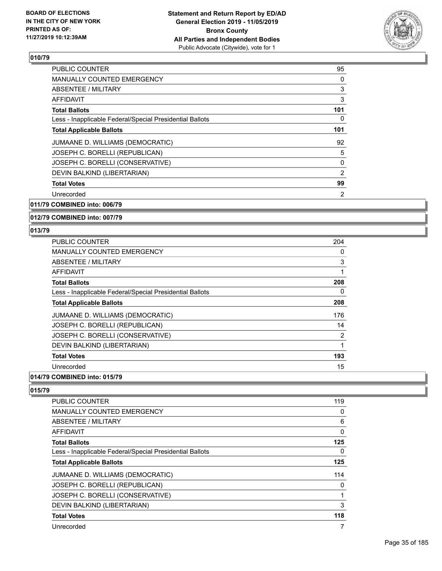

| <b>PUBLIC COUNTER</b>                                    | 95             |
|----------------------------------------------------------|----------------|
| <b>MANUALLY COUNTED EMERGENCY</b>                        | 0              |
| ABSENTEE / MILITARY                                      | 3              |
| <b>AFFIDAVIT</b>                                         | 3              |
| <b>Total Ballots</b>                                     | 101            |
| Less - Inapplicable Federal/Special Presidential Ballots | 0              |
| <b>Total Applicable Ballots</b>                          | 101            |
| JUMAANE D. WILLIAMS (DEMOCRATIC)                         | 92             |
| JOSEPH C. BORELLI (REPUBLICAN)                           | 5              |
| JOSEPH C. BORELLI (CONSERVATIVE)                         | 0              |
| DEVIN BALKIND (LIBERTARIAN)                              | $\overline{2}$ |
| <b>Total Votes</b>                                       | 99             |
| Unrecorded                                               | 2              |
| 011/79 COMBINED into: 006/79                             |                |

### **012/79 COMBINED into: 007/79**

#### **013/79**

| <b>PUBLIC COUNTER</b>                                    | 204 |
|----------------------------------------------------------|-----|
| MANUALLY COUNTED EMERGENCY                               | 0   |
| ABSENTEE / MILITARY                                      | 3   |
| AFFIDAVIT                                                | 1   |
| <b>Total Ballots</b>                                     | 208 |
| Less - Inapplicable Federal/Special Presidential Ballots | 0   |
| <b>Total Applicable Ballots</b>                          | 208 |
| JUMAANE D. WILLIAMS (DEMOCRATIC)                         | 176 |
| JOSEPH C. BORELLI (REPUBLICAN)                           | 14  |
| JOSEPH C. BORELLI (CONSERVATIVE)                         | 2   |
| DEVIN BALKIND (LIBERTARIAN)                              | 1   |
| <b>Total Votes</b>                                       | 193 |
| Unrecorded                                               | 15  |

#### **014/79 COMBINED into: 015/79**

| PUBLIC COUNTER                                           | 119          |
|----------------------------------------------------------|--------------|
| <b>MANUALLY COUNTED EMERGENCY</b>                        | 0            |
| <b>ABSENTEE / MILITARY</b>                               | 6            |
| AFFIDAVIT                                                | $\mathbf{0}$ |
| <b>Total Ballots</b>                                     | 125          |
| Less - Inapplicable Federal/Special Presidential Ballots | 0            |
| <b>Total Applicable Ballots</b>                          | 125          |
| JUMAANE D. WILLIAMS (DEMOCRATIC)                         | 114          |
| JOSEPH C. BORELLI (REPUBLICAN)                           | 0            |
| JOSEPH C. BORELLI (CONSERVATIVE)                         |              |
| DEVIN BALKIND (LIBERTARIAN)                              | 3            |
| <b>Total Votes</b>                                       | 118          |
| Unrecorded                                               | 7            |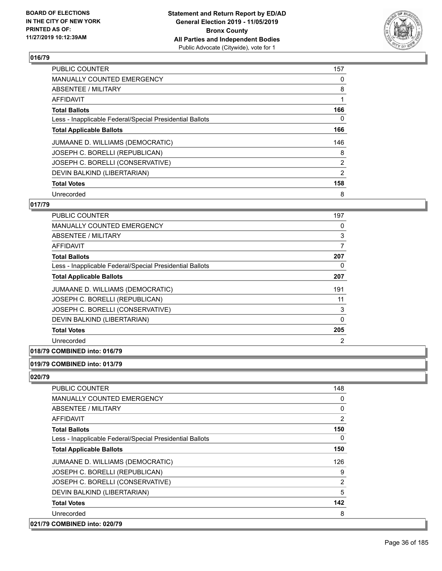

| <b>PUBLIC COUNTER</b>                                    | 157            |
|----------------------------------------------------------|----------------|
| <b>MANUALLY COUNTED EMERGENCY</b>                        | 0              |
| ABSENTEE / MILITARY                                      | 8              |
| <b>AFFIDAVIT</b>                                         |                |
| <b>Total Ballots</b>                                     | 166            |
| Less - Inapplicable Federal/Special Presidential Ballots | 0              |
| <b>Total Applicable Ballots</b>                          | 166            |
| JUMAANE D. WILLIAMS (DEMOCRATIC)                         | 146            |
| JOSEPH C. BORELLI (REPUBLICAN)                           | 8              |
| JOSEPH C. BORELLI (CONSERVATIVE)                         | $\overline{2}$ |
| DEVIN BALKIND (LIBERTARIAN)                              | $\overline{2}$ |
| <b>Total Votes</b>                                       | 158            |
| Unrecorded                                               | 8              |

#### **017/79**

| <b>PUBLIC COUNTER</b>                                    | 197 |
|----------------------------------------------------------|-----|
| <b>MANUALLY COUNTED EMERGENCY</b>                        | 0   |
| <b>ABSENTEE / MILITARY</b>                               | 3   |
| AFFIDAVIT                                                | 7   |
| <b>Total Ballots</b>                                     | 207 |
| Less - Inapplicable Federal/Special Presidential Ballots | 0   |
| <b>Total Applicable Ballots</b>                          | 207 |
| JUMAANE D. WILLIAMS (DEMOCRATIC)                         | 191 |
| JOSEPH C. BORELLI (REPUBLICAN)                           | 11  |
| JOSEPH C. BORELLI (CONSERVATIVE)                         | 3   |
| DEVIN BALKIND (LIBERTARIAN)                              | 0   |
| <b>Total Votes</b>                                       | 205 |
| Unrecorded                                               | 2   |
|                                                          |     |

### **018/79 COMBINED into: 016/79**

#### **019/79 COMBINED into: 013/79**

| <b>PUBLIC COUNTER</b>                                    | 148            |
|----------------------------------------------------------|----------------|
| <b>MANUALLY COUNTED EMERGENCY</b>                        | 0              |
| ABSENTEE / MILITARY                                      | 0              |
| AFFIDAVIT                                                | $\overline{2}$ |
| <b>Total Ballots</b>                                     | 150            |
| Less - Inapplicable Federal/Special Presidential Ballots | $\Omega$       |
| <b>Total Applicable Ballots</b>                          | 150            |
| JUMAANE D. WILLIAMS (DEMOCRATIC)                         | 126            |
| JOSEPH C. BORELLI (REPUBLICAN)                           | 9              |
| JOSEPH C. BORELLI (CONSERVATIVE)                         | 2              |
| DEVIN BALKIND (LIBERTARIAN)                              | 5              |
| <b>Total Votes</b>                                       | 142            |
| Unrecorded                                               | 8              |
| 021/79 COMBINED into: 020/79                             |                |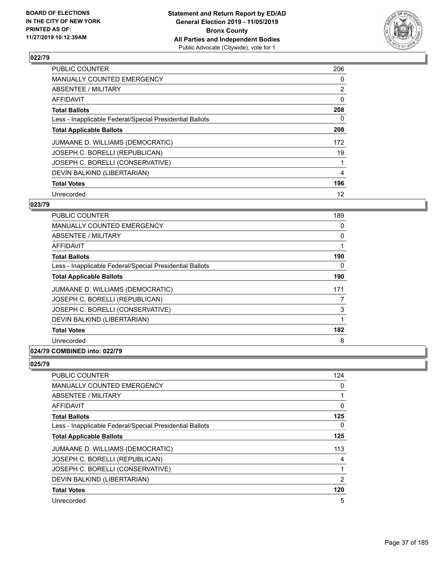

| <b>PUBLIC COUNTER</b>                                    | 206            |
|----------------------------------------------------------|----------------|
| MANUALLY COUNTED EMERGENCY                               | 0              |
| ABSENTEE / MILITARY                                      | $\overline{2}$ |
| AFFIDAVIT                                                | 0              |
| <b>Total Ballots</b>                                     | 208            |
| Less - Inapplicable Federal/Special Presidential Ballots | 0              |
| <b>Total Applicable Ballots</b>                          | 208            |
| JUMAANE D. WILLIAMS (DEMOCRATIC)                         | 172            |
| JOSEPH C. BORELLI (REPUBLICAN)                           | 19             |
| JOSEPH C. BORELLI (CONSERVATIVE)                         |                |
| DEVIN BALKIND (LIBERTARIAN)                              | 4              |
| <b>Total Votes</b>                                       | 196            |
| Unrecorded                                               | 12             |

### **023/79**

| <b>PUBLIC COUNTER</b>                                    | 189 |
|----------------------------------------------------------|-----|
| <b>MANUALLY COUNTED EMERGENCY</b>                        | 0   |
| ABSENTEE / MILITARY                                      | 0   |
| AFFIDAVIT                                                | 1   |
| <b>Total Ballots</b>                                     | 190 |
| Less - Inapplicable Federal/Special Presidential Ballots | 0   |
| <b>Total Applicable Ballots</b>                          | 190 |
| JUMAANE D. WILLIAMS (DEMOCRATIC)                         | 171 |
| JOSEPH C. BORELLI (REPUBLICAN)                           | 7   |
| JOSEPH C. BORELLI (CONSERVATIVE)                         | 3   |
| DEVIN BALKIND (LIBERTARIAN)                              | 1   |
| <b>Total Votes</b>                                       | 182 |
| Unrecorded                                               | 8   |
|                                                          |     |

# **024/79 COMBINED into: 022/79**

| <b>PUBLIC COUNTER</b>                                    | 124 |
|----------------------------------------------------------|-----|
| <b>MANUALLY COUNTED EMERGENCY</b>                        | 0   |
| ABSENTEE / MILITARY                                      |     |
| AFFIDAVIT                                                | 0   |
| <b>Total Ballots</b>                                     | 125 |
| Less - Inapplicable Federal/Special Presidential Ballots | 0   |
| <b>Total Applicable Ballots</b>                          | 125 |
| JUMAANE D. WILLIAMS (DEMOCRATIC)                         | 113 |
| JOSEPH C. BORELLI (REPUBLICAN)                           | 4   |
| JOSEPH C. BORELLI (CONSERVATIVE)                         | 1   |
| DEVIN BALKIND (LIBERTARIAN)                              | 2   |
| <b>Total Votes</b>                                       | 120 |
| Unrecorded                                               | 5   |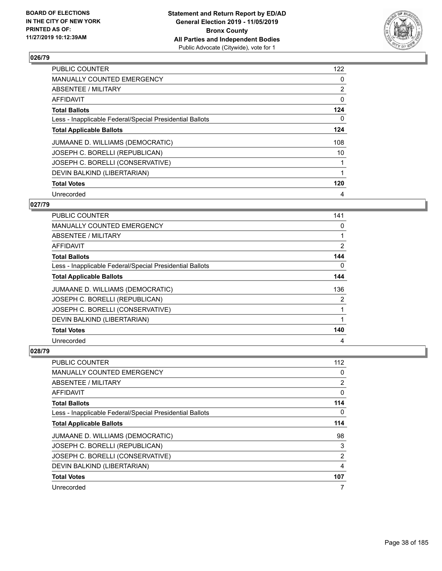

| <b>PUBLIC COUNTER</b>                                    | 122          |
|----------------------------------------------------------|--------------|
| <b>MANUALLY COUNTED EMERGENCY</b>                        | 0            |
| ABSENTEE / MILITARY                                      | 2            |
| <b>AFFIDAVIT</b>                                         | 0            |
| <b>Total Ballots</b>                                     | 124          |
| Less - Inapplicable Federal/Special Presidential Ballots | 0            |
| <b>Total Applicable Ballots</b>                          | 124          |
| JUMAANE D. WILLIAMS (DEMOCRATIC)                         | 108          |
| JOSEPH C. BORELLI (REPUBLICAN)                           | 10           |
| JOSEPH C. BORELLI (CONSERVATIVE)                         |              |
| DEVIN BALKIND (LIBERTARIAN)                              | $\mathbf{1}$ |
| <b>Total Votes</b>                                       | 120          |
| Unrecorded                                               | 4            |

# **027/79**

| PUBLIC COUNTER                                           | 141 |
|----------------------------------------------------------|-----|
| MANUALLY COUNTED EMERGENCY                               | 0   |
| ABSENTEE / MILITARY                                      |     |
| AFFIDAVIT                                                | 2   |
| <b>Total Ballots</b>                                     | 144 |
| Less - Inapplicable Federal/Special Presidential Ballots | 0   |
| <b>Total Applicable Ballots</b>                          | 144 |
| JUMAANE D. WILLIAMS (DEMOCRATIC)                         | 136 |
| JOSEPH C. BORELLI (REPUBLICAN)                           | 2   |
| JOSEPH C. BORELLI (CONSERVATIVE)                         |     |
| DEVIN BALKIND (LIBERTARIAN)                              |     |
| <b>Total Votes</b>                                       | 140 |
| Unrecorded                                               | 4   |

| <b>PUBLIC COUNTER</b>                                    | 112            |
|----------------------------------------------------------|----------------|
| <b>MANUALLY COUNTED EMERGENCY</b>                        | 0              |
| ABSENTEE / MILITARY                                      | $\overline{2}$ |
| AFFIDAVIT                                                | 0              |
| <b>Total Ballots</b>                                     | 114            |
| Less - Inapplicable Federal/Special Presidential Ballots | 0              |
| <b>Total Applicable Ballots</b>                          | 114            |
| JUMAANE D. WILLIAMS (DEMOCRATIC)                         | 98             |
| JOSEPH C. BORELLI (REPUBLICAN)                           | 3              |
| JOSEPH C. BORELLI (CONSERVATIVE)                         | 2              |
| DEVIN BALKIND (LIBERTARIAN)                              | 4              |
| <b>Total Votes</b>                                       | 107            |
| Unrecorded                                               | 7              |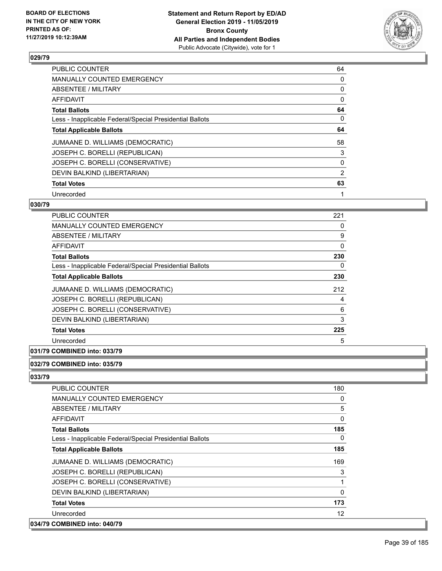

| <b>PUBLIC COUNTER</b>                                    | 64           |
|----------------------------------------------------------|--------------|
| <b>MANUALLY COUNTED EMERGENCY</b>                        | 0            |
| ABSENTEE / MILITARY                                      | 0            |
| <b>AFFIDAVIT</b>                                         | 0            |
| <b>Total Ballots</b>                                     | 64           |
| Less - Inapplicable Federal/Special Presidential Ballots | 0            |
| <b>Total Applicable Ballots</b>                          | 64           |
| JUMAANE D. WILLIAMS (DEMOCRATIC)                         | 58           |
| JOSEPH C. BORELLI (REPUBLICAN)                           | 3            |
| JOSEPH C. BORELLI (CONSERVATIVE)                         | 0            |
| DEVIN BALKIND (LIBERTARIAN)                              | 2            |
| <b>Total Votes</b>                                       | 63           |
| Unrecorded                                               | $\mathbf{1}$ |

### **030/79**

| PUBLIC COUNTER                                           | 221 |
|----------------------------------------------------------|-----|
| <b>MANUALLY COUNTED EMERGENCY</b>                        | 0   |
| ABSENTEE / MILITARY                                      | 9   |
| <b>AFFIDAVIT</b>                                         | 0   |
| <b>Total Ballots</b>                                     | 230 |
| Less - Inapplicable Federal/Special Presidential Ballots | 0   |
| <b>Total Applicable Ballots</b>                          | 230 |
| JUMAANE D. WILLIAMS (DEMOCRATIC)                         | 212 |
| JOSEPH C. BORELLI (REPUBLICAN)                           | 4   |
| JOSEPH C. BORELLI (CONSERVATIVE)                         | 6   |
| DEVIN BALKIND (LIBERTARIAN)                              | 3   |
| <b>Total Votes</b>                                       | 225 |
| Unrecorded                                               | 5   |
|                                                          |     |

# **031/79 COMBINED into: 033/79**

### **032/79 COMBINED into: 035/79**

| <b>PUBLIC COUNTER</b>                                    | 180      |
|----------------------------------------------------------|----------|
| <b>MANUALLY COUNTED EMERGENCY</b>                        | 0        |
| ABSENTEE / MILITARY                                      | 5        |
| AFFIDAVIT                                                | 0        |
| <b>Total Ballots</b>                                     | 185      |
| Less - Inapplicable Federal/Special Presidential Ballots | $\Omega$ |
| <b>Total Applicable Ballots</b>                          | 185      |
| JUMAANE D. WILLIAMS (DEMOCRATIC)                         | 169      |
| JOSEPH C. BORELLI (REPUBLICAN)                           | 3        |
| JOSEPH C. BORELLI (CONSERVATIVE)                         | 1        |
| DEVIN BALKIND (LIBERTARIAN)                              | $\Omega$ |
| <b>Total Votes</b>                                       | 173      |
| Unrecorded                                               | 12       |
| 034/79 COMBINED into: 040/79                             |          |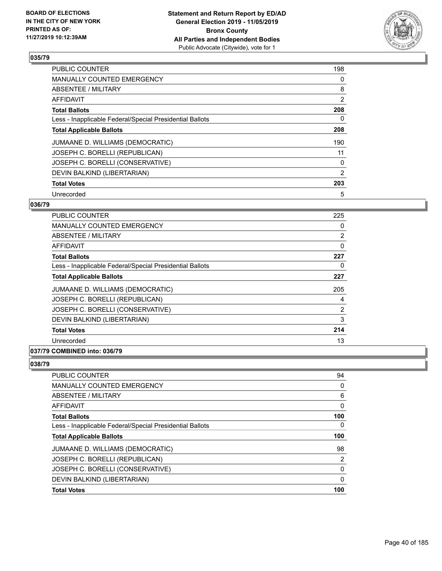

| <b>PUBLIC COUNTER</b>                                    | 198            |
|----------------------------------------------------------|----------------|
| MANUALLY COUNTED EMERGENCY                               | 0              |
| ABSENTEE / MILITARY                                      | 8              |
| AFFIDAVIT                                                | $\overline{2}$ |
| <b>Total Ballots</b>                                     | 208            |
| Less - Inapplicable Federal/Special Presidential Ballots | 0              |
| <b>Total Applicable Ballots</b>                          | 208            |
| JUMAANE D. WILLIAMS (DEMOCRATIC)                         | 190            |
| JOSEPH C. BORELLI (REPUBLICAN)                           | 11             |
| JOSEPH C. BORELLI (CONSERVATIVE)                         | 0              |
| DEVIN BALKIND (LIBERTARIAN)                              | $\overline{2}$ |
| <b>Total Votes</b>                                       | 203            |
| Unrecorded                                               | 5              |

### **036/79**

| <b>PUBLIC COUNTER</b>                                    | 225 |
|----------------------------------------------------------|-----|
| MANUALLY COUNTED EMERGENCY                               | 0   |
| ABSENTEE / MILITARY                                      | 2   |
| <b>AFFIDAVIT</b>                                         | 0   |
| <b>Total Ballots</b>                                     | 227 |
| Less - Inapplicable Federal/Special Presidential Ballots | 0   |
| <b>Total Applicable Ballots</b>                          | 227 |
| JUMAANE D. WILLIAMS (DEMOCRATIC)                         | 205 |
| JOSEPH C. BORELLI (REPUBLICAN)                           | 4   |
| JOSEPH C. BORELLI (CONSERVATIVE)                         | 2   |
| DEVIN BALKIND (LIBERTARIAN)                              | 3   |
| <b>Total Votes</b>                                       | 214 |
| Unrecorded                                               | 13  |
|                                                          |     |

# **037/79 COMBINED into: 036/79**

| PUBLIC COUNTER                                           | 94  |
|----------------------------------------------------------|-----|
| MANUALLY COUNTED EMERGENCY                               | 0   |
| ABSENTEE / MILITARY                                      | 6   |
| AFFIDAVIT                                                | 0   |
| <b>Total Ballots</b>                                     | 100 |
| Less - Inapplicable Federal/Special Presidential Ballots | 0   |
| <b>Total Applicable Ballots</b>                          | 100 |
| JUMAANE D. WILLIAMS (DEMOCRATIC)                         | 98  |
| JOSEPH C. BORELLI (REPUBLICAN)                           | 2   |
| JOSEPH C. BORELLI (CONSERVATIVE)                         | 0   |
| DEVIN BALKIND (LIBERTARIAN)                              | 0   |
| <b>Total Votes</b>                                       | 100 |
|                                                          |     |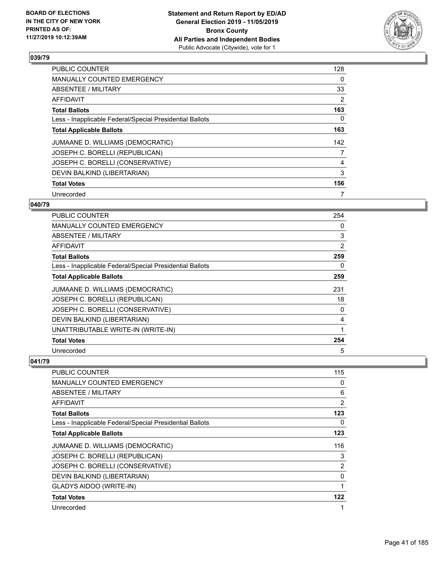

| <b>PUBLIC COUNTER</b>                                    | 128 |
|----------------------------------------------------------|-----|
| <b>MANUALLY COUNTED EMERGENCY</b>                        | 0   |
| ABSENTEE / MILITARY                                      | 33  |
| AFFIDAVIT                                                | 2   |
| <b>Total Ballots</b>                                     | 163 |
| Less - Inapplicable Federal/Special Presidential Ballots | 0   |
| <b>Total Applicable Ballots</b>                          | 163 |
| JUMAANE D. WILLIAMS (DEMOCRATIC)                         | 142 |
| JOSEPH C. BORELLI (REPUBLICAN)                           | 7   |
| JOSEPH C. BORELLI (CONSERVATIVE)                         | 4   |
| DEVIN BALKIND (LIBERTARIAN)                              | 3   |
| <b>Total Votes</b>                                       | 156 |
| Unrecorded                                               | 7   |

### **040/79**

| <b>PUBLIC COUNTER</b>                                    | 254 |
|----------------------------------------------------------|-----|
| MANUALLY COUNTED EMERGENCY                               | 0   |
| ABSENTEE / MILITARY                                      | 3   |
| <b>AFFIDAVIT</b>                                         | 2   |
| <b>Total Ballots</b>                                     | 259 |
| Less - Inapplicable Federal/Special Presidential Ballots | 0   |
| <b>Total Applicable Ballots</b>                          | 259 |
| JUMAANE D. WILLIAMS (DEMOCRATIC)                         | 231 |
| JOSEPH C. BORELLI (REPUBLICAN)                           | 18  |
| JOSEPH C. BORELLI (CONSERVATIVE)                         | 0   |
| DEVIN BALKIND (LIBERTARIAN)                              | 4   |
| UNATTRIBUTABLE WRITE-IN (WRITE-IN)                       | 1   |
| <b>Total Votes</b>                                       | 254 |
| Unrecorded                                               | 5   |

| <b>PUBLIC COUNTER</b>                                    | 115 |
|----------------------------------------------------------|-----|
| <b>MANUALLY COUNTED EMERGENCY</b>                        | 0   |
| ABSENTEE / MILITARY                                      | 6   |
| AFFIDAVIT                                                | 2   |
| <b>Total Ballots</b>                                     | 123 |
| Less - Inapplicable Federal/Special Presidential Ballots | 0   |
| <b>Total Applicable Ballots</b>                          | 123 |
| JUMAANE D. WILLIAMS (DEMOCRATIC)                         | 116 |
| JOSEPH C. BORELLI (REPUBLICAN)                           | 3   |
| JOSEPH C. BORELLI (CONSERVATIVE)                         | 2   |
| DEVIN BALKIND (LIBERTARIAN)                              | 0   |
| <b>GLADYS AIDOO (WRITE-IN)</b>                           | 1   |
| <b>Total Votes</b>                                       | 122 |
| Unrecorded                                               | 1   |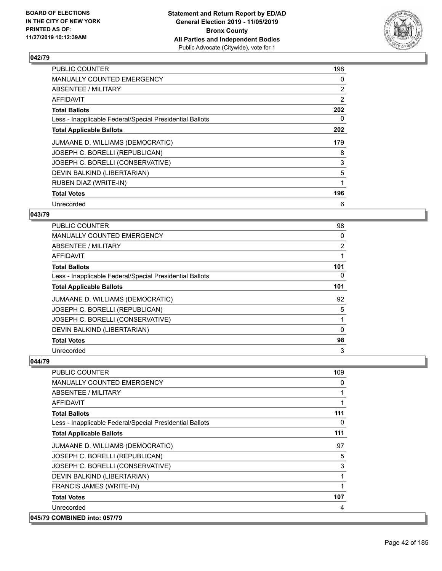

| PUBLIC COUNTER                                           | 198            |
|----------------------------------------------------------|----------------|
| MANUALLY COUNTED EMERGENCY                               | 0              |
| ABSENTEE / MILITARY                                      | $\overline{2}$ |
| AFFIDAVIT                                                | $\overline{2}$ |
| <b>Total Ballots</b>                                     | 202            |
| Less - Inapplicable Federal/Special Presidential Ballots | 0              |
| <b>Total Applicable Ballots</b>                          | 202            |
| JUMAANE D. WILLIAMS (DEMOCRATIC)                         | 179            |
| JOSEPH C. BORELLI (REPUBLICAN)                           | 8              |
| JOSEPH C. BORELLI (CONSERVATIVE)                         | 3              |
| DEVIN BALKIND (LIBERTARIAN)                              | 5              |
| <b>RUBEN DIAZ (WRITE-IN)</b>                             |                |
| <b>Total Votes</b>                                       | 196            |
| Unrecorded                                               | 6              |

### **043/79**

| PUBLIC COUNTER                                           | 98       |
|----------------------------------------------------------|----------|
| <b>MANUALLY COUNTED EMERGENCY</b>                        | 0        |
| ABSENTEE / MILITARY                                      | 2        |
| AFFIDAVIT                                                |          |
| <b>Total Ballots</b>                                     | 101      |
| Less - Inapplicable Federal/Special Presidential Ballots | 0        |
| <b>Total Applicable Ballots</b>                          | 101      |
| JUMAANE D. WILLIAMS (DEMOCRATIC)                         | 92       |
| JOSEPH C. BORELLI (REPUBLICAN)                           | 5        |
| JOSEPH C. BORELLI (CONSERVATIVE)                         | 1        |
| DEVIN BALKIND (LIBERTARIAN)                              | $\Omega$ |
| <b>Total Votes</b>                                       | 98       |
| Unrecorded                                               | 3        |

| <b>PUBLIC COUNTER</b>                                    | 109      |
|----------------------------------------------------------|----------|
| <b>MANUALLY COUNTED EMERGENCY</b>                        | 0        |
| ABSENTEE / MILITARY                                      | 1        |
| <b>AFFIDAVIT</b>                                         |          |
| <b>Total Ballots</b>                                     | 111      |
| Less - Inapplicable Federal/Special Presidential Ballots | $\Omega$ |
| <b>Total Applicable Ballots</b>                          | 111      |
| JUMAANE D. WILLIAMS (DEMOCRATIC)                         | 97       |
| JOSEPH C. BORELLI (REPUBLICAN)                           | 5        |
| JOSEPH C. BORELLI (CONSERVATIVE)                         | 3        |
| DEVIN BALKIND (LIBERTARIAN)                              |          |
| FRANCIS JAMES (WRITE-IN)                                 | 1        |
| <b>Total Votes</b>                                       | 107      |
| Unrecorded                                               | 4        |
| 045/79 COMBINED into: 057/79                             |          |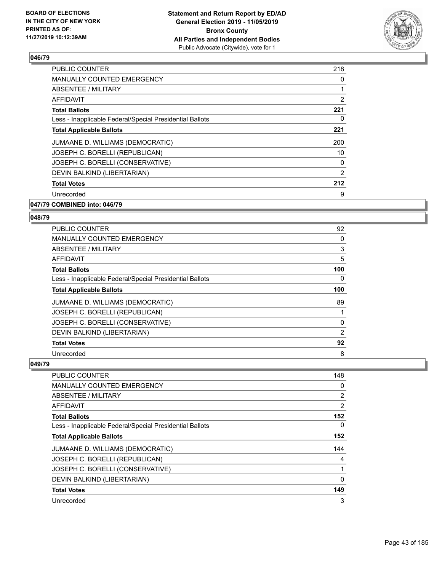

| <b>PUBLIC COUNTER</b>                                    | 218 |
|----------------------------------------------------------|-----|
| MANUALLY COUNTED EMERGENCY                               | 0   |
| ABSENTEE / MILITARY                                      | 1   |
| <b>AFFIDAVIT</b>                                         | 2   |
| <b>Total Ballots</b>                                     | 221 |
| Less - Inapplicable Federal/Special Presidential Ballots | 0   |
| <b>Total Applicable Ballots</b>                          | 221 |
| JUMAANE D. WILLIAMS (DEMOCRATIC)                         | 200 |
| JOSEPH C. BORELLI (REPUBLICAN)                           | 10  |
| JOSEPH C. BORELLI (CONSERVATIVE)                         | 0   |
| DEVIN BALKIND (LIBERTARIAN)                              | 2   |
| <b>Total Votes</b>                                       | 212 |
| Unrecorded                                               | 9   |
|                                                          |     |

### **047/79 COMBINED into: 046/79**

### **048/79**

| <b>PUBLIC COUNTER</b>                                    | 92  |
|----------------------------------------------------------|-----|
| MANUALLY COUNTED EMERGENCY                               | 0   |
| ABSENTEE / MILITARY                                      | 3   |
| AFFIDAVIT                                                | 5   |
| <b>Total Ballots</b>                                     | 100 |
| Less - Inapplicable Federal/Special Presidential Ballots | 0   |
| <b>Total Applicable Ballots</b>                          | 100 |
| JUMAANE D. WILLIAMS (DEMOCRATIC)                         | 89  |
| JOSEPH C. BORELLI (REPUBLICAN)                           |     |
| JOSEPH C. BORELLI (CONSERVATIVE)                         | 0   |
| DEVIN BALKIND (LIBERTARIAN)                              | 2   |
| <b>Total Votes</b>                                       | 92  |
| Unrecorded                                               | 8   |

| <b>PUBLIC COUNTER</b>                                    | 148      |
|----------------------------------------------------------|----------|
| MANUALLY COUNTED EMERGENCY                               | 0        |
| ABSENTEE / MILITARY                                      | 2        |
| AFFIDAVIT                                                | 2        |
| <b>Total Ballots</b>                                     | 152      |
| Less - Inapplicable Federal/Special Presidential Ballots | $\Omega$ |
| <b>Total Applicable Ballots</b>                          | 152      |
| JUMAANE D. WILLIAMS (DEMOCRATIC)                         | 144      |
| JOSEPH C. BORELLI (REPUBLICAN)                           | 4        |
| JOSEPH C. BORELLI (CONSERVATIVE)                         | 1        |
| DEVIN BALKIND (LIBERTARIAN)                              | 0        |
| <b>Total Votes</b>                                       | 149      |
| Unrecorded                                               | 3        |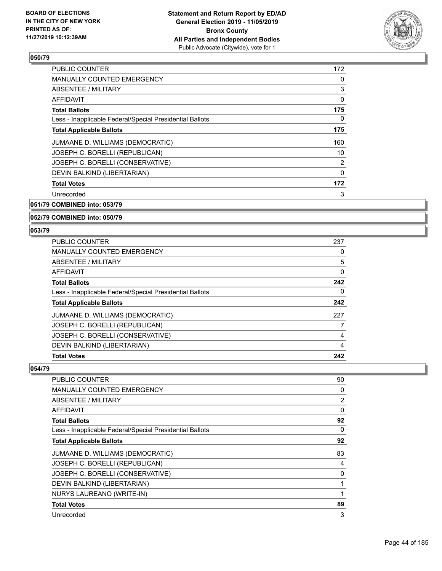

| <b>PUBLIC COUNTER</b>                                    | 172 |
|----------------------------------------------------------|-----|
| MANUALLY COUNTED EMERGENCY                               | 0   |
| ABSENTEE / MILITARY                                      | 3   |
| AFFIDAVIT                                                | 0   |
| <b>Total Ballots</b>                                     | 175 |
| Less - Inapplicable Federal/Special Presidential Ballots | 0   |
| <b>Total Applicable Ballots</b>                          | 175 |
| JUMAANE D. WILLIAMS (DEMOCRATIC)                         | 160 |
| JOSEPH C. BORELLI (REPUBLICAN)                           | 10  |
| JOSEPH C. BORELLI (CONSERVATIVE)                         | 2   |
| DEVIN BALKIND (LIBERTARIAN)                              | 0   |
| <b>Total Votes</b>                                       | 172 |
| Unrecorded                                               | 3   |
|                                                          |     |

### **051/79 COMBINED into: 053/79**

#### **052/79 COMBINED into: 050/79**

### **053/79**

| <b>PUBLIC COUNTER</b>                                    | 237 |
|----------------------------------------------------------|-----|
| MANUALLY COUNTED EMERGENCY                               | 0   |
| ABSENTEE / MILITARY                                      | 5   |
| AFFIDAVIT                                                | 0   |
| <b>Total Ballots</b>                                     | 242 |
| Less - Inapplicable Federal/Special Presidential Ballots | 0   |
| <b>Total Applicable Ballots</b>                          | 242 |
| JUMAANE D. WILLIAMS (DEMOCRATIC)                         | 227 |
| JOSEPH C. BORELLI (REPUBLICAN)                           |     |
| JOSEPH C. BORELLI (CONSERVATIVE)                         | 4   |
| DEVIN BALKIND (LIBERTARIAN)                              | 4   |
| <b>Total Votes</b>                                       | 242 |

| PUBLIC COUNTER                                           | 90             |
|----------------------------------------------------------|----------------|
| MANUALLY COUNTED EMERGENCY                               | 0              |
| ABSENTEE / MILITARY                                      | $\overline{2}$ |
| AFFIDAVIT                                                | $\Omega$       |
| <b>Total Ballots</b>                                     | 92             |
| Less - Inapplicable Federal/Special Presidential Ballots | $\Omega$       |
| <b>Total Applicable Ballots</b>                          | 92             |
| JUMAANE D. WILLIAMS (DEMOCRATIC)                         | 83             |
| JOSEPH C. BORELLI (REPUBLICAN)                           | 4              |
| JOSEPH C. BORELLI (CONSERVATIVE)                         | 0              |
| DEVIN BALKIND (LIBERTARIAN)                              |                |
| NURYS LAUREANO (WRITE-IN)                                |                |
| <b>Total Votes</b>                                       | 89             |
| Unrecorded                                               | 3              |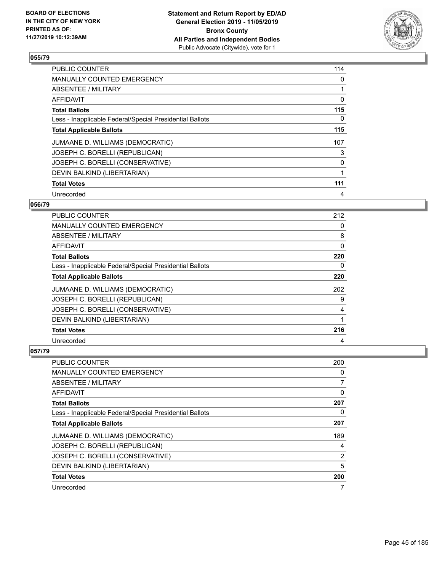

| <b>PUBLIC COUNTER</b>                                    | 114 |
|----------------------------------------------------------|-----|
| <b>MANUALLY COUNTED EMERGENCY</b>                        | 0   |
| ABSENTEE / MILITARY                                      | 1   |
| AFFIDAVIT                                                | 0   |
| <b>Total Ballots</b>                                     | 115 |
| Less - Inapplicable Federal/Special Presidential Ballots | 0   |
| <b>Total Applicable Ballots</b>                          | 115 |
| JUMAANE D. WILLIAMS (DEMOCRATIC)                         | 107 |
| JOSEPH C. BORELLI (REPUBLICAN)                           | 3   |
| JOSEPH C. BORELLI (CONSERVATIVE)                         | 0   |
| DEVIN BALKIND (LIBERTARIAN)                              | 1   |
| <b>Total Votes</b>                                       | 111 |
| Unrecorded                                               | 4   |

### **056/79**

| <b>PUBLIC COUNTER</b>                                    | 212 |
|----------------------------------------------------------|-----|
| MANUALLY COUNTED EMERGENCY                               | 0   |
| ABSENTEE / MILITARY                                      | 8   |
| AFFIDAVIT                                                | 0   |
| <b>Total Ballots</b>                                     | 220 |
| Less - Inapplicable Federal/Special Presidential Ballots | 0   |
| <b>Total Applicable Ballots</b>                          | 220 |
| JUMAANE D. WILLIAMS (DEMOCRATIC)                         | 202 |
| JOSEPH C. BORELLI (REPUBLICAN)                           | 9   |
| JOSEPH C. BORELLI (CONSERVATIVE)                         | 4   |
| DEVIN BALKIND (LIBERTARIAN)                              |     |
| <b>Total Votes</b>                                       | 216 |
| Unrecorded                                               | 4   |

| PUBLIC COUNTER                                           | 200            |
|----------------------------------------------------------|----------------|
| MANUALLY COUNTED EMERGENCY                               | 0              |
| ABSENTEE / MILITARY                                      | 7              |
| AFFIDAVIT                                                | 0              |
| <b>Total Ballots</b>                                     | 207            |
| Less - Inapplicable Federal/Special Presidential Ballots | 0              |
| <b>Total Applicable Ballots</b>                          | 207            |
| JUMAANE D. WILLIAMS (DEMOCRATIC)                         | 189            |
| JOSEPH C. BORELLI (REPUBLICAN)                           | 4              |
| JOSEPH C. BORELLI (CONSERVATIVE)                         | $\overline{2}$ |
| DEVIN BALKIND (LIBERTARIAN)                              | 5              |
| <b>Total Votes</b>                                       | 200            |
| Unrecorded                                               | 7              |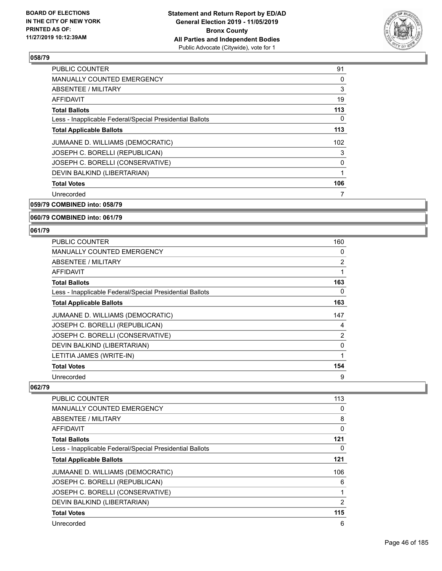

| <b>PUBLIC COUNTER</b>                                    | 91  |
|----------------------------------------------------------|-----|
| MANUALLY COUNTED EMERGENCY                               | 0   |
| ABSENTEE / MILITARY                                      | 3   |
| AFFIDAVIT                                                | 19  |
| <b>Total Ballots</b>                                     | 113 |
| Less - Inapplicable Federal/Special Presidential Ballots | 0   |
| <b>Total Applicable Ballots</b>                          | 113 |
| JUMAANE D. WILLIAMS (DEMOCRATIC)                         | 102 |
| JOSEPH C. BORELLI (REPUBLICAN)                           | 3   |
| JOSEPH C. BORELLI (CONSERVATIVE)                         | 0   |
| DEVIN BALKIND (LIBERTARIAN)                              | 1   |
| <b>Total Votes</b>                                       | 106 |
| Unrecorded                                               | 7   |
|                                                          |     |

**059/79 COMBINED into: 058/79**

### **060/79 COMBINED into: 061/79**

### **061/79**

| PUBLIC COUNTER                                           | 160            |
|----------------------------------------------------------|----------------|
| MANUALLY COUNTED EMERGENCY                               | 0              |
| ABSENTEE / MILITARY                                      | $\overline{2}$ |
| AFFIDAVIT                                                | 1              |
| <b>Total Ballots</b>                                     | 163            |
| Less - Inapplicable Federal/Special Presidential Ballots | 0              |
| <b>Total Applicable Ballots</b>                          | 163            |
| JUMAANE D. WILLIAMS (DEMOCRATIC)                         | 147            |
| JOSEPH C. BORELLI (REPUBLICAN)                           | 4              |
| JOSEPH C. BORELLI (CONSERVATIVE)                         | $\overline{2}$ |
| DEVIN BALKIND (LIBERTARIAN)                              | 0              |
| LETITIA JAMES (WRITE-IN)                                 | 1              |
| <b>Total Votes</b>                                       | 154            |
| Unrecorded                                               | 9              |

| PUBLIC COUNTER                                           | 113 |
|----------------------------------------------------------|-----|
| <b>MANUALLY COUNTED EMERGENCY</b>                        | 0   |
| ABSENTEE / MILITARY                                      | 8   |
| AFFIDAVIT                                                | 0   |
| <b>Total Ballots</b>                                     | 121 |
| Less - Inapplicable Federal/Special Presidential Ballots | 0   |
| <b>Total Applicable Ballots</b>                          | 121 |
| JUMAANE D. WILLIAMS (DEMOCRATIC)                         | 106 |
| JOSEPH C. BORELLI (REPUBLICAN)                           | 6   |
| JOSEPH C. BORELLI (CONSERVATIVE)                         |     |
| DEVIN BALKIND (LIBERTARIAN)                              | 2   |
| <b>Total Votes</b>                                       | 115 |
| Unrecorded                                               | 6   |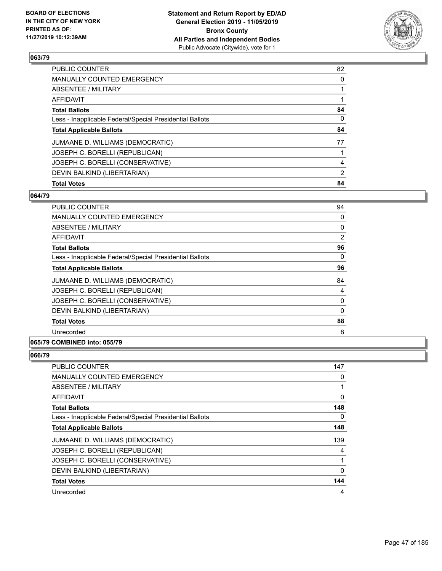

| <b>PUBLIC COUNTER</b>                                    | 82             |
|----------------------------------------------------------|----------------|
| <b>MANUALLY COUNTED EMERGENCY</b>                        | 0              |
| ABSENTEE / MILITARY                                      |                |
| AFFIDAVIT                                                |                |
| <b>Total Ballots</b>                                     | 84             |
| Less - Inapplicable Federal/Special Presidential Ballots | 0              |
| <b>Total Applicable Ballots</b>                          | 84             |
| JUMAANE D. WILLIAMS (DEMOCRATIC)                         | 77             |
| JOSEPH C. BORELLI (REPUBLICAN)                           |                |
| JOSEPH C. BORELLI (CONSERVATIVE)                         | 4              |
| DEVIN BALKIND (LIBERTARIAN)                              | $\overline{2}$ |
| <b>Total Votes</b>                                       | 84             |

### **064/79**

| <b>PUBLIC COUNTER</b>                                    | 94           |
|----------------------------------------------------------|--------------|
| <b>MANUALLY COUNTED EMERGENCY</b>                        | 0            |
| ABSENTEE / MILITARY                                      | 0            |
| AFFIDAVIT                                                | 2            |
| <b>Total Ballots</b>                                     | 96           |
| Less - Inapplicable Federal/Special Presidential Ballots | 0            |
| <b>Total Applicable Ballots</b>                          | 96           |
| JUMAANE D. WILLIAMS (DEMOCRATIC)                         | 84           |
| JOSEPH C. BORELLI (REPUBLICAN)                           | 4            |
| JOSEPH C. BORELLI (CONSERVATIVE)                         | 0            |
| DEVIN BALKIND (LIBERTARIAN)                              | $\mathbf{0}$ |
| <b>Total Votes</b>                                       | 88           |
| Unrecorded                                               | 8            |

### **065/79 COMBINED into: 055/79**

| <b>PUBLIC COUNTER</b>                                    | 147 |
|----------------------------------------------------------|-----|
| <b>MANUALLY COUNTED EMERGENCY</b>                        | 0   |
| ABSENTEE / MILITARY                                      |     |
| AFFIDAVIT                                                | 0   |
| <b>Total Ballots</b>                                     | 148 |
| Less - Inapplicable Federal/Special Presidential Ballots | 0   |
| <b>Total Applicable Ballots</b>                          | 148 |
| JUMAANE D. WILLIAMS (DEMOCRATIC)                         | 139 |
| JOSEPH C. BORELLI (REPUBLICAN)                           | 4   |
| JOSEPH C. BORELLI (CONSERVATIVE)                         | 1   |
| DEVIN BALKIND (LIBERTARIAN)                              | 0   |
| <b>Total Votes</b>                                       | 144 |
| Unrecorded                                               | 4   |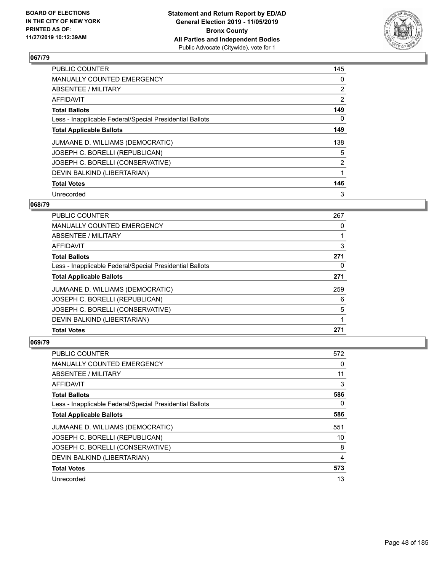

| <b>PUBLIC COUNTER</b>                                    | 145 |
|----------------------------------------------------------|-----|
| MANUALLY COUNTED EMERGENCY                               | 0   |
| ABSENTEE / MILITARY                                      | 2   |
| AFFIDAVIT                                                | 2   |
| <b>Total Ballots</b>                                     | 149 |
| Less - Inapplicable Federal/Special Presidential Ballots | 0   |
| <b>Total Applicable Ballots</b>                          | 149 |
| JUMAANE D. WILLIAMS (DEMOCRATIC)                         | 138 |
| JOSEPH C. BORELLI (REPUBLICAN)                           | 5   |
| JOSEPH C. BORELLI (CONSERVATIVE)                         | 2   |
| DEVIN BALKIND (LIBERTARIAN)                              | 1   |
| <b>Total Votes</b>                                       | 146 |
| Unrecorded                                               | 3   |

### **068/79**

| <b>PUBLIC COUNTER</b>                                    | 267 |
|----------------------------------------------------------|-----|
| <b>MANUALLY COUNTED EMERGENCY</b>                        | 0   |
| ABSENTEE / MILITARY                                      |     |
| AFFIDAVIT                                                | 3   |
| <b>Total Ballots</b>                                     | 271 |
| Less - Inapplicable Federal/Special Presidential Ballots | 0   |
| <b>Total Applicable Ballots</b>                          | 271 |
| JUMAANE D. WILLIAMS (DEMOCRATIC)                         | 259 |
| JOSEPH C. BORELLI (REPUBLICAN)                           | 6   |
| JOSEPH C. BORELLI (CONSERVATIVE)                         | 5   |
| DEVIN BALKIND (LIBERTARIAN)                              |     |
| <b>Total Votes</b>                                       | 271 |

| <b>PUBLIC COUNTER</b>                                    | 572 |
|----------------------------------------------------------|-----|
| <b>MANUALLY COUNTED EMERGENCY</b>                        | 0   |
| ABSENTEE / MILITARY                                      | 11  |
| AFFIDAVIT                                                | 3   |
| <b>Total Ballots</b>                                     | 586 |
| Less - Inapplicable Federal/Special Presidential Ballots | 0   |
| <b>Total Applicable Ballots</b>                          | 586 |
| JUMAANE D. WILLIAMS (DEMOCRATIC)                         | 551 |
| JOSEPH C. BORELLI (REPUBLICAN)                           | 10  |
| JOSEPH C. BORELLI (CONSERVATIVE)                         | 8   |
| DEVIN BALKIND (LIBERTARIAN)                              | 4   |
| <b>Total Votes</b>                                       | 573 |
| Unrecorded                                               | 13  |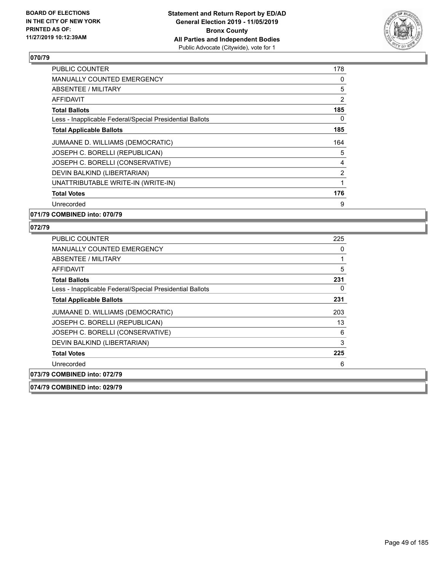

| <b>PUBLIC COUNTER</b>                                    | 178 |
|----------------------------------------------------------|-----|
| <b>MANUALLY COUNTED EMERGENCY</b>                        | 0   |
| ABSENTEE / MILITARY                                      | 5   |
| <b>AFFIDAVIT</b>                                         | 2   |
| <b>Total Ballots</b>                                     | 185 |
| Less - Inapplicable Federal/Special Presidential Ballots | 0   |
| <b>Total Applicable Ballots</b>                          | 185 |
| JUMAANE D. WILLIAMS (DEMOCRATIC)                         | 164 |
| JOSEPH C. BORELLI (REPUBLICAN)                           | 5   |
| JOSEPH C. BORELLI (CONSERVATIVE)                         | 4   |
| DEVIN BALKIND (LIBERTARIAN)                              | 2   |
| UNATTRIBUTABLE WRITE-IN (WRITE-IN)                       | 1   |
| <b>Total Votes</b>                                       | 176 |
| Unrecorded                                               | 9   |
|                                                          |     |

**071/79 COMBINED into: 070/79**

### **072/79**

| <b>PUBLIC COUNTER</b>                                    | 225 |
|----------------------------------------------------------|-----|
| <b>MANUALLY COUNTED EMERGENCY</b>                        | 0   |
| ABSENTEE / MILITARY                                      |     |
| AFFIDAVIT                                                | 5   |
| <b>Total Ballots</b>                                     | 231 |
| Less - Inapplicable Federal/Special Presidential Ballots | 0   |
| <b>Total Applicable Ballots</b>                          | 231 |
| JUMAANE D. WILLIAMS (DEMOCRATIC)                         | 203 |
| JOSEPH C. BORELLI (REPUBLICAN)                           | 13  |
| JOSEPH C. BORELLI (CONSERVATIVE)                         | 6   |
| DEVIN BALKIND (LIBERTARIAN)                              | 3   |
| <b>Total Votes</b>                                       | 225 |
| Unrecorded                                               | 6   |
| 073/79 COMBINED into: 072/79                             |     |
|                                                          |     |

**074/79 COMBINED into: 029/79**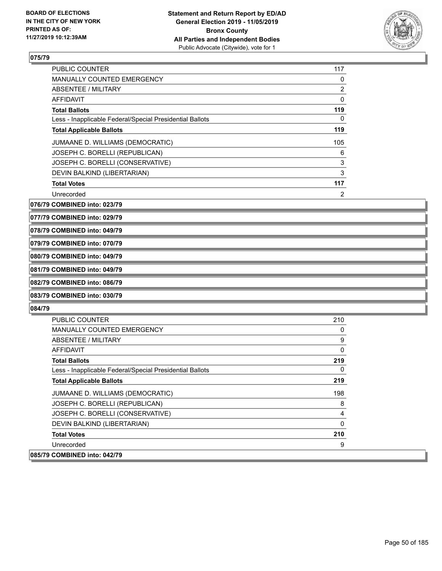

| <b>PUBLIC COUNTER</b>                                    | 117            |
|----------------------------------------------------------|----------------|
| <b>MANUALLY COUNTED EMERGENCY</b>                        | 0              |
| ABSENTEE / MILITARY                                      | 2              |
| AFFIDAVIT                                                | 0              |
| <b>Total Ballots</b>                                     | 119            |
| Less - Inapplicable Federal/Special Presidential Ballots | 0              |
| <b>Total Applicable Ballots</b>                          | 119            |
| JUMAANE D. WILLIAMS (DEMOCRATIC)                         | 105            |
| JOSEPH C. BORELLI (REPUBLICAN)                           | 6              |
| JOSEPH C. BORELLI (CONSERVATIVE)                         | 3              |
| DEVIN BALKIND (LIBERTARIAN)                              | 3              |
| <b>Total Votes</b>                                       | 117            |
| Unrecorded                                               | $\overline{2}$ |

**076/79 COMBINED into: 023/79**

**077/79 COMBINED into: 029/79**

**078/79 COMBINED into: 049/79**

### **079/79 COMBINED into: 070/79**

**080/79 COMBINED into: 049/79**

# **081/79 COMBINED into: 049/79**

# **082/79 COMBINED into: 086/79**

# **083/79 COMBINED into: 030/79**

| <b>PUBLIC COUNTER</b>                                    | 210      |
|----------------------------------------------------------|----------|
| <b>MANUALLY COUNTED EMERGENCY</b>                        | 0        |
| <b>ABSENTEE / MILITARY</b>                               | 9        |
| AFFIDAVIT                                                | 0        |
| <b>Total Ballots</b>                                     | 219      |
| Less - Inapplicable Federal/Special Presidential Ballots | 0        |
| <b>Total Applicable Ballots</b>                          | 219      |
| JUMAANE D. WILLIAMS (DEMOCRATIC)                         | 198      |
| JOSEPH C. BORELLI (REPUBLICAN)                           | 8        |
| JOSEPH C. BORELLI (CONSERVATIVE)                         | 4        |
| DEVIN BALKIND (LIBERTARIAN)                              | $\Omega$ |
| <b>Total Votes</b>                                       | 210      |
| Unrecorded                                               | 9        |
| 085/79 COMBINED into: 042/79                             |          |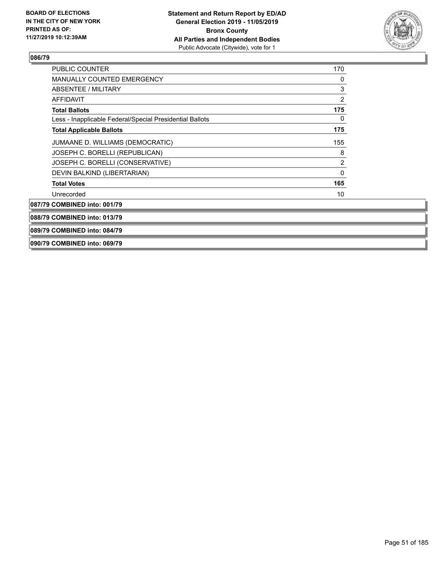

| <b>PUBLIC COUNTER</b>                                    | 170            |
|----------------------------------------------------------|----------------|
| <b>MANUALLY COUNTED EMERGENCY</b>                        | 0              |
| ABSENTEE / MILITARY                                      | 3              |
| <b>AFFIDAVIT</b>                                         | $\overline{2}$ |
| <b>Total Ballots</b>                                     | 175            |
| Less - Inapplicable Federal/Special Presidential Ballots | 0              |
| <b>Total Applicable Ballots</b>                          | 175            |
| JUMAANE D. WILLIAMS (DEMOCRATIC)                         | 155            |
| JOSEPH C. BORELLI (REPUBLICAN)                           | 8              |
| JOSEPH C. BORELLI (CONSERVATIVE)                         | $\overline{2}$ |
| DEVIN BALKIND (LIBERTARIAN)                              | $\mathbf 0$    |
| <b>Total Votes</b>                                       | 165            |
| Unrecorded                                               | 10             |
| 087/79 COMBINED into: 001/79                             |                |
| 088/79 COMBINED into: 013/79                             |                |
| 089/79 COMBINED into: 084/79                             |                |

### **090/79 COMBINED into: 069/79**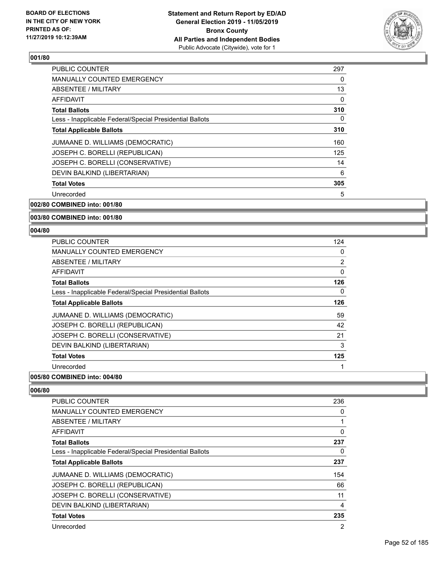

| 297      |
|----------|
| 0        |
| 13       |
| $\Omega$ |
| 310      |
| 0        |
| 310      |
| 160      |
| 125      |
| 14       |
| 6        |
| 305      |
| 5        |
|          |

**002/80 COMBINED into: 001/80**

### **003/80 COMBINED into: 001/80**

### **004/80**

| <b>PUBLIC COUNTER</b>                                    | 124 |
|----------------------------------------------------------|-----|
| MANUALLY COUNTED EMERGENCY                               | 0   |
| ABSENTEE / MILITARY                                      | 2   |
| AFFIDAVIT                                                | 0   |
| <b>Total Ballots</b>                                     | 126 |
| Less - Inapplicable Federal/Special Presidential Ballots | 0   |
| <b>Total Applicable Ballots</b>                          | 126 |
| JUMAANE D. WILLIAMS (DEMOCRATIC)                         | 59  |
| JOSEPH C. BORELLI (REPUBLICAN)                           | 42  |
| JOSEPH C. BORELLI (CONSERVATIVE)                         | 21  |
| DEVIN BALKIND (LIBERTARIAN)                              | 3   |
| <b>Total Votes</b>                                       | 125 |
| Unrecorded                                               | 1   |

# **005/80 COMBINED into: 004/80**

| <b>PUBLIC COUNTER</b>                                    | 236 |
|----------------------------------------------------------|-----|
| <b>MANUALLY COUNTED EMERGENCY</b>                        | 0   |
| ABSENTEE / MILITARY                                      |     |
| AFFIDAVIT                                                | 0   |
| <b>Total Ballots</b>                                     | 237 |
| Less - Inapplicable Federal/Special Presidential Ballots | 0   |
| <b>Total Applicable Ballots</b>                          | 237 |
| JUMAANE D. WILLIAMS (DEMOCRATIC)                         | 154 |
| JOSEPH C. BORELLI (REPUBLICAN)                           | 66  |
| JOSEPH C. BORELLI (CONSERVATIVE)                         | 11  |
| DEVIN BALKIND (LIBERTARIAN)                              | 4   |
| <b>Total Votes</b>                                       | 235 |
| Unrecorded                                               | 2   |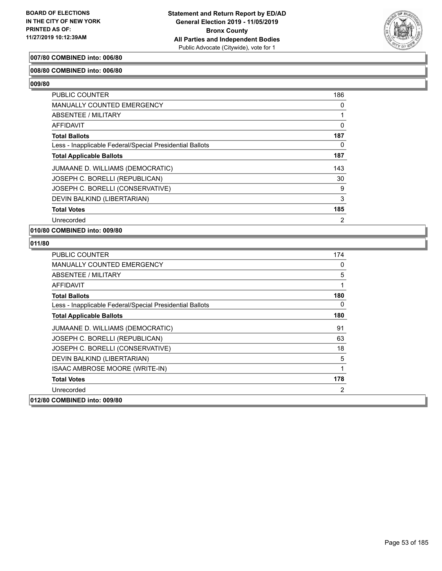

### **007/80 COMBINED into: 006/80**

### **008/80 COMBINED into: 006/80**

**009/80** 

| <b>PUBLIC COUNTER</b>                                    | 186            |
|----------------------------------------------------------|----------------|
| <b>MANUALLY COUNTED EMERGENCY</b>                        | 0              |
| ABSENTEE / MILITARY                                      |                |
| AFFIDAVIT                                                | 0              |
| <b>Total Ballots</b>                                     | 187            |
| Less - Inapplicable Federal/Special Presidential Ballots | 0              |
| <b>Total Applicable Ballots</b>                          | 187            |
| JUMAANE D. WILLIAMS (DEMOCRATIC)                         | 143            |
| JOSEPH C. BORELLI (REPUBLICAN)                           | 30             |
| JOSEPH C. BORELLI (CONSERVATIVE)                         | 9              |
| DEVIN BALKIND (LIBERTARIAN)                              | 3              |
| <b>Total Votes</b>                                       | 185            |
| Unrecorded                                               | $\overline{2}$ |

**010/80 COMBINED into: 009/80**

| <b>PUBLIC COUNTER</b>                                    | 174 |
|----------------------------------------------------------|-----|
| <b>MANUALLY COUNTED EMERGENCY</b>                        | 0   |
| ABSENTEE / MILITARY                                      | 5   |
| AFFIDAVIT                                                | 1   |
| <b>Total Ballots</b>                                     | 180 |
| Less - Inapplicable Federal/Special Presidential Ballots | 0   |
| <b>Total Applicable Ballots</b>                          | 180 |
| JUMAANE D. WILLIAMS (DEMOCRATIC)                         | 91  |
| JOSEPH C. BORELLI (REPUBLICAN)                           | 63  |
| JOSEPH C. BORELLI (CONSERVATIVE)                         | 18  |
| DEVIN BALKIND (LIBERTARIAN)                              | 5   |
| ISAAC AMBROSE MOORE (WRITE-IN)                           | 1   |
| <b>Total Votes</b>                                       | 178 |
| Unrecorded                                               | 2   |
| 012/80 COMBINED into: 009/80                             |     |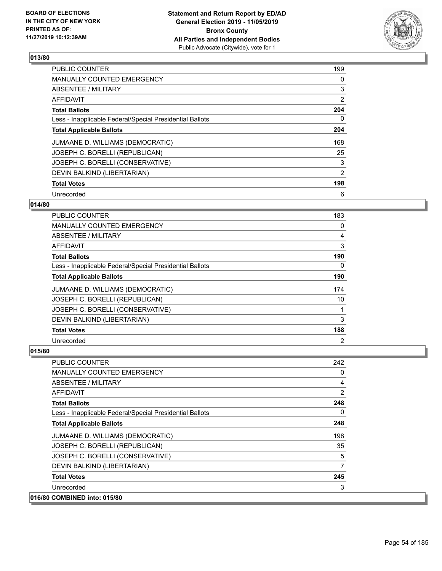

| <b>PUBLIC COUNTER</b>                                    | 199 |
|----------------------------------------------------------|-----|
| <b>MANUALLY COUNTED EMERGENCY</b>                        | 0   |
| ABSENTEE / MILITARY                                      | 3   |
| <b>AFFIDAVIT</b>                                         | 2   |
| <b>Total Ballots</b>                                     | 204 |
| Less - Inapplicable Federal/Special Presidential Ballots | 0   |
| <b>Total Applicable Ballots</b>                          | 204 |
| JUMAANE D. WILLIAMS (DEMOCRATIC)                         | 168 |
| JOSEPH C. BORELLI (REPUBLICAN)                           | 25  |
| JOSEPH C. BORELLI (CONSERVATIVE)                         | 3   |
| DEVIN BALKIND (LIBERTARIAN)                              | 2   |
| <b>Total Votes</b>                                       | 198 |
| Unrecorded                                               | 6   |

### **014/80**

| PUBLIC COUNTER                                           | 183            |
|----------------------------------------------------------|----------------|
| <b>MANUALLY COUNTED EMERGENCY</b>                        | $\Omega$       |
| ABSENTEE / MILITARY                                      | 4              |
| AFFIDAVIT                                                | 3              |
| <b>Total Ballots</b>                                     | 190            |
| Less - Inapplicable Federal/Special Presidential Ballots | 0              |
| <b>Total Applicable Ballots</b>                          | 190            |
| JUMAANE D. WILLIAMS (DEMOCRATIC)                         | 174            |
| JOSEPH C. BORELLI (REPUBLICAN)                           | 10             |
| JOSEPH C. BORELLI (CONSERVATIVE)                         |                |
| DEVIN BALKIND (LIBERTARIAN)                              | 3              |
| <b>Total Votes</b>                                       | 188            |
| Unrecorded                                               | $\overline{2}$ |

| <b>PUBLIC COUNTER</b>                                    | 242            |
|----------------------------------------------------------|----------------|
| MANUALLY COUNTED EMERGENCY                               | 0              |
| ABSENTEE / MILITARY                                      | 4              |
| AFFIDAVIT                                                | $\overline{2}$ |
| <b>Total Ballots</b>                                     | 248            |
| Less - Inapplicable Federal/Special Presidential Ballots | 0              |
| <b>Total Applicable Ballots</b>                          | 248            |
| JUMAANE D. WILLIAMS (DEMOCRATIC)                         | 198            |
| JOSEPH C. BORELLI (REPUBLICAN)                           | 35             |
| JOSEPH C. BORELLI (CONSERVATIVE)                         | 5              |
| DEVIN BALKIND (LIBERTARIAN)                              | 7              |
| <b>Total Votes</b>                                       | 245            |
| Unrecorded                                               | 3              |
| 016/80 COMBINED into: 015/80                             |                |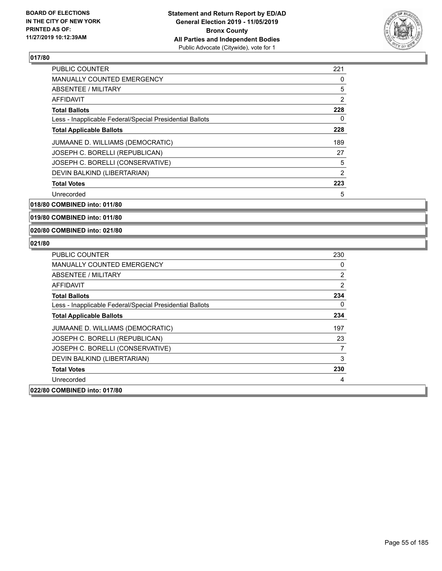

| <b>PUBLIC COUNTER</b>                                    | 221 |
|----------------------------------------------------------|-----|
| <b>MANUALLY COUNTED EMERGENCY</b>                        | 0   |
| ABSENTEE / MILITARY                                      | 5   |
| AFFIDAVIT                                                | 2   |
| <b>Total Ballots</b>                                     | 228 |
| Less - Inapplicable Federal/Special Presidential Ballots | 0   |
| <b>Total Applicable Ballots</b>                          | 228 |
| JUMAANE D. WILLIAMS (DEMOCRATIC)                         | 189 |
| JOSEPH C. BORELLI (REPUBLICAN)                           | 27  |
| JOSEPH C. BORELLI (CONSERVATIVE)                         | 5   |
| DEVIN BALKIND (LIBERTARIAN)                              | 2   |
| <b>Total Votes</b>                                       | 223 |
| Unrecorded                                               | 5   |

**018/80 COMBINED into: 011/80**

**019/80 COMBINED into: 011/80**

**020/80 COMBINED into: 021/80**

| PUBLIC COUNTER                                           | 230 |
|----------------------------------------------------------|-----|
| <b>MANUALLY COUNTED EMERGENCY</b>                        | 0   |
| ABSENTEE / MILITARY                                      | 2   |
| AFFIDAVIT                                                | 2   |
| <b>Total Ballots</b>                                     | 234 |
| Less - Inapplicable Federal/Special Presidential Ballots | 0   |
| <b>Total Applicable Ballots</b>                          | 234 |
| JUMAANE D. WILLIAMS (DEMOCRATIC)                         | 197 |
| JOSEPH C. BORELLI (REPUBLICAN)                           | 23  |
| JOSEPH C. BORELLI (CONSERVATIVE)                         | 7   |
| DEVIN BALKIND (LIBERTARIAN)                              | 3   |
| <b>Total Votes</b>                                       | 230 |
| Unrecorded                                               | 4   |
| 022/80 COMBINED into: 017/80                             |     |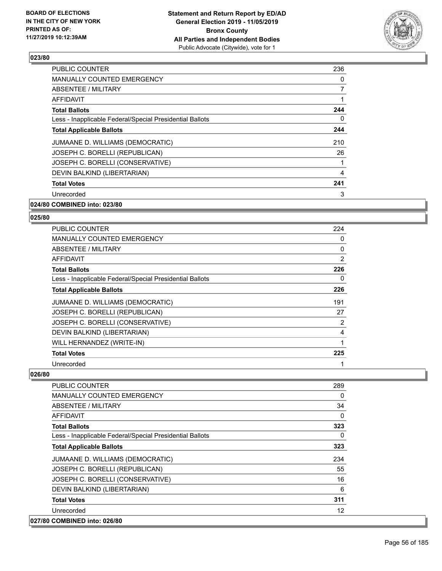

| <b>PUBLIC COUNTER</b>                                    | 236 |
|----------------------------------------------------------|-----|
| <b>MANUALLY COUNTED EMERGENCY</b>                        | 0   |
| ABSENTEE / MILITARY                                      | 7   |
| AFFIDAVIT                                                |     |
| <b>Total Ballots</b>                                     | 244 |
| Less - Inapplicable Federal/Special Presidential Ballots | 0   |
| <b>Total Applicable Ballots</b>                          | 244 |
| JUMAANE D. WILLIAMS (DEMOCRATIC)                         | 210 |
| JOSEPH C. BORELLI (REPUBLICAN)                           | 26  |
| JOSEPH C. BORELLI (CONSERVATIVE)                         |     |
| DEVIN BALKIND (LIBERTARIAN)                              | 4   |
| <b>Total Votes</b>                                       | 241 |
| Unrecorded                                               | 3   |
| 024/80 COMBINED into: 023/80                             |     |

# **025/80**

| PUBLIC COUNTER                                           | 224      |
|----------------------------------------------------------|----------|
| MANUALLY COUNTED EMERGENCY                               | 0        |
| ABSENTEE / MILITARY                                      | $\Omega$ |
| AFFIDAVIT                                                | 2        |
| <b>Total Ballots</b>                                     | 226      |
| Less - Inapplicable Federal/Special Presidential Ballots | 0        |
| <b>Total Applicable Ballots</b>                          | 226      |
| JUMAANE D. WILLIAMS (DEMOCRATIC)                         | 191      |
| JOSEPH C. BORELLI (REPUBLICAN)                           | 27       |
| JOSEPH C. BORELLI (CONSERVATIVE)                         | 2        |
| DEVIN BALKIND (LIBERTARIAN)                              | 4        |
| WILL HERNANDEZ (WRITE-IN)                                |          |
| <b>Total Votes</b>                                       | 225      |
| Unrecorded                                               |          |

| <b>PUBLIC COUNTER</b>                                    | 289               |
|----------------------------------------------------------|-------------------|
| <b>MANUALLY COUNTED EMERGENCY</b>                        | 0                 |
| ABSENTEE / MILITARY                                      | 34                |
| <b>AFFIDAVIT</b>                                         | $\Omega$          |
| <b>Total Ballots</b>                                     | 323               |
| Less - Inapplicable Federal/Special Presidential Ballots | 0                 |
| <b>Total Applicable Ballots</b>                          | 323               |
| JUMAANE D. WILLIAMS (DEMOCRATIC)                         | 234               |
| JOSEPH C. BORELLI (REPUBLICAN)                           | 55                |
| JOSEPH C. BORELLI (CONSERVATIVE)                         | 16                |
| DEVIN BALKIND (LIBERTARIAN)                              | 6                 |
| <b>Total Votes</b>                                       | 311               |
| Unrecorded                                               | $12 \overline{ }$ |
| 027/80 COMBINED into: 026/80                             |                   |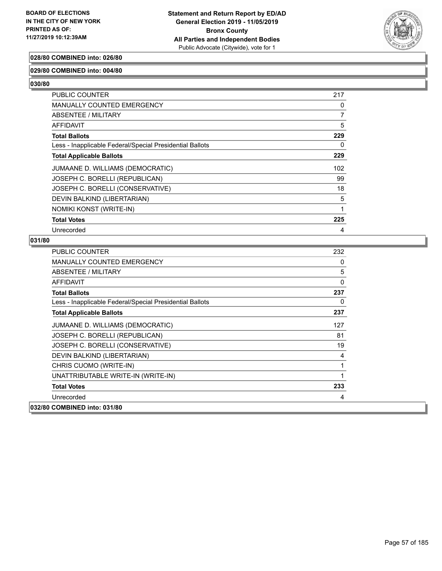

### **028/80 COMBINED into: 026/80**

### **029/80 COMBINED into: 004/80**

**030/80** 

| PUBLIC COUNTER                                           | 217 |
|----------------------------------------------------------|-----|
| MANUALLY COUNTED EMERGENCY                               | 0   |
| ABSENTEE / MILITARY                                      | 7   |
| <b>AFFIDAVIT</b>                                         | 5   |
| <b>Total Ballots</b>                                     | 229 |
| Less - Inapplicable Federal/Special Presidential Ballots | 0   |
| <b>Total Applicable Ballots</b>                          | 229 |
| JUMAANE D. WILLIAMS (DEMOCRATIC)                         | 102 |
| JOSEPH C. BORELLI (REPUBLICAN)                           | 99  |
| JOSEPH C. BORELLI (CONSERVATIVE)                         | 18  |
| DEVIN BALKIND (LIBERTARIAN)                              | 5   |
| NOMIKI KONST (WRITE-IN)                                  | 1   |
| <b>Total Votes</b>                                       | 225 |
| Unrecorded                                               | 4   |

| <b>PUBLIC COUNTER</b>                                    | 232 |
|----------------------------------------------------------|-----|
| <b>MANUALLY COUNTED EMERGENCY</b>                        | 0   |
| ABSENTEE / MILITARY                                      | 5   |
| <b>AFFIDAVIT</b>                                         | 0   |
| <b>Total Ballots</b>                                     | 237 |
| Less - Inapplicable Federal/Special Presidential Ballots | 0   |
| <b>Total Applicable Ballots</b>                          | 237 |
| JUMAANE D. WILLIAMS (DEMOCRATIC)                         | 127 |
| JOSEPH C. BORELLI (REPUBLICAN)                           | 81  |
| JOSEPH C. BORELLI (CONSERVATIVE)                         | 19  |
| DEVIN BALKIND (LIBERTARIAN)                              | 4   |
| CHRIS CUOMO (WRITE-IN)                                   | 1   |
| UNATTRIBUTABLE WRITE-IN (WRITE-IN)                       | 1   |
| <b>Total Votes</b>                                       | 233 |
| Unrecorded                                               | 4   |
| 032/80 COMBINED into: 031/80                             |     |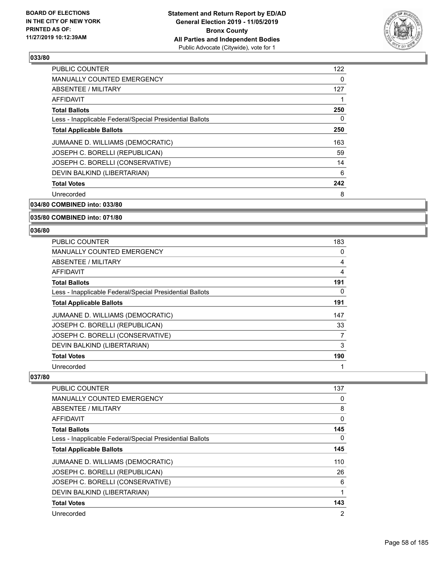

| <b>PUBLIC COUNTER</b>                                    | 122 |
|----------------------------------------------------------|-----|
| <b>MANUALLY COUNTED EMERGENCY</b>                        | 0   |
| ABSENTEE / MILITARY                                      | 127 |
| <b>AFFIDAVIT</b>                                         |     |
| <b>Total Ballots</b>                                     | 250 |
| Less - Inapplicable Federal/Special Presidential Ballots | 0   |
| <b>Total Applicable Ballots</b>                          | 250 |
| JUMAANE D. WILLIAMS (DEMOCRATIC)                         | 163 |
| JOSEPH C. BORELLI (REPUBLICAN)                           | 59  |
| JOSEPH C. BORELLI (CONSERVATIVE)                         | 14  |
| DEVIN BALKIND (LIBERTARIAN)                              | 6   |
| <b>Total Votes</b>                                       | 242 |
| Unrecorded                                               | 8   |
|                                                          |     |

# **034/80 COMBINED into: 033/80**

### **035/80 COMBINED into: 071/80**

### **036/80**

| <b>PUBLIC COUNTER</b>                                    | 183 |
|----------------------------------------------------------|-----|
| <b>MANUALLY COUNTED EMERGENCY</b>                        | 0   |
| ABSENTEE / MILITARY                                      | 4   |
| AFFIDAVIT                                                | 4   |
| <b>Total Ballots</b>                                     | 191 |
| Less - Inapplicable Federal/Special Presidential Ballots | 0   |
| <b>Total Applicable Ballots</b>                          | 191 |
| JUMAANE D. WILLIAMS (DEMOCRATIC)                         | 147 |
| JOSEPH C. BORELLI (REPUBLICAN)                           | 33  |
| JOSEPH C. BORELLI (CONSERVATIVE)                         | 7   |
| DEVIN BALKIND (LIBERTARIAN)                              | 3   |
| <b>Total Votes</b>                                       | 190 |
| Unrecorded                                               |     |

| <b>PUBLIC COUNTER</b>                                    | 137 |
|----------------------------------------------------------|-----|
| <b>MANUALLY COUNTED EMERGENCY</b>                        | 0   |
| ABSENTEE / MILITARY                                      | 8   |
| AFFIDAVIT                                                | 0   |
| <b>Total Ballots</b>                                     | 145 |
| Less - Inapplicable Federal/Special Presidential Ballots | 0   |
| <b>Total Applicable Ballots</b>                          | 145 |
| JUMAANE D. WILLIAMS (DEMOCRATIC)                         | 110 |
| JOSEPH C. BORELLI (REPUBLICAN)                           | 26  |
| JOSEPH C. BORELLI (CONSERVATIVE)                         | 6   |
| DEVIN BALKIND (LIBERTARIAN)                              | 1   |
| <b>Total Votes</b>                                       | 143 |
| Unrecorded                                               | 2   |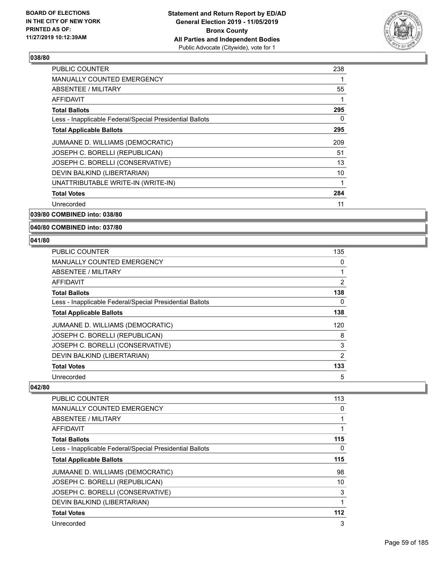

| PUBLIC COUNTER                                           | 238 |
|----------------------------------------------------------|-----|
| <b>MANUALLY COUNTED EMERGENCY</b>                        |     |
| ABSENTEE / MILITARY                                      | 55  |
| AFFIDAVIT                                                | 1   |
| <b>Total Ballots</b>                                     | 295 |
| Less - Inapplicable Federal/Special Presidential Ballots | 0   |
| <b>Total Applicable Ballots</b>                          | 295 |
| JUMAANE D. WILLIAMS (DEMOCRATIC)                         | 209 |
| JOSEPH C. BORELLI (REPUBLICAN)                           | 51  |
| JOSEPH C. BORELLI (CONSERVATIVE)                         | 13  |
| DEVIN BALKIND (LIBERTARIAN)                              | 10  |
| UNATTRIBUTABLE WRITE-IN (WRITE-IN)                       | 1   |
| <b>Total Votes</b>                                       | 284 |
| Unrecorded                                               | 11  |
|                                                          |     |

**039/80 COMBINED into: 038/80**

**040/80 COMBINED into: 037/80**

### **041/80**

| <b>PUBLIC COUNTER</b>                                    | 135            |
|----------------------------------------------------------|----------------|
| MANUALLY COUNTED EMERGENCY                               | 0              |
| ABSENTEE / MILITARY                                      |                |
| AFFIDAVIT                                                | $\overline{2}$ |
| <b>Total Ballots</b>                                     | 138            |
| Less - Inapplicable Federal/Special Presidential Ballots | 0              |
| <b>Total Applicable Ballots</b>                          | 138            |
| JUMAANE D. WILLIAMS (DEMOCRATIC)                         | 120            |
| JOSEPH C. BORELLI (REPUBLICAN)                           | 8              |
| JOSEPH C. BORELLI (CONSERVATIVE)                         | 3              |
| DEVIN BALKIND (LIBERTARIAN)                              | $\overline{2}$ |
| <b>Total Votes</b>                                       | 133            |
| Unrecorded                                               | 5              |

| <b>PUBLIC COUNTER</b>                                    | 113 |
|----------------------------------------------------------|-----|
| <b>MANUALLY COUNTED EMERGENCY</b>                        | 0   |
| ABSENTEE / MILITARY                                      | 1   |
| AFFIDAVIT                                                |     |
| <b>Total Ballots</b>                                     | 115 |
| Less - Inapplicable Federal/Special Presidential Ballots | 0   |
| <b>Total Applicable Ballots</b>                          | 115 |
| JUMAANE D. WILLIAMS (DEMOCRATIC)                         | 98  |
| JOSEPH C. BORELLI (REPUBLICAN)                           | 10  |
| JOSEPH C. BORELLI (CONSERVATIVE)                         | 3   |
| DEVIN BALKIND (LIBERTARIAN)                              | 1   |
| <b>Total Votes</b>                                       | 112 |
| Unrecorded                                               | 3   |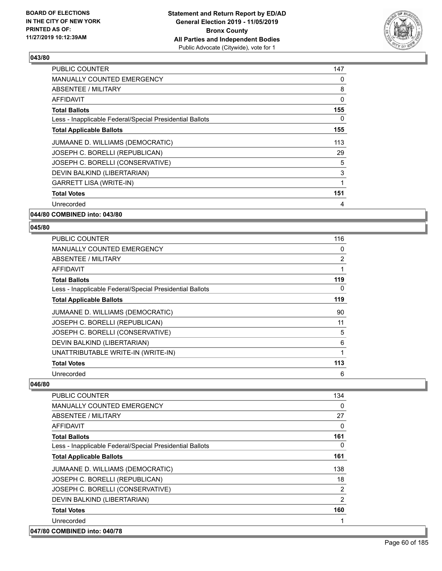

| <b>PUBLIC COUNTER</b>                                    | 147 |
|----------------------------------------------------------|-----|
| <b>MANUALLY COUNTED EMERGENCY</b>                        | 0   |
| ABSENTEE / MILITARY                                      | 8   |
| AFFIDAVIT                                                | 0   |
| <b>Total Ballots</b>                                     | 155 |
| Less - Inapplicable Federal/Special Presidential Ballots | 0   |
| <b>Total Applicable Ballots</b>                          | 155 |
| JUMAANE D. WILLIAMS (DEMOCRATIC)                         | 113 |
| JOSEPH C. BORELLI (REPUBLICAN)                           | 29  |
| JOSEPH C. BORELLI (CONSERVATIVE)                         | 5   |
| DEVIN BALKIND (LIBERTARIAN)                              | 3   |
| <b>GARRETT LISA (WRITE-IN)</b>                           | 1   |
| <b>Total Votes</b>                                       | 151 |
| Unrecorded                                               | 4   |
|                                                          |     |

**044/80 COMBINED into: 043/80**

### **045/80**

| <b>PUBLIC COUNTER</b>                                    | 116 |
|----------------------------------------------------------|-----|
| <b>MANUALLY COUNTED EMERGENCY</b>                        | 0   |
| ABSENTEE / MILITARY                                      | 2   |
| AFFIDAVIT                                                | 1   |
| <b>Total Ballots</b>                                     | 119 |
| Less - Inapplicable Federal/Special Presidential Ballots | 0   |
| <b>Total Applicable Ballots</b>                          | 119 |
| JUMAANE D. WILLIAMS (DEMOCRATIC)                         | 90  |
| JOSEPH C. BORELLI (REPUBLICAN)                           | 11  |
| JOSEPH C. BORELLI (CONSERVATIVE)                         | 5   |
| DEVIN BALKIND (LIBERTARIAN)                              | 6   |
| UNATTRIBUTABLE WRITE-IN (WRITE-IN)                       | 1   |
| <b>Total Votes</b>                                       | 113 |
| Unrecorded                                               | 6   |

| PUBLIC COUNTER                                           | 134            |
|----------------------------------------------------------|----------------|
| <b>MANUALLY COUNTED EMERGENCY</b>                        | $\Omega$       |
| <b>ABSENTEE / MILITARY</b>                               | 27             |
| <b>AFFIDAVIT</b>                                         | $\Omega$       |
| <b>Total Ballots</b>                                     | 161            |
| Less - Inapplicable Federal/Special Presidential Ballots | 0              |
| <b>Total Applicable Ballots</b>                          | 161            |
| JUMAANE D. WILLIAMS (DEMOCRATIC)                         | 138            |
| JOSEPH C. BORELLI (REPUBLICAN)                           | 18             |
| JOSEPH C. BORELLI (CONSERVATIVE)                         | 2              |
| DEVIN BALKIND (LIBERTARIAN)                              | $\overline{2}$ |
| <b>Total Votes</b>                                       | 160            |
| Unrecorded                                               |                |
| 047/80 COMBINED into: 040/78                             |                |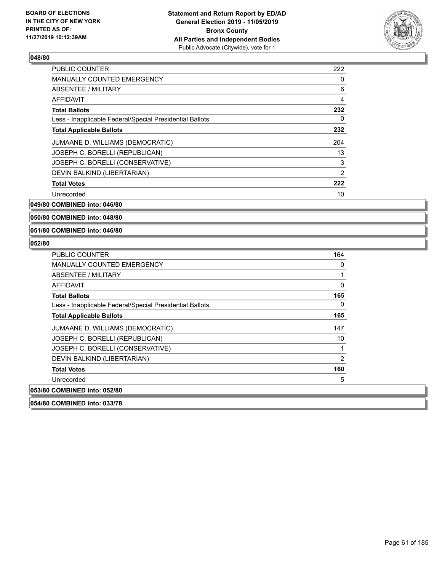

| <b>PUBLIC COUNTER</b>                                    | 222 |
|----------------------------------------------------------|-----|
| <b>MANUALLY COUNTED EMERGENCY</b>                        | 0   |
| ABSENTEE / MILITARY                                      | 6   |
| <b>AFFIDAVIT</b>                                         | 4   |
| <b>Total Ballots</b>                                     | 232 |
| Less - Inapplicable Federal/Special Presidential Ballots | 0   |
| <b>Total Applicable Ballots</b>                          | 232 |
| JUMAANE D. WILLIAMS (DEMOCRATIC)                         | 204 |
| JOSEPH C. BORELLI (REPUBLICAN)                           | 13  |
| JOSEPH C. BORELLI (CONSERVATIVE)                         | 3   |
| DEVIN BALKIND (LIBERTARIAN)                              | 2   |
| <b>Total Votes</b>                                       | 222 |
| Unrecorded                                               | 10  |

**049/80 COMBINED into: 046/80**

**050/80 COMBINED into: 048/80**

**051/80 COMBINED into: 046/80**

| PUBLIC COUNTER                                           | 164      |
|----------------------------------------------------------|----------|
| <b>MANUALLY COUNTED EMERGENCY</b>                        | 0        |
| ABSENTEE / MILITARY                                      | 1        |
| AFFIDAVIT                                                | $\Omega$ |
| <b>Total Ballots</b>                                     | 165      |
| Less - Inapplicable Federal/Special Presidential Ballots | 0        |
| <b>Total Applicable Ballots</b>                          | 165      |
| JUMAANE D. WILLIAMS (DEMOCRATIC)                         | 147      |
| JOSEPH C. BORELLI (REPUBLICAN)                           | 10       |
| JOSEPH C. BORELLI (CONSERVATIVE)                         |          |
| DEVIN BALKIND (LIBERTARIAN)                              | 2        |
| <b>Total Votes</b>                                       | 160      |
| Unrecorded                                               | 5        |
| 053/80 COMBINED into: 052/80                             |          |
| 054/80 COMBINED into: 033/78                             |          |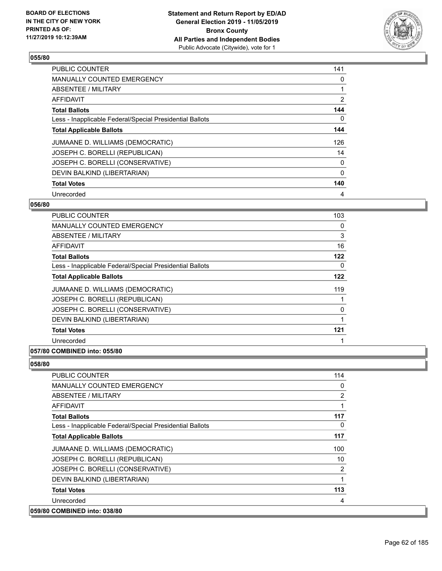

| <b>PUBLIC COUNTER</b>                                    | 141            |
|----------------------------------------------------------|----------------|
| <b>MANUALLY COUNTED EMERGENCY</b>                        | 0              |
| ABSENTEE / MILITARY                                      |                |
| <b>AFFIDAVIT</b>                                         | $\overline{2}$ |
| <b>Total Ballots</b>                                     | 144            |
| Less - Inapplicable Federal/Special Presidential Ballots | 0              |
| <b>Total Applicable Ballots</b>                          | 144            |
| JUMAANE D. WILLIAMS (DEMOCRATIC)                         | 126            |
| JOSEPH C. BORELLI (REPUBLICAN)                           | 14             |
| JOSEPH C. BORELLI (CONSERVATIVE)                         | 0              |
| DEVIN BALKIND (LIBERTARIAN)                              | 0              |
| <b>Total Votes</b>                                       | 140            |
| Unrecorded                                               | 4              |

### **056/80**

| <b>PUBLIC COUNTER</b>                                    | 103 |
|----------------------------------------------------------|-----|
| MANUALLY COUNTED EMERGENCY                               | 0   |
| ABSENTEE / MILITARY                                      | 3   |
| AFFIDAVIT                                                | 16  |
| <b>Total Ballots</b>                                     | 122 |
| Less - Inapplicable Federal/Special Presidential Ballots | 0   |
| <b>Total Applicable Ballots</b>                          | 122 |
| JUMAANE D. WILLIAMS (DEMOCRATIC)                         | 119 |
| JOSEPH C. BORELLI (REPUBLICAN)                           | 1   |
| JOSEPH C. BORELLI (CONSERVATIVE)                         | 0   |
| DEVIN BALKIND (LIBERTARIAN)                              | 1   |
| <b>Total Votes</b>                                       | 121 |
| Unrecorded                                               |     |
|                                                          |     |

### **057/80 COMBINED into: 055/80**

| PUBLIC COUNTER                                           | 114      |
|----------------------------------------------------------|----------|
| MANUALLY COUNTED EMERGENCY                               | $\Omega$ |
| ABSENTEE / MILITARY                                      | 2        |
| AFFIDAVIT                                                | 1        |
| <b>Total Ballots</b>                                     | 117      |
| Less - Inapplicable Federal/Special Presidential Ballots | $\Omega$ |
| <b>Total Applicable Ballots</b>                          | 117      |
| JUMAANE D. WILLIAMS (DEMOCRATIC)                         | 100      |
| JOSEPH C. BORELLI (REPUBLICAN)                           | 10       |
| JOSEPH C. BORELLI (CONSERVATIVE)                         | 2        |
| DEVIN BALKIND (LIBERTARIAN)                              | 1        |
| <b>Total Votes</b>                                       | 113      |
| Unrecorded                                               | 4        |
| 059/80 COMBINED into: 038/80                             |          |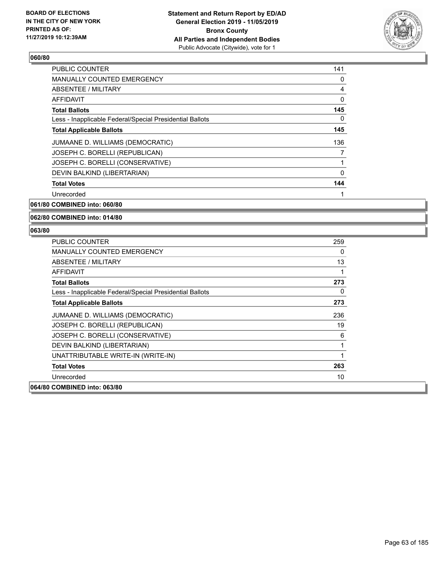

| 141 |
|-----|
| 0   |
| 4   |
| 0   |
| 145 |
| 0   |
| 145 |
| 136 |
| 7   |
|     |
| 0   |
| 144 |
|     |
|     |

# **061/80 COMBINED into: 060/80**

### **062/80 COMBINED into: 014/80**

| PUBLIC COUNTER                                           | 259 |
|----------------------------------------------------------|-----|
| <b>MANUALLY COUNTED EMERGENCY</b>                        | 0   |
| ABSENTEE / MILITARY                                      | 13  |
| AFFIDAVIT                                                | 1   |
| <b>Total Ballots</b>                                     | 273 |
| Less - Inapplicable Federal/Special Presidential Ballots | 0   |
| <b>Total Applicable Ballots</b>                          | 273 |
| JUMAANE D. WILLIAMS (DEMOCRATIC)                         | 236 |
| JOSEPH C. BORELLI (REPUBLICAN)                           | 19  |
| JOSEPH C. BORELLI (CONSERVATIVE)                         | 6   |
| DEVIN BALKIND (LIBERTARIAN)                              | 1   |
| UNATTRIBUTABLE WRITE-IN (WRITE-IN)                       | 1   |
| <b>Total Votes</b>                                       | 263 |
| Unrecorded                                               | 10  |
| 064/80 COMBINED into: 063/80                             |     |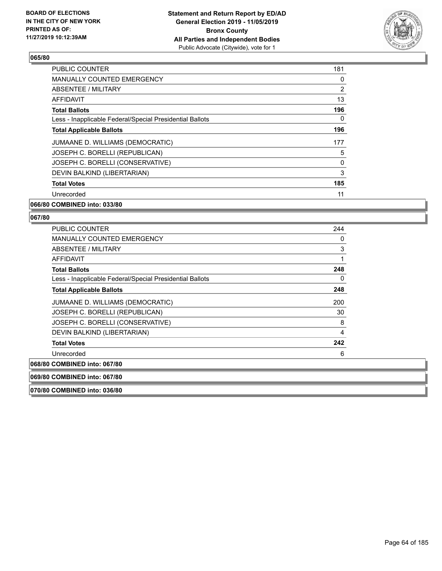

| <b>PUBLIC COUNTER</b>                                    | 181 |
|----------------------------------------------------------|-----|
| <b>MANUALLY COUNTED EMERGENCY</b>                        | 0   |
| ABSENTEE / MILITARY                                      | 2   |
| AFFIDAVIT                                                | 13  |
| <b>Total Ballots</b>                                     | 196 |
| Less - Inapplicable Federal/Special Presidential Ballots | 0   |
| <b>Total Applicable Ballots</b>                          | 196 |
| JUMAANE D. WILLIAMS (DEMOCRATIC)                         | 177 |
| JOSEPH C. BORELLI (REPUBLICAN)                           | 5   |
| JOSEPH C. BORELLI (CONSERVATIVE)                         | 0   |
| DEVIN BALKIND (LIBERTARIAN)                              | 3   |
| <b>Total Votes</b>                                       | 185 |
| Unrecorded                                               | 11  |
| 066/80 COMBINED into: 033/80                             |     |

| <b>PUBLIC COUNTER</b>                                    | 244 |
|----------------------------------------------------------|-----|
| <b>MANUALLY COUNTED EMERGENCY</b>                        | 0   |
| ABSENTEE / MILITARY                                      | 3   |
| AFFIDAVIT                                                |     |
| <b>Total Ballots</b>                                     | 248 |
| Less - Inapplicable Federal/Special Presidential Ballots | 0   |
| <b>Total Applicable Ballots</b>                          | 248 |
| JUMAANE D. WILLIAMS (DEMOCRATIC)                         | 200 |
| JOSEPH C. BORELLI (REPUBLICAN)                           | 30  |
| JOSEPH C. BORELLI (CONSERVATIVE)                         | 8   |
| DEVIN BALKIND (LIBERTARIAN)                              | 4   |
| <b>Total Votes</b>                                       | 242 |
| Unrecorded                                               | 6   |
| 068/80 COMBINED into: 067/80                             |     |
| 069/80 COMBINED into: 067/80                             |     |
| 070/80 COMBINED into: 036/80                             |     |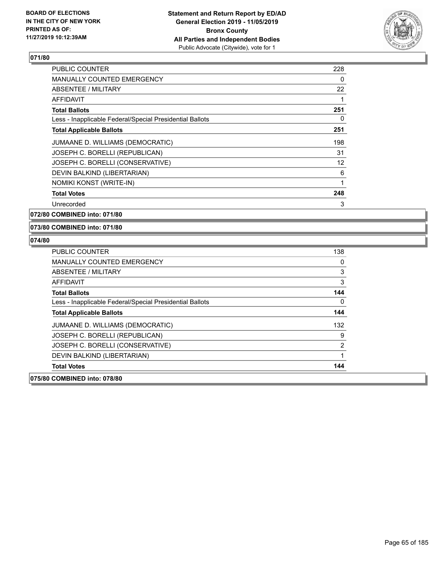

| <b>PUBLIC COUNTER</b>                                    | 228 |
|----------------------------------------------------------|-----|
| <b>MANUALLY COUNTED EMERGENCY</b>                        | 0   |
| <b>ABSENTEE / MILITARY</b>                               | 22  |
| <b>AFFIDAVIT</b>                                         |     |
| <b>Total Ballots</b>                                     | 251 |
| Less - Inapplicable Federal/Special Presidential Ballots | 0   |
| <b>Total Applicable Ballots</b>                          | 251 |
| JUMAANE D. WILLIAMS (DEMOCRATIC)                         | 198 |
| JOSEPH C. BORELLI (REPUBLICAN)                           | 31  |
| JOSEPH C. BORELLI (CONSERVATIVE)                         | 12  |
| DEVIN BALKIND (LIBERTARIAN)                              | 6   |
| NOMIKI KONST (WRITE-IN)                                  | 1   |
| <b>Total Votes</b>                                       | 248 |
| Unrecorded                                               | 3   |

**072/80 COMBINED into: 071/80**

**073/80 COMBINED into: 071/80**

| <b>PUBLIC COUNTER</b>                                    | 138      |
|----------------------------------------------------------|----------|
| <b>MANUALLY COUNTED EMERGENCY</b>                        | 0        |
| ABSENTEE / MILITARY                                      | 3        |
| AFFIDAVIT                                                | 3        |
| <b>Total Ballots</b>                                     | 144      |
| Less - Inapplicable Federal/Special Presidential Ballots | $\Omega$ |
| <b>Total Applicable Ballots</b>                          | 144      |
| JUMAANE D. WILLIAMS (DEMOCRATIC)                         | 132      |
| JOSEPH C. BORELLI (REPUBLICAN)                           | 9        |
| JOSEPH C. BORELLI (CONSERVATIVE)                         | 2        |
| DEVIN BALKIND (LIBERTARIAN)                              |          |
| <b>Total Votes</b>                                       | 144      |
| 075/80 COMBINED into: 078/80                             |          |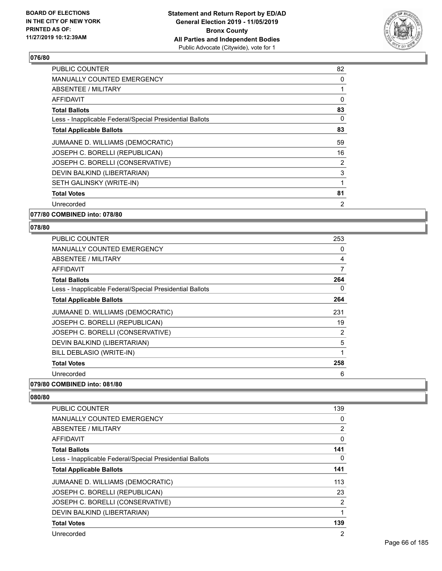

| PUBLIC COUNTER                                           | 82 |
|----------------------------------------------------------|----|
| <b>MANUALLY COUNTED EMERGENCY</b>                        | 0  |
| ABSENTEE / MILITARY                                      | 1  |
| AFFIDAVIT                                                | 0  |
| Total Ballots                                            | 83 |
| Less - Inapplicable Federal/Special Presidential Ballots | 0  |
| <b>Total Applicable Ballots</b>                          | 83 |
| JUMAANE D. WILLIAMS (DEMOCRATIC)                         | 59 |
| JOSEPH C. BORELLI (REPUBLICAN)                           | 16 |
| JOSEPH C. BORELLI (CONSERVATIVE)                         | 2  |
| DEVIN BALKIND (LIBERTARIAN)                              | 3  |
| SETH GALINSKY (WRITE-IN)                                 | 1  |
| <b>Total Votes</b>                                       | 81 |
| Unrecorded                                               | 2  |
|                                                          |    |

**077/80 COMBINED into: 078/80**

### **078/80**

| PUBLIC COUNTER                                           | 253 |
|----------------------------------------------------------|-----|
| <b>MANUALLY COUNTED EMERGENCY</b>                        | 0   |
| <b>ABSENTEE / MILITARY</b>                               | 4   |
| AFFIDAVIT                                                | 7   |
| <b>Total Ballots</b>                                     | 264 |
| Less - Inapplicable Federal/Special Presidential Ballots | 0   |
| <b>Total Applicable Ballots</b>                          | 264 |
| JUMAANE D. WILLIAMS (DEMOCRATIC)                         | 231 |
| JOSEPH C. BORELLI (REPUBLICAN)                           | 19  |
| JOSEPH C. BORELLI (CONSERVATIVE)                         | 2   |
| DEVIN BALKIND (LIBERTARIAN)                              | 5   |
| BILL DEBLASIO (WRITE-IN)                                 | 1   |
| <b>Total Votes</b>                                       | 258 |
| Unrecorded                                               | 6   |
|                                                          |     |

# **079/80 COMBINED into: 081/80**

| <b>PUBLIC COUNTER</b>                                    | 139 |
|----------------------------------------------------------|-----|
| <b>MANUALLY COUNTED EMERGENCY</b>                        | 0   |
| ABSENTEE / MILITARY                                      | 2   |
| AFFIDAVIT                                                | 0   |
| <b>Total Ballots</b>                                     | 141 |
| Less - Inapplicable Federal/Special Presidential Ballots | 0   |
| <b>Total Applicable Ballots</b>                          | 141 |
| JUMAANE D. WILLIAMS (DEMOCRATIC)                         | 113 |
| JOSEPH C. BORELLI (REPUBLICAN)                           | 23  |
| JOSEPH C. BORELLI (CONSERVATIVE)                         | 2   |
| DEVIN BALKIND (LIBERTARIAN)                              | 1   |
| <b>Total Votes</b>                                       | 139 |
| Unrecorded                                               | 2   |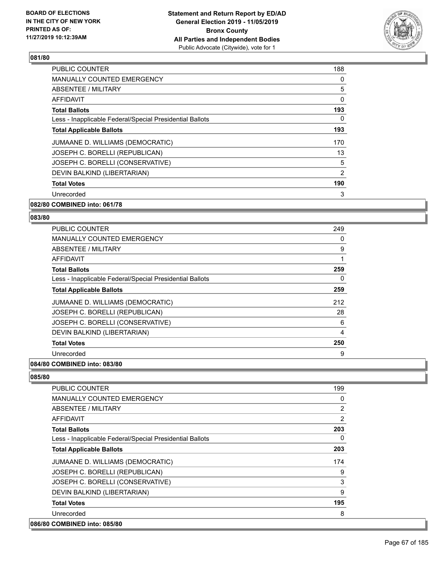

| <b>PUBLIC COUNTER</b>                                    | 188 |
|----------------------------------------------------------|-----|
| <b>MANUALLY COUNTED EMERGENCY</b>                        | 0   |
| ABSENTEE / MILITARY                                      | 5   |
| <b>AFFIDAVIT</b>                                         | 0   |
| <b>Total Ballots</b>                                     | 193 |
| Less - Inapplicable Federal/Special Presidential Ballots | 0   |
| <b>Total Applicable Ballots</b>                          | 193 |
| JUMAANE D. WILLIAMS (DEMOCRATIC)                         | 170 |
| JOSEPH C. BORELLI (REPUBLICAN)                           | 13  |
| JOSEPH C. BORELLI (CONSERVATIVE)                         | 5   |
| DEVIN BALKIND (LIBERTARIAN)                              | 2   |
| <b>Total Votes</b>                                       | 190 |
| Unrecorded                                               | 3   |
|                                                          |     |

### **082/80 COMBINED into: 061/78**

### **083/80**

| <b>PUBLIC COUNTER</b>                                    | 249 |
|----------------------------------------------------------|-----|
| <b>MANUALLY COUNTED EMERGENCY</b>                        | 0   |
| ABSENTEE / MILITARY                                      | 9   |
| AFFIDAVIT                                                | 1   |
| <b>Total Ballots</b>                                     | 259 |
| Less - Inapplicable Federal/Special Presidential Ballots | 0   |
| <b>Total Applicable Ballots</b>                          | 259 |
| JUMAANE D. WILLIAMS (DEMOCRATIC)                         | 212 |
| JOSEPH C. BORELLI (REPUBLICAN)                           | 28  |
| JOSEPH C. BORELLI (CONSERVATIVE)                         | 6   |
| DEVIN BALKIND (LIBERTARIAN)                              | 4   |
| <b>Total Votes</b>                                       | 250 |
| Unrecorded                                               | 9   |
|                                                          |     |

### **084/80 COMBINED into: 083/80**

| PUBLIC COUNTER                                           | 199 |
|----------------------------------------------------------|-----|
| <b>MANUALLY COUNTED EMERGENCY</b>                        | 0   |
| ABSENTEE / MILITARY                                      | 2   |
| AFFIDAVIT                                                | 2   |
| <b>Total Ballots</b>                                     | 203 |
| Less - Inapplicable Federal/Special Presidential Ballots | 0   |
| <b>Total Applicable Ballots</b>                          | 203 |
| JUMAANE D. WILLIAMS (DEMOCRATIC)                         | 174 |
| JOSEPH C. BORELLI (REPUBLICAN)                           | 9   |
| JOSEPH C. BORELLI (CONSERVATIVE)                         | 3   |
| DEVIN BALKIND (LIBERTARIAN)                              | 9   |
| <b>Total Votes</b>                                       | 195 |
| Unrecorded                                               | 8   |
| 086/80 COMBINED into: 085/80                             |     |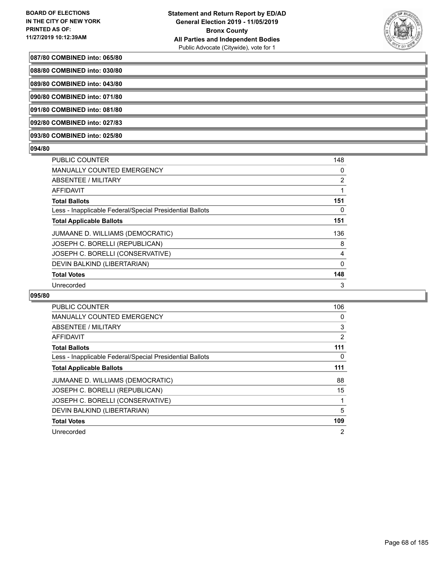

### **087/80 COMBINED into: 065/80**

**088/80 COMBINED into: 030/80**

**089/80 COMBINED into: 043/80**

**090/80 COMBINED into: 071/80**

**091/80 COMBINED into: 081/80**

**092/80 COMBINED into: 027/83**

**093/80 COMBINED into: 025/80**

### **094/80**

| PUBLIC COUNTER                                           | 148            |
|----------------------------------------------------------|----------------|
| <b>MANUALLY COUNTED EMERGENCY</b>                        | 0              |
| <b>ABSENTEE / MILITARY</b>                               | $\overline{2}$ |
| <b>AFFIDAVIT</b>                                         |                |
| <b>Total Ballots</b>                                     | 151            |
| Less - Inapplicable Federal/Special Presidential Ballots | 0              |
| <b>Total Applicable Ballots</b>                          | 151            |
| JUMAANE D. WILLIAMS (DEMOCRATIC)                         | 136            |
| JOSEPH C. BORELLI (REPUBLICAN)                           | 8              |
| JOSEPH C. BORELLI (CONSERVATIVE)                         | 4              |
| DEVIN BALKIND (LIBERTARIAN)                              | 0              |
| <b>Total Votes</b>                                       | 148            |
| Unrecorded                                               | 3              |

| PUBLIC COUNTER                                           | 106 |
|----------------------------------------------------------|-----|
| <b>MANUALLY COUNTED EMERGENCY</b>                        | 0   |
| <b>ABSENTEE / MILITARY</b>                               | 3   |
| <b>AFFIDAVIT</b>                                         | 2   |
| <b>Total Ballots</b>                                     | 111 |
| Less - Inapplicable Federal/Special Presidential Ballots | 0   |
| <b>Total Applicable Ballots</b>                          | 111 |
| JUMAANE D. WILLIAMS (DEMOCRATIC)                         | 88  |
| JOSEPH C. BORELLI (REPUBLICAN)                           | 15  |
| JOSEPH C. BORELLI (CONSERVATIVE)                         | 1   |
| DEVIN BALKIND (LIBERTARIAN)                              | 5   |
| <b>Total Votes</b>                                       | 109 |
| Unrecorded                                               | 2   |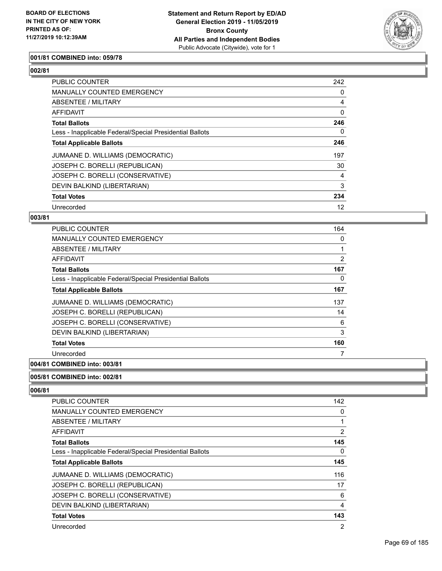

### **001/81 COMBINED into: 059/78**

# **002/81**

| <b>PUBLIC COUNTER</b>                                    | 242 |
|----------------------------------------------------------|-----|
| <b>MANUALLY COUNTED EMERGENCY</b>                        | 0   |
| ABSENTEE / MILITARY                                      | 4   |
| <b>AFFIDAVIT</b>                                         | 0   |
| <b>Total Ballots</b>                                     | 246 |
| Less - Inapplicable Federal/Special Presidential Ballots | 0   |
| <b>Total Applicable Ballots</b>                          | 246 |
| JUMAANE D. WILLIAMS (DEMOCRATIC)                         | 197 |
| JOSEPH C. BORELLI (REPUBLICAN)                           | 30  |
| JOSEPH C. BORELLI (CONSERVATIVE)                         | 4   |
| DEVIN BALKIND (LIBERTARIAN)                              | 3   |
| <b>Total Votes</b>                                       | 234 |
| Unrecorded                                               | 12  |

### **003/81**

| <b>PUBLIC COUNTER</b>                                    | 164            |
|----------------------------------------------------------|----------------|
| <b>MANUALLY COUNTED EMERGENCY</b>                        | 0              |
| ABSENTEE / MILITARY                                      |                |
| AFFIDAVIT                                                | $\overline{2}$ |
| <b>Total Ballots</b>                                     | 167            |
| Less - Inapplicable Federal/Special Presidential Ballots | 0              |
| <b>Total Applicable Ballots</b>                          | 167            |
| JUMAANE D. WILLIAMS (DEMOCRATIC)                         | 137            |
| JOSEPH C. BORELLI (REPUBLICAN)                           | 14             |
| JOSEPH C. BORELLI (CONSERVATIVE)                         | 6              |
| DEVIN BALKIND (LIBERTARIAN)                              | 3              |
| <b>Total Votes</b>                                       | 160            |
| Unrecorded                                               | 7              |
|                                                          |                |

# **004/81 COMBINED into: 003/81**

#### **005/81 COMBINED into: 002/81**

| PUBLIC COUNTER                                           | 142            |
|----------------------------------------------------------|----------------|
| <b>MANUALLY COUNTED EMERGENCY</b>                        | 0              |
| ABSENTEE / MILITARY                                      |                |
| AFFIDAVIT                                                | $\overline{2}$ |
| <b>Total Ballots</b>                                     | 145            |
| Less - Inapplicable Federal/Special Presidential Ballots | 0              |
| <b>Total Applicable Ballots</b>                          | 145            |
| JUMAANE D. WILLIAMS (DEMOCRATIC)                         | 116            |
| JOSEPH C. BORELLI (REPUBLICAN)                           | 17             |
| JOSEPH C. BORELLI (CONSERVATIVE)                         | 6              |
| DEVIN BALKIND (LIBERTARIAN)                              | 4              |
| <b>Total Votes</b>                                       | 143            |
| Unrecorded                                               | 2              |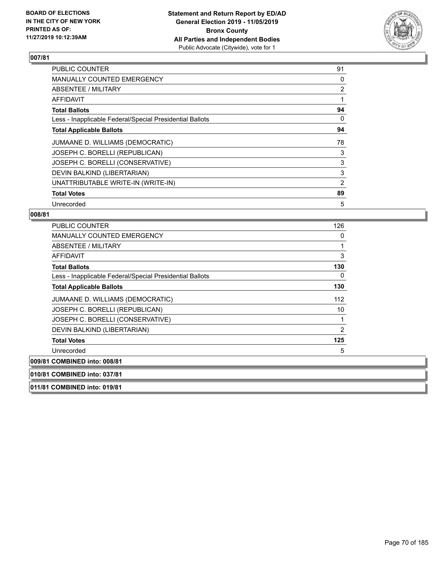

| <b>PUBLIC COUNTER</b>                                    | 91             |
|----------------------------------------------------------|----------------|
| MANUALLY COUNTED EMERGENCY                               | 0              |
| ABSENTEE / MILITARY                                      | $\overline{2}$ |
| <b>AFFIDAVIT</b>                                         |                |
| <b>Total Ballots</b>                                     | 94             |
| Less - Inapplicable Federal/Special Presidential Ballots | 0              |
| <b>Total Applicable Ballots</b>                          | 94             |
| JUMAANE D. WILLIAMS (DEMOCRATIC)                         | 78             |
| JOSEPH C. BORELLI (REPUBLICAN)                           | 3              |
| JOSEPH C. BORELLI (CONSERVATIVE)                         | 3              |
| DEVIN BALKIND (LIBERTARIAN)                              | 3              |
| UNATTRIBUTABLE WRITE-IN (WRITE-IN)                       | 2              |
| <b>Total Votes</b>                                       | 89             |
| Unrecorded                                               | 5              |

### **008/81**

| PUBLIC COUNTER                                           | 126            |
|----------------------------------------------------------|----------------|
| <b>MANUALLY COUNTED EMERGENCY</b>                        | 0              |
| ABSENTEE / MILITARY                                      |                |
| <b>AFFIDAVIT</b>                                         | 3              |
| <b>Total Ballots</b>                                     | 130            |
| Less - Inapplicable Federal/Special Presidential Ballots | 0              |
| <b>Total Applicable Ballots</b>                          | 130            |
| JUMAANE D. WILLIAMS (DEMOCRATIC)                         | 112            |
| JOSEPH C. BORELLI (REPUBLICAN)                           | 10             |
| JOSEPH C. BORELLI (CONSERVATIVE)                         |                |
| DEVIN BALKIND (LIBERTARIAN)                              | $\overline{2}$ |
| <b>Total Votes</b>                                       | 125            |
| Unrecorded                                               | 5              |
| 009/81 COMBINED into: 008/81                             |                |
| 010/81 COMBINED into: 037/81                             |                |
|                                                          |                |

**011/81 COMBINED into: 019/81**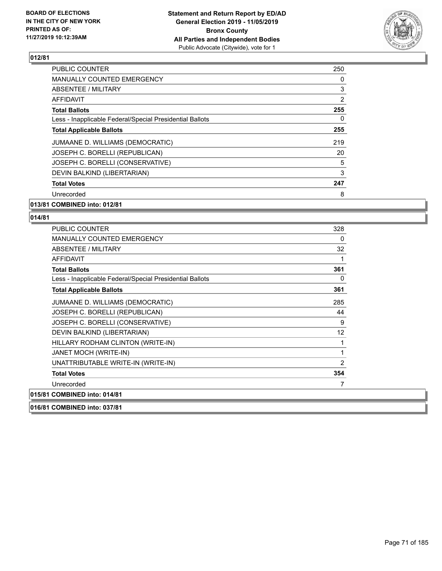

| <b>PUBLIC COUNTER</b>                                    | 250            |
|----------------------------------------------------------|----------------|
| <b>MANUALLY COUNTED EMERGENCY</b>                        | 0              |
| <b>ABSENTEE / MILITARY</b>                               | 3              |
| AFFIDAVIT                                                | $\overline{2}$ |
| <b>Total Ballots</b>                                     | 255            |
| Less - Inapplicable Federal/Special Presidential Ballots | 0              |
| <b>Total Applicable Ballots</b>                          | 255            |
| JUMAANE D. WILLIAMS (DEMOCRATIC)                         | 219            |
| JOSEPH C. BORELLI (REPUBLICAN)                           | 20             |
| JOSEPH C. BORELLI (CONSERVATIVE)                         | 5              |
| DEVIN BALKIND (LIBERTARIAN)                              | 3              |
| <b>Total Votes</b>                                       | 247            |
| Unrecorded                                               | 8              |
|                                                          |                |

### **013/81 COMBINED into: 012/81**

| 016/81 COMBINED into: 037/81                             |                |
|----------------------------------------------------------|----------------|
| 015/81 COMBINED into: 014/81                             |                |
| Unrecorded                                               |                |
| <b>Total Votes</b>                                       | 354            |
| UNATTRIBUTABLE WRITE-IN (WRITE-IN)                       | $\overline{2}$ |
| JANET MOCH (WRITE-IN)                                    | 1              |
| HILLARY RODHAM CLINTON (WRITE-IN)                        | 1              |
| DEVIN BALKIND (LIBERTARIAN)                              | 12             |
| JOSEPH C. BORELLI (CONSERVATIVE)                         | 9              |
| JOSEPH C. BORELLI (REPUBLICAN)                           | 44             |
| JUMAANE D. WILLIAMS (DEMOCRATIC)                         | 285            |
| <b>Total Applicable Ballots</b>                          | 361            |
| Less - Inapplicable Federal/Special Presidential Ballots | 0              |
| <b>Total Ballots</b>                                     | 361            |
| <b>AFFIDAVIT</b>                                         |                |
| <b>ABSENTEE / MILITARY</b>                               | 32             |
| <b>MANUALLY COUNTED EMERGENCY</b>                        | 0              |
| <b>PUBLIC COUNTER</b>                                    | 328            |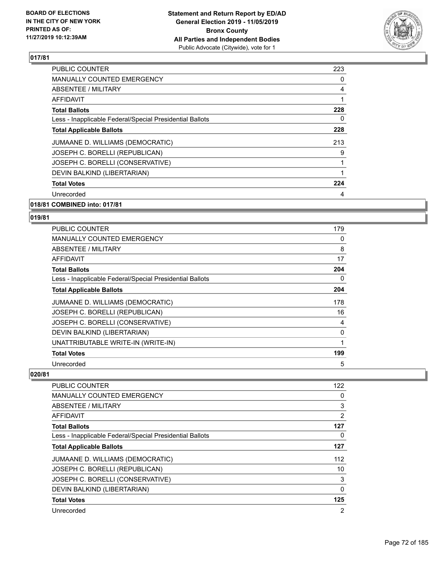

| <b>PUBLIC COUNTER</b>                                    | 223 |
|----------------------------------------------------------|-----|
| <b>MANUALLY COUNTED EMERGENCY</b>                        | 0   |
| ABSENTEE / MILITARY                                      | 4   |
| AFFIDAVIT                                                | 1   |
| <b>Total Ballots</b>                                     | 228 |
| Less - Inapplicable Federal/Special Presidential Ballots | 0   |
| <b>Total Applicable Ballots</b>                          | 228 |
| JUMAANE D. WILLIAMS (DEMOCRATIC)                         | 213 |
| JOSEPH C. BORELLI (REPUBLICAN)                           | 9   |
| JOSEPH C. BORELLI (CONSERVATIVE)                         | 1   |
| DEVIN BALKIND (LIBERTARIAN)                              | 1   |
| <b>Total Votes</b>                                       | 224 |
| Unrecorded                                               | 4   |
|                                                          |     |

### **018/81 COMBINED into: 017/81**

### **019/81**

| <b>PUBLIC COUNTER</b>                                    | 179 |
|----------------------------------------------------------|-----|
| <b>MANUALLY COUNTED EMERGENCY</b>                        | 0   |
| ABSENTEE / MILITARY                                      | 8   |
| AFFIDAVIT                                                | 17  |
| <b>Total Ballots</b>                                     | 204 |
| Less - Inapplicable Federal/Special Presidential Ballots | 0   |
| <b>Total Applicable Ballots</b>                          | 204 |
| JUMAANE D. WILLIAMS (DEMOCRATIC)                         | 178 |
| JOSEPH C. BORELLI (REPUBLICAN)                           | 16  |
| JOSEPH C. BORELLI (CONSERVATIVE)                         | 4   |
| DEVIN BALKIND (LIBERTARIAN)                              | 0   |
| UNATTRIBUTABLE WRITE-IN (WRITE-IN)                       |     |
| <b>Total Votes</b>                                       | 199 |
| Unrecorded                                               | 5   |

| PUBLIC COUNTER                                           | 122 |
|----------------------------------------------------------|-----|
| <b>MANUALLY COUNTED EMERGENCY</b>                        | 0   |
| ABSENTEE / MILITARY                                      | 3   |
| AFFIDAVIT                                                | 2   |
| <b>Total Ballots</b>                                     | 127 |
| Less - Inapplicable Federal/Special Presidential Ballots | 0   |
| <b>Total Applicable Ballots</b>                          | 127 |
| JUMAANE D. WILLIAMS (DEMOCRATIC)                         | 112 |
| JOSEPH C. BORELLI (REPUBLICAN)                           | 10  |
| JOSEPH C. BORELLI (CONSERVATIVE)                         | 3   |
| DEVIN BALKIND (LIBERTARIAN)                              | 0   |
| <b>Total Votes</b>                                       | 125 |
| Unrecorded                                               | 2   |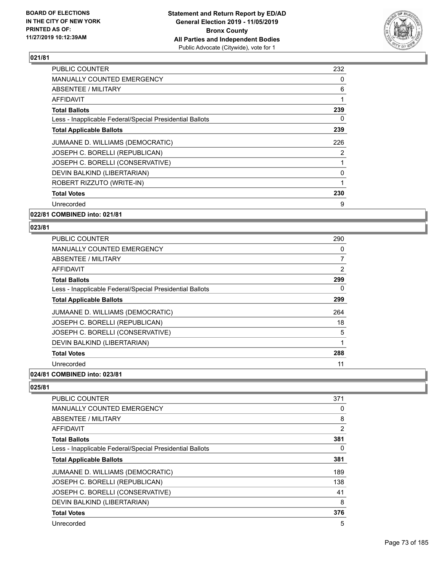

| <b>PUBLIC COUNTER</b>                                    | 232 |
|----------------------------------------------------------|-----|
| <b>MANUALLY COUNTED EMERGENCY</b>                        | 0   |
| ABSENTEE / MILITARY                                      | 6   |
| AFFIDAVIT                                                | 1   |
| <b>Total Ballots</b>                                     | 239 |
| Less - Inapplicable Federal/Special Presidential Ballots | 0   |
| <b>Total Applicable Ballots</b>                          | 239 |
| JUMAANE D. WILLIAMS (DEMOCRATIC)                         | 226 |
| JOSEPH C. BORELLI (REPUBLICAN)                           | 2   |
| JOSEPH C. BORELLI (CONSERVATIVE)                         | 1   |
| DEVIN BALKIND (LIBERTARIAN)                              | 0   |
| ROBERT RIZZUTO (WRITE-IN)                                | 1   |
| <b>Total Votes</b>                                       | 230 |
| Unrecorded                                               | 9   |
|                                                          |     |

**022/81 COMBINED into: 021/81**

## **023/81**

| <b>PUBLIC COUNTER</b>                                    | 290 |
|----------------------------------------------------------|-----|
| <b>MANUALLY COUNTED EMERGENCY</b>                        | 0   |
| ABSENTEE / MILITARY                                      | 7   |
| AFFIDAVIT                                                | 2   |
| <b>Total Ballots</b>                                     | 299 |
| Less - Inapplicable Federal/Special Presidential Ballots | 0   |
| <b>Total Applicable Ballots</b>                          | 299 |
| JUMAANE D. WILLIAMS (DEMOCRATIC)                         | 264 |
| JOSEPH C. BORELLI (REPUBLICAN)                           | 18  |
| JOSEPH C. BORELLI (CONSERVATIVE)                         | 5   |
| DEVIN BALKIND (LIBERTARIAN)                              | 1   |
| <b>Total Votes</b>                                       | 288 |
| Unrecorded                                               | 11  |
|                                                          |     |

## **024/81 COMBINED into: 023/81**

# $\boxed{025/81}$

| <b>PUBLIC COUNTER</b>                                    | 371 |
|----------------------------------------------------------|-----|
| MANUALLY COUNTED EMERGENCY                               | 0   |
| ABSENTEE / MILITARY                                      | 8   |
| <b>AFFIDAVIT</b>                                         | 2   |
| <b>Total Ballots</b>                                     | 381 |
| Less - Inapplicable Federal/Special Presidential Ballots | 0   |
| <b>Total Applicable Ballots</b>                          | 381 |
| JUMAANE D. WILLIAMS (DEMOCRATIC)                         | 189 |
| JOSEPH C. BORELLI (REPUBLICAN)                           | 138 |
| JOSEPH C. BORELLI (CONSERVATIVE)                         | 41  |
| DEVIN BALKIND (LIBERTARIAN)                              | 8   |
| <b>Total Votes</b>                                       | 376 |
| Unrecorded                                               | 5   |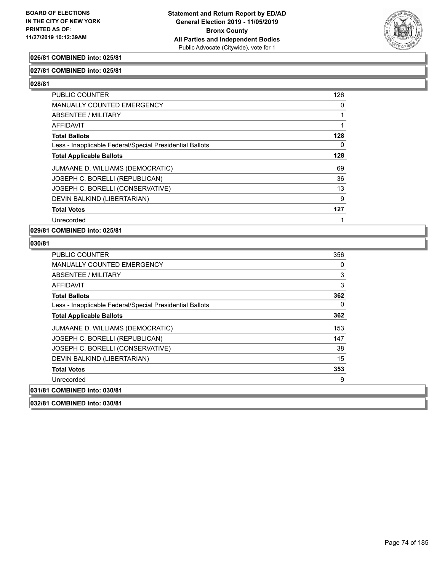

## **026/81 COMBINED into: 025/81**

## **027/81 COMBINED into: 025/81**

**028/81** 

| <b>PUBLIC COUNTER</b>                                    | 126 |
|----------------------------------------------------------|-----|
| <b>MANUALLY COUNTED EMERGENCY</b>                        | 0   |
| ABSENTEE / MILITARY                                      |     |
| <b>AFFIDAVIT</b>                                         |     |
| <b>Total Ballots</b>                                     | 128 |
| Less - Inapplicable Federal/Special Presidential Ballots | 0   |
| <b>Total Applicable Ballots</b>                          | 128 |
| JUMAANE D. WILLIAMS (DEMOCRATIC)                         | 69  |
| JOSEPH C. BORELLI (REPUBLICAN)                           | 36  |
| JOSEPH C. BORELLI (CONSERVATIVE)                         | 13  |
| DEVIN BALKIND (LIBERTARIAN)                              | 9   |
| <b>Total Votes</b>                                       | 127 |
| Unrecorded                                               |     |
|                                                          |     |

**029/81 COMBINED into: 025/81**

| PUBLIC COUNTER                                           | 356 |
|----------------------------------------------------------|-----|
| <b>MANUALLY COUNTED EMERGENCY</b>                        | 0   |
| ABSENTEE / MILITARY                                      | 3   |
| AFFIDAVIT                                                | 3   |
| <b>Total Ballots</b>                                     | 362 |
| Less - Inapplicable Federal/Special Presidential Ballots | 0   |
| <b>Total Applicable Ballots</b>                          | 362 |
| JUMAANE D. WILLIAMS (DEMOCRATIC)                         | 153 |
| JOSEPH C. BORELLI (REPUBLICAN)                           | 147 |
| JOSEPH C. BORELLI (CONSERVATIVE)                         | 38  |
| DEVIN BALKIND (LIBERTARIAN)                              | 15  |
| <b>Total Votes</b>                                       | 353 |
| Unrecorded                                               | 9   |
| 031/81 COMBINED into: 030/81                             |     |
| 032/81 COMBINED into: 030/81                             |     |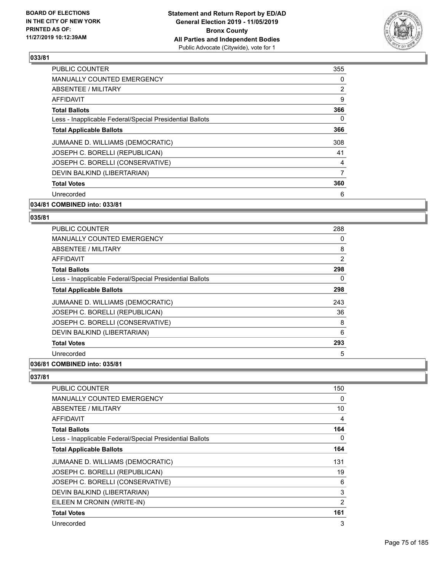

| <b>PUBLIC COUNTER</b>                                    | 355            |
|----------------------------------------------------------|----------------|
| <b>MANUALLY COUNTED EMERGENCY</b>                        | 0              |
| <b>ABSENTEE / MILITARY</b>                               | $\overline{2}$ |
| AFFIDAVIT                                                | 9              |
| <b>Total Ballots</b>                                     | 366            |
| Less - Inapplicable Federal/Special Presidential Ballots | 0              |
| <b>Total Applicable Ballots</b>                          | 366            |
| JUMAANE D. WILLIAMS (DEMOCRATIC)                         | 308            |
| JOSEPH C. BORELLI (REPUBLICAN)                           | 41             |
| JOSEPH C. BORELLI (CONSERVATIVE)                         | 4              |
| DEVIN BALKIND (LIBERTARIAN)                              | 7              |
| <b>Total Votes</b>                                       | 360            |
| Unrecorded                                               | 6              |
| 034/81 COMBINED into: 033/81                             |                |

## **035/81**

| <b>PUBLIC COUNTER</b>                                    | 288 |
|----------------------------------------------------------|-----|
| <b>MANUALLY COUNTED EMERGENCY</b>                        | 0   |
| ABSENTEE / MILITARY                                      | 8   |
| AFFIDAVIT                                                | 2   |
| <b>Total Ballots</b>                                     | 298 |
| Less - Inapplicable Federal/Special Presidential Ballots | 0   |
| <b>Total Applicable Ballots</b>                          | 298 |
| JUMAANE D. WILLIAMS (DEMOCRATIC)                         | 243 |
| JOSEPH C. BORELLI (REPUBLICAN)                           | 36  |
| JOSEPH C. BORELLI (CONSERVATIVE)                         | 8   |
| DEVIN BALKIND (LIBERTARIAN)                              | 6   |
| <b>Total Votes</b>                                       | 293 |
| Unrecorded                                               | 5   |
|                                                          |     |

## **036/81 COMBINED into: 035/81**

| PUBLIC COUNTER                                           | 150            |
|----------------------------------------------------------|----------------|
| <b>MANUALLY COUNTED EMERGENCY</b>                        | 0              |
| ABSENTEE / MILITARY                                      | 10             |
| <b>AFFIDAVIT</b>                                         | 4              |
| <b>Total Ballots</b>                                     | 164            |
| Less - Inapplicable Federal/Special Presidential Ballots | 0              |
| <b>Total Applicable Ballots</b>                          | 164            |
| JUMAANE D. WILLIAMS (DEMOCRATIC)                         | 131            |
| JOSEPH C. BORELLI (REPUBLICAN)                           | 19             |
| JOSEPH C. BORELLI (CONSERVATIVE)                         | 6              |
| DEVIN BALKIND (LIBERTARIAN)                              | 3              |
| EILEEN M CRONIN (WRITE-IN)                               | $\overline{2}$ |
| <b>Total Votes</b>                                       | 161            |
| Unrecorded                                               | 3              |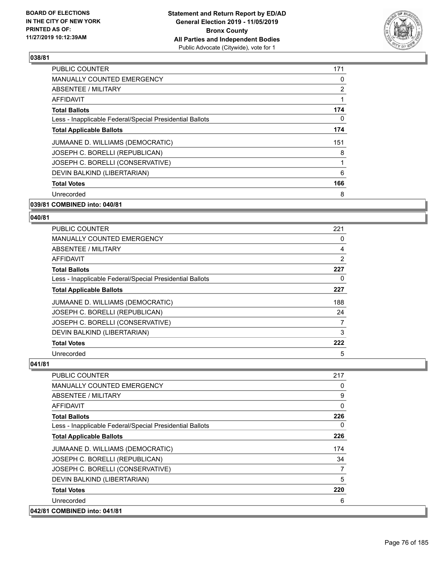

| <b>PUBLIC COUNTER</b>                                    | 171 |
|----------------------------------------------------------|-----|
| <b>MANUALLY COUNTED EMERGENCY</b>                        | 0   |
| ABSENTEE / MILITARY                                      | 2   |
| <b>AFFIDAVIT</b>                                         | 1   |
| <b>Total Ballots</b>                                     | 174 |
| Less - Inapplicable Federal/Special Presidential Ballots | 0   |
| <b>Total Applicable Ballots</b>                          | 174 |
| JUMAANE D. WILLIAMS (DEMOCRATIC)                         | 151 |
| JOSEPH C. BORELLI (REPUBLICAN)                           | 8   |
| JOSEPH C. BORELLI (CONSERVATIVE)                         | 1   |
| DEVIN BALKIND (LIBERTARIAN)                              | 6   |
| <b>Total Votes</b>                                       | 166 |
| Unrecorded                                               | 8   |
|                                                          |     |

## **039/81 COMBINED into: 040/81**

#### **040/81**

| <b>PUBLIC COUNTER</b>                                    | 221 |
|----------------------------------------------------------|-----|
| <b>MANUALLY COUNTED EMERGENCY</b>                        | 0   |
| ABSENTEE / MILITARY                                      | 4   |
| AFFIDAVIT                                                | 2   |
| <b>Total Ballots</b>                                     | 227 |
| Less - Inapplicable Federal/Special Presidential Ballots | 0   |
| <b>Total Applicable Ballots</b>                          | 227 |
| JUMAANE D. WILLIAMS (DEMOCRATIC)                         | 188 |
| JOSEPH C. BORELLI (REPUBLICAN)                           | 24  |
| JOSEPH C. BORELLI (CONSERVATIVE)                         | 7   |
| DEVIN BALKIND (LIBERTARIAN)                              | 3   |
| <b>Total Votes</b>                                       | 222 |
| Unrecorded                                               | 5   |

| PUBLIC COUNTER                                           | 217      |
|----------------------------------------------------------|----------|
| <b>MANUALLY COUNTED EMERGENCY</b>                        | 0        |
| <b>ABSENTEE / MILITARY</b>                               | 9        |
| <b>AFFIDAVIT</b>                                         | $\Omega$ |
| <b>Total Ballots</b>                                     | 226      |
| Less - Inapplicable Federal/Special Presidential Ballots | $\Omega$ |
| <b>Total Applicable Ballots</b>                          | 226      |
| JUMAANE D. WILLIAMS (DEMOCRATIC)                         | 174      |
| JOSEPH C. BORELLI (REPUBLICAN)                           | 34       |
| JOSEPH C. BORELLI (CONSERVATIVE)                         | 7        |
| DEVIN BALKIND (LIBERTARIAN)                              | 5        |
| <b>Total Votes</b>                                       | 220      |
| Unrecorded                                               | 6        |
| 042/81 COMBINED into: 041/81                             |          |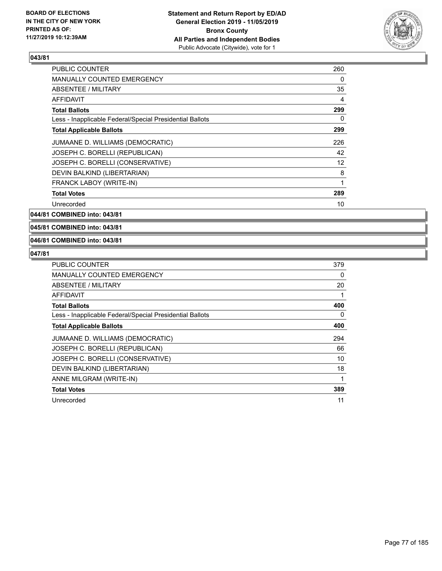

| PUBLIC COUNTER                                           | 260 |
|----------------------------------------------------------|-----|
| <b>MANUALLY COUNTED EMERGENCY</b>                        | 0   |
| ABSENTEE / MILITARY                                      | 35  |
| <b>AFFIDAVIT</b>                                         | 4   |
| <b>Total Ballots</b>                                     | 299 |
| Less - Inapplicable Federal/Special Presidential Ballots | 0   |
| <b>Total Applicable Ballots</b>                          | 299 |
| JUMAANE D. WILLIAMS (DEMOCRATIC)                         | 226 |
| JOSEPH C. BORELLI (REPUBLICAN)                           | 42  |
| JOSEPH C. BORELLI (CONSERVATIVE)                         | 12  |
| DEVIN BALKIND (LIBERTARIAN)                              | 8   |
| FRANCK LABOY (WRITE-IN)                                  | 1   |
| <b>Total Votes</b>                                       | 289 |
| Unrecorded                                               | 10  |

**044/81 COMBINED into: 043/81**

**045/81 COMBINED into: 043/81**

## **046/81 COMBINED into: 043/81**

| PUBLIC COUNTER                                           | 379 |
|----------------------------------------------------------|-----|
| <b>MANUALLY COUNTED EMERGENCY</b>                        | 0   |
| ABSENTEE / MILITARY                                      | 20  |
| AFFIDAVIT                                                |     |
| <b>Total Ballots</b>                                     | 400 |
| Less - Inapplicable Federal/Special Presidential Ballots | 0   |
| <b>Total Applicable Ballots</b>                          | 400 |
| JUMAANE D. WILLIAMS (DEMOCRATIC)                         | 294 |
| JOSEPH C. BORELLI (REPUBLICAN)                           | 66  |
| JOSEPH C. BORELLI (CONSERVATIVE)                         | 10  |
| DEVIN BALKIND (LIBERTARIAN)                              | 18  |
| ANNE MILGRAM (WRITE-IN)                                  | 1   |
| <b>Total Votes</b>                                       | 389 |
| Unrecorded                                               | 11  |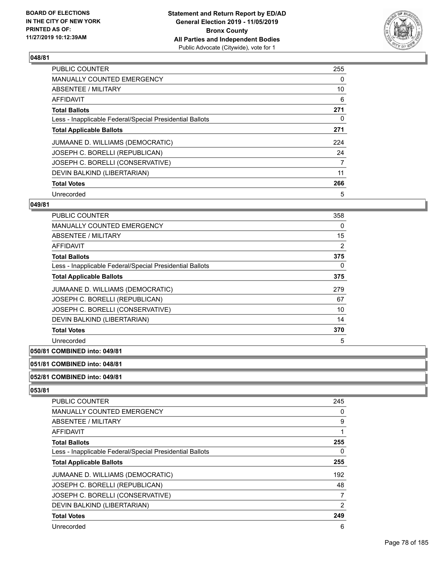

| <b>PUBLIC COUNTER</b>                                    | 255 |
|----------------------------------------------------------|-----|
| <b>MANUALLY COUNTED EMERGENCY</b>                        | 0   |
| ABSENTEE / MILITARY                                      | 10  |
| <b>AFFIDAVIT</b>                                         | 6   |
| <b>Total Ballots</b>                                     | 271 |
| Less - Inapplicable Federal/Special Presidential Ballots | 0   |
| <b>Total Applicable Ballots</b>                          | 271 |
| JUMAANE D. WILLIAMS (DEMOCRATIC)                         | 224 |
| JOSEPH C. BORELLI (REPUBLICAN)                           | 24  |
| JOSEPH C. BORELLI (CONSERVATIVE)                         | 7   |
| DEVIN BALKIND (LIBERTARIAN)                              | 11  |
| <b>Total Votes</b>                                       | 266 |
| Unrecorded                                               | 5   |

## **049/81**

| <b>PUBLIC COUNTER</b>                                    | 358 |
|----------------------------------------------------------|-----|
| <b>MANUALLY COUNTED EMERGENCY</b>                        | 0   |
| ABSENTEE / MILITARY                                      | 15  |
| AFFIDAVIT                                                | 2   |
| <b>Total Ballots</b>                                     | 375 |
| Less - Inapplicable Federal/Special Presidential Ballots | 0   |
| <b>Total Applicable Ballots</b>                          | 375 |
| JUMAANE D. WILLIAMS (DEMOCRATIC)                         | 279 |
| JOSEPH C. BORELLI (REPUBLICAN)                           | 67  |
| JOSEPH C. BORELLI (CONSERVATIVE)                         | 10  |
| DEVIN BALKIND (LIBERTARIAN)                              | 14  |
| <b>Total Votes</b>                                       | 370 |
| Unrecorded                                               | 5   |

## **050/81 COMBINED into: 049/81**

## **051/81 COMBINED into: 048/81**

## **052/81 COMBINED into: 049/81**

| <b>PUBLIC COUNTER</b>                                    | 245            |
|----------------------------------------------------------|----------------|
| <b>MANUALLY COUNTED EMERGENCY</b>                        | 0              |
| ABSENTEE / MILITARY                                      | 9              |
| AFFIDAVIT                                                | 1              |
| <b>Total Ballots</b>                                     | 255            |
| Less - Inapplicable Federal/Special Presidential Ballots | 0              |
| <b>Total Applicable Ballots</b>                          | 255            |
| JUMAANE D. WILLIAMS (DEMOCRATIC)                         | 192            |
| JOSEPH C. BORELLI (REPUBLICAN)                           | 48             |
| JOSEPH C. BORELLI (CONSERVATIVE)                         | 7              |
| DEVIN BALKIND (LIBERTARIAN)                              | $\overline{2}$ |
| <b>Total Votes</b>                                       | 249            |
| Unrecorded                                               | 6              |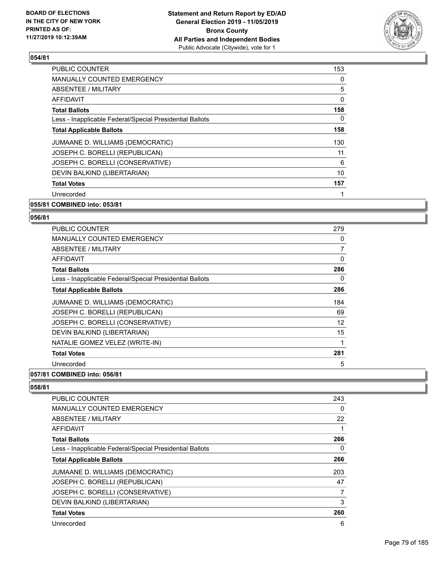

| <b>PUBLIC COUNTER</b>                                    | 153 |
|----------------------------------------------------------|-----|
| <b>MANUALLY COUNTED EMERGENCY</b>                        | 0   |
| ABSENTEE / MILITARY                                      | 5   |
| <b>AFFIDAVIT</b>                                         | 0   |
| <b>Total Ballots</b>                                     | 158 |
| Less - Inapplicable Federal/Special Presidential Ballots | 0   |
| <b>Total Applicable Ballots</b>                          | 158 |
| JUMAANE D. WILLIAMS (DEMOCRATIC)                         | 130 |
| JOSEPH C. BORELLI (REPUBLICAN)                           | 11  |
| JOSEPH C. BORELLI (CONSERVATIVE)                         | 6   |
| DEVIN BALKIND (LIBERTARIAN)                              | 10  |
| <b>Total Votes</b>                                       | 157 |
| Unrecorded                                               |     |
|                                                          |     |

# **055/81 COMBINED into: 053/81**

## **056/81**

| <b>PUBLIC COUNTER</b>                                    | 279 |
|----------------------------------------------------------|-----|
| <b>MANUALLY COUNTED EMERGENCY</b>                        | 0   |
| ABSENTEE / MILITARY                                      | 7   |
| AFFIDAVIT                                                | 0   |
| <b>Total Ballots</b>                                     | 286 |
| Less - Inapplicable Federal/Special Presidential Ballots | 0   |
| <b>Total Applicable Ballots</b>                          | 286 |
| JUMAANE D. WILLIAMS (DEMOCRATIC)                         | 184 |
| JOSEPH C. BORELLI (REPUBLICAN)                           | 69  |
| JOSEPH C. BORELLI (CONSERVATIVE)                         | 12  |
| DEVIN BALKIND (LIBERTARIAN)                              | 15  |
| NATALIE GOMEZ VELEZ (WRITE-IN)                           | 1   |
| <b>Total Votes</b>                                       | 281 |
| Unrecorded                                               | 5   |

# **057/81 COMBINED into: 056/81**

| <b>PUBLIC COUNTER</b>                                    | 243 |
|----------------------------------------------------------|-----|
| MANUALLY COUNTED EMERGENCY                               | 0   |
| ABSENTEE / MILITARY                                      | 22  |
| AFFIDAVIT                                                |     |
| <b>Total Ballots</b>                                     | 266 |
| Less - Inapplicable Federal/Special Presidential Ballots | 0   |
| <b>Total Applicable Ballots</b>                          | 266 |
| JUMAANE D. WILLIAMS (DEMOCRATIC)                         | 203 |
| JOSEPH C. BORELLI (REPUBLICAN)                           | 47  |
| JOSEPH C. BORELLI (CONSERVATIVE)                         |     |
| DEVIN BALKIND (LIBERTARIAN)                              | 3   |
| <b>Total Votes</b>                                       | 260 |
| Unrecorded                                               | 6   |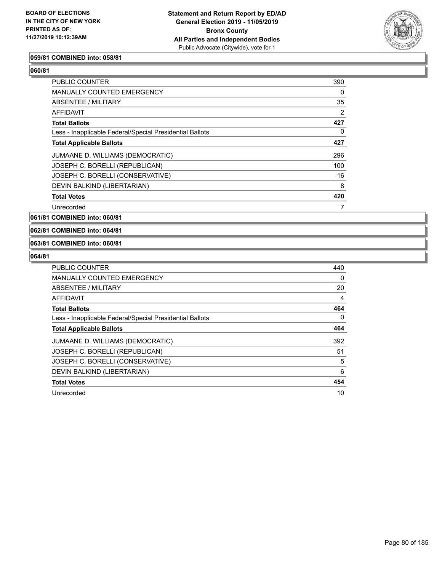

#### **059/81 COMBINED into: 058/81**

| <b>PUBLIC COUNTER</b>                                    | 390 |
|----------------------------------------------------------|-----|
| MANUALLY COUNTED EMERGENCY                               | 0   |
| ABSENTEE / MILITARY                                      | 35  |
| AFFIDAVIT                                                | 2   |
| <b>Total Ballots</b>                                     | 427 |
| Less - Inapplicable Federal/Special Presidential Ballots | 0   |
| <b>Total Applicable Ballots</b>                          | 427 |
| JUMAANE D. WILLIAMS (DEMOCRATIC)                         | 296 |
| JOSEPH C. BORELLI (REPUBLICAN)                           | 100 |
| JOSEPH C. BORELLI (CONSERVATIVE)                         | 16  |
| DEVIN BALKIND (LIBERTARIAN)                              | 8   |
| <b>Total Votes</b>                                       | 420 |
| Unrecorded                                               | 7   |

**061/81 COMBINED into: 060/81**

**062/81 COMBINED into: 064/81**

## **063/81 COMBINED into: 060/81**

| <b>PUBLIC COUNTER</b>                                    | 440 |
|----------------------------------------------------------|-----|
| <b>MANUALLY COUNTED EMERGENCY</b>                        | 0   |
| ABSENTEE / MILITARY                                      | 20  |
| AFFIDAVIT                                                | 4   |
| <b>Total Ballots</b>                                     | 464 |
| Less - Inapplicable Federal/Special Presidential Ballots | 0   |
| <b>Total Applicable Ballots</b>                          | 464 |
| JUMAANE D. WILLIAMS (DEMOCRATIC)                         | 392 |
| JOSEPH C. BORELLI (REPUBLICAN)                           | 51  |
| JOSEPH C. BORELLI (CONSERVATIVE)                         | 5   |
| DEVIN BALKIND (LIBERTARIAN)                              | 6   |
| <b>Total Votes</b>                                       | 454 |
| Unrecorded                                               | 10  |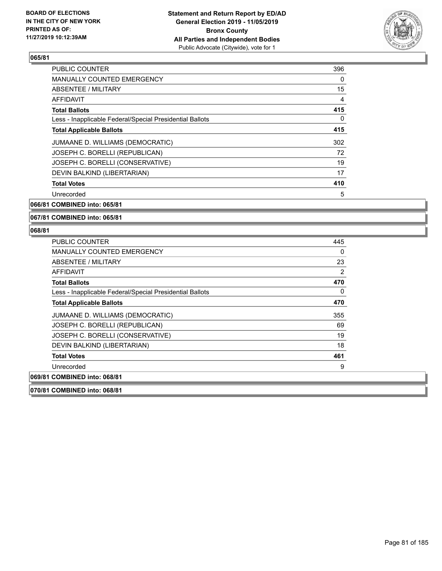

| 396 |
|-----|
| 0   |
| 15  |
| 4   |
| 415 |
| 0   |
| 415 |
| 302 |
| 72  |
| 19  |
| 17  |
| 410 |
| 5   |
|     |

**066/81 COMBINED into: 065/81**

#### **067/81 COMBINED into: 065/81**

## **068/81**

| PUBLIC COUNTER                                           | 445 |
|----------------------------------------------------------|-----|
| <b>MANUALLY COUNTED EMERGENCY</b>                        | 0   |
| ABSENTEE / MILITARY                                      | 23  |
| AFFIDAVIT                                                | 2   |
| <b>Total Ballots</b>                                     | 470 |
| Less - Inapplicable Federal/Special Presidential Ballots | 0   |
| <b>Total Applicable Ballots</b>                          | 470 |
| JUMAANE D. WILLIAMS (DEMOCRATIC)                         | 355 |
| JOSEPH C. BORELLI (REPUBLICAN)                           | 69  |
| JOSEPH C. BORELLI (CONSERVATIVE)                         | 19  |
| DEVIN BALKIND (LIBERTARIAN)                              | 18  |
| <b>Total Votes</b>                                       | 461 |
| Unrecorded                                               | 9   |
| 069/81 COMBINED into: 068/81                             |     |
|                                                          |     |

**070/81 COMBINED into: 068/81**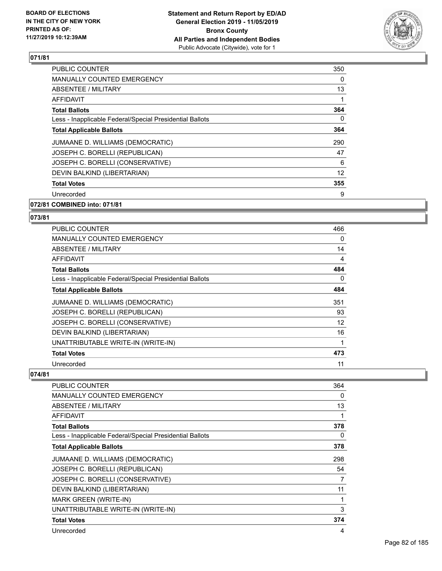

| <b>PUBLIC COUNTER</b>                                    | 350      |
|----------------------------------------------------------|----------|
| <b>MANUALLY COUNTED EMERGENCY</b>                        | $\Omega$ |
| <b>ABSENTEE / MILITARY</b>                               | 13       |
| AFFIDAVIT                                                |          |
| <b>Total Ballots</b>                                     | 364      |
| Less - Inapplicable Federal/Special Presidential Ballots | 0        |
| <b>Total Applicable Ballots</b>                          | 364      |
| JUMAANE D. WILLIAMS (DEMOCRATIC)                         | 290      |
| JOSEPH C. BORELLI (REPUBLICAN)                           | 47       |
| JOSEPH C. BORELLI (CONSERVATIVE)                         | 6        |
| DEVIN BALKIND (LIBERTARIAN)                              | 12       |
| <b>Total Votes</b>                                       | 355      |
| Unrecorded                                               | 9        |
| 072/81 COMBINED into: 071/81                             |          |

# **073/81**

| <b>PUBLIC COUNTER</b>                                    | 466 |
|----------------------------------------------------------|-----|
| <b>MANUALLY COUNTED EMERGENCY</b>                        | 0   |
| ABSENTEE / MILITARY                                      | 14  |
| AFFIDAVIT                                                | 4   |
| <b>Total Ballots</b>                                     | 484 |
| Less - Inapplicable Federal/Special Presidential Ballots | 0   |
| <b>Total Applicable Ballots</b>                          | 484 |
| JUMAANE D. WILLIAMS (DEMOCRATIC)                         | 351 |
| JOSEPH C. BORELLI (REPUBLICAN)                           | 93  |
| JOSEPH C. BORELLI (CONSERVATIVE)                         | 12  |
| DEVIN BALKIND (LIBERTARIAN)                              | 16  |
| UNATTRIBUTABLE WRITE-IN (WRITE-IN)                       |     |
| <b>Total Votes</b>                                       | 473 |
| Unrecorded                                               | 11  |

| PUBLIC COUNTER                                           | 364 |
|----------------------------------------------------------|-----|
| MANUALLY COUNTED EMERGENCY                               | 0   |
| ABSENTEE / MILITARY                                      | 13  |
| AFFIDAVIT                                                |     |
| <b>Total Ballots</b>                                     | 378 |
| Less - Inapplicable Federal/Special Presidential Ballots | 0   |
| <b>Total Applicable Ballots</b>                          | 378 |
| JUMAANE D. WILLIAMS (DEMOCRATIC)                         | 298 |
| JOSEPH C. BORELLI (REPUBLICAN)                           | 54  |
| JOSEPH C. BORELLI (CONSERVATIVE)                         | 7   |
| DEVIN BALKIND (LIBERTARIAN)                              | 11  |
| MARK GREEN (WRITE-IN)                                    | 1   |
| UNATTRIBUTABLE WRITE-IN (WRITE-IN)                       | 3   |
| <b>Total Votes</b>                                       | 374 |
| Unrecorded                                               | 4   |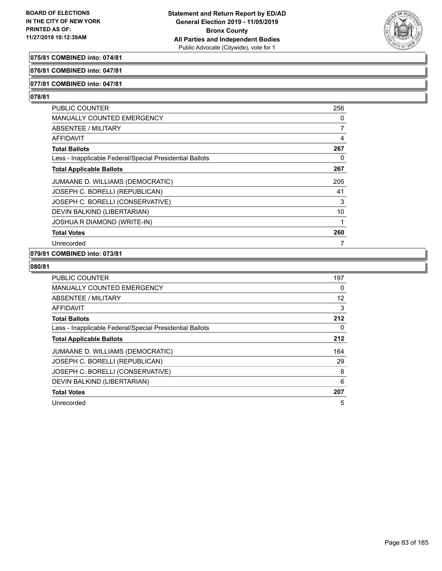

## **075/81 COMBINED into: 074/81**

## **076/81 COMBINED into: 047/81**

## **077/81 COMBINED into: 047/81**

## **078/81**

| <b>PUBLIC COUNTER</b>                                    | 256 |
|----------------------------------------------------------|-----|
| MANUALLY COUNTED EMERGENCY                               | 0   |
| ABSENTEE / MILITARY                                      | 7   |
| AFFIDAVIT                                                | 4   |
| <b>Total Ballots</b>                                     | 267 |
| Less - Inapplicable Federal/Special Presidential Ballots | 0   |
| <b>Total Applicable Ballots</b>                          | 267 |
| JUMAANE D. WILLIAMS (DEMOCRATIC)                         | 205 |
| JOSEPH C. BORELLI (REPUBLICAN)                           | 41  |
| JOSEPH C. BORELLI (CONSERVATIVE)                         | 3   |
| DEVIN BALKIND (LIBERTARIAN)                              | 10  |
| <b>JOSHUA R DIAMOND (WRITE-IN)</b>                       | 1   |
| <b>Total Votes</b>                                       | 260 |
| Unrecorded                                               |     |

### **079/81 COMBINED into: 073/81**

| PUBLIC COUNTER                                           | 197 |
|----------------------------------------------------------|-----|
| <b>MANUALLY COUNTED EMERGENCY</b>                        | 0   |
| ABSENTEE / MILITARY                                      | 12  |
| <b>AFFIDAVIT</b>                                         | 3   |
| <b>Total Ballots</b>                                     | 212 |
| Less - Inapplicable Federal/Special Presidential Ballots | 0   |
| <b>Total Applicable Ballots</b>                          | 212 |
| JUMAANE D. WILLIAMS (DEMOCRATIC)                         | 164 |
| JOSEPH C. BORELLI (REPUBLICAN)                           | 29  |
| JOSEPH C. BORELLI (CONSERVATIVE)                         | 8   |
| DEVIN BALKIND (LIBERTARIAN)                              | 6   |
| <b>Total Votes</b>                                       | 207 |
| Unrecorded                                               | 5   |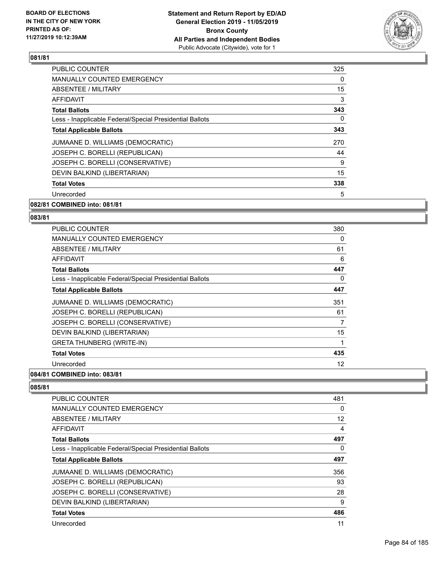

| <b>PUBLIC COUNTER</b>                                    | 325 |
|----------------------------------------------------------|-----|
| <b>MANUALLY COUNTED EMERGENCY</b>                        | 0   |
| <b>ABSENTEE / MILITARY</b>                               | 15  |
| <b>AFFIDAVIT</b>                                         | 3   |
| <b>Total Ballots</b>                                     | 343 |
| Less - Inapplicable Federal/Special Presidential Ballots | 0   |
| <b>Total Applicable Ballots</b>                          | 343 |
| JUMAANE D. WILLIAMS (DEMOCRATIC)                         | 270 |
| JOSEPH C. BORELLI (REPUBLICAN)                           | 44  |
| JOSEPH C. BORELLI (CONSERVATIVE)                         | 9   |
| DEVIN BALKIND (LIBERTARIAN)                              | 15  |
| <b>Total Votes</b>                                       | 338 |
| Unrecorded                                               | 5   |
| 082/81 COMBINED into: 081/81                             |     |

# **083/84**

| ۰.<br>× | . .<br>۰.<br>×<br>× | ×<br>۰, |  |
|---------|---------------------|---------|--|
|         |                     |         |  |
|         |                     |         |  |

| <b>PUBLIC COUNTER</b>                                    | 380      |
|----------------------------------------------------------|----------|
| <b>MANUALLY COUNTED EMERGENCY</b>                        | 0        |
| ABSENTEE / MILITARY                                      | 61       |
| AFFIDAVIT                                                | 6        |
| <b>Total Ballots</b>                                     | 447      |
| Less - Inapplicable Federal/Special Presidential Ballots | $\Omega$ |
| <b>Total Applicable Ballots</b>                          | 447      |
| JUMAANE D. WILLIAMS (DEMOCRATIC)                         | 351      |
| JOSEPH C. BORELLI (REPUBLICAN)                           | 61       |
| JOSEPH C. BORELLI (CONSERVATIVE)                         | 7        |
| DEVIN BALKIND (LIBERTARIAN)                              | 15       |
| <b>GRETA THUNBERG (WRITE-IN)</b>                         |          |
| <b>Total Votes</b>                                       | 435      |
| Unrecorded                                               | 12       |
| 084/81 COMBINED into: 083/81                             |          |

| <b>PUBLIC COUNTER</b>                                    | 481 |
|----------------------------------------------------------|-----|
| <b>MANUALLY COUNTED EMERGENCY</b>                        | 0   |
| ABSENTEE / MILITARY                                      | 12  |
| AFFIDAVIT                                                | 4   |
| <b>Total Ballots</b>                                     | 497 |
| Less - Inapplicable Federal/Special Presidential Ballots | 0   |
| <b>Total Applicable Ballots</b>                          | 497 |
| JUMAANE D. WILLIAMS (DEMOCRATIC)                         | 356 |
| JOSEPH C. BORELLI (REPUBLICAN)                           | 93  |
| JOSEPH C. BORELLI (CONSERVATIVE)                         | 28  |
| DEVIN BALKIND (LIBERTARIAN)                              | 9   |
| <b>Total Votes</b>                                       | 486 |
| Unrecorded                                               | 11  |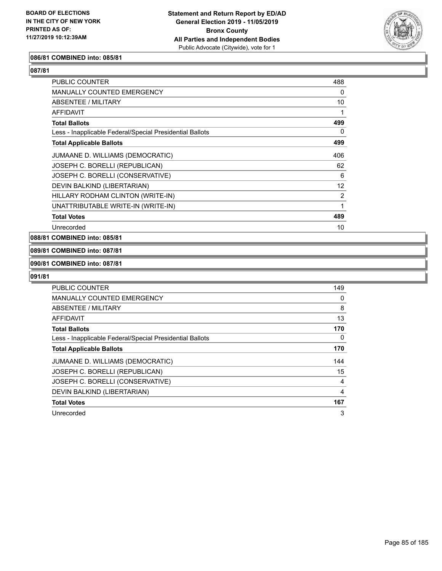

## **086/81 COMBINED into: 085/81**

**087/81** 

| <b>PUBLIC COUNTER</b>                                    | 488 |
|----------------------------------------------------------|-----|
| <b>MANUALLY COUNTED EMERGENCY</b>                        | 0   |
| ABSENTEE / MILITARY                                      | 10  |
| AFFIDAVIT                                                |     |
| <b>Total Ballots</b>                                     | 499 |
| Less - Inapplicable Federal/Special Presidential Ballots | 0   |
| <b>Total Applicable Ballots</b>                          | 499 |
| JUMAANE D. WILLIAMS (DEMOCRATIC)                         | 406 |
| JOSEPH C. BORELLI (REPUBLICAN)                           | 62  |
| JOSEPH C. BORELLI (CONSERVATIVE)                         | 6   |
| DEVIN BALKIND (LIBERTARIAN)                              | 12  |
| HILLARY RODHAM CLINTON (WRITE-IN)                        | 2   |
| UNATTRIBUTABLE WRITE-IN (WRITE-IN)                       | 1   |
| <b>Total Votes</b>                                       | 489 |
| Unrecorded                                               | 10  |

**088/81 COMBINED into: 085/81**

**089/81 COMBINED into: 087/81**

#### **090/81 COMBINED into: 087/81**

| PUBLIC COUNTER                                           | 149            |
|----------------------------------------------------------|----------------|
| <b>MANUALLY COUNTED EMERGENCY</b>                        | 0              |
| ABSENTEE / MILITARY                                      | 8              |
| AFFIDAVIT                                                | 13             |
| <b>Total Ballots</b>                                     | 170            |
| Less - Inapplicable Federal/Special Presidential Ballots | $\Omega$       |
| <b>Total Applicable Ballots</b>                          | 170            |
| JUMAANE D. WILLIAMS (DEMOCRATIC)                         | 144            |
| JOSEPH C. BORELLI (REPUBLICAN)                           | 15             |
| JOSEPH C. BORELLI (CONSERVATIVE)                         | 4              |
| DEVIN BALKIND (LIBERTARIAN)                              | $\overline{4}$ |
| <b>Total Votes</b>                                       | 167            |
| Unrecorded                                               | 3              |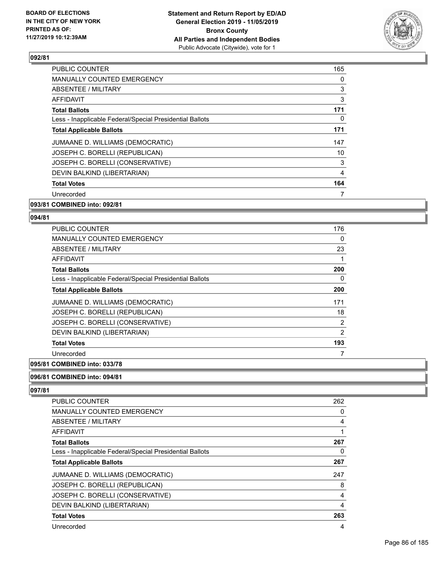

| PUBLIC COUNTER                                           | 165 |
|----------------------------------------------------------|-----|
| <b>MANUALLY COUNTED EMERGENCY</b>                        | 0   |
| <b>ABSENTEE / MILITARY</b>                               | 3   |
| AFFIDAVIT                                                | 3   |
| <b>Total Ballots</b>                                     | 171 |
| Less - Inapplicable Federal/Special Presidential Ballots | 0   |
| <b>Total Applicable Ballots</b>                          | 171 |
| JUMAANE D. WILLIAMS (DEMOCRATIC)                         | 147 |
| JOSEPH C. BORELLI (REPUBLICAN)                           | 10  |
| JOSEPH C. BORELLI (CONSERVATIVE)                         | 3   |
| DEVIN BALKIND (LIBERTARIAN)                              | 4   |
| <b>Total Votes</b>                                       | 164 |
| Unrecorded                                               | 7   |
|                                                          |     |

## **093/81 COMBINED into: 092/81**

## **094/81**

| <b>PUBLIC COUNTER</b>                                    | 176 |
|----------------------------------------------------------|-----|
| MANUALLY COUNTED EMERGENCY                               | 0   |
| ABSENTEE / MILITARY                                      | 23  |
| <b>AFFIDAVIT</b>                                         | 1   |
| <b>Total Ballots</b>                                     | 200 |
| Less - Inapplicable Federal/Special Presidential Ballots | 0   |
| <b>Total Applicable Ballots</b>                          | 200 |
| JUMAANE D. WILLIAMS (DEMOCRATIC)                         | 171 |
| JOSEPH C. BORELLI (REPUBLICAN)                           | 18  |
| JOSEPH C. BORELLI (CONSERVATIVE)                         | 2   |
| DEVIN BALKIND (LIBERTARIAN)                              | 2   |
| <b>Total Votes</b>                                       | 193 |
| Unrecorded                                               |     |
|                                                          |     |

## **095/81 COMBINED into: 033/78**

## **096/81 COMBINED into: 094/81**

| <b>PUBLIC COUNTER</b>                                    | 262 |
|----------------------------------------------------------|-----|
| MANUALLY COUNTED EMERGENCY                               | 0   |
| ABSENTEE / MILITARY                                      | 4   |
| AFFIDAVIT                                                | 1   |
| <b>Total Ballots</b>                                     | 267 |
| Less - Inapplicable Federal/Special Presidential Ballots | 0   |
| <b>Total Applicable Ballots</b>                          | 267 |
| JUMAANE D. WILLIAMS (DEMOCRATIC)                         | 247 |
| JOSEPH C. BORELLI (REPUBLICAN)                           | 8   |
| JOSEPH C. BORELLI (CONSERVATIVE)                         | 4   |
| DEVIN BALKIND (LIBERTARIAN)                              | 4   |
| <b>Total Votes</b>                                       | 263 |
| Unrecorded                                               | 4   |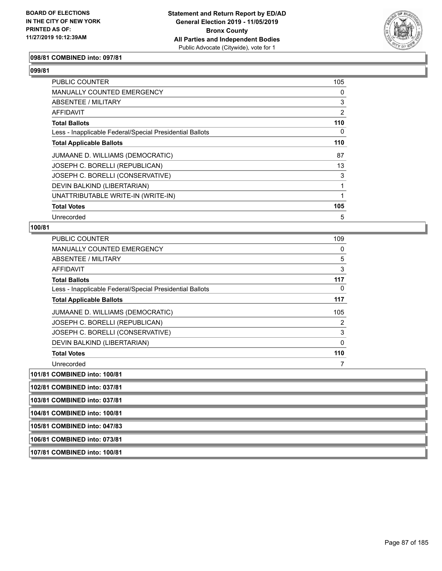

#### **098/81 COMBINED into: 097/81**

## **099/81**

| <b>PUBLIC COUNTER</b>                                    | 105 |
|----------------------------------------------------------|-----|
| MANUALLY COUNTED EMERGENCY                               | 0   |
| ABSENTEE / MILITARY                                      | 3   |
| AFFIDAVIT                                                | 2   |
| <b>Total Ballots</b>                                     | 110 |
| Less - Inapplicable Federal/Special Presidential Ballots | 0   |
| <b>Total Applicable Ballots</b>                          | 110 |
| JUMAANE D. WILLIAMS (DEMOCRATIC)                         | 87  |
| JOSEPH C. BORELLI (REPUBLICAN)                           | 13  |
| JOSEPH C. BORELLI (CONSERVATIVE)                         | 3   |
| DEVIN BALKIND (LIBERTARIAN)                              |     |
| UNATTRIBUTABLE WRITE-IN (WRITE-IN)                       |     |
| <b>Total Votes</b>                                       | 105 |
| Unrecorded                                               | 5   |

## **100/81**

| PUBLIC COUNTER                                           | 109 |
|----------------------------------------------------------|-----|
| <b>MANUALLY COUNTED EMERGENCY</b>                        | 0   |
| ABSENTEE / MILITARY                                      | 5   |
| AFFIDAVIT                                                | 3   |
| <b>Total Ballots</b>                                     | 117 |
| Less - Inapplicable Federal/Special Presidential Ballots | 0   |
| <b>Total Applicable Ballots</b>                          | 117 |
| JUMAANE D. WILLIAMS (DEMOCRATIC)                         | 105 |
| JOSEPH C. BORELLI (REPUBLICAN)                           | 2   |
| JOSEPH C. BORELLI (CONSERVATIVE)                         | 3   |
| DEVIN BALKIND (LIBERTARIAN)                              | 0   |
| <b>Total Votes</b>                                       | 110 |
| Unrecorded                                               |     |

**101/81 COMBINED into: 100/81**

**102/81 COMBINED into: 037/81**

**103/81 COMBINED into: 037/81**

**104/81 COMBINED into: 100/81**

**105/81 COMBINED into: 047/83**

**106/81 COMBINED into: 073/81**

**107/81 COMBINED into: 100/81**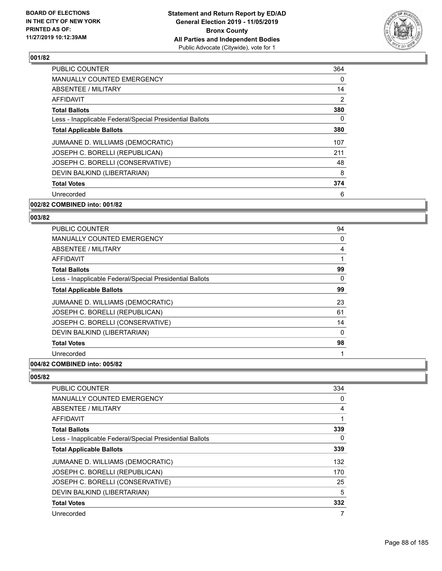

| <b>PUBLIC COUNTER</b>                                    | 364      |
|----------------------------------------------------------|----------|
| <b>MANUALLY COUNTED EMERGENCY</b>                        | $\Omega$ |
| ABSENTEE / MILITARY                                      | 14       |
| AFFIDAVIT                                                | 2        |
| <b>Total Ballots</b>                                     | 380      |
| Less - Inapplicable Federal/Special Presidential Ballots | 0        |
| <b>Total Applicable Ballots</b>                          | 380      |
| JUMAANE D. WILLIAMS (DEMOCRATIC)                         | 107      |
| JOSEPH C. BORELLI (REPUBLICAN)                           | 211      |
| JOSEPH C. BORELLI (CONSERVATIVE)                         | 48       |
| DEVIN BALKIND (LIBERTARIAN)                              | 8        |
| <b>Total Votes</b>                                       | 374      |
| Unrecorded                                               | 6        |
| 002/82 COMBINED into: 001/82                             |          |

# **003/82**

| <b>PUBLIC COUNTER</b>                                    | 94 |
|----------------------------------------------------------|----|
| <b>MANUALLY COUNTED EMERGENCY</b>                        | 0  |
| ABSENTEE / MILITARY                                      | 4  |
| <b>AFFIDAVIT</b>                                         |    |
| <b>Total Ballots</b>                                     | 99 |
| Less - Inapplicable Federal/Special Presidential Ballots | 0  |
| <b>Total Applicable Ballots</b>                          | 99 |
| JUMAANE D. WILLIAMS (DEMOCRATIC)                         | 23 |
| JOSEPH C. BORELLI (REPUBLICAN)                           | 61 |
| JOSEPH C. BORELLI (CONSERVATIVE)                         | 14 |
| DEVIN BALKIND (LIBERTARIAN)                              | 0  |
| <b>Total Votes</b>                                       | 98 |
| Unrecorded                                               |    |
|                                                          |    |

## **004/82 COMBINED into: 005/82**

| <b>PUBLIC COUNTER</b>                                    | 334      |
|----------------------------------------------------------|----------|
| <b>MANUALLY COUNTED EMERGENCY</b>                        | 0        |
| ABSENTEE / MILITARY                                      | 4        |
| <b>AFFIDAVIT</b>                                         | 1        |
| <b>Total Ballots</b>                                     | 339      |
| Less - Inapplicable Federal/Special Presidential Ballots | $\Omega$ |
| <b>Total Applicable Ballots</b>                          | 339      |
| JUMAANE D. WILLIAMS (DEMOCRATIC)                         | 132      |
| JOSEPH C. BORELLI (REPUBLICAN)                           | 170      |
| JOSEPH C. BORELLI (CONSERVATIVE)                         | 25       |
| DEVIN BALKIND (LIBERTARIAN)                              | 5        |
| <b>Total Votes</b>                                       | 332      |
| Unrecorded                                               | 7        |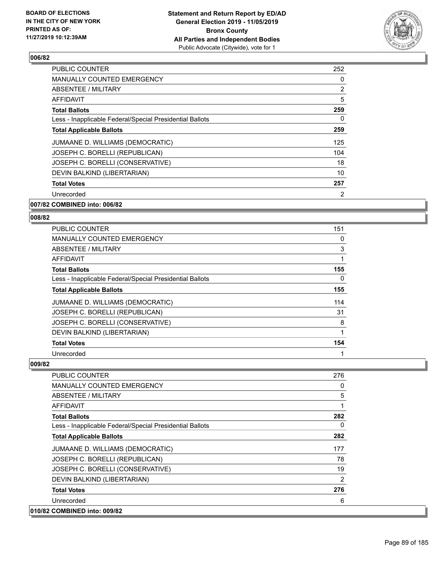

| PUBLIC COUNTER                                           | 252            |
|----------------------------------------------------------|----------------|
| <b>MANUALLY COUNTED EMERGENCY</b>                        | $\mathbf{0}$   |
| ABSENTEE / MILITARY                                      | $\overline{2}$ |
| AFFIDAVIT                                                | 5              |
| <b>Total Ballots</b>                                     | 259            |
| Less - Inapplicable Federal/Special Presidential Ballots | 0              |
| <b>Total Applicable Ballots</b>                          | 259            |
| JUMAANE D. WILLIAMS (DEMOCRATIC)                         | 125            |
| JOSEPH C. BORELLI (REPUBLICAN)                           | 104            |
| JOSEPH C. BORELLI (CONSERVATIVE)                         | 18             |
| DEVIN BALKIND (LIBERTARIAN)                              | 10             |
| <b>Total Votes</b>                                       | 257            |
| Unrecorded                                               | 2              |
| 007/82 COMBINED into: 006/82                             |                |

## **008/82**

| PUBLIC COUNTER                                           | 151      |
|----------------------------------------------------------|----------|
| <b>MANUALLY COUNTED EMERGENCY</b>                        | $\Omega$ |
| ABSENTEE / MILITARY                                      | 3        |
| AFFIDAVIT                                                | 1        |
| <b>Total Ballots</b>                                     | 155      |
| Less - Inapplicable Federal/Special Presidential Ballots | $\Omega$ |
| <b>Total Applicable Ballots</b>                          | 155      |
| JUMAANE D. WILLIAMS (DEMOCRATIC)                         | 114      |
| JOSEPH C. BORELLI (REPUBLICAN)                           | 31       |
| JOSEPH C. BORELLI (CONSERVATIVE)                         | 8        |
| DEVIN BALKIND (LIBERTARIAN)                              |          |
| <b>Total Votes</b>                                       | 154      |
| Unrecorded                                               | 1        |

| PUBLIC COUNTER                                           | 276      |
|----------------------------------------------------------|----------|
| <b>MANUALLY COUNTED EMERGENCY</b>                        | 0        |
| <b>ABSENTEE / MILITARY</b>                               | 5        |
| <b>AFFIDAVIT</b>                                         |          |
| <b>Total Ballots</b>                                     | 282      |
| Less - Inapplicable Federal/Special Presidential Ballots | $\Omega$ |
| <b>Total Applicable Ballots</b>                          | 282      |
| JUMAANE D. WILLIAMS (DEMOCRATIC)                         | 177      |
| JOSEPH C. BORELLI (REPUBLICAN)                           | 78       |
| JOSEPH C. BORELLI (CONSERVATIVE)                         | 19       |
| DEVIN BALKIND (LIBERTARIAN)                              | 2        |
| <b>Total Votes</b>                                       | 276      |
| Unrecorded                                               | 6        |
| 010/82 COMBINED into: 009/82                             |          |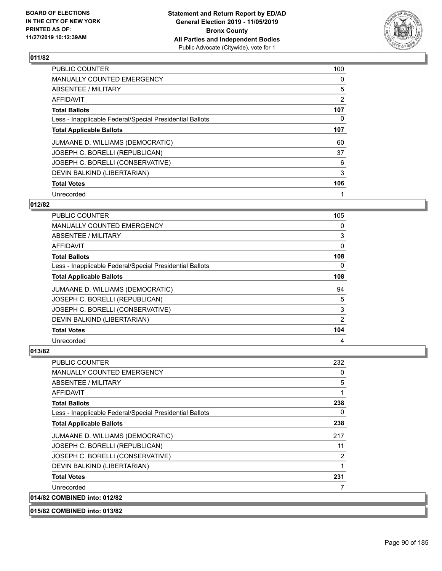

| <b>PUBLIC COUNTER</b>                                    | 100 |
|----------------------------------------------------------|-----|
| <b>MANUALLY COUNTED EMERGENCY</b>                        | 0   |
| <b>ABSENTEE / MILITARY</b>                               | 5   |
| <b>AFFIDAVIT</b>                                         | 2   |
| <b>Total Ballots</b>                                     | 107 |
| Less - Inapplicable Federal/Special Presidential Ballots | 0   |
| <b>Total Applicable Ballots</b>                          | 107 |
| JUMAANE D. WILLIAMS (DEMOCRATIC)                         | 60  |
| JOSEPH C. BORELLI (REPUBLICAN)                           | 37  |
| JOSEPH C. BORELLI (CONSERVATIVE)                         | 6   |
| DEVIN BALKIND (LIBERTARIAN)                              | 3   |
| <b>Total Votes</b>                                       | 106 |
| Unrecorded                                               | 1   |

## **012/82**

| <b>PUBLIC COUNTER</b>                                    | 105 |
|----------------------------------------------------------|-----|
| MANUALLY COUNTED EMERGENCY                               | 0   |
| ABSENTEE / MILITARY                                      | 3   |
| AFFIDAVIT                                                | 0   |
| <b>Total Ballots</b>                                     | 108 |
| Less - Inapplicable Federal/Special Presidential Ballots | 0   |
| <b>Total Applicable Ballots</b>                          | 108 |
| JUMAANE D. WILLIAMS (DEMOCRATIC)                         | 94  |
| JOSEPH C. BORELLI (REPUBLICAN)                           | 5   |
| JOSEPH C. BORELLI (CONSERVATIVE)                         | 3   |
| DEVIN BALKIND (LIBERTARIAN)                              | 2   |
| <b>Total Votes</b>                                       | 104 |
| Unrecorded                                               | 4   |

| <b>PUBLIC COUNTER</b>                                    | 232 |
|----------------------------------------------------------|-----|
| <b>MANUALLY COUNTED EMERGENCY</b>                        | 0   |
| ABSENTEE / MILITARY                                      | 5   |
| AFFIDAVIT                                                | 1   |
| <b>Total Ballots</b>                                     | 238 |
| Less - Inapplicable Federal/Special Presidential Ballots | 0   |
| <b>Total Applicable Ballots</b>                          | 238 |
| JUMAANE D. WILLIAMS (DEMOCRATIC)                         | 217 |
| JOSEPH C. BORELLI (REPUBLICAN)                           | 11  |
| JOSEPH C. BORELLI (CONSERVATIVE)                         | 2   |
| DEVIN BALKIND (LIBERTARIAN)                              | 1   |
| <b>Total Votes</b>                                       | 231 |
| Unrecorded                                               |     |
| 014/82 COMBINED into: 012/82                             |     |
| 015/82 COMBINED into: 013/82                             |     |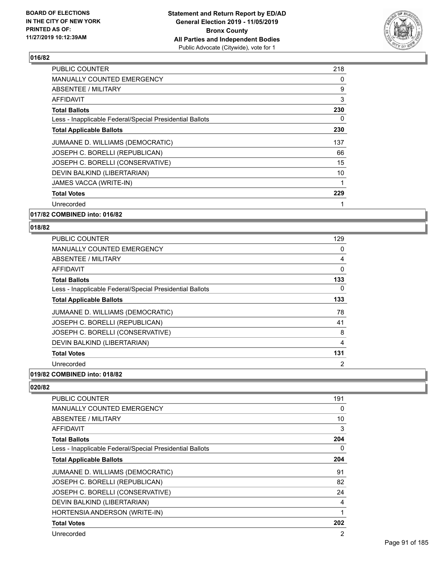

| <b>PUBLIC COUNTER</b>                                    | 218 |
|----------------------------------------------------------|-----|
| <b>MANUALLY COUNTED EMERGENCY</b>                        | 0   |
| ABSENTEE / MILITARY                                      | 9   |
| AFFIDAVIT                                                | 3   |
| <b>Total Ballots</b>                                     | 230 |
| Less - Inapplicable Federal/Special Presidential Ballots | 0   |
| <b>Total Applicable Ballots</b>                          | 230 |
| JUMAANE D. WILLIAMS (DEMOCRATIC)                         | 137 |
| JOSEPH C. BORELLI (REPUBLICAN)                           | 66  |
| JOSEPH C. BORELLI (CONSERVATIVE)                         | 15  |
| DEVIN BALKIND (LIBERTARIAN)                              | 10  |
| JAMES VACCA (WRITE-IN)                                   | 1   |
| <b>Total Votes</b>                                       | 229 |
| Unrecorded                                               |     |
|                                                          |     |

**017/82 COMBINED into: 016/82**

## **018/82**

| <b>MANUALLY COUNTED EMERGENCY</b><br><b>ABSENTEE / MILITARY</b><br>AFFIDAVIT<br><b>Total Ballots</b><br>Less - Inapplicable Federal/Special Presidential Ballots<br><b>Total Applicable Ballots</b> | 129      |
|-----------------------------------------------------------------------------------------------------------------------------------------------------------------------------------------------------|----------|
|                                                                                                                                                                                                     | 0        |
|                                                                                                                                                                                                     | 4        |
|                                                                                                                                                                                                     | $\Omega$ |
|                                                                                                                                                                                                     | 133      |
|                                                                                                                                                                                                     | 0        |
|                                                                                                                                                                                                     | 133      |
| JUMAANE D. WILLIAMS (DEMOCRATIC)                                                                                                                                                                    | 78       |
| JOSEPH C. BORELLI (REPUBLICAN)                                                                                                                                                                      | 41       |
| JOSEPH C. BORELLI (CONSERVATIVE)                                                                                                                                                                    | 8        |
| DEVIN BALKIND (LIBERTARIAN)                                                                                                                                                                         | 4        |
| <b>Total Votes</b>                                                                                                                                                                                  | 131      |
| Unrecorded                                                                                                                                                                                          | 2        |

## **019/82 COMBINED into: 018/82**

| <b>PUBLIC COUNTER</b>                                    | 191 |
|----------------------------------------------------------|-----|
| <b>MANUALLY COUNTED EMERGENCY</b>                        | 0   |
| ABSENTEE / MILITARY                                      | 10  |
| AFFIDAVIT                                                | 3   |
| <b>Total Ballots</b>                                     | 204 |
| Less - Inapplicable Federal/Special Presidential Ballots | 0   |
| <b>Total Applicable Ballots</b>                          | 204 |
| JUMAANE D. WILLIAMS (DEMOCRATIC)                         | 91  |
| JOSEPH C. BORELLI (REPUBLICAN)                           | 82  |
| JOSEPH C. BORELLI (CONSERVATIVE)                         | 24  |
| DEVIN BALKIND (LIBERTARIAN)                              | 4   |
| HORTENSIA ANDERSON (WRITE-IN)                            | 1   |
| <b>Total Votes</b>                                       | 202 |
| Unrecorded                                               | 2   |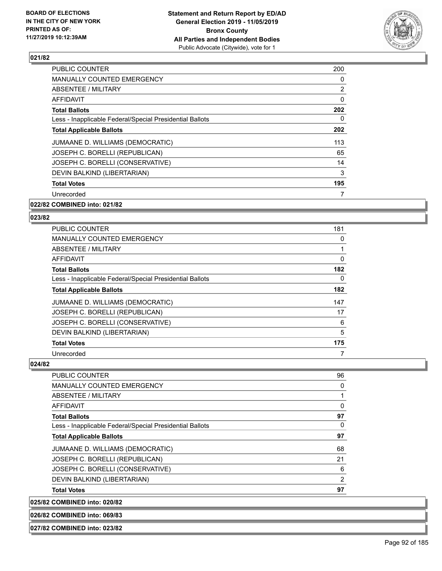

| <b>PUBLIC COUNTER</b>                                    | 200            |
|----------------------------------------------------------|----------------|
| <b>MANUALLY COUNTED EMERGENCY</b>                        | 0              |
| ABSENTEE / MILITARY                                      | $\overline{2}$ |
| <b>AFFIDAVIT</b>                                         | $\mathbf{0}$   |
| <b>Total Ballots</b>                                     | 202            |
| Less - Inapplicable Federal/Special Presidential Ballots | 0              |
| <b>Total Applicable Ballots</b>                          | 202            |
| JUMAANE D. WILLIAMS (DEMOCRATIC)                         | 113            |
| JOSEPH C. BORELLI (REPUBLICAN)                           | 65             |
| JOSEPH C. BORELLI (CONSERVATIVE)                         | 14             |
| DEVIN BALKIND (LIBERTARIAN)                              | 3              |
| <b>Total Votes</b>                                       | 195            |
| Unrecorded                                               | 7              |
|                                                          |                |

## **022/82 COMBINED into: 021/82**

#### **023/82**

| <b>PUBLIC COUNTER</b>                                    | 181 |
|----------------------------------------------------------|-----|
| MANUALLY COUNTED EMERGENCY                               | 0   |
| ABSENTEE / MILITARY                                      |     |
| AFFIDAVIT                                                | 0   |
| <b>Total Ballots</b>                                     | 182 |
| Less - Inapplicable Federal/Special Presidential Ballots | 0   |
| <b>Total Applicable Ballots</b>                          | 182 |
| JUMAANE D. WILLIAMS (DEMOCRATIC)                         | 147 |
| JOSEPH C. BORELLI (REPUBLICAN)                           | 17  |
| JOSEPH C. BORELLI (CONSERVATIVE)                         | 6   |
| DEVIN BALKIND (LIBERTARIAN)                              | 5   |
| <b>Total Votes</b>                                       | 175 |
| Unrecorded                                               | 7   |

#### **024/82**

| <b>Total Votes</b>                                       | 97       |
|----------------------------------------------------------|----------|
| DEVIN BALKIND (LIBERTARIAN)                              | 2        |
| JOSEPH C. BORELLI (CONSERVATIVE)                         | 6        |
| JOSEPH C. BORELLI (REPUBLICAN)                           | 21       |
| JUMAANE D. WILLIAMS (DEMOCRATIC)                         | 68       |
| <b>Total Applicable Ballots</b>                          | 97       |
| Less - Inapplicable Federal/Special Presidential Ballots | 0        |
| <b>Total Ballots</b>                                     | 97       |
| AFFIDAVIT                                                | $\Omega$ |
| <b>ABSENTEE / MILITARY</b>                               |          |
| <b>MANUALLY COUNTED EMERGENCY</b>                        | 0        |
| <b>PUBLIC COUNTER</b>                                    | 96       |

**025/82 COMBINED into: 020/82**

**026/82 COMBINED into: 069/83**

**027/82 COMBINED into: 023/82**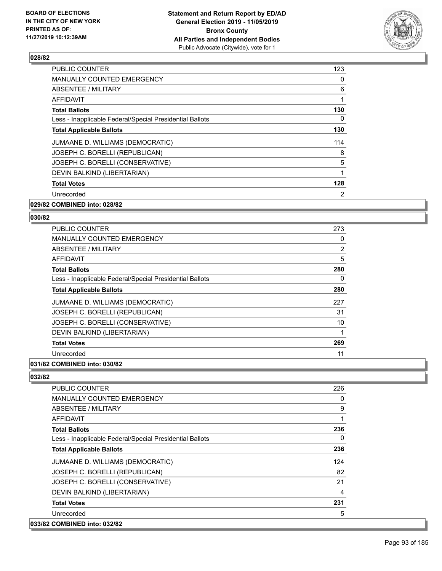

| PUBLIC COUNTER                                           | 123 |
|----------------------------------------------------------|-----|
| <b>MANUALLY COUNTED EMERGENCY</b>                        | 0   |
| <b>ABSENTEE / MILITARY</b>                               | 6   |
| <b>AFFIDAVIT</b>                                         |     |
| <b>Total Ballots</b>                                     | 130 |
| Less - Inapplicable Federal/Special Presidential Ballots | 0   |
| <b>Total Applicable Ballots</b>                          | 130 |
| JUMAANE D. WILLIAMS (DEMOCRATIC)                         | 114 |
| JOSEPH C. BORELLI (REPUBLICAN)                           | 8   |
| JOSEPH C. BORELLI (CONSERVATIVE)                         | 5   |
| DEVIN BALKIND (LIBERTARIAN)                              | 1   |
| <b>Total Votes</b>                                       | 128 |
| Unrecorded                                               | 2   |
|                                                          |     |

## **029/82 COMBINED into: 028/82**

#### **030/82**

| <b>PUBLIC COUNTER</b>                                    | 273 |
|----------------------------------------------------------|-----|
| <b>MANUALLY COUNTED EMERGENCY</b>                        | 0   |
| ABSENTEE / MILITARY                                      | 2   |
| AFFIDAVIT                                                | 5   |
| <b>Total Ballots</b>                                     | 280 |
| Less - Inapplicable Federal/Special Presidential Ballots | 0   |
| <b>Total Applicable Ballots</b>                          | 280 |
| JUMAANE D. WILLIAMS (DEMOCRATIC)                         | 227 |
| JOSEPH C. BORELLI (REPUBLICAN)                           | 31  |
| JOSEPH C. BORELLI (CONSERVATIVE)                         | 10  |
| DEVIN BALKIND (LIBERTARIAN)                              |     |
| <b>Total Votes</b>                                       | 269 |
| Unrecorded                                               | 11  |
|                                                          |     |

## **031/82 COMBINED into: 030/82**

| <b>PUBLIC COUNTER</b>                                    | 226 |
|----------------------------------------------------------|-----|
| <b>MANUALLY COUNTED EMERGENCY</b>                        | 0   |
| <b>ABSENTEE / MILITARY</b>                               | 9   |
| AFFIDAVIT                                                |     |
| <b>Total Ballots</b>                                     | 236 |
| Less - Inapplicable Federal/Special Presidential Ballots | 0   |
| <b>Total Applicable Ballots</b>                          | 236 |
| JUMAANE D. WILLIAMS (DEMOCRATIC)                         | 124 |
| JOSEPH C. BORELLI (REPUBLICAN)                           | 82  |
| JOSEPH C. BORELLI (CONSERVATIVE)                         | 21  |
| DEVIN BALKIND (LIBERTARIAN)                              | 4   |
| <b>Total Votes</b>                                       | 231 |
| Unrecorded                                               | 5   |
| 033/82 COMBINED into: 032/82                             |     |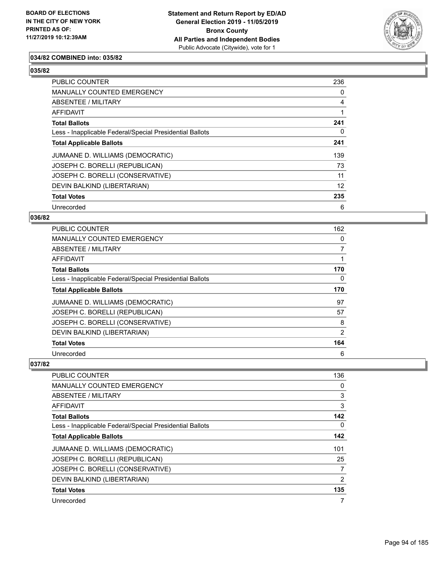

## **034/82 COMBINED into: 035/82**

## **035/82**

| <b>PUBLIC COUNTER</b>                                    | 236      |
|----------------------------------------------------------|----------|
| <b>MANUALLY COUNTED EMERGENCY</b>                        | 0        |
| ABSENTEE / MILITARY                                      | 4        |
| <b>AFFIDAVIT</b>                                         |          |
| <b>Total Ballots</b>                                     | 241      |
| Less - Inapplicable Federal/Special Presidential Ballots | $\Omega$ |
| <b>Total Applicable Ballots</b>                          | 241      |
| JUMAANE D. WILLIAMS (DEMOCRATIC)                         | 139      |
| JOSEPH C. BORELLI (REPUBLICAN)                           | 73       |
| JOSEPH C. BORELLI (CONSERVATIVE)                         | 11       |
| DEVIN BALKIND (LIBERTARIAN)                              | 12       |
| <b>Total Votes</b>                                       | 235      |
| Unrecorded                                               | 6        |

#### **036/82**

| PUBLIC COUNTER                                           | 162            |
|----------------------------------------------------------|----------------|
| MANUALLY COUNTED EMERGENCY                               | 0              |
| ABSENTEE / MILITARY                                      | $\overline{7}$ |
| AFFIDAVIT                                                |                |
| <b>Total Ballots</b>                                     | 170            |
| Less - Inapplicable Federal/Special Presidential Ballots | 0              |
| <b>Total Applicable Ballots</b>                          | 170            |
| JUMAANE D. WILLIAMS (DEMOCRATIC)                         | 97             |
| JOSEPH C. BORELLI (REPUBLICAN)                           | 57             |
| JOSEPH C. BORELLI (CONSERVATIVE)                         | 8              |
| DEVIN BALKIND (LIBERTARIAN)                              | 2              |
| <b>Total Votes</b>                                       | 164            |
| Unrecorded                                               | 6              |

| <b>PUBLIC COUNTER</b>                                    | 136 |
|----------------------------------------------------------|-----|
| <b>MANUALLY COUNTED EMERGENCY</b>                        | 0   |
| ABSENTEE / MILITARY                                      | 3   |
| AFFIDAVIT                                                | 3   |
| <b>Total Ballots</b>                                     | 142 |
| Less - Inapplicable Federal/Special Presidential Ballots | 0   |
| <b>Total Applicable Ballots</b>                          | 142 |
| JUMAANE D. WILLIAMS (DEMOCRATIC)                         | 101 |
| JOSEPH C. BORELLI (REPUBLICAN)                           | 25  |
| JOSEPH C. BORELLI (CONSERVATIVE)                         | 7   |
| DEVIN BALKIND (LIBERTARIAN)                              | 2   |
| <b>Total Votes</b>                                       | 135 |
| Unrecorded                                               | 7   |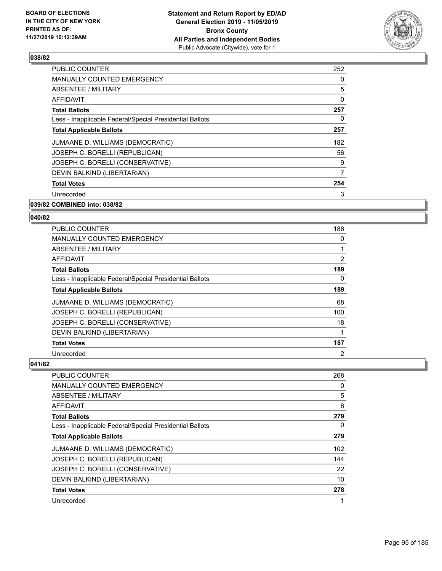

| <b>PUBLIC COUNTER</b>                                    | 252 |
|----------------------------------------------------------|-----|
| <b>MANUALLY COUNTED EMERGENCY</b>                        | 0   |
| ABSENTEE / MILITARY                                      | 5   |
| AFFIDAVIT                                                | 0   |
| <b>Total Ballots</b>                                     | 257 |
| Less - Inapplicable Federal/Special Presidential Ballots | 0   |
| <b>Total Applicable Ballots</b>                          | 257 |
| JUMAANE D. WILLIAMS (DEMOCRATIC)                         | 182 |
| JOSEPH C. BORELLI (REPUBLICAN)                           | 56  |
| JOSEPH C. BORELLI (CONSERVATIVE)                         | 9   |
| DEVIN BALKIND (LIBERTARIAN)                              | 7   |
| <b>Total Votes</b>                                       | 254 |
| Unrecorded                                               | 3   |
|                                                          |     |

## **039/82 COMBINED into: 038/82**

## **040/82**

| <b>PUBLIC COUNTER</b>                                    | 186 |
|----------------------------------------------------------|-----|
| <b>MANUALLY COUNTED EMERGENCY</b>                        | 0   |
| ABSENTEE / MILITARY                                      | 1   |
| AFFIDAVIT                                                | 2   |
| <b>Total Ballots</b>                                     | 189 |
| Less - Inapplicable Federal/Special Presidential Ballots | 0   |
| <b>Total Applicable Ballots</b>                          | 189 |
| JUMAANE D. WILLIAMS (DEMOCRATIC)                         | 68  |
| JOSEPH C. BORELLI (REPUBLICAN)                           | 100 |
| JOSEPH C. BORELLI (CONSERVATIVE)                         | 18  |
| DEVIN BALKIND (LIBERTARIAN)                              | 1   |
| <b>Total Votes</b>                                       | 187 |
| Unrecorded                                               | 2   |

| <b>PUBLIC COUNTER</b>                                    | 268 |
|----------------------------------------------------------|-----|
| <b>MANUALLY COUNTED EMERGENCY</b>                        | 0   |
| ABSENTEE / MILITARY                                      | 5   |
| AFFIDAVIT                                                | 6   |
| <b>Total Ballots</b>                                     | 279 |
| Less - Inapplicable Federal/Special Presidential Ballots | 0   |
| <b>Total Applicable Ballots</b>                          | 279 |
| JUMAANE D. WILLIAMS (DEMOCRATIC)                         | 102 |
| JOSEPH C. BORELLI (REPUBLICAN)                           | 144 |
| JOSEPH C. BORELLI (CONSERVATIVE)                         | 22  |
| DEVIN BALKIND (LIBERTARIAN)                              | 10  |
| <b>Total Votes</b>                                       | 278 |
| Unrecorded                                               | 1   |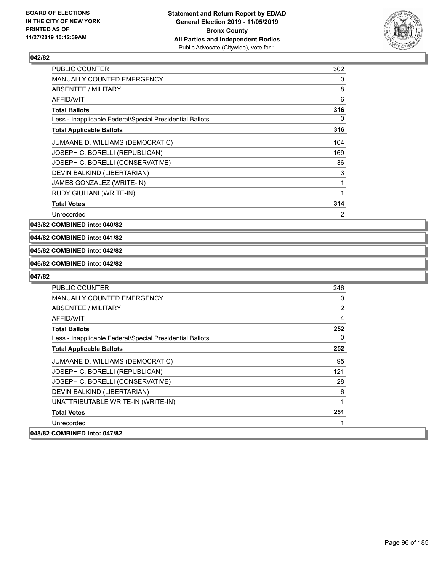

| <b>PUBLIC COUNTER</b>                                    | 302            |
|----------------------------------------------------------|----------------|
| <b>MANUALLY COUNTED EMERGENCY</b>                        | 0              |
| ABSENTEE / MILITARY                                      | 8              |
| <b>AFFIDAVIT</b>                                         | 6              |
| <b>Total Ballots</b>                                     | 316            |
| Less - Inapplicable Federal/Special Presidential Ballots | 0              |
| <b>Total Applicable Ballots</b>                          | 316            |
| JUMAANE D. WILLIAMS (DEMOCRATIC)                         | 104            |
| JOSEPH C. BORELLI (REPUBLICAN)                           | 169            |
| JOSEPH C. BORELLI (CONSERVATIVE)                         | 36             |
| DEVIN BALKIND (LIBERTARIAN)                              | 3              |
| JAMES GONZALEZ (WRITE-IN)                                | 1              |
| RUDY GIULIANI (WRITE-IN)                                 | 1              |
| <b>Total Votes</b>                                       | 314            |
| Unrecorded                                               | $\overline{2}$ |

**043/82 COMBINED into: 040/82**

## **044/82 COMBINED into: 041/82**

## **045/82 COMBINED into: 042/82**

## **046/82 COMBINED into: 042/82**

| <b>PUBLIC COUNTER</b>                                    | 246            |
|----------------------------------------------------------|----------------|
| <b>MANUALLY COUNTED EMERGENCY</b>                        | $\Omega$       |
| <b>ABSENTEE / MILITARY</b>                               | $\overline{2}$ |
| AFFIDAVIT                                                | 4              |
| <b>Total Ballots</b>                                     | 252            |
| Less - Inapplicable Federal/Special Presidential Ballots | 0              |
| <b>Total Applicable Ballots</b>                          | 252            |
| JUMAANE D. WILLIAMS (DEMOCRATIC)                         | 95             |
| JOSEPH C. BORELLI (REPUBLICAN)                           | 121            |
| JOSEPH C. BORELLI (CONSERVATIVE)                         | 28             |
| DEVIN BALKIND (LIBERTARIAN)                              | 6              |
| UNATTRIBUTABLE WRITE-IN (WRITE-IN)                       | 1              |
| <b>Total Votes</b>                                       | 251            |
| Unrecorded                                               |                |
| 048/82 COMBINED into: 047/82                             |                |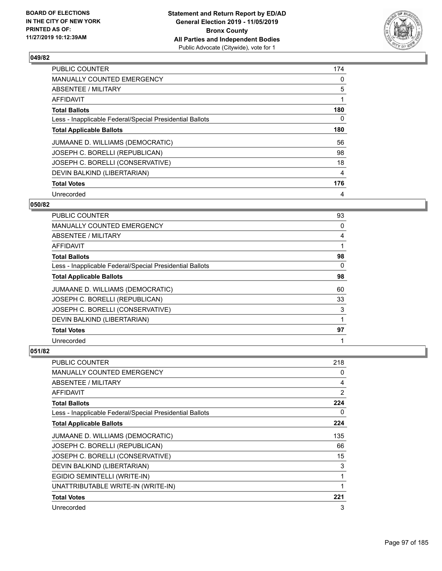

| <b>PUBLIC COUNTER</b>                                    | 174 |
|----------------------------------------------------------|-----|
| <b>MANUALLY COUNTED EMERGENCY</b>                        | 0   |
| ABSENTEE / MILITARY                                      | 5   |
| <b>AFFIDAVIT</b>                                         |     |
| <b>Total Ballots</b>                                     | 180 |
| Less - Inapplicable Federal/Special Presidential Ballots | 0   |
| <b>Total Applicable Ballots</b>                          | 180 |
| JUMAANE D. WILLIAMS (DEMOCRATIC)                         | 56  |
| JOSEPH C. BORELLI (REPUBLICAN)                           | 98  |
| JOSEPH C. BORELLI (CONSERVATIVE)                         | 18  |
| DEVIN BALKIND (LIBERTARIAN)                              | 4   |
| <b>Total Votes</b>                                       | 176 |
| Unrecorded                                               | 4   |

## **050/82**

| PUBLIC COUNTER                                           | 93       |
|----------------------------------------------------------|----------|
| <b>MANUALLY COUNTED EMERGENCY</b>                        | 0        |
| <b>ABSENTEE / MILITARY</b>                               | 4        |
| <b>AFFIDAVIT</b>                                         |          |
| <b>Total Ballots</b>                                     | 98       |
| Less - Inapplicable Federal/Special Presidential Ballots | $\Omega$ |
| <b>Total Applicable Ballots</b>                          | 98       |
| JUMAANE D. WILLIAMS (DEMOCRATIC)                         | 60       |
| JOSEPH C. BORELLI (REPUBLICAN)                           | 33       |
| JOSEPH C. BORELLI (CONSERVATIVE)                         | 3        |
| DEVIN BALKIND (LIBERTARIAN)                              |          |
| <b>Total Votes</b>                                       | 97       |
| Unrecorded                                               |          |

| <b>PUBLIC COUNTER</b>                                    | 218            |
|----------------------------------------------------------|----------------|
| <b>MANUALLY COUNTED EMERGENCY</b>                        | 0              |
| ABSENTEE / MILITARY                                      | 4              |
| AFFIDAVIT                                                | $\overline{2}$ |
| <b>Total Ballots</b>                                     | 224            |
| Less - Inapplicable Federal/Special Presidential Ballots | 0              |
| <b>Total Applicable Ballots</b>                          | 224            |
| JUMAANE D. WILLIAMS (DEMOCRATIC)                         | 135            |
| JOSEPH C. BORELLI (REPUBLICAN)                           | 66             |
| JOSEPH C. BORELLI (CONSERVATIVE)                         | 15             |
| DEVIN BALKIND (LIBERTARIAN)                              | 3              |
| EGIDIO SEMINTELLI (WRITE-IN)                             | 1              |
| UNATTRIBUTABLE WRITE-IN (WRITE-IN)                       | 1              |
| <b>Total Votes</b>                                       | 221            |
| Unrecorded                                               | 3              |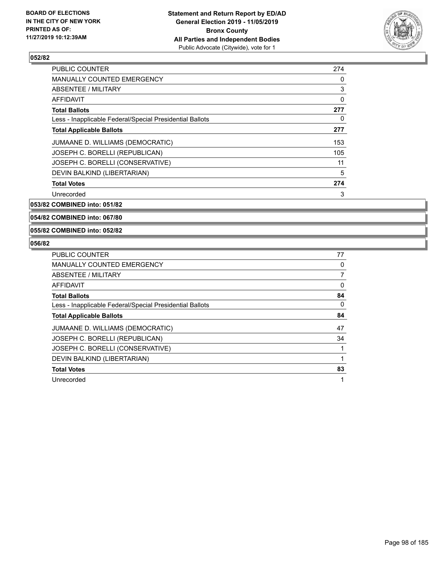

| <b>PUBLIC COUNTER</b>                                    | 274 |
|----------------------------------------------------------|-----|
| <b>MANUALLY COUNTED EMERGENCY</b>                        | 0   |
| ABSENTEE / MILITARY                                      | 3   |
| AFFIDAVIT                                                | 0   |
| <b>Total Ballots</b>                                     | 277 |
| Less - Inapplicable Federal/Special Presidential Ballots | 0   |
| <b>Total Applicable Ballots</b>                          | 277 |
| JUMAANE D. WILLIAMS (DEMOCRATIC)                         | 153 |
| JOSEPH C. BORELLI (REPUBLICAN)                           | 105 |
| JOSEPH C. BORELLI (CONSERVATIVE)                         | 11  |
| DEVIN BALKIND (LIBERTARIAN)                              | 5   |
| <b>Total Votes</b>                                       | 274 |
| Unrecorded                                               | 3   |

**053/82 COMBINED into: 051/82**

**054/82 COMBINED into: 067/80**

**055/82 COMBINED into: 052/82**

| <b>PUBLIC COUNTER</b>                                    | 77 |
|----------------------------------------------------------|----|
| <b>MANUALLY COUNTED EMERGENCY</b>                        | 0  |
| ABSENTEE / MILITARY                                      | 7  |
| AFFIDAVIT                                                | 0  |
| <b>Total Ballots</b>                                     | 84 |
| Less - Inapplicable Federal/Special Presidential Ballots | 0  |
| <b>Total Applicable Ballots</b>                          | 84 |
| JUMAANE D. WILLIAMS (DEMOCRATIC)                         | 47 |
| JOSEPH C. BORELLI (REPUBLICAN)                           | 34 |
| JOSEPH C. BORELLI (CONSERVATIVE)                         |    |
| DEVIN BALKIND (LIBERTARIAN)                              |    |
| <b>Total Votes</b>                                       | 83 |
| Unrecorded                                               | 1  |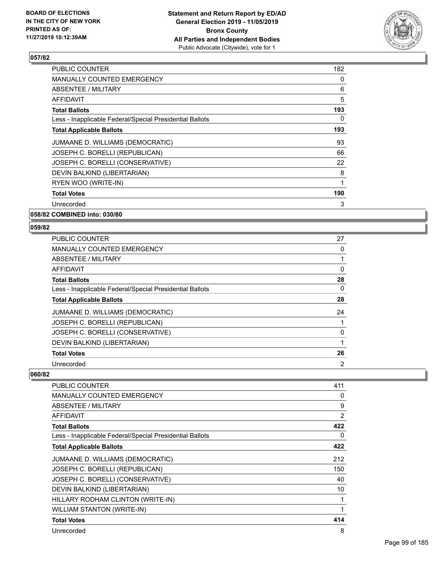

| <b>MANUALLY COUNTED EMERGENCY</b>                        | 0   |
|----------------------------------------------------------|-----|
|                                                          |     |
| ABSENTEE / MILITARY                                      | 6   |
| AFFIDAVIT                                                | 5   |
| <b>Total Ballots</b>                                     | 193 |
| Less - Inapplicable Federal/Special Presidential Ballots | 0   |
| <b>Total Applicable Ballots</b>                          | 193 |
| JUMAANE D. WILLIAMS (DEMOCRATIC)                         | 93  |
| JOSEPH C. BORELLI (REPUBLICAN)                           | 66  |
| JOSEPH C. BORELLI (CONSERVATIVE)                         | 22  |
| DEVIN BALKIND (LIBERTARIAN)                              | 8   |
| RYEN WOO (WRITE-IN)                                      | 1   |
| <b>Total Votes</b>                                       | 190 |
| Unrecorded                                               | 3   |

**058/82 COMBINED into: 030/80**

## **059/82**

| <b>PUBLIC COUNTER</b>                                    | 27 |
|----------------------------------------------------------|----|
| MANUALLY COUNTED EMERGENCY                               | 0  |
| ABSENTEE / MILITARY                                      |    |
| AFFIDAVIT                                                | 0  |
| <b>Total Ballots</b>                                     | 28 |
| Less - Inapplicable Federal/Special Presidential Ballots | 0  |
| <b>Total Applicable Ballots</b>                          | 28 |
| JUMAANE D. WILLIAMS (DEMOCRATIC)                         | 24 |
| JOSEPH C. BORELLI (REPUBLICAN)                           |    |
| JOSEPH C. BORELLI (CONSERVATIVE)                         | 0  |
| DEVIN BALKIND (LIBERTARIAN)                              | 1  |
| <b>Total Votes</b>                                       | 26 |
| Unrecorded                                               | 2  |

| <b>PUBLIC COUNTER</b>                                    | 411 |
|----------------------------------------------------------|-----|
| <b>MANUALLY COUNTED EMERGENCY</b>                        | 0   |
| <b>ABSENTEE / MILITARY</b>                               | 9   |
| AFFIDAVIT                                                | 2   |
| <b>Total Ballots</b>                                     | 422 |
| Less - Inapplicable Federal/Special Presidential Ballots | 0   |
| <b>Total Applicable Ballots</b>                          | 422 |
| JUMAANE D. WILLIAMS (DEMOCRATIC)                         | 212 |
| JOSEPH C. BORELLI (REPUBLICAN)                           | 150 |
| JOSEPH C. BORELLI (CONSERVATIVE)                         | 40  |
| DEVIN BALKIND (LIBERTARIAN)                              | 10  |
| HILLARY RODHAM CLINTON (WRITE-IN)                        |     |
| <b>WILLIAM STANTON (WRITE-IN)</b>                        |     |
| <b>Total Votes</b>                                       | 414 |
| Unrecorded                                               | 8   |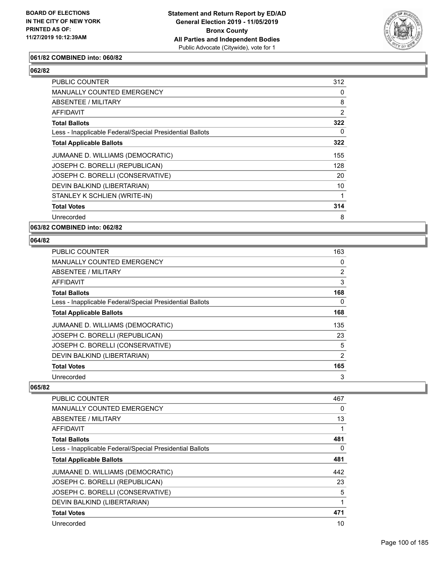

## **061/82 COMBINED into: 060/82**

## **062/82**

| PUBLIC COUNTER                                           | 312            |
|----------------------------------------------------------|----------------|
| MANUALLY COUNTED EMERGENCY                               | 0              |
| ABSENTEE / MILITARY                                      | 8              |
| AFFIDAVIT                                                | $\overline{2}$ |
| <b>Total Ballots</b>                                     | 322            |
| Less - Inapplicable Federal/Special Presidential Ballots | 0              |
| <b>Total Applicable Ballots</b>                          | 322            |
| JUMAANE D. WILLIAMS (DEMOCRATIC)                         | 155            |
| JOSEPH C. BORELLI (REPUBLICAN)                           | 128            |
| JOSEPH C. BORELLI (CONSERVATIVE)                         | 20             |
| DEVIN BALKIND (LIBERTARIAN)                              | 10             |
| STANLEY K SCHLIEN (WRITE-IN)                             | 1              |
| <b>Total Votes</b>                                       | 314            |
| Unrecorded                                               | 8              |

**063/82 COMBINED into: 062/82**

#### **064/82**

| <b>PUBLIC COUNTER</b>                                    | 163            |
|----------------------------------------------------------|----------------|
| <b>MANUALLY COUNTED EMERGENCY</b>                        | 0              |
| ABSENTEE / MILITARY                                      | $\overline{2}$ |
| AFFIDAVIT                                                | 3              |
| <b>Total Ballots</b>                                     | 168            |
| Less - Inapplicable Federal/Special Presidential Ballots | $\Omega$       |
| <b>Total Applicable Ballots</b>                          | 168            |
| JUMAANE D. WILLIAMS (DEMOCRATIC)                         | 135            |
| JOSEPH C. BORELLI (REPUBLICAN)                           | 23             |
| JOSEPH C. BORELLI (CONSERVATIVE)                         | 5              |
| DEVIN BALKIND (LIBERTARIAN)                              | 2              |
| <b>Total Votes</b>                                       | 165            |
| Unrecorded                                               | 3              |

| <b>PUBLIC COUNTER</b>                                    | 467 |
|----------------------------------------------------------|-----|
| <b>MANUALLY COUNTED EMERGENCY</b>                        | 0   |
| ABSENTEE / MILITARY                                      | 13  |
| AFFIDAVIT                                                |     |
| <b>Total Ballots</b>                                     | 481 |
| Less - Inapplicable Federal/Special Presidential Ballots | 0   |
| <b>Total Applicable Ballots</b>                          | 481 |
| JUMAANE D. WILLIAMS (DEMOCRATIC)                         | 442 |
| JOSEPH C. BORELLI (REPUBLICAN)                           | 23  |
| JOSEPH C. BORELLI (CONSERVATIVE)                         | 5   |
| DEVIN BALKIND (LIBERTARIAN)                              | 1   |
| <b>Total Votes</b>                                       | 471 |
| Unrecorded                                               | 10  |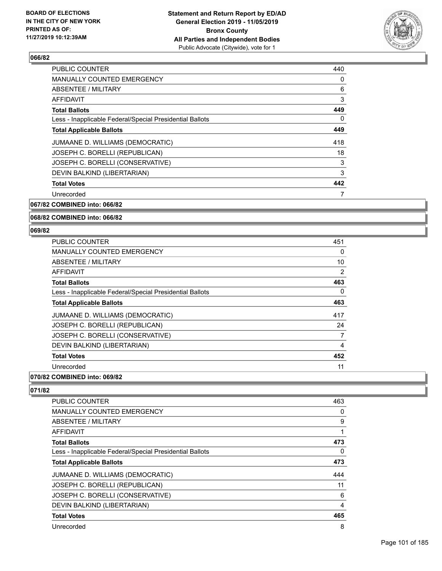

| <b>PUBLIC COUNTER</b>                                    | 440 |
|----------------------------------------------------------|-----|
| <b>MANUALLY COUNTED EMERGENCY</b>                        | 0   |
| ABSENTEE / MILITARY                                      | 6   |
| AFFIDAVIT                                                | 3   |
| <b>Total Ballots</b>                                     | 449 |
| Less - Inapplicable Federal/Special Presidential Ballots | 0   |
| <b>Total Applicable Ballots</b>                          | 449 |
| JUMAANE D. WILLIAMS (DEMOCRATIC)                         | 418 |
| JOSEPH C. BORELLI (REPUBLICAN)                           | 18  |
| JOSEPH C. BORELLI (CONSERVATIVE)                         | 3   |
| DEVIN BALKIND (LIBERTARIAN)                              | 3   |
| <b>Total Votes</b>                                       | 442 |
| Unrecorded                                               | 7   |

## **067/82 COMBINED into: 066/82**

## **068/82 COMBINED into: 066/82**

#### **069/82**

| <b>PUBLIC COUNTER</b>                                    | 451 |
|----------------------------------------------------------|-----|
| <b>MANUALLY COUNTED EMERGENCY</b>                        | 0   |
| ABSENTEE / MILITARY                                      | 10  |
| AFFIDAVIT                                                | 2   |
| <b>Total Ballots</b>                                     | 463 |
| Less - Inapplicable Federal/Special Presidential Ballots | 0   |
| <b>Total Applicable Ballots</b>                          | 463 |
| JUMAANE D. WILLIAMS (DEMOCRATIC)                         | 417 |
| JOSEPH C. BORELLI (REPUBLICAN)                           | 24  |
| JOSEPH C. BORELLI (CONSERVATIVE)                         | 7   |
| DEVIN BALKIND (LIBERTARIAN)                              | 4   |
| <b>Total Votes</b>                                       | 452 |
| Unrecorded                                               | 11  |

## **070/82 COMBINED into: 069/82**

| PUBLIC COUNTER                                           | 463 |
|----------------------------------------------------------|-----|
| <b>MANUALLY COUNTED EMERGENCY</b>                        | 0   |
| ABSENTEE / MILITARY                                      | 9   |
| <b>AFFIDAVIT</b>                                         |     |
| <b>Total Ballots</b>                                     | 473 |
| Less - Inapplicable Federal/Special Presidential Ballots | 0   |
| <b>Total Applicable Ballots</b>                          | 473 |
| JUMAANE D. WILLIAMS (DEMOCRATIC)                         | 444 |
| JOSEPH C. BORELLI (REPUBLICAN)                           | 11  |
| JOSEPH C. BORELLI (CONSERVATIVE)                         | 6   |
| DEVIN BALKIND (LIBERTARIAN)                              | 4   |
| <b>Total Votes</b>                                       | 465 |
| Unrecorded                                               | 8   |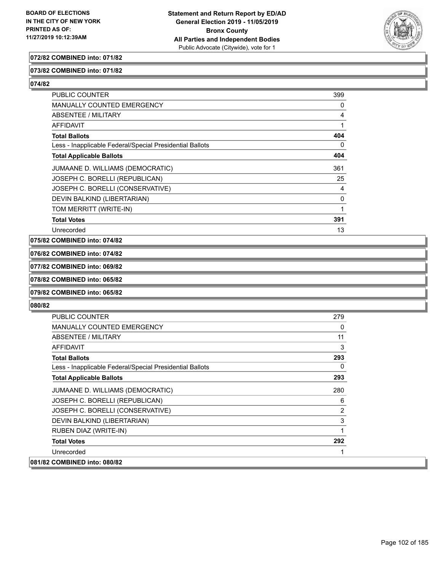

## **072/82 COMBINED into: 071/82**

## **073/82 COMBINED into: 071/82**

**074/82** 

| PUBLIC COUNTER                                           | 399 |
|----------------------------------------------------------|-----|
| MANUALLY COUNTED EMERGENCY                               | 0   |
| ABSENTEE / MILITARY                                      | 4   |
| <b>AFFIDAVIT</b>                                         |     |
| <b>Total Ballots</b>                                     | 404 |
| Less - Inapplicable Federal/Special Presidential Ballots | 0   |
| <b>Total Applicable Ballots</b>                          | 404 |
| JUMAANE D. WILLIAMS (DEMOCRATIC)                         | 361 |
| JOSEPH C. BORELLI (REPUBLICAN)                           | 25  |
| JOSEPH C. BORELLI (CONSERVATIVE)                         | 4   |
| DEVIN BALKIND (LIBERTARIAN)                              | 0   |
| TOM MERRITT (WRITE-IN)                                   | 1   |
| <b>Total Votes</b>                                       | 391 |
| Unrecorded                                               | 13  |

**075/82 COMBINED into: 074/82**

**076/82 COMBINED into: 074/82**

**077/82 COMBINED into: 069/82**

## **078/82 COMBINED into: 065/82**

**079/82 COMBINED into: 065/82**

| PUBLIC COUNTER                                           | 279 |
|----------------------------------------------------------|-----|
| MANUALLY COUNTED EMERGENCY                               | 0   |
| ABSENTEE / MILITARY                                      | 11  |
| AFFIDAVIT                                                | 3   |
| <b>Total Ballots</b>                                     | 293 |
| Less - Inapplicable Federal/Special Presidential Ballots | 0   |
| <b>Total Applicable Ballots</b>                          | 293 |
| JUMAANE D. WILLIAMS (DEMOCRATIC)                         | 280 |
| JOSEPH C. BORELLI (REPUBLICAN)                           | 6   |
| JOSEPH C. BORELLI (CONSERVATIVE)                         | 2   |
| DEVIN BALKIND (LIBERTARIAN)                              | 3   |
| RUBEN DIAZ (WRITE-IN)                                    |     |
| <b>Total Votes</b>                                       | 292 |
| Unrecorded                                               |     |
| 081/82 COMBINED into: 080/82                             |     |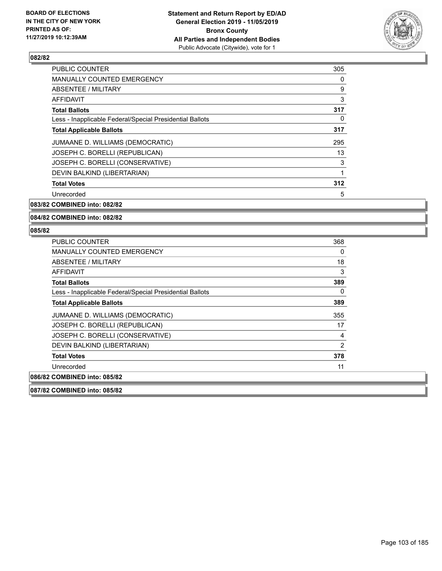

| <b>PUBLIC COUNTER</b>                                    | 305 |
|----------------------------------------------------------|-----|
| <b>MANUALLY COUNTED EMERGENCY</b>                        | 0   |
| ABSENTEE / MILITARY                                      | 9   |
| AFFIDAVIT                                                | 3   |
| <b>Total Ballots</b>                                     | 317 |
| Less - Inapplicable Federal/Special Presidential Ballots | 0   |
| <b>Total Applicable Ballots</b>                          | 317 |
| JUMAANE D. WILLIAMS (DEMOCRATIC)                         | 295 |
| JOSEPH C. BORELLI (REPUBLICAN)                           | 13  |
| JOSEPH C. BORELLI (CONSERVATIVE)                         | 3   |
| DEVIN BALKIND (LIBERTARIAN)                              | 1   |
| <b>Total Votes</b>                                       | 312 |
| Unrecorded                                               | 5   |

**083/82 COMBINED into: 082/82**

## **084/82 COMBINED into: 082/82**

#### **085/82**

| PUBLIC COUNTER                                           | 368            |
|----------------------------------------------------------|----------------|
| MANUALLY COUNTED EMERGENCY                               | 0              |
| ABSENTEE / MILITARY                                      | 18             |
| <b>AFFIDAVIT</b>                                         | 3              |
| <b>Total Ballots</b>                                     | 389            |
| Less - Inapplicable Federal/Special Presidential Ballots | $\Omega$       |
| <b>Total Applicable Ballots</b>                          | 389            |
| JUMAANE D. WILLIAMS (DEMOCRATIC)                         | 355            |
| JOSEPH C. BORELLI (REPUBLICAN)                           | 17             |
| JOSEPH C. BORELLI (CONSERVATIVE)                         | 4              |
| DEVIN BALKIND (LIBERTARIAN)                              | $\overline{2}$ |
| <b>Total Votes</b>                                       | 378            |
| Unrecorded                                               | 11             |
| 086/82 COMBINED into: 085/82                             |                |
|                                                          |                |

**087/82 COMBINED into: 085/82**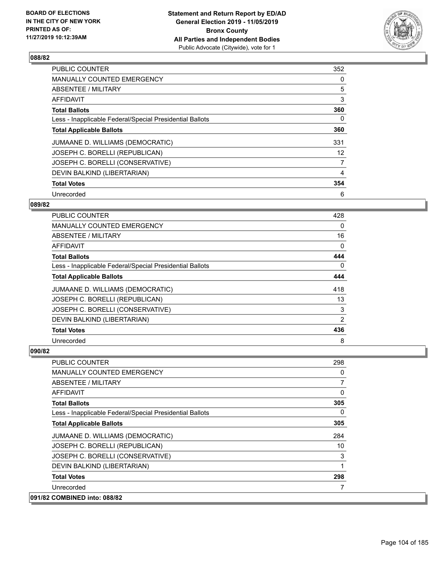

| PUBLIC COUNTER                                           | 352 |
|----------------------------------------------------------|-----|
| <b>MANUALLY COUNTED EMERGENCY</b>                        | 0   |
| ABSENTEE / MILITARY                                      | 5   |
| <b>AFFIDAVIT</b>                                         | 3   |
| <b>Total Ballots</b>                                     | 360 |
| Less - Inapplicable Federal/Special Presidential Ballots | 0   |
| <b>Total Applicable Ballots</b>                          | 360 |
| JUMAANE D. WILLIAMS (DEMOCRATIC)                         | 331 |
| JOSEPH C. BORELLI (REPUBLICAN)                           | 12  |
| JOSEPH C. BORELLI (CONSERVATIVE)                         | 7   |
| DEVIN BALKIND (LIBERTARIAN)                              | 4   |
| <b>Total Votes</b>                                       | 354 |
| Unrecorded                                               | 6   |

## **089/82**

| <b>PUBLIC COUNTER</b>                                    | 428      |
|----------------------------------------------------------|----------|
| MANUALLY COUNTED EMERGENCY                               | 0        |
| ABSENTEE / MILITARY                                      | 16       |
| AFFIDAVIT                                                | 0        |
| <b>Total Ballots</b>                                     | 444      |
| Less - Inapplicable Federal/Special Presidential Ballots | $\Omega$ |
| <b>Total Applicable Ballots</b>                          | 444      |
| JUMAANE D. WILLIAMS (DEMOCRATIC)                         | 418      |
| JOSEPH C. BORELLI (REPUBLICAN)                           | 13       |
| JOSEPH C. BORELLI (CONSERVATIVE)                         | 3        |
| DEVIN BALKIND (LIBERTARIAN)                              | 2        |
| <b>Total Votes</b>                                       | 436      |
| Unrecorded                                               | 8        |

| <b>PUBLIC COUNTER</b>                                    | 298 |
|----------------------------------------------------------|-----|
| MANUALLY COUNTED EMERGENCY                               | 0   |
| ABSENTEE / MILITARY                                      | 7   |
| AFFIDAVIT                                                | 0   |
| <b>Total Ballots</b>                                     | 305 |
| Less - Inapplicable Federal/Special Presidential Ballots | 0   |
| <b>Total Applicable Ballots</b>                          | 305 |
| JUMAANE D. WILLIAMS (DEMOCRATIC)                         | 284 |
| JOSEPH C. BORELLI (REPUBLICAN)                           | 10  |
| JOSEPH C. BORELLI (CONSERVATIVE)                         | 3   |
| DEVIN BALKIND (LIBERTARIAN)                              | 1   |
| <b>Total Votes</b>                                       | 298 |
| Unrecorded                                               |     |
| 091/82 COMBINED into: 088/82                             |     |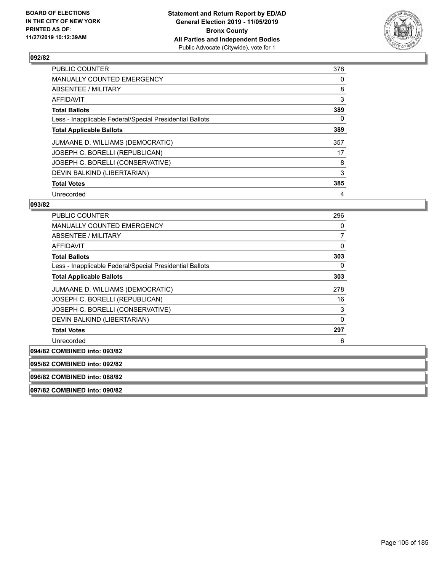

| <b>PUBLIC COUNTER</b>                                    | 378 |
|----------------------------------------------------------|-----|
| <b>MANUALLY COUNTED EMERGENCY</b>                        | 0   |
| ABSENTEE / MILITARY                                      | 8   |
| <b>AFFIDAVIT</b>                                         | 3   |
| <b>Total Ballots</b>                                     | 389 |
| Less - Inapplicable Federal/Special Presidential Ballots | 0   |
| <b>Total Applicable Ballots</b>                          | 389 |
| JUMAANE D. WILLIAMS (DEMOCRATIC)                         | 357 |
| JOSEPH C. BORELLI (REPUBLICAN)                           | 17  |
| JOSEPH C. BORELLI (CONSERVATIVE)                         | 8   |
| DEVIN BALKIND (LIBERTARIAN)                              | 3   |
| <b>Total Votes</b>                                       | 385 |
| Unrecorded                                               | 4   |

## **093/82**

| <b>PUBLIC COUNTER</b>                                    | 296      |
|----------------------------------------------------------|----------|
| <b>MANUALLY COUNTED EMERGENCY</b>                        | 0        |
| ABSENTEE / MILITARY                                      | 7        |
| <b>AFFIDAVIT</b>                                         | 0        |
| <b>Total Ballots</b>                                     | 303      |
| Less - Inapplicable Federal/Special Presidential Ballots | 0        |
| <b>Total Applicable Ballots</b>                          | 303      |
| JUMAANE D. WILLIAMS (DEMOCRATIC)                         | 278      |
| JOSEPH C. BORELLI (REPUBLICAN)                           | 16       |
| JOSEPH C. BORELLI (CONSERVATIVE)                         | 3        |
| DEVIN BALKIND (LIBERTARIAN)                              | $\Omega$ |
| <b>Total Votes</b>                                       | 297      |
| Unrecorded                                               | 6        |
| 094/82 COMBINED into: 093/82                             |          |
| 095/82 COMBINED into: 092/82                             |          |
| 096/82 COMBINED into: 088/82                             |          |

**097/82 COMBINED into: 090/82**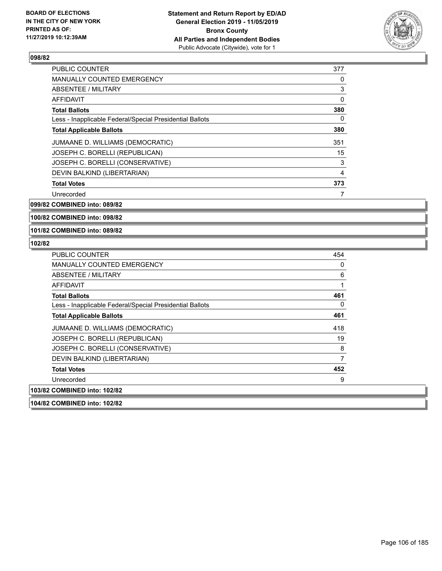

| <b>PUBLIC COUNTER</b>                                    | 377 |
|----------------------------------------------------------|-----|
| <b>MANUALLY COUNTED EMERGENCY</b>                        | 0   |
| ABSENTEE / MILITARY                                      | 3   |
| <b>AFFIDAVIT</b>                                         | 0   |
| <b>Total Ballots</b>                                     | 380 |
| Less - Inapplicable Federal/Special Presidential Ballots | 0   |
| <b>Total Applicable Ballots</b>                          | 380 |
| JUMAANE D. WILLIAMS (DEMOCRATIC)                         | 351 |
| JOSEPH C. BORELLI (REPUBLICAN)                           | 15  |
| JOSEPH C. BORELLI (CONSERVATIVE)                         | 3   |
| DEVIN BALKIND (LIBERTARIAN)                              | 4   |
| <b>Total Votes</b>                                       | 373 |
| Unrecorded                                               | 7   |

**099/82 COMBINED into: 089/82**

**100/82 COMBINED into: 098/82**

**101/82 COMBINED into: 089/82**

| <b>PUBLIC COUNTER</b>                                    | 454 |
|----------------------------------------------------------|-----|
| MANUALLY COUNTED EMERGENCY                               | 0   |
| ABSENTEE / MILITARY                                      | 6   |
| <b>AFFIDAVIT</b>                                         |     |
| <b>Total Ballots</b>                                     | 461 |
| Less - Inapplicable Federal/Special Presidential Ballots | 0   |
| <b>Total Applicable Ballots</b>                          | 461 |
| JUMAANE D. WILLIAMS (DEMOCRATIC)                         | 418 |
| JOSEPH C. BORELLI (REPUBLICAN)                           | 19  |
| JOSEPH C. BORELLI (CONSERVATIVE)                         | 8   |
| DEVIN BALKIND (LIBERTARIAN)                              | 7   |
| <b>Total Votes</b>                                       | 452 |
| Unrecorded                                               | 9   |
| 103/82 COMBINED into: 102/82                             |     |
| 104/82 COMBINED into: 102/82                             |     |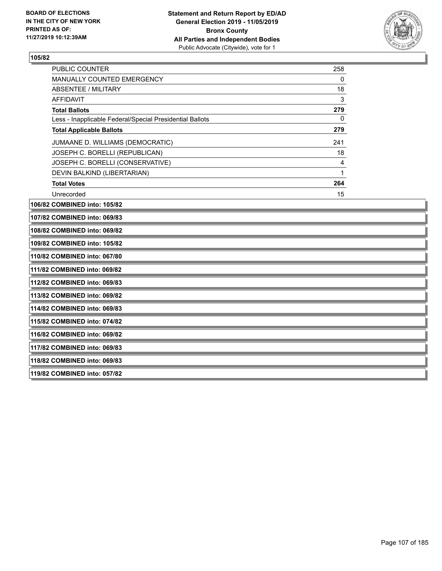

| <b>PUBLIC COUNTER</b>                                    | 258 |
|----------------------------------------------------------|-----|
| MANUALLY COUNTED EMERGENCY                               | 0   |
| ABSENTEE / MILITARY                                      | 18  |
| AFFIDAVIT                                                | 3   |
| <b>Total Ballots</b>                                     | 279 |
| Less - Inapplicable Federal/Special Presidential Ballots | 0   |
| <b>Total Applicable Ballots</b>                          | 279 |
| JUMAANE D. WILLIAMS (DEMOCRATIC)                         | 241 |
| JOSEPH C. BORELLI (REPUBLICAN)                           | 18  |
| JOSEPH C. BORELLI (CONSERVATIVE)                         | 4   |
| DEVIN BALKIND (LIBERTARIAN)                              |     |
| <b>Total Votes</b>                                       | 264 |
| Unrecorded                                               | 15  |

**106/82 COMBINED into: 105/82**

**107/82 COMBINED into: 069/83**

**108/82 COMBINED into: 069/82**

**109/82 COMBINED into: 105/82**

**110/82 COMBINED into: 067/80**

**111/82 COMBINED into: 069/82**

**112/82 COMBINED into: 069/83**

**113/82 COMBINED into: 069/82**

**114/82 COMBINED into: 069/83**

**115/82 COMBINED into: 074/82**

**116/82 COMBINED into: 069/82**

**117/82 COMBINED into: 069/83**

**118/82 COMBINED into: 069/83**

**119/82 COMBINED into: 057/82**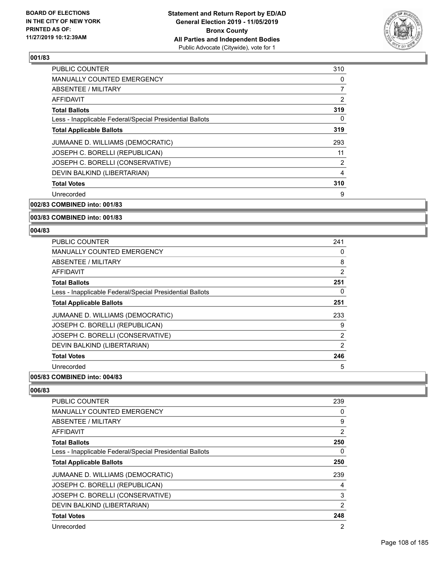

| <b>PUBLIC COUNTER</b>                                    | 310 |
|----------------------------------------------------------|-----|
| <b>MANUALLY COUNTED EMERGENCY</b>                        | 0   |
| ABSENTEE / MILITARY                                      | 7   |
| AFFIDAVIT                                                | 2   |
| <b>Total Ballots</b>                                     | 319 |
| Less - Inapplicable Federal/Special Presidential Ballots | 0   |
| <b>Total Applicable Ballots</b>                          | 319 |
| JUMAANE D. WILLIAMS (DEMOCRATIC)                         | 293 |
| JOSEPH C. BORELLI (REPUBLICAN)                           | 11  |
| JOSEPH C. BORELLI (CONSERVATIVE)                         | 2   |
| DEVIN BALKIND (LIBERTARIAN)                              | 4   |
| <b>Total Votes</b>                                       | 310 |
| Unrecorded                                               | 9   |
|                                                          |     |

## **002/83 COMBINED into: 001/83**

## **003/83 COMBINED into: 001/83**

#### **004/83**

| PUBLIC COUNTER                                           | 241            |
|----------------------------------------------------------|----------------|
| <b>MANUALLY COUNTED EMERGENCY</b>                        | 0              |
| ABSENTEE / MILITARY                                      | 8              |
| <b>AFFIDAVIT</b>                                         | $\overline{2}$ |
| <b>Total Ballots</b>                                     | 251            |
| Less - Inapplicable Federal/Special Presidential Ballots | 0              |
| <b>Total Applicable Ballots</b>                          | 251            |
| JUMAANE D. WILLIAMS (DEMOCRATIC)                         | 233            |
| JOSEPH C. BORELLI (REPUBLICAN)                           | 9              |
| JOSEPH C. BORELLI (CONSERVATIVE)                         | 2              |
| DEVIN BALKIND (LIBERTARIAN)                              | 2              |
| <b>Total Votes</b>                                       | 246            |
| Unrecorded                                               | 5              |

## **005/83 COMBINED into: 004/83**

| <b>PUBLIC COUNTER</b>                                    | 239            |
|----------------------------------------------------------|----------------|
| <b>MANUALLY COUNTED EMERGENCY</b>                        | 0              |
| ABSENTEE / MILITARY                                      | 9              |
| <b>AFFIDAVIT</b>                                         | $\overline{2}$ |
| <b>Total Ballots</b>                                     | 250            |
| Less - Inapplicable Federal/Special Presidential Ballots | 0              |
| <b>Total Applicable Ballots</b>                          | 250            |
| JUMAANE D. WILLIAMS (DEMOCRATIC)                         | 239            |
| JOSEPH C. BORELLI (REPUBLICAN)                           | 4              |
| JOSEPH C. BORELLI (CONSERVATIVE)                         | 3              |
| DEVIN BALKIND (LIBERTARIAN)                              | $\overline{2}$ |
| <b>Total Votes</b>                                       | 248            |
| Unrecorded                                               | 2              |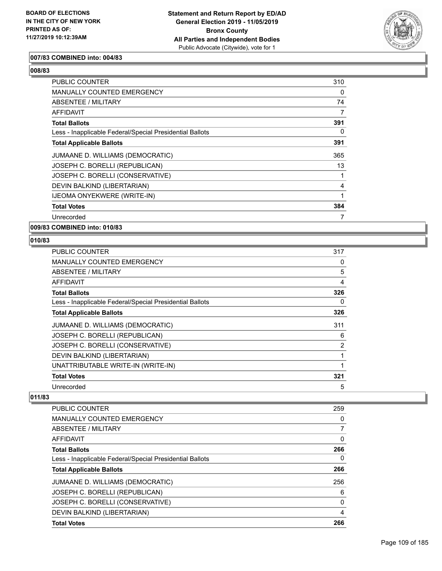

## **007/83 COMBINED into: 004/83**

## **008/83**

| <b>PUBLIC COUNTER</b>                                    | 310      |
|----------------------------------------------------------|----------|
| <b>MANUALLY COUNTED EMERGENCY</b>                        | $\Omega$ |
| ABSENTEE / MILITARY                                      | 74       |
| <b>AFFIDAVIT</b>                                         | 7        |
| <b>Total Ballots</b>                                     | 391      |
| Less - Inapplicable Federal/Special Presidential Ballots | 0        |
| <b>Total Applicable Ballots</b>                          | 391      |
| JUMAANE D. WILLIAMS (DEMOCRATIC)                         | 365      |
| JOSEPH C. BORELLI (REPUBLICAN)                           | 13       |
| JOSEPH C. BORELLI (CONSERVATIVE)                         |          |
| DEVIN BALKIND (LIBERTARIAN)                              | 4        |
| IJEOMA ONYEKWERE (WRITE-IN)                              | 1        |
| <b>Total Votes</b>                                       | 384      |
| Unrecorded                                               | 7        |

#### **009/83 COMBINED into: 010/83**

#### **010/83**

| <b>PUBLIC COUNTER</b>                                    | 317 |
|----------------------------------------------------------|-----|
| MANUALLY COUNTED EMERGENCY                               | 0   |
| ABSENTEE / MILITARY                                      | 5   |
| AFFIDAVIT                                                | 4   |
| <b>Total Ballots</b>                                     | 326 |
| Less - Inapplicable Federal/Special Presidential Ballots | 0   |
| <b>Total Applicable Ballots</b>                          | 326 |
| JUMAANE D. WILLIAMS (DEMOCRATIC)                         | 311 |
| JOSEPH C. BORELLI (REPUBLICAN)                           | 6   |
| JOSEPH C. BORELLI (CONSERVATIVE)                         | 2   |
| DEVIN BALKIND (LIBERTARIAN)                              | 1   |
| UNATTRIBUTABLE WRITE-IN (WRITE-IN)                       | 1   |
| <b>Total Votes</b>                                       | 321 |
| Unrecorded                                               | 5   |

| <b>PUBLIC COUNTER</b>                                    | 259      |
|----------------------------------------------------------|----------|
| <b>MANUALLY COUNTED EMERGENCY</b>                        | 0        |
| ABSENTEE / MILITARY                                      |          |
| AFFIDAVIT                                                | 0        |
| <b>Total Ballots</b>                                     | 266      |
| Less - Inapplicable Federal/Special Presidential Ballots | 0        |
| <b>Total Applicable Ballots</b>                          | 266      |
| JUMAANE D. WILLIAMS (DEMOCRATIC)                         | 256      |
| JOSEPH C. BORELLI (REPUBLICAN)                           | 6        |
| JOSEPH C. BORELLI (CONSERVATIVE)                         | $\Omega$ |
| DEVIN BALKIND (LIBERTARIAN)                              | 4        |
| <b>Total Votes</b>                                       | 266      |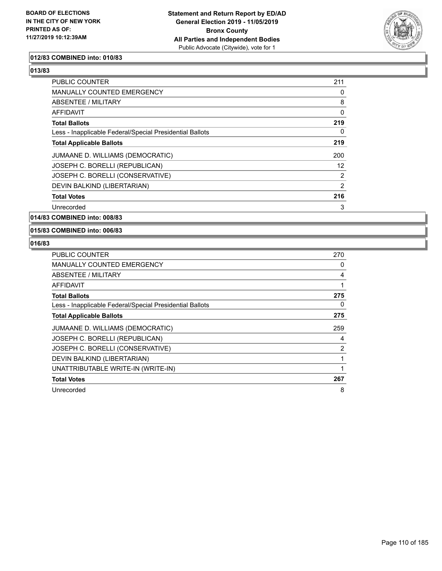

#### **012/83 COMBINED into: 010/83**

| PUBLIC COUNTER                                           | 211            |
|----------------------------------------------------------|----------------|
| <b>MANUALLY COUNTED EMERGENCY</b>                        | 0              |
| ABSENTEE / MILITARY                                      | 8              |
| AFFIDAVIT                                                | 0              |
| <b>Total Ballots</b>                                     | 219            |
| Less - Inapplicable Federal/Special Presidential Ballots | $\Omega$       |
| <b>Total Applicable Ballots</b>                          | 219            |
| JUMAANE D. WILLIAMS (DEMOCRATIC)                         | 200            |
| JOSEPH C. BORELLI (REPUBLICAN)                           | 12             |
| JOSEPH C. BORELLI (CONSERVATIVE)                         | $\overline{2}$ |
| DEVIN BALKIND (LIBERTARIAN)                              | 2              |
| <b>Total Votes</b>                                       | 216            |
| Unrecorded                                               | 3              |

**014/83 COMBINED into: 008/83**

**015/83 COMBINED into: 006/83**

| <b>PUBLIC COUNTER</b>                                    | 270 |
|----------------------------------------------------------|-----|
| <b>MANUALLY COUNTED EMERGENCY</b>                        | 0   |
| ABSENTEE / MILITARY                                      | 4   |
| AFFIDAVIT                                                |     |
| <b>Total Ballots</b>                                     | 275 |
| Less - Inapplicable Federal/Special Presidential Ballots | 0   |
| <b>Total Applicable Ballots</b>                          | 275 |
| JUMAANE D. WILLIAMS (DEMOCRATIC)                         | 259 |
| JOSEPH C. BORELLI (REPUBLICAN)                           | 4   |
| JOSEPH C. BORELLI (CONSERVATIVE)                         | 2   |
| DEVIN BALKIND (LIBERTARIAN)                              |     |
| UNATTRIBUTABLE WRITE-IN (WRITE-IN)                       |     |
| <b>Total Votes</b>                                       | 267 |
| Unrecorded                                               | 8   |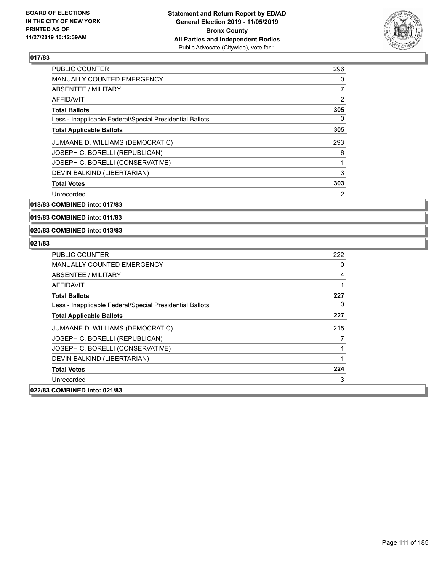

| <b>PUBLIC COUNTER</b>                                    | 296 |
|----------------------------------------------------------|-----|
| <b>MANUALLY COUNTED EMERGENCY</b>                        | 0   |
| ABSENTEE / MILITARY                                      | 7   |
| AFFIDAVIT                                                | 2   |
| <b>Total Ballots</b>                                     | 305 |
| Less - Inapplicable Federal/Special Presidential Ballots | 0   |
| <b>Total Applicable Ballots</b>                          | 305 |
| JUMAANE D. WILLIAMS (DEMOCRATIC)                         | 293 |
| JOSEPH C. BORELLI (REPUBLICAN)                           | 6   |
| JOSEPH C. BORELLI (CONSERVATIVE)                         | 1   |
| DEVIN BALKIND (LIBERTARIAN)                              | 3   |
| <b>Total Votes</b>                                       | 303 |
| Unrecorded                                               | 2   |

**018/83 COMBINED into: 017/83**

**019/83 COMBINED into: 011/83**

**020/83 COMBINED into: 013/83**

| PUBLIC COUNTER                                           | 222 |
|----------------------------------------------------------|-----|
| MANUALLY COUNTED EMERGENCY                               | 0   |
| ABSENTEE / MILITARY                                      | 4   |
| AFFIDAVIT                                                |     |
| <b>Total Ballots</b>                                     | 227 |
| Less - Inapplicable Federal/Special Presidential Ballots | 0   |
| <b>Total Applicable Ballots</b>                          | 227 |
| JUMAANE D. WILLIAMS (DEMOCRATIC)                         | 215 |
| JOSEPH C. BORELLI (REPUBLICAN)                           |     |
| JOSEPH C. BORELLI (CONSERVATIVE)                         |     |
| DEVIN BALKIND (LIBERTARIAN)                              |     |
| <b>Total Votes</b>                                       | 224 |
| Unrecorded                                               | 3   |
| 022/83 COMBINED into: 021/83                             |     |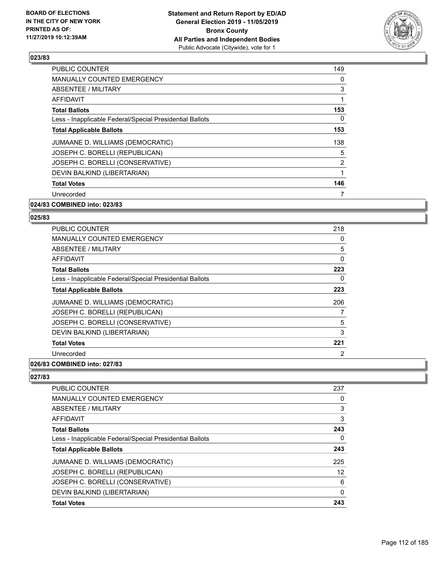

| <b>PUBLIC COUNTER</b>                                    | 149 |
|----------------------------------------------------------|-----|
| MANUALLY COUNTED EMERGENCY                               | 0   |
| ABSENTEE / MILITARY                                      | 3   |
| AFFIDAVIT                                                | 1   |
| <b>Total Ballots</b>                                     | 153 |
| Less - Inapplicable Federal/Special Presidential Ballots | 0   |
| <b>Total Applicable Ballots</b>                          | 153 |
| JUMAANE D. WILLIAMS (DEMOCRATIC)                         | 138 |
| JOSEPH C. BORELLI (REPUBLICAN)                           | 5   |
| JOSEPH C. BORELLI (CONSERVATIVE)                         | 2   |
| DEVIN BALKIND (LIBERTARIAN)                              | 1   |
| <b>Total Votes</b>                                       | 146 |
| Unrecorded                                               | 7   |
|                                                          |     |

#### **024/83 COMBINED into: 023/83**

#### **025/83**

| <b>PUBLIC COUNTER</b>                                    | 218 |
|----------------------------------------------------------|-----|
| <b>MANUALLY COUNTED EMERGENCY</b>                        | 0   |
| ABSENTEE / MILITARY                                      | 5   |
| AFFIDAVIT                                                | 0   |
| <b>Total Ballots</b>                                     | 223 |
| Less - Inapplicable Federal/Special Presidential Ballots | 0   |
| <b>Total Applicable Ballots</b>                          | 223 |
| JUMAANE D. WILLIAMS (DEMOCRATIC)                         | 206 |
| JOSEPH C. BORELLI (REPUBLICAN)                           | 7   |
| JOSEPH C. BORELLI (CONSERVATIVE)                         | 5   |
| DEVIN BALKIND (LIBERTARIAN)                              | 3   |
| <b>Total Votes</b>                                       | 221 |
| Unrecorded                                               | 2   |
|                                                          |     |

#### **026/83 COMBINED into: 027/83**

| <b>PUBLIC COUNTER</b>                                    | 237 |
|----------------------------------------------------------|-----|
| <b>MANUALLY COUNTED EMERGENCY</b>                        | 0   |
| ABSENTEE / MILITARY                                      | 3   |
| AFFIDAVIT                                                | 3   |
| <b>Total Ballots</b>                                     | 243 |
| Less - Inapplicable Federal/Special Presidential Ballots | 0   |
| <b>Total Applicable Ballots</b>                          | 243 |
| JUMAANE D. WILLIAMS (DEMOCRATIC)                         | 225 |
| JOSEPH C. BORELLI (REPUBLICAN)                           | 12  |
| JOSEPH C. BORELLI (CONSERVATIVE)                         | 6   |
| DEVIN BALKIND (LIBERTARIAN)                              | 0   |
| <b>Total Votes</b>                                       | 243 |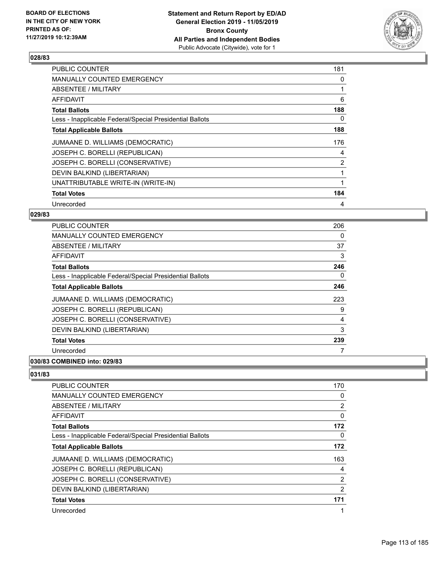

| <b>PUBLIC COUNTER</b>                                    | 181            |
|----------------------------------------------------------|----------------|
| <b>MANUALLY COUNTED EMERGENCY</b>                        | 0              |
| ABSENTEE / MILITARY                                      |                |
| <b>AFFIDAVIT</b>                                         | 6              |
| <b>Total Ballots</b>                                     | 188            |
| Less - Inapplicable Federal/Special Presidential Ballots | 0              |
| <b>Total Applicable Ballots</b>                          | 188            |
| JUMAANE D. WILLIAMS (DEMOCRATIC)                         | 176            |
| JOSEPH C. BORELLI (REPUBLICAN)                           | 4              |
| JOSEPH C. BORELLI (CONSERVATIVE)                         | $\overline{2}$ |
| DEVIN BALKIND (LIBERTARIAN)                              | 1              |
| UNATTRIBUTABLE WRITE-IN (WRITE-IN)                       |                |
| <b>Total Votes</b>                                       | 184            |
| Unrecorded                                               | 4              |

## **029/83**

| <b>PUBLIC COUNTER</b>                                    | 206 |
|----------------------------------------------------------|-----|
| <b>MANUALLY COUNTED EMERGENCY</b>                        | 0   |
| ABSENTEE / MILITARY                                      | 37  |
| AFFIDAVIT                                                | 3   |
| <b>Total Ballots</b>                                     | 246 |
| Less - Inapplicable Federal/Special Presidential Ballots | 0   |
| <b>Total Applicable Ballots</b>                          | 246 |
| JUMAANE D. WILLIAMS (DEMOCRATIC)                         | 223 |
| JOSEPH C. BORELLI (REPUBLICAN)                           | 9   |
| JOSEPH C. BORELLI (CONSERVATIVE)                         | 4   |
| DEVIN BALKIND (LIBERTARIAN)                              | 3   |
| <b>Total Votes</b>                                       | 239 |
| Unrecorded                                               |     |
| 0.01101100                                               |     |

## **030/83 COMBINED into: 029/83**

| <b>PUBLIC COUNTER</b>                                    | 170 |
|----------------------------------------------------------|-----|
| <b>MANUALLY COUNTED EMERGENCY</b>                        | 0   |
| ABSENTEE / MILITARY                                      | 2   |
| AFFIDAVIT                                                | 0   |
| <b>Total Ballots</b>                                     | 172 |
| Less - Inapplicable Federal/Special Presidential Ballots | 0   |
| <b>Total Applicable Ballots</b>                          | 172 |
| JUMAANE D. WILLIAMS (DEMOCRATIC)                         | 163 |
| JOSEPH C. BORELLI (REPUBLICAN)                           | 4   |
| JOSEPH C. BORELLI (CONSERVATIVE)                         | 2   |
| DEVIN BALKIND (LIBERTARIAN)                              | 2   |
| <b>Total Votes</b>                                       | 171 |
| Unrecorded                                               | 1   |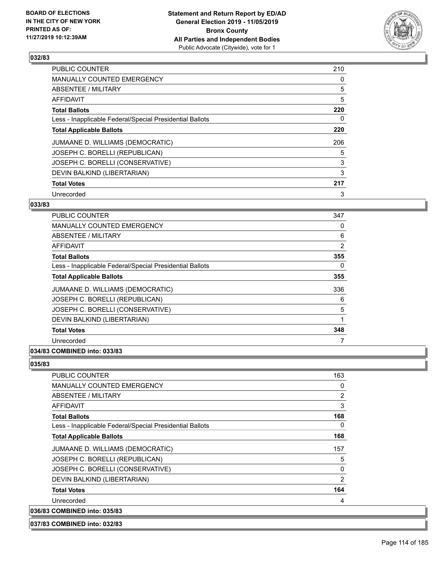

| <b>PUBLIC COUNTER</b>                                    | 210 |
|----------------------------------------------------------|-----|
| MANUALLY COUNTED EMERGENCY                               | 0   |
| ABSENTEE / MILITARY                                      | 5   |
| AFFIDAVIT                                                | 5   |
| <b>Total Ballots</b>                                     | 220 |
| Less - Inapplicable Federal/Special Presidential Ballots | 0   |
| <b>Total Applicable Ballots</b>                          | 220 |
| JUMAANE D. WILLIAMS (DEMOCRATIC)                         | 206 |
| JOSEPH C. BORELLI (REPUBLICAN)                           | 5   |
| JOSEPH C. BORELLI (CONSERVATIVE)                         | 3   |
| DEVIN BALKIND (LIBERTARIAN)                              | 3   |
| <b>Total Votes</b>                                       | 217 |
| Unrecorded                                               | 3   |

#### **033/83**

| <b>PUBLIC COUNTER</b>                                    | 347 |
|----------------------------------------------------------|-----|
| MANUALLY COUNTED EMERGENCY                               | 0   |
| ABSENTEE / MILITARY                                      | 6   |
| AFFIDAVIT                                                | 2   |
| <b>Total Ballots</b>                                     | 355 |
| Less - Inapplicable Federal/Special Presidential Ballots | 0   |
| <b>Total Applicable Ballots</b>                          | 355 |
| JUMAANE D. WILLIAMS (DEMOCRATIC)                         | 336 |
| JOSEPH C. BORELLI (REPUBLICAN)                           | 6   |
| JOSEPH C. BORELLI (CONSERVATIVE)                         | 5   |
| DEVIN BALKIND (LIBERTARIAN)                              | 1   |
| <b>Total Votes</b>                                       | 348 |
| Unrecorded                                               | 7   |
|                                                          |     |

## **034/83 COMBINED into: 033/83**

#### **035/83**

| <b>PUBLIC COUNTER</b>                                    | 163 |
|----------------------------------------------------------|-----|
| <b>MANUALLY COUNTED EMERGENCY</b>                        | 0   |
| ABSENTEE / MILITARY                                      | 2   |
| AFFIDAVIT                                                | 3   |
| <b>Total Ballots</b>                                     | 168 |
| Less - Inapplicable Federal/Special Presidential Ballots | 0   |
| <b>Total Applicable Ballots</b>                          | 168 |
| JUMAANE D. WILLIAMS (DEMOCRATIC)                         | 157 |
| JOSEPH C. BORELLI (REPUBLICAN)                           | 5   |
| JOSEPH C. BORELLI (CONSERVATIVE)                         | 0   |
| DEVIN BALKIND (LIBERTARIAN)                              | 2   |
| <b>Total Votes</b>                                       | 164 |
| Unrecorded                                               | 4   |
| 036/83 COMBINED into: 035/83                             |     |

**037/83 COMBINED into: 032/83**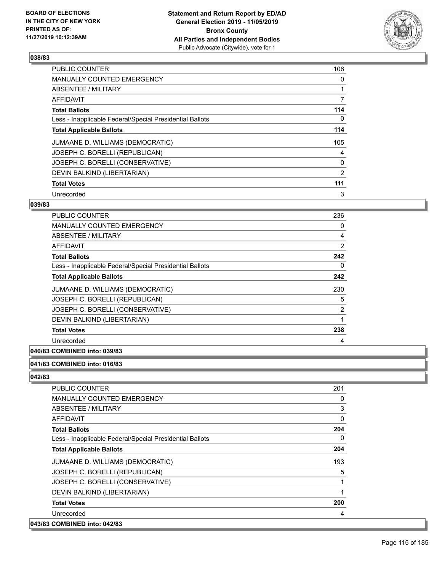

| <b>PUBLIC COUNTER</b>                                    | 106 |
|----------------------------------------------------------|-----|
| <b>MANUALLY COUNTED EMERGENCY</b>                        | 0   |
| ABSENTEE / MILITARY                                      | 1   |
| AFFIDAVIT                                                | 7   |
| <b>Total Ballots</b>                                     | 114 |
| Less - Inapplicable Federal/Special Presidential Ballots | 0   |
| <b>Total Applicable Ballots</b>                          | 114 |
| JUMAANE D. WILLIAMS (DEMOCRATIC)                         | 105 |
| JOSEPH C. BORELLI (REPUBLICAN)                           | 4   |
| JOSEPH C. BORELLI (CONSERVATIVE)                         | 0   |
| DEVIN BALKIND (LIBERTARIAN)                              | 2   |
| <b>Total Votes</b>                                       | 111 |
| Unrecorded                                               | 3   |

#### **039/83**

| <b>PUBLIC COUNTER</b>                                    | 236 |
|----------------------------------------------------------|-----|
| <b>MANUALLY COUNTED EMERGENCY</b>                        | 0   |
| ABSENTEE / MILITARY                                      | 4   |
| AFFIDAVIT                                                | 2   |
| <b>Total Ballots</b>                                     | 242 |
| Less - Inapplicable Federal/Special Presidential Ballots | 0   |
| <b>Total Applicable Ballots</b>                          | 242 |
| JUMAANE D. WILLIAMS (DEMOCRATIC)                         | 230 |
| JOSEPH C. BORELLI (REPUBLICAN)                           | 5   |
| JOSEPH C. BORELLI (CONSERVATIVE)                         | 2   |
| DEVIN BALKIND (LIBERTARIAN)                              | 1   |
| <b>Total Votes</b>                                       | 238 |
| Unrecorded                                               | 4   |
|                                                          |     |

## **040/83 COMBINED into: 039/83**

#### **041/83 COMBINED into: 016/83**

| <b>PUBLIC COUNTER</b>                                    | 201      |
|----------------------------------------------------------|----------|
| <b>MANUALLY COUNTED EMERGENCY</b>                        | 0        |
| ABSENTEE / MILITARY                                      | 3        |
| AFFIDAVIT                                                | 0        |
| <b>Total Ballots</b>                                     | 204      |
| Less - Inapplicable Federal/Special Presidential Ballots | $\Omega$ |
| <b>Total Applicable Ballots</b>                          | 204      |
| JUMAANE D. WILLIAMS (DEMOCRATIC)                         | 193      |
| JOSEPH C. BORELLI (REPUBLICAN)                           | 5        |
| JOSEPH C. BORELLI (CONSERVATIVE)                         |          |
| DEVIN BALKIND (LIBERTARIAN)                              |          |
| <b>Total Votes</b>                                       | 200      |
| Unrecorded                                               | 4        |
| 043/83 COMBINED into: 042/83                             |          |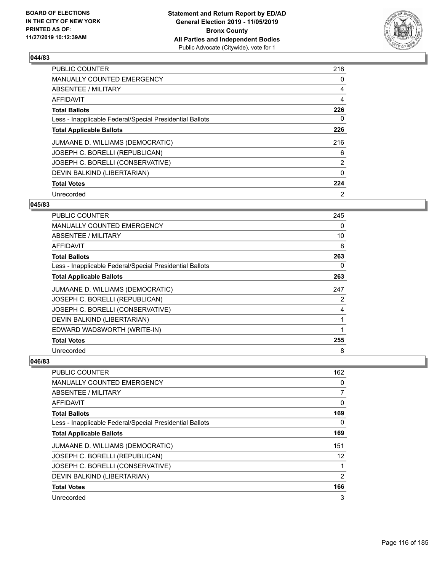

| <b>PUBLIC COUNTER</b>                                    | 218            |
|----------------------------------------------------------|----------------|
| MANUALLY COUNTED EMERGENCY                               | 0              |
| ABSENTEE / MILITARY                                      | 4              |
| AFFIDAVIT                                                | 4              |
| <b>Total Ballots</b>                                     | 226            |
| Less - Inapplicable Federal/Special Presidential Ballots | 0              |
| <b>Total Applicable Ballots</b>                          | 226            |
| JUMAANE D. WILLIAMS (DEMOCRATIC)                         | 216            |
| JOSEPH C. BORELLI (REPUBLICAN)                           | 6              |
| JOSEPH C. BORELLI (CONSERVATIVE)                         | $\overline{2}$ |
| DEVIN BALKIND (LIBERTARIAN)                              | 0              |
| <b>Total Votes</b>                                       | 224            |
| Unrecorded                                               | 2              |

#### **045/83**

| PUBLIC COUNTER                                           | 245 |
|----------------------------------------------------------|-----|
| <b>MANUALLY COUNTED EMERGENCY</b>                        | 0   |
| ABSENTEE / MILITARY                                      | 10  |
| AFFIDAVIT                                                | 8   |
| <b>Total Ballots</b>                                     | 263 |
| Less - Inapplicable Federal/Special Presidential Ballots | 0   |
| <b>Total Applicable Ballots</b>                          | 263 |
| JUMAANE D. WILLIAMS (DEMOCRATIC)                         | 247 |
| JOSEPH C. BORELLI (REPUBLICAN)                           | 2   |
| JOSEPH C. BORELLI (CONSERVATIVE)                         | 4   |
| DEVIN BALKIND (LIBERTARIAN)                              |     |
| EDWARD WADSWORTH (WRITE-IN)                              | 1   |
| <b>Total Votes</b>                                       | 255 |
| Unrecorded                                               | 8   |

| PUBLIC COUNTER                                           | 162 |
|----------------------------------------------------------|-----|
| MANUALLY COUNTED EMERGENCY                               | 0   |
| ABSENTEE / MILITARY                                      | 7   |
| AFFIDAVIT                                                | 0   |
| <b>Total Ballots</b>                                     | 169 |
| Less - Inapplicable Federal/Special Presidential Ballots | 0   |
| <b>Total Applicable Ballots</b>                          | 169 |
| JUMAANE D. WILLIAMS (DEMOCRATIC)                         | 151 |
| JOSEPH C. BORELLI (REPUBLICAN)                           | 12  |
| JOSEPH C. BORELLI (CONSERVATIVE)                         | 1   |
| DEVIN BALKIND (LIBERTARIAN)                              | 2   |
| <b>Total Votes</b>                                       | 166 |
| Unrecorded                                               | 3   |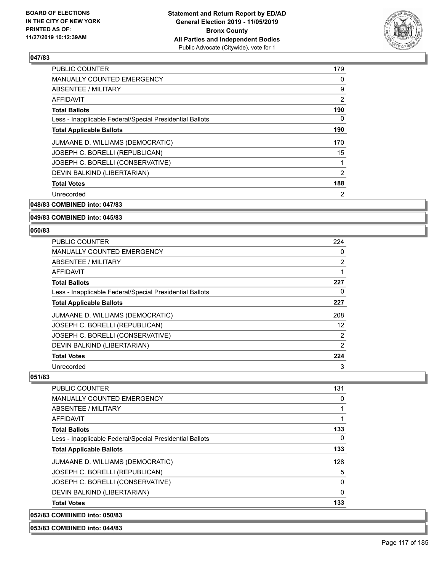

| <b>PUBLIC COUNTER</b>                                    | 179            |
|----------------------------------------------------------|----------------|
| <b>MANUALLY COUNTED EMERGENCY</b>                        | 0              |
| <b>ABSENTEE / MILITARY</b>                               | 9              |
| <b>AFFIDAVIT</b>                                         | 2              |
| <b>Total Ballots</b>                                     | 190            |
| Less - Inapplicable Federal/Special Presidential Ballots | 0              |
| <b>Total Applicable Ballots</b>                          | 190            |
| JUMAANE D. WILLIAMS (DEMOCRATIC)                         | 170            |
| JOSEPH C. BORELLI (REPUBLICAN)                           | 15             |
| JOSEPH C. BORELLI (CONSERVATIVE)                         | 1              |
| DEVIN BALKIND (LIBERTARIAN)                              | 2              |
| <b>Total Votes</b>                                       | 188            |
| Unrecorded                                               | $\overline{2}$ |
|                                                          |                |

## **048/83 COMBINED into: 047/83**

#### **049/83 COMBINED into: 045/83**

#### **050/83**

| <b>PUBLIC COUNTER</b>                                    | 224 |
|----------------------------------------------------------|-----|
| <b>MANUALLY COUNTED EMERGENCY</b>                        | 0   |
| ABSENTEE / MILITARY                                      | 2   |
| AFFIDAVIT                                                |     |
| <b>Total Ballots</b>                                     | 227 |
| Less - Inapplicable Federal/Special Presidential Ballots | 0   |
| <b>Total Applicable Ballots</b>                          | 227 |
| JUMAANE D. WILLIAMS (DEMOCRATIC)                         | 208 |
| JOSEPH C. BORELLI (REPUBLICAN)                           | 12  |
| JOSEPH C. BORELLI (CONSERVATIVE)                         | 2   |
| DEVIN BALKIND (LIBERTARIAN)                              | 2   |
| <b>Total Votes</b>                                       | 224 |
| Unrecorded                                               | 3   |

#### **051/83**

| 052/83 COMBINED into: 050/83                             |          |
|----------------------------------------------------------|----------|
| <b>Total Votes</b>                                       | 133      |
| DEVIN BALKIND (LIBERTARIAN)                              | $\Omega$ |
| JOSEPH C. BORELLI (CONSERVATIVE)                         | 0        |
| JOSEPH C. BORELLI (REPUBLICAN)                           | 5        |
| JUMAANE D. WILLIAMS (DEMOCRATIC)                         | 128      |
| <b>Total Applicable Ballots</b>                          | 133      |
| Less - Inapplicable Federal/Special Presidential Ballots | $\Omega$ |
| <b>Total Ballots</b>                                     | 133      |
| AFFIDAVIT                                                | 1        |
| ABSENTEE / MILITARY                                      |          |
| <b>MANUALLY COUNTED EMERGENCY</b>                        | 0        |
| <b>PUBLIC COUNTER</b>                                    | 131      |

# **053/83 COMBINED into: 044/83**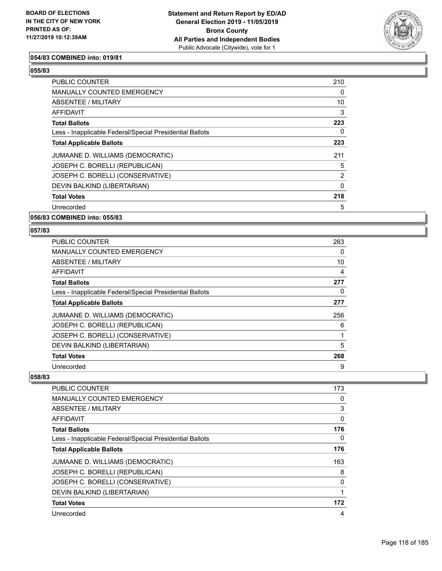

#### **054/83 COMBINED into: 019/81**

#### **055/83**

| PUBLIC COUNTER                                           | 210 |
|----------------------------------------------------------|-----|
| MANUALLY COUNTED EMERGENCY                               | 0   |
| ABSENTEE / MILITARY                                      | 10  |
| AFFIDAVIT                                                | 3   |
| <b>Total Ballots</b>                                     | 223 |
| Less - Inapplicable Federal/Special Presidential Ballots | 0   |
| <b>Total Applicable Ballots</b>                          | 223 |
| JUMAANE D. WILLIAMS (DEMOCRATIC)                         | 211 |
| JOSEPH C. BORELLI (REPUBLICAN)                           | 5   |
| JOSEPH C. BORELLI (CONSERVATIVE)                         | 2   |
| DEVIN BALKIND (LIBERTARIAN)                              | 0   |
| <b>Total Votes</b>                                       | 218 |
| Unrecorded                                               | 5   |

#### **056/83 COMBINED into: 055/83**

#### **057/83**

| PUBLIC COUNTER                                           | 263 |
|----------------------------------------------------------|-----|
| <b>MANUALLY COUNTED EMERGENCY</b>                        | 0   |
| ABSENTEE / MILITARY                                      | 10  |
| AFFIDAVIT                                                | 4   |
| <b>Total Ballots</b>                                     | 277 |
| Less - Inapplicable Federal/Special Presidential Ballots | 0   |
| <b>Total Applicable Ballots</b>                          | 277 |
| JUMAANE D. WILLIAMS (DEMOCRATIC)                         | 256 |
| JOSEPH C. BORELLI (REPUBLICAN)                           | 6   |
| JOSEPH C. BORELLI (CONSERVATIVE)                         |     |
| DEVIN BALKIND (LIBERTARIAN)                              | 5   |
| <b>Total Votes</b>                                       | 268 |
| Unrecorded                                               | 9   |

| <b>PUBLIC COUNTER</b>                                    | 173 |
|----------------------------------------------------------|-----|
| <b>MANUALLY COUNTED EMERGENCY</b>                        | 0   |
| ABSENTEE / MILITARY                                      | 3   |
| AFFIDAVIT                                                | 0   |
| <b>Total Ballots</b>                                     | 176 |
| Less - Inapplicable Federal/Special Presidential Ballots | 0   |
| <b>Total Applicable Ballots</b>                          | 176 |
| JUMAANE D. WILLIAMS (DEMOCRATIC)                         | 163 |
| JOSEPH C. BORELLI (REPUBLICAN)                           | 8   |
| JOSEPH C. BORELLI (CONSERVATIVE)                         | 0   |
| DEVIN BALKIND (LIBERTARIAN)                              | 1   |
| <b>Total Votes</b>                                       | 172 |
| Unrecorded                                               | 4   |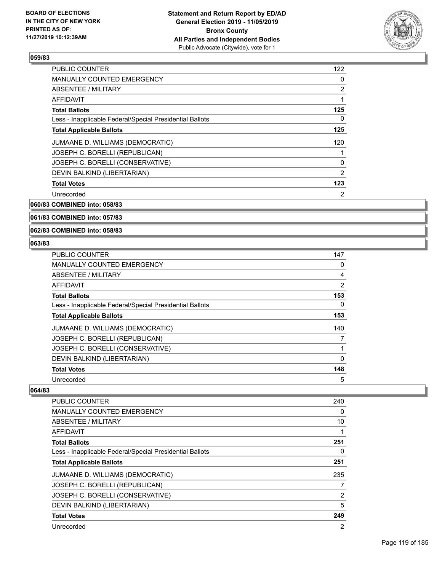

| <b>PUBLIC COUNTER</b>                                    | 122            |
|----------------------------------------------------------|----------------|
| MANUALLY COUNTED EMERGENCY                               | 0              |
| ABSENTEE / MILITARY                                      | 2              |
| AFFIDAVIT                                                |                |
| <b>Total Ballots</b>                                     | 125            |
| Less - Inapplicable Federal/Special Presidential Ballots | 0              |
| <b>Total Applicable Ballots</b>                          | 125            |
| JUMAANE D. WILLIAMS (DEMOCRATIC)                         | 120            |
| JOSEPH C. BORELLI (REPUBLICAN)                           |                |
| JOSEPH C. BORELLI (CONSERVATIVE)                         | 0              |
| DEVIN BALKIND (LIBERTARIAN)                              | 2              |
| <b>Total Votes</b>                                       | 123            |
| Unrecorded                                               | $\overline{2}$ |

**060/83 COMBINED into: 058/83**

**061/83 COMBINED into: 057/83**

**062/83 COMBINED into: 058/83**

#### **063/83**

| <b>PUBLIC COUNTER</b>                                    | 147            |
|----------------------------------------------------------|----------------|
| MANUALLY COUNTED EMERGENCY                               | 0              |
| <b>ABSENTEE / MILITARY</b>                               | 4              |
| AFFIDAVIT                                                | $\overline{2}$ |
| <b>Total Ballots</b>                                     | 153            |
| Less - Inapplicable Federal/Special Presidential Ballots | 0              |
| <b>Total Applicable Ballots</b>                          | 153            |
| JUMAANE D. WILLIAMS (DEMOCRATIC)                         | 140            |
| JOSEPH C. BORELLI (REPUBLICAN)                           |                |
| JOSEPH C. BORELLI (CONSERVATIVE)                         |                |
| DEVIN BALKIND (LIBERTARIAN)                              | $\Omega$       |
| <b>Total Votes</b>                                       | 148            |
| Unrecorded                                               | 5              |

| <b>PUBLIC COUNTER</b>                                    | 240 |
|----------------------------------------------------------|-----|
| <b>MANUALLY COUNTED EMERGENCY</b>                        | 0   |
| ABSENTEE / MILITARY                                      | 10  |
| AFFIDAVIT                                                |     |
| <b>Total Ballots</b>                                     | 251 |
| Less - Inapplicable Federal/Special Presidential Ballots | 0   |
| <b>Total Applicable Ballots</b>                          | 251 |
| JUMAANE D. WILLIAMS (DEMOCRATIC)                         | 235 |
| JOSEPH C. BORELLI (REPUBLICAN)                           | 7   |
| JOSEPH C. BORELLI (CONSERVATIVE)                         | 2   |
| DEVIN BALKIND (LIBERTARIAN)                              | 5   |
| <b>Total Votes</b>                                       | 249 |
| Unrecorded                                               | 2   |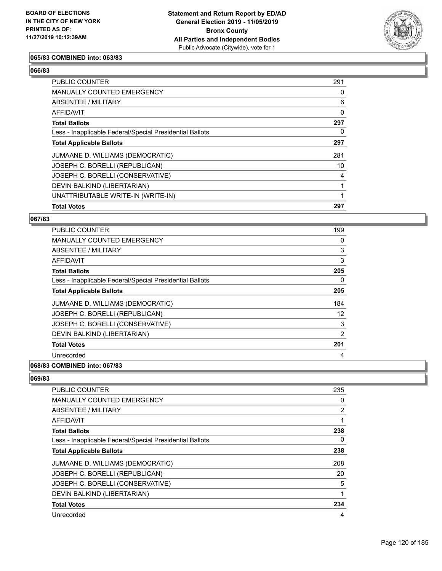

#### **065/83 COMBINED into: 063/83**

## **066/83**

| PUBLIC COUNTER                                           | 291 |
|----------------------------------------------------------|-----|
| MANUALLY COUNTED EMERGENCY                               | 0   |
| ABSENTEE / MILITARY                                      | 6   |
| AFFIDAVIT                                                | 0   |
| <b>Total Ballots</b>                                     | 297 |
| Less - Inapplicable Federal/Special Presidential Ballots | 0   |
| <b>Total Applicable Ballots</b>                          | 297 |
| JUMAANE D. WILLIAMS (DEMOCRATIC)                         | 281 |
| JOSEPH C. BORELLI (REPUBLICAN)                           | 10  |
| JOSEPH C. BORELLI (CONSERVATIVE)                         | 4   |
| DEVIN BALKIND (LIBERTARIAN)                              |     |
| UNATTRIBUTABLE WRITE-IN (WRITE-IN)                       |     |
| <b>Total Votes</b>                                       | 297 |

## **067/83**

| PUBLIC COUNTER                                           | 199               |
|----------------------------------------------------------|-------------------|
| MANUALLY COUNTED EMERGENCY                               | 0                 |
| ABSENTEE / MILITARY                                      | 3                 |
| AFFIDAVIT                                                | 3                 |
| <b>Total Ballots</b>                                     | 205               |
| Less - Inapplicable Federal/Special Presidential Ballots | 0                 |
| <b>Total Applicable Ballots</b>                          | 205               |
| JUMAANE D. WILLIAMS (DEMOCRATIC)                         | 184               |
| JOSEPH C. BORELLI (REPUBLICAN)                           | $12 \overline{ }$ |
| JOSEPH C. BORELLI (CONSERVATIVE)                         | 3                 |
| DEVIN BALKIND (LIBERTARIAN)                              | 2                 |
| <b>Total Votes</b>                                       | 201               |
| Unrecorded                                               | 4                 |
|                                                          |                   |

#### **068/83 COMBINED into: 067/83**

| <b>PUBLIC COUNTER</b>                                    | 235 |
|----------------------------------------------------------|-----|
| <b>MANUALLY COUNTED EMERGENCY</b>                        | 0   |
| ABSENTEE / MILITARY                                      | 2   |
| AFFIDAVIT                                                | 1   |
| <b>Total Ballots</b>                                     | 238 |
| Less - Inapplicable Federal/Special Presidential Ballots | 0   |
| <b>Total Applicable Ballots</b>                          | 238 |
| JUMAANE D. WILLIAMS (DEMOCRATIC)                         | 208 |
| JOSEPH C. BORELLI (REPUBLICAN)                           | 20  |
| JOSEPH C. BORELLI (CONSERVATIVE)                         | 5   |
| DEVIN BALKIND (LIBERTARIAN)                              | 1   |
| <b>Total Votes</b>                                       | 234 |
| Unrecorded                                               | 4   |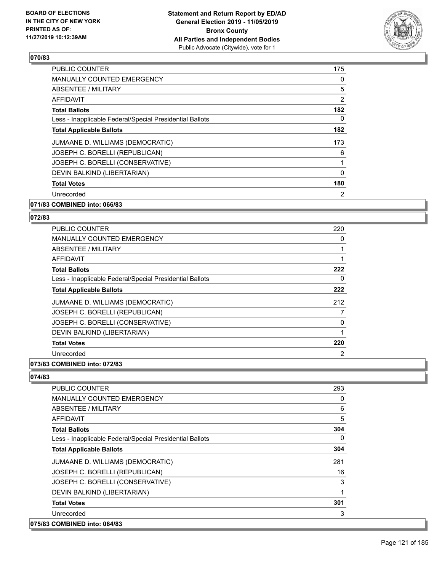

| <b>PUBLIC COUNTER</b>                                    | 175      |
|----------------------------------------------------------|----------|
| <b>MANUALLY COUNTED EMERGENCY</b>                        | 0        |
| ABSENTEE / MILITARY                                      | 5        |
| AFFIDAVIT                                                | 2        |
| <b>Total Ballots</b>                                     | 182      |
| Less - Inapplicable Federal/Special Presidential Ballots | 0        |
| <b>Total Applicable Ballots</b>                          | 182      |
| JUMAANE D. WILLIAMS (DEMOCRATIC)                         | 173      |
| JOSEPH C. BORELLI (REPUBLICAN)                           | 6        |
| JOSEPH C. BORELLI (CONSERVATIVE)                         |          |
| DEVIN BALKIND (LIBERTARIAN)                              | $\Omega$ |
| <b>Total Votes</b>                                       | 180      |
| Unrecorded                                               | 2        |
| 071/83 COMBINED into: 066/83                             |          |

## **072/83**

| <b>PUBLIC COUNTER</b>                                    | 220 |
|----------------------------------------------------------|-----|
| <b>MANUALLY COUNTED EMERGENCY</b>                        | 0   |
| ABSENTEE / MILITARY                                      |     |
| AFFIDAVIT                                                |     |
| <b>Total Ballots</b>                                     | 222 |
| Less - Inapplicable Federal/Special Presidential Ballots | 0   |
| <b>Total Applicable Ballots</b>                          | 222 |
| JUMAANE D. WILLIAMS (DEMOCRATIC)                         | 212 |
| JOSEPH C. BORELLI (REPUBLICAN)                           | 7   |
| JOSEPH C. BORELLI (CONSERVATIVE)                         | 0   |
| DEVIN BALKIND (LIBERTARIAN)                              |     |
| <b>Total Votes</b>                                       | 220 |
| Unrecorded                                               | 2   |
|                                                          |     |

#### **073/83 COMBINED into: 072/83**

| <b>PUBLIC COUNTER</b>                                    | 293      |
|----------------------------------------------------------|----------|
| <b>MANUALLY COUNTED EMERGENCY</b>                        | 0        |
| ABSENTEE / MILITARY                                      | 6        |
| AFFIDAVIT                                                | 5        |
| <b>Total Ballots</b>                                     | 304      |
| Less - Inapplicable Federal/Special Presidential Ballots | $\Omega$ |
| <b>Total Applicable Ballots</b>                          | 304      |
| JUMAANE D. WILLIAMS (DEMOCRATIC)                         | 281      |
| JOSEPH C. BORELLI (REPUBLICAN)                           | 16       |
| JOSEPH C. BORELLI (CONSERVATIVE)                         | 3        |
| DEVIN BALKIND (LIBERTARIAN)                              | 1        |
| <b>Total Votes</b>                                       | 301      |
| Unrecorded                                               | 3        |
| 075/83 COMBINED into: 064/83                             |          |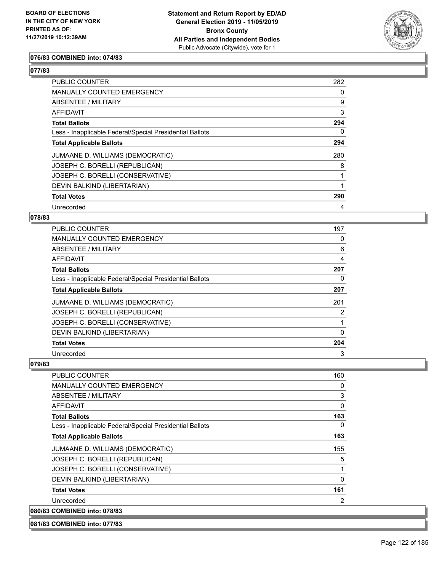

## **076/83 COMBINED into: 074/83**

## **077/83**

| <b>PUBLIC COUNTER</b>                                    | 282 |
|----------------------------------------------------------|-----|
| <b>MANUALLY COUNTED EMERGENCY</b>                        | 0   |
| ABSENTEE / MILITARY                                      | 9   |
| <b>AFFIDAVIT</b>                                         | 3   |
| <b>Total Ballots</b>                                     | 294 |
| Less - Inapplicable Federal/Special Presidential Ballots | 0   |
| <b>Total Applicable Ballots</b>                          | 294 |
| JUMAANE D. WILLIAMS (DEMOCRATIC)                         | 280 |
| JOSEPH C. BORELLI (REPUBLICAN)                           | 8   |
| JOSEPH C. BORELLI (CONSERVATIVE)                         |     |
| DEVIN BALKIND (LIBERTARIAN)                              |     |
| <b>Total Votes</b>                                       | 290 |
| Unrecorded                                               | 4   |

#### **078/83**

| PUBLIC COUNTER                                           | 197      |
|----------------------------------------------------------|----------|
| MANUALLY COUNTED EMERGENCY                               | 0        |
| ABSENTEE / MILITARY                                      | 6        |
| AFFIDAVIT                                                | 4        |
| <b>Total Ballots</b>                                     | 207      |
| Less - Inapplicable Federal/Special Presidential Ballots | 0        |
| <b>Total Applicable Ballots</b>                          | 207      |
| JUMAANE D. WILLIAMS (DEMOCRATIC)                         | 201      |
| JOSEPH C. BORELLI (REPUBLICAN)                           | 2        |
| JOSEPH C. BORELLI (CONSERVATIVE)                         |          |
| DEVIN BALKIND (LIBERTARIAN)                              | $\Omega$ |
| <b>Total Votes</b>                                       | 204      |
| Unrecorded                                               | 3        |

#### **079/83**

| <b>PUBLIC COUNTER</b>                                    | 160      |
|----------------------------------------------------------|----------|
| <b>MANUALLY COUNTED EMERGENCY</b>                        | 0        |
| ABSENTEE / MILITARY                                      | 3        |
| <b>AFFIDAVIT</b>                                         | 0        |
| <b>Total Ballots</b>                                     | 163      |
| Less - Inapplicable Federal/Special Presidential Ballots | $\Omega$ |
| <b>Total Applicable Ballots</b>                          | 163      |
| JUMAANE D. WILLIAMS (DEMOCRATIC)                         | 155      |
| JOSEPH C. BORELLI (REPUBLICAN)                           | 5        |
| JOSEPH C. BORELLI (CONSERVATIVE)                         | 1        |
| DEVIN BALKIND (LIBERTARIAN)                              | $\Omega$ |
| <b>Total Votes</b>                                       | 161      |
| Unrecorded                                               | 2        |
| 080/83 COMBINED into: 078/83                             |          |

**081/83 COMBINED into: 077/83**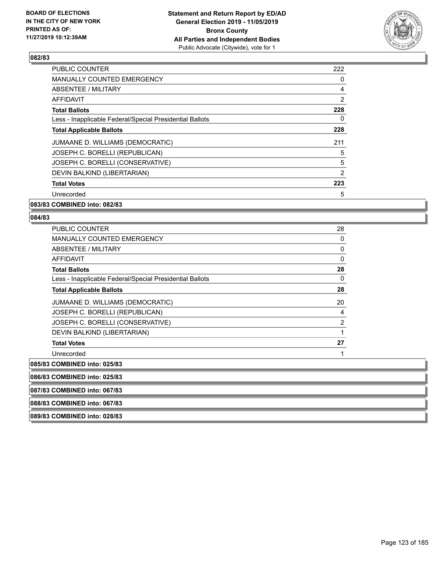

| <b>PUBLIC COUNTER</b>                                    | 222 |
|----------------------------------------------------------|-----|
| <b>MANUALLY COUNTED EMERGENCY</b>                        | 0   |
| ABSENTEE / MILITARY                                      | 4   |
| AFFIDAVIT                                                | 2   |
| <b>Total Ballots</b>                                     | 228 |
| Less - Inapplicable Federal/Special Presidential Ballots | 0   |
| <b>Total Applicable Ballots</b>                          | 228 |
| JUMAANE D. WILLIAMS (DEMOCRATIC)                         | 211 |
| JOSEPH C. BORELLI (REPUBLICAN)                           | 5   |
| JOSEPH C. BORELLI (CONSERVATIVE)                         | 5   |
| DEVIN BALKIND (LIBERTARIAN)                              | 2   |
| <b>Total Votes</b>                                       | 223 |
| Unrecorded                                               | 5   |

#### **083/83 COMBINED into: 082/83**

**089/83 COMBINED into: 028/83**

| <b>PUBLIC COUNTER</b>                                    | 28             |
|----------------------------------------------------------|----------------|
| <b>MANUALLY COUNTED EMERGENCY</b>                        | 0              |
| ABSENTEE / MILITARY                                      | 0              |
| <b>AFFIDAVIT</b>                                         | 0              |
| <b>Total Ballots</b>                                     | 28             |
| Less - Inapplicable Federal/Special Presidential Ballots | 0              |
| <b>Total Applicable Ballots</b>                          | 28             |
| JUMAANE D. WILLIAMS (DEMOCRATIC)                         | 20             |
| JOSEPH C. BORELLI (REPUBLICAN)                           | 4              |
| JOSEPH C. BORELLI (CONSERVATIVE)                         | $\overline{2}$ |
| DEVIN BALKIND (LIBERTARIAN)                              |                |
| <b>Total Votes</b>                                       | 27             |
| Unrecorded                                               |                |
| 085/83 COMBINED into: 025/83                             |                |
| 086/83 COMBINED into: 025/83                             |                |
| 087/83 COMBINED into: 067/83                             |                |
| 088/83 COMBINED into: 067/83                             |                |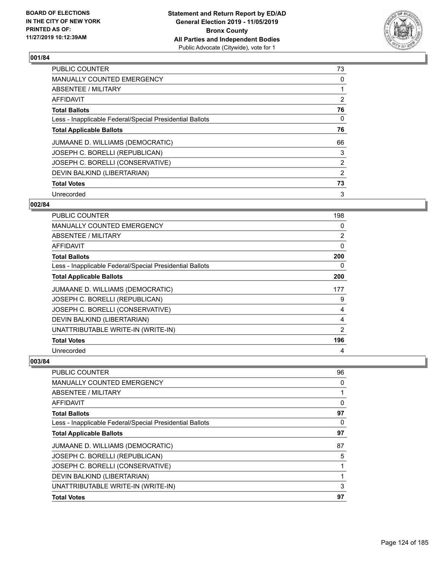

| <b>PUBLIC COUNTER</b>                                    | 73            |
|----------------------------------------------------------|---------------|
| <b>MANUALLY COUNTED EMERGENCY</b>                        | 0             |
| ABSENTEE / MILITARY                                      | 1             |
| <b>AFFIDAVIT</b>                                         | 2             |
| <b>Total Ballots</b>                                     | 76            |
| Less - Inapplicable Federal/Special Presidential Ballots | 0             |
| <b>Total Applicable Ballots</b>                          | 76            |
| JUMAANE D. WILLIAMS (DEMOCRATIC)                         | 66            |
| JOSEPH C. BORELLI (REPUBLICAN)                           | 3             |
| JOSEPH C. BORELLI (CONSERVATIVE)                         | 2             |
| DEVIN BALKIND (LIBERTARIAN)                              | $\mathcal{P}$ |
| <b>Total Votes</b>                                       | 73            |
| Unrecorded                                               | 3             |

## **002/84**

| PUBLIC COUNTER                                           | 198            |
|----------------------------------------------------------|----------------|
| <b>MANUALLY COUNTED EMERGENCY</b>                        | 0              |
| ABSENTEE / MILITARY                                      | $\overline{2}$ |
| AFFIDAVIT                                                | $\Omega$       |
| Total Ballots                                            | 200            |
| Less - Inapplicable Federal/Special Presidential Ballots | 0              |
| <b>Total Applicable Ballots</b>                          | 200            |
| JUMAANE D. WILLIAMS (DEMOCRATIC)                         | 177            |
| JOSEPH C. BORELLI (REPUBLICAN)                           | 9              |
| JOSEPH C. BORELLI (CONSERVATIVE)                         | 4              |
| DEVIN BALKIND (LIBERTARIAN)                              | 4              |
| UNATTRIBUTABLE WRITE-IN (WRITE-IN)                       | $\overline{2}$ |
| <b>Total Votes</b>                                       | 196            |
| Unrecorded                                               | 4              |

| PUBLIC COUNTER                                           | 96       |
|----------------------------------------------------------|----------|
| MANUALLY COUNTED EMERGENCY                               | $\Omega$ |
| ABSENTEE / MILITARY                                      |          |
| <b>AFFIDAVIT</b>                                         | 0        |
| <b>Total Ballots</b>                                     | 97       |
| Less - Inapplicable Federal/Special Presidential Ballots | $\Omega$ |
| <b>Total Applicable Ballots</b>                          | 97       |
| JUMAANE D. WILLIAMS (DEMOCRATIC)                         | 87       |
| JOSEPH C. BORELLI (REPUBLICAN)                           | 5        |
| JOSEPH C. BORELLI (CONSERVATIVE)                         |          |
| DEVIN BALKIND (LIBERTARIAN)                              |          |
| UNATTRIBUTABLE WRITE-IN (WRITE-IN)                       | 3        |
| <b>Total Votes</b>                                       | 97       |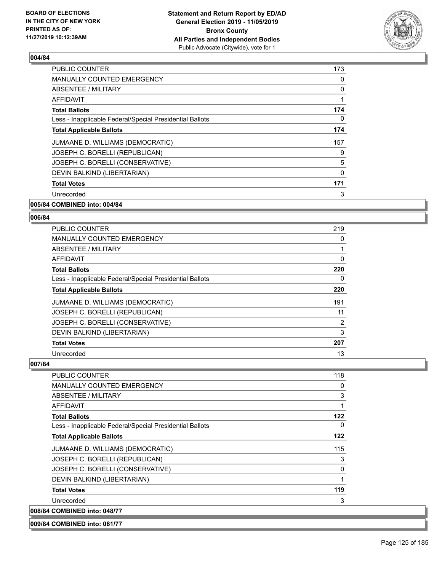

| <b>PUBLIC COUNTER</b>                                    | 173          |
|----------------------------------------------------------|--------------|
| <b>MANUALLY COUNTED EMERGENCY</b>                        | $\Omega$     |
| ABSENTEE / MILITARY                                      | 0            |
| AFFIDAVIT                                                | 1            |
| <b>Total Ballots</b>                                     | 174          |
| Less - Inapplicable Federal/Special Presidential Ballots | 0            |
| <b>Total Applicable Ballots</b>                          | 174          |
| JUMAANE D. WILLIAMS (DEMOCRATIC)                         | 157          |
| JOSEPH C. BORELLI (REPUBLICAN)                           | 9            |
| JOSEPH C. BORELLI (CONSERVATIVE)                         | 5            |
| DEVIN BALKIND (LIBERTARIAN)                              | $\mathbf{0}$ |
| <b>Total Votes</b>                                       | 171          |
| Unrecorded                                               | 3            |
| 005/84 COMBINED into: 004/84                             |              |

## **006/84**

| PUBLIC COUNTER                                           | 219 |
|----------------------------------------------------------|-----|
| MANUALLY COUNTED EMERGENCY                               | 0   |
| ABSENTEE / MILITARY                                      |     |
| AFFIDAVIT                                                | 0   |
| <b>Total Ballots</b>                                     | 220 |
| Less - Inapplicable Federal/Special Presidential Ballots | 0   |
| <b>Total Applicable Ballots</b>                          | 220 |
| JUMAANE D. WILLIAMS (DEMOCRATIC)                         | 191 |
| JOSEPH C. BORELLI (REPUBLICAN)                           | 11  |
| JOSEPH C. BORELLI (CONSERVATIVE)                         | 2   |
| DEVIN BALKIND (LIBERTARIAN)                              | 3   |
| <b>Total Votes</b>                                       | 207 |
| Unrecorded                                               | 13  |

#### **007/84**

| <b>PUBLIC COUNTER</b>                                    | 118          |
|----------------------------------------------------------|--------------|
| <b>MANUALLY COUNTED EMERGENCY</b>                        | 0            |
| ABSENTEE / MILITARY                                      | 3            |
| AFFIDAVIT                                                | 1            |
| <b>Total Ballots</b>                                     | 122          |
| Less - Inapplicable Federal/Special Presidential Ballots | $\Omega$     |
| <b>Total Applicable Ballots</b>                          | 122          |
| JUMAANE D. WILLIAMS (DEMOCRATIC)                         | 115          |
| JOSEPH C. BORELLI (REPUBLICAN)                           | 3            |
| JOSEPH C. BORELLI (CONSERVATIVE)                         | $\mathbf{0}$ |
| DEVIN BALKIND (LIBERTARIAN)                              | 1            |
| <b>Total Votes</b>                                       | 119          |
| Unrecorded                                               | 3            |
| 008/84 COMBINED into: 048/77                             |              |

**009/84 COMBINED into: 061/77**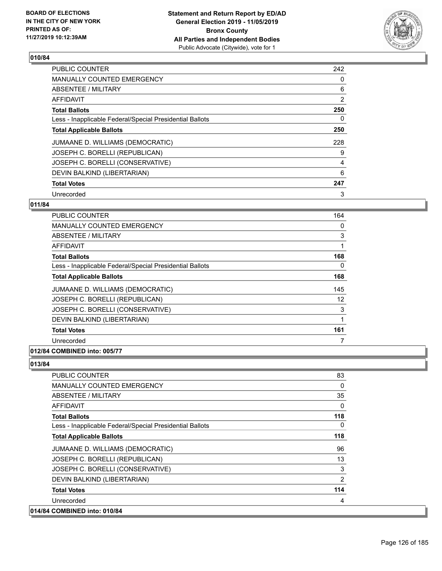

| <b>PUBLIC COUNTER</b>                                    | 242            |
|----------------------------------------------------------|----------------|
| <b>MANUALLY COUNTED EMERGENCY</b>                        | 0              |
| ABSENTEE / MILITARY                                      | 6              |
| <b>AFFIDAVIT</b>                                         | $\overline{2}$ |
| <b>Total Ballots</b>                                     | 250            |
| Less - Inapplicable Federal/Special Presidential Ballots | 0              |
| <b>Total Applicable Ballots</b>                          | 250            |
| JUMAANE D. WILLIAMS (DEMOCRATIC)                         | 228            |
| JOSEPH C. BORELLI (REPUBLICAN)                           | 9              |
| JOSEPH C. BORELLI (CONSERVATIVE)                         | 4              |
| DEVIN BALKIND (LIBERTARIAN)                              | 6              |
| <b>Total Votes</b>                                       | 247            |
| Unrecorded                                               | 3              |

## **011/84**

| <b>PUBLIC COUNTER</b>                                    | 164 |
|----------------------------------------------------------|-----|
| <b>MANUALLY COUNTED EMERGENCY</b>                        | 0   |
| ABSENTEE / MILITARY                                      | 3   |
| <b>AFFIDAVIT</b>                                         | 1   |
| <b>Total Ballots</b>                                     | 168 |
| Less - Inapplicable Federal/Special Presidential Ballots | 0   |
| <b>Total Applicable Ballots</b>                          | 168 |
| JUMAANE D. WILLIAMS (DEMOCRATIC)                         | 145 |
| JOSEPH C. BORELLI (REPUBLICAN)                           | 12  |
| JOSEPH C. BORELLI (CONSERVATIVE)                         | 3   |
| DEVIN BALKIND (LIBERTARIAN)                              | 1   |
| <b>Total Votes</b>                                       | 161 |
| Unrecorded                                               | 7   |
|                                                          |     |

## **012/84 COMBINED into: 005/77**

| <b>PUBLIC COUNTER</b>                                    | 83           |
|----------------------------------------------------------|--------------|
| <b>MANUALLY COUNTED EMERGENCY</b>                        | $\Omega$     |
| ABSENTEE / MILITARY                                      | 35           |
| <b>AFFIDAVIT</b>                                         | $\mathbf{0}$ |
| <b>Total Ballots</b>                                     | 118          |
| Less - Inapplicable Federal/Special Presidential Ballots | $\Omega$     |
| <b>Total Applicable Ballots</b>                          | 118          |
| JUMAANE D. WILLIAMS (DEMOCRATIC)                         | 96           |
| JOSEPH C. BORELLI (REPUBLICAN)                           | 13           |
| JOSEPH C. BORELLI (CONSERVATIVE)                         | 3            |
| DEVIN BALKIND (LIBERTARIAN)                              | 2            |
| <b>Total Votes</b>                                       | 114          |
| Unrecorded                                               | 4            |
| 014/84 COMBINED into: 010/84                             |              |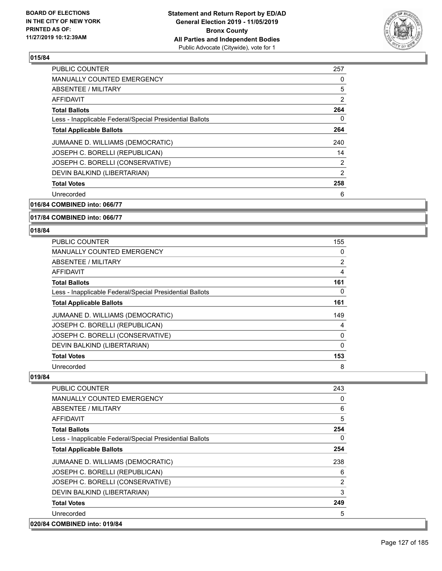

| <b>PUBLIC COUNTER</b>                                    | 257            |
|----------------------------------------------------------|----------------|
| <b>MANUALLY COUNTED EMERGENCY</b>                        | 0              |
| ABSENTEE / MILITARY                                      | 5              |
| <b>AFFIDAVIT</b>                                         | 2              |
| <b>Total Ballots</b>                                     | 264            |
| Less - Inapplicable Federal/Special Presidential Ballots | 0              |
| <b>Total Applicable Ballots</b>                          | 264            |
| JUMAANE D. WILLIAMS (DEMOCRATIC)                         | 240            |
| JOSEPH C. BORELLI (REPUBLICAN)                           | 14             |
| JOSEPH C. BORELLI (CONSERVATIVE)                         | $\overline{2}$ |
| DEVIN BALKIND (LIBERTARIAN)                              | $\overline{2}$ |
| <b>Total Votes</b>                                       | 258            |
| Unrecorded                                               | 6              |
|                                                          |                |

**016/84 COMBINED into: 066/77**

#### **017/84 COMBINED into: 066/77**

#### **018/84**

| PUBLIC COUNTER                                           | 155 |
|----------------------------------------------------------|-----|
| MANUALLY COUNTED EMERGENCY                               | 0   |
| ABSENTEE / MILITARY                                      | 2   |
| AFFIDAVIT                                                | 4   |
| <b>Total Ballots</b>                                     | 161 |
| Less - Inapplicable Federal/Special Presidential Ballots | 0   |
| <b>Total Applicable Ballots</b>                          | 161 |
| JUMAANE D. WILLIAMS (DEMOCRATIC)                         | 149 |
| JOSEPH C. BORELLI (REPUBLICAN)                           | 4   |
| JOSEPH C. BORELLI (CONSERVATIVE)                         | 0   |
| DEVIN BALKIND (LIBERTARIAN)                              | 0   |
| <b>Total Votes</b>                                       | 153 |
| Unrecorded                                               | 8   |

| <b>PUBLIC COUNTER</b>                                    | 243      |
|----------------------------------------------------------|----------|
| <b>MANUALLY COUNTED EMERGENCY</b>                        | 0        |
| ABSENTEE / MILITARY                                      | 6        |
| AFFIDAVIT                                                | 5        |
| <b>Total Ballots</b>                                     | 254      |
| Less - Inapplicable Federal/Special Presidential Ballots | $\Omega$ |
| <b>Total Applicable Ballots</b>                          | 254      |
| JUMAANE D. WILLIAMS (DEMOCRATIC)                         | 238      |
| JOSEPH C. BORELLI (REPUBLICAN)                           | 6        |
| JOSEPH C. BORELLI (CONSERVATIVE)                         | 2        |
| DEVIN BALKIND (LIBERTARIAN)                              | 3        |
| <b>Total Votes</b>                                       | 249      |
| Unrecorded                                               | 5        |
| 020/84 COMBINED into: 019/84                             |          |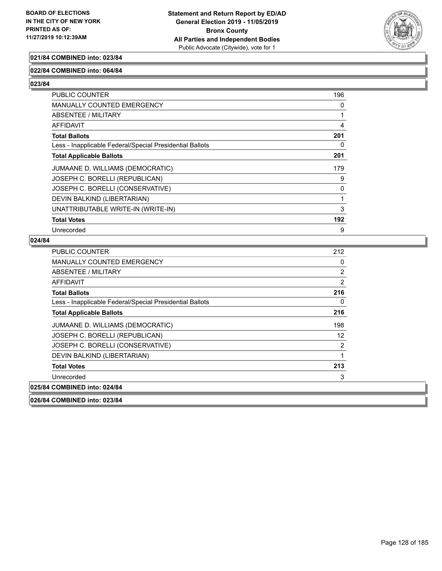

## **021/84 COMBINED into: 023/84**

#### **022/84 COMBINED into: 064/84**

**023/84** 

| PUBLIC COUNTER                                           | 196      |
|----------------------------------------------------------|----------|
| MANUALLY COUNTED EMERGENCY                               | $\Omega$ |
| ABSENTEE / MILITARY                                      |          |
| <b>AFFIDAVIT</b>                                         | 4        |
| <b>Total Ballots</b>                                     | 201      |
| Less - Inapplicable Federal/Special Presidential Ballots | 0        |
| <b>Total Applicable Ballots</b>                          | 201      |
| JUMAANE D. WILLIAMS (DEMOCRATIC)                         | 179      |
| JOSEPH C. BORELLI (REPUBLICAN)                           | 9        |
| JOSEPH C. BORELLI (CONSERVATIVE)                         | 0        |
| DEVIN BALKIND (LIBERTARIAN)                              |          |
| UNATTRIBUTABLE WRITE-IN (WRITE-IN)                       | 3        |
| <b>Total Votes</b>                                       | 192      |
| Unrecorded                                               | 9        |

| PUBLIC COUNTER                                           | 212             |
|----------------------------------------------------------|-----------------|
| MANUALLY COUNTED EMERGENCY                               | 0               |
| ABSENTEE / MILITARY                                      | 2               |
| <b>AFFIDAVIT</b>                                         | 2               |
| <b>Total Ballots</b>                                     | 216             |
| Less - Inapplicable Federal/Special Presidential Ballots | 0               |
| <b>Total Applicable Ballots</b>                          | 216             |
| JUMAANE D. WILLIAMS (DEMOCRATIC)                         | 198             |
| JOSEPH C. BORELLI (REPUBLICAN)                           | 12 <sup>°</sup> |
| JOSEPH C. BORELLI (CONSERVATIVE)                         | 2               |
| DEVIN BALKIND (LIBERTARIAN)                              | 1               |
| <b>Total Votes</b>                                       | 213             |
| Unrecorded                                               | 3               |
| 025/84 COMBINED into: 024/84                             |                 |
| 026/84 COMBINED into: 023/84                             |                 |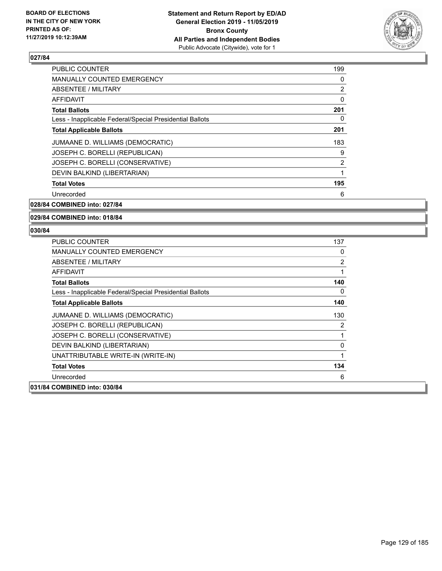

| <b>PUBLIC COUNTER</b>                                    | 199 |
|----------------------------------------------------------|-----|
| <b>MANUALLY COUNTED EMERGENCY</b>                        | 0   |
| ABSENTEE / MILITARY                                      | 2   |
| AFFIDAVIT                                                | 0   |
| <b>Total Ballots</b>                                     | 201 |
| Less - Inapplicable Federal/Special Presidential Ballots | 0   |
| <b>Total Applicable Ballots</b>                          | 201 |
| JUMAANE D. WILLIAMS (DEMOCRATIC)                         | 183 |
| JOSEPH C. BORELLI (REPUBLICAN)                           | 9   |
| JOSEPH C. BORELLI (CONSERVATIVE)                         | 2   |
| DEVIN BALKIND (LIBERTARIAN)                              | 1   |
| <b>Total Votes</b>                                       | 195 |
| Unrecorded                                               | 6   |

**028/84 COMBINED into: 027/84**

#### **029/84 COMBINED into: 018/84**

| <b>PUBLIC COUNTER</b>                                    | 137            |
|----------------------------------------------------------|----------------|
| <b>MANUALLY COUNTED EMERGENCY</b>                        | 0              |
| ABSENTEE / MILITARY                                      | $\overline{2}$ |
| AFFIDAVIT                                                | 1              |
| <b>Total Ballots</b>                                     | 140            |
| Less - Inapplicable Federal/Special Presidential Ballots | 0              |
| <b>Total Applicable Ballots</b>                          | 140            |
| JUMAANE D. WILLIAMS (DEMOCRATIC)                         | 130            |
| JOSEPH C. BORELLI (REPUBLICAN)                           | 2              |
| JOSEPH C. BORELLI (CONSERVATIVE)                         | 1              |
| DEVIN BALKIND (LIBERTARIAN)                              | 0              |
| UNATTRIBUTABLE WRITE-IN (WRITE-IN)                       | 1              |
| <b>Total Votes</b>                                       | 134            |
| Unrecorded                                               | 6              |
| 031/84 COMBINED into: 030/84                             |                |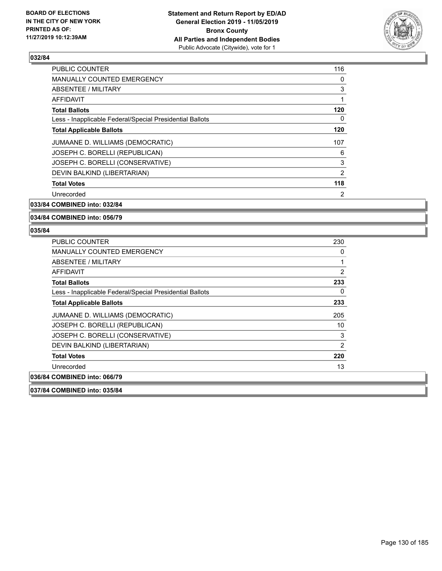

| <b>PUBLIC COUNTER</b>                                    | 116 |
|----------------------------------------------------------|-----|
| <b>MANUALLY COUNTED EMERGENCY</b>                        | 0   |
| ABSENTEE / MILITARY                                      | 3   |
| AFFIDAVIT                                                | 1   |
| <b>Total Ballots</b>                                     | 120 |
| Less - Inapplicable Federal/Special Presidential Ballots | 0   |
| <b>Total Applicable Ballots</b>                          | 120 |
| JUMAANE D. WILLIAMS (DEMOCRATIC)                         | 107 |
| JOSEPH C. BORELLI (REPUBLICAN)                           | 6   |
| JOSEPH C. BORELLI (CONSERVATIVE)                         | 3   |
| DEVIN BALKIND (LIBERTARIAN)                              | 2   |
| <b>Total Votes</b>                                       | 118 |
| Unrecorded                                               | 2   |
|                                                          |     |

**033/84 COMBINED into: 032/84**

**034/84 COMBINED into: 056/79**

#### **035/84**

| <b>MANUALLY COUNTED EMERGENCY</b><br>ABSENTEE / MILITARY<br>AFFIDAVIT<br><b>Total Ballots</b><br>Less - Inapplicable Federal/Special Presidential Ballots<br><b>Total Applicable Ballots</b><br>JUMAANE D. WILLIAMS (DEMOCRATIC)<br>JOSEPH C. BORELLI (REPUBLICAN)<br>JOSEPH C. BORELLI (CONSERVATIVE)<br>DEVIN BALKIND (LIBERTARIAN)<br><b>Total Votes</b><br>Unrecorded<br>036/84 COMBINED into: 066/79 | PUBLIC COUNTER | 230            |
|-----------------------------------------------------------------------------------------------------------------------------------------------------------------------------------------------------------------------------------------------------------------------------------------------------------------------------------------------------------------------------------------------------------|----------------|----------------|
|                                                                                                                                                                                                                                                                                                                                                                                                           |                | 0              |
|                                                                                                                                                                                                                                                                                                                                                                                                           |                | 1              |
|                                                                                                                                                                                                                                                                                                                                                                                                           |                | $\overline{2}$ |
|                                                                                                                                                                                                                                                                                                                                                                                                           |                | 233            |
|                                                                                                                                                                                                                                                                                                                                                                                                           |                | 0              |
|                                                                                                                                                                                                                                                                                                                                                                                                           |                | 233            |
|                                                                                                                                                                                                                                                                                                                                                                                                           |                | 205            |
|                                                                                                                                                                                                                                                                                                                                                                                                           |                | 10             |
|                                                                                                                                                                                                                                                                                                                                                                                                           |                | 3              |
|                                                                                                                                                                                                                                                                                                                                                                                                           |                | 2              |
|                                                                                                                                                                                                                                                                                                                                                                                                           |                | 220            |
|                                                                                                                                                                                                                                                                                                                                                                                                           |                | 13             |
|                                                                                                                                                                                                                                                                                                                                                                                                           |                |                |

**037/84 COMBINED into: 035/84**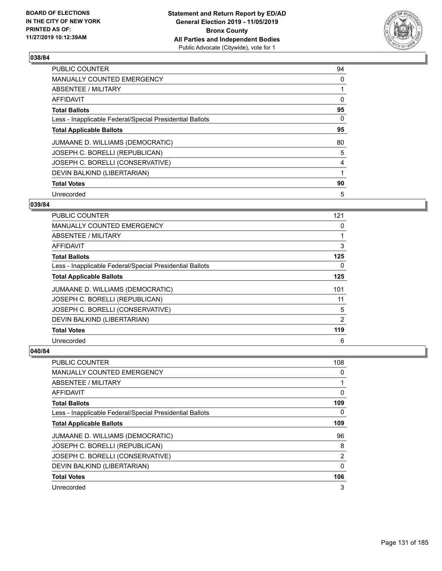

| <b>PUBLIC COUNTER</b>                                    | 94 |
|----------------------------------------------------------|----|
| <b>MANUALLY COUNTED EMERGENCY</b>                        | 0  |
| ABSENTEE / MILITARY                                      | 1  |
| <b>AFFIDAVIT</b>                                         | 0  |
| <b>Total Ballots</b>                                     | 95 |
| Less - Inapplicable Federal/Special Presidential Ballots | 0  |
| <b>Total Applicable Ballots</b>                          | 95 |
| JUMAANE D. WILLIAMS (DEMOCRATIC)                         | 80 |
| JOSEPH C. BORELLI (REPUBLICAN)                           | 5  |
| JOSEPH C. BORELLI (CONSERVATIVE)                         | 4  |
| DEVIN BALKIND (LIBERTARIAN)                              | 1  |
| <b>Total Votes</b>                                       | 90 |
| Unrecorded                                               | 5  |

#### **039/84**

| PUBLIC COUNTER                                           | 121 |
|----------------------------------------------------------|-----|
| MANUALLY COUNTED EMERGENCY                               | 0   |
| ABSENTEE / MILITARY                                      |     |
| AFFIDAVIT                                                | 3   |
| <b>Total Ballots</b>                                     | 125 |
| Less - Inapplicable Federal/Special Presidential Ballots | 0   |
| <b>Total Applicable Ballots</b>                          | 125 |
| JUMAANE D. WILLIAMS (DEMOCRATIC)                         | 101 |
| JOSEPH C. BORELLI (REPUBLICAN)                           | 11  |
| JOSEPH C. BORELLI (CONSERVATIVE)                         | 5   |
| DEVIN BALKIND (LIBERTARIAN)                              | 2   |
| <b>Total Votes</b>                                       | 119 |
| Unrecorded                                               | 6   |

| PUBLIC COUNTER                                           | 108            |
|----------------------------------------------------------|----------------|
| <b>MANUALLY COUNTED EMERGENCY</b>                        | 0              |
| ABSENTEE / MILITARY                                      |                |
| AFFIDAVIT                                                | 0              |
| <b>Total Ballots</b>                                     | 109            |
| Less - Inapplicable Federal/Special Presidential Ballots | 0              |
| <b>Total Applicable Ballots</b>                          | 109            |
| JUMAANE D. WILLIAMS (DEMOCRATIC)                         | 96             |
| JOSEPH C. BORELLI (REPUBLICAN)                           | 8              |
| JOSEPH C. BORELLI (CONSERVATIVE)                         | $\overline{2}$ |
| DEVIN BALKIND (LIBERTARIAN)                              | $\Omega$       |
| <b>Total Votes</b>                                       | 106            |
| Unrecorded                                               | 3              |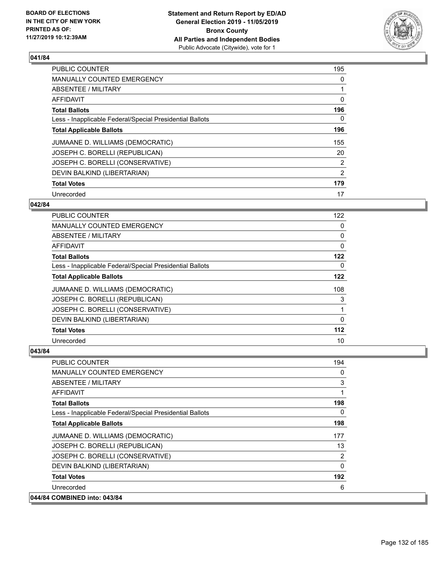

| PUBLIC COUNTER                                           | 195 |
|----------------------------------------------------------|-----|
| <b>MANUALLY COUNTED EMERGENCY</b>                        | 0   |
| ABSENTEE / MILITARY                                      | 1   |
| <b>AFFIDAVIT</b>                                         | 0   |
| <b>Total Ballots</b>                                     | 196 |
| Less - Inapplicable Federal/Special Presidential Ballots | 0   |
| <b>Total Applicable Ballots</b>                          | 196 |
| JUMAANE D. WILLIAMS (DEMOCRATIC)                         | 155 |
| JOSEPH C. BORELLI (REPUBLICAN)                           | 20  |
| JOSEPH C. BORELLI (CONSERVATIVE)                         | 2   |
| DEVIN BALKIND (LIBERTARIAN)                              | 2   |
| <b>Total Votes</b>                                       | 179 |
| Unrecorded                                               | 17  |

## **042/84**

| <b>PUBLIC COUNTER</b>                                    | 122      |
|----------------------------------------------------------|----------|
| MANUALLY COUNTED EMERGENCY                               | 0        |
| ABSENTEE / MILITARY                                      | 0        |
| AFFIDAVIT                                                | 0        |
| <b>Total Ballots</b>                                     | 122      |
| Less - Inapplicable Federal/Special Presidential Ballots | 0        |
| <b>Total Applicable Ballots</b>                          | 122      |
| JUMAANE D. WILLIAMS (DEMOCRATIC)                         | 108      |
| JOSEPH C. BORELLI (REPUBLICAN)                           | 3        |
| JOSEPH C. BORELLI (CONSERVATIVE)                         |          |
| DEVIN BALKIND (LIBERTARIAN)                              | $\Omega$ |
| <b>Total Votes</b>                                       | 112      |
| Unrecorded                                               | 10       |

| <b>PUBLIC COUNTER</b>                                    | 194      |
|----------------------------------------------------------|----------|
| <b>MANUALLY COUNTED EMERGENCY</b>                        | 0        |
| ABSENTEE / MILITARY                                      | 3        |
| AFFIDAVIT                                                | 1        |
| <b>Total Ballots</b>                                     | 198      |
| Less - Inapplicable Federal/Special Presidential Ballots | $\Omega$ |
| <b>Total Applicable Ballots</b>                          | 198      |
| JUMAANE D. WILLIAMS (DEMOCRATIC)                         | 177      |
| JOSEPH C. BORELLI (REPUBLICAN)                           | 13       |
| JOSEPH C. BORELLI (CONSERVATIVE)                         | 2        |
| DEVIN BALKIND (LIBERTARIAN)                              | $\Omega$ |
| <b>Total Votes</b>                                       | 192      |
| Unrecorded                                               | 6        |
| 044/84 COMBINED into: 043/84                             |          |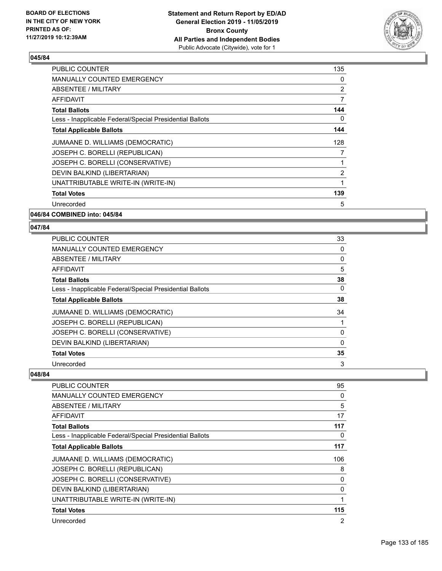

| <b>PUBLIC COUNTER</b>                                    | 135 |
|----------------------------------------------------------|-----|
| <b>MANUALLY COUNTED EMERGENCY</b>                        | 0   |
| ABSENTEE / MILITARY                                      | 2   |
| AFFIDAVIT                                                | 7   |
| <b>Total Ballots</b>                                     | 144 |
| Less - Inapplicable Federal/Special Presidential Ballots | 0   |
| <b>Total Applicable Ballots</b>                          | 144 |
| JUMAANE D. WILLIAMS (DEMOCRATIC)                         | 128 |
| JOSEPH C. BORELLI (REPUBLICAN)                           | 7   |
| JOSEPH C. BORELLI (CONSERVATIVE)                         | 1   |
| DEVIN BALKIND (LIBERTARIAN)                              | 2   |
| UNATTRIBUTABLE WRITE-IN (WRITE-IN)                       | 1   |
| <b>Total Votes</b>                                       | 139 |
| Unrecorded                                               | 5   |
|                                                          |     |

**046/84 COMBINED into: 045/84**

#### **047/84**

| <b>PUBLIC COUNTER</b>                                    | 33       |
|----------------------------------------------------------|----------|
| MANUALLY COUNTED EMERGENCY                               | 0        |
| ABSENTEE / MILITARY                                      | 0        |
| AFFIDAVIT                                                | 5        |
| <b>Total Ballots</b>                                     | 38       |
| Less - Inapplicable Federal/Special Presidential Ballots | 0        |
| <b>Total Applicable Ballots</b>                          | 38       |
| JUMAANE D. WILLIAMS (DEMOCRATIC)                         | 34       |
| JOSEPH C. BORELLI (REPUBLICAN)                           |          |
| JOSEPH C. BORELLI (CONSERVATIVE)                         | 0        |
| DEVIN BALKIND (LIBERTARIAN)                              | $\Omega$ |
| <b>Total Votes</b>                                       | 35       |
| Unrecorded                                               | 3        |

| PUBLIC COUNTER                                           | 95       |
|----------------------------------------------------------|----------|
| <b>MANUALLY COUNTED EMERGENCY</b>                        | 0        |
| <b>ABSENTEE / MILITARY</b>                               | 5        |
| AFFIDAVIT                                                | 17       |
| <b>Total Ballots</b>                                     | 117      |
| Less - Inapplicable Federal/Special Presidential Ballots | $\Omega$ |
| <b>Total Applicable Ballots</b>                          | 117      |
| JUMAANE D. WILLIAMS (DEMOCRATIC)                         | 106      |
| JOSEPH C. BORELLI (REPUBLICAN)                           | 8        |
| JOSEPH C. BORELLI (CONSERVATIVE)                         | 0        |
| DEVIN BALKIND (LIBERTARIAN)                              | 0        |
| UNATTRIBUTABLE WRITE-IN (WRITE-IN)                       | 1        |
| <b>Total Votes</b>                                       | 115      |
| Unrecorded                                               | 2        |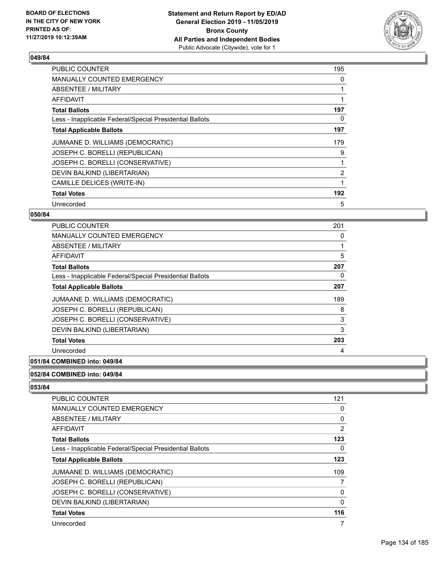

| <b>PUBLIC COUNTER</b>                                    | 195            |
|----------------------------------------------------------|----------------|
| <b>MANUALLY COUNTED EMERGENCY</b>                        | 0              |
| ABSENTEE / MILITARY                                      |                |
| AFFIDAVIT                                                |                |
| <b>Total Ballots</b>                                     | 197            |
| Less - Inapplicable Federal/Special Presidential Ballots | 0              |
| <b>Total Applicable Ballots</b>                          | 197            |
| JUMAANE D. WILLIAMS (DEMOCRATIC)                         | 179            |
| JOSEPH C. BORELLI (REPUBLICAN)                           | 9              |
| JOSEPH C. BORELLI (CONSERVATIVE)                         |                |
| DEVIN BALKIND (LIBERTARIAN)                              | $\overline{2}$ |
| CAMILLE DELICES (WRITE-IN)                               |                |
| <b>Total Votes</b>                                       | 192            |
| Unrecorded                                               | 5              |

## **050/84**

| <b>PUBLIC COUNTER</b>                                    | 201 |
|----------------------------------------------------------|-----|
| <b>MANUALLY COUNTED EMERGENCY</b>                        | 0   |
| ABSENTEE / MILITARY                                      |     |
| <b>AFFIDAVIT</b>                                         | 5   |
| <b>Total Ballots</b>                                     | 207 |
| Less - Inapplicable Federal/Special Presidential Ballots | 0   |
| <b>Total Applicable Ballots</b>                          | 207 |
| JUMAANE D. WILLIAMS (DEMOCRATIC)                         | 189 |
| JOSEPH C. BORELLI (REPUBLICAN)                           | 8   |
| JOSEPH C. BORELLI (CONSERVATIVE)                         | 3   |
| DEVIN BALKIND (LIBERTARIAN)                              | 3   |
| <b>Total Votes</b>                                       | 203 |
| Unrecorded                                               | 4   |
|                                                          |     |

## **051/84 COMBINED into: 049/84**

#### **052/84 COMBINED into: 049/84**

| <b>PUBLIC COUNTER</b>                                    | 121            |
|----------------------------------------------------------|----------------|
| <b>MANUALLY COUNTED EMERGENCY</b>                        | 0              |
| ABSENTEE / MILITARY                                      | $\Omega$       |
| AFFIDAVIT                                                | $\overline{2}$ |
| <b>Total Ballots</b>                                     | 123            |
| Less - Inapplicable Federal/Special Presidential Ballots | 0              |
| <b>Total Applicable Ballots</b>                          | 123            |
| JUMAANE D. WILLIAMS (DEMOCRATIC)                         | 109            |
| JOSEPH C. BORELLI (REPUBLICAN)                           |                |
| JOSEPH C. BORELLI (CONSERVATIVE)                         | 0              |
| DEVIN BALKIND (LIBERTARIAN)                              | 0              |
| <b>Total Votes</b>                                       | 116            |
| Unrecorded                                               | 7              |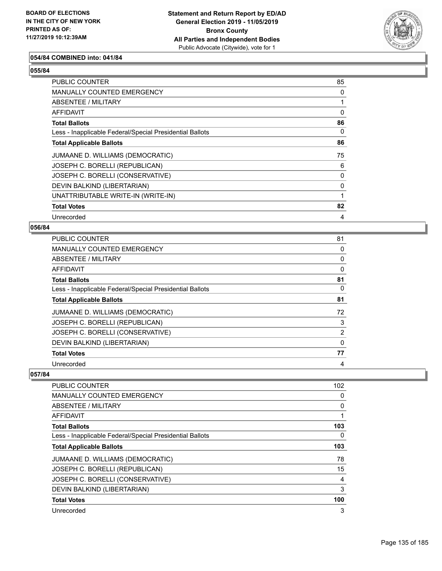

### **054/84 COMBINED into: 041/84**

## **055/84**

| PUBLIC COUNTER                                           | 85 |
|----------------------------------------------------------|----|
| MANUALLY COUNTED EMERGENCY                               | 0  |
| ABSENTEE / MILITARY                                      |    |
| <b>AFFIDAVIT</b>                                         | 0  |
| <b>Total Ballots</b>                                     | 86 |
| Less - Inapplicable Federal/Special Presidential Ballots | 0  |
| <b>Total Applicable Ballots</b>                          | 86 |
| JUMAANE D. WILLIAMS (DEMOCRATIC)                         | 75 |
| JOSEPH C. BORELLI (REPUBLICAN)                           | 6  |
| JOSEPH C. BORELLI (CONSERVATIVE)                         | 0  |
| DEVIN BALKIND (LIBERTARIAN)                              | 0  |
| UNATTRIBUTABLE WRITE-IN (WRITE-IN)                       |    |
| <b>Total Votes</b>                                       | 82 |
| Unrecorded                                               | 4  |

#### **056/84**

| PUBLIC COUNTER                                           | 81             |
|----------------------------------------------------------|----------------|
| <b>MANUALLY COUNTED EMERGENCY</b>                        | 0              |
| <b>ABSENTEE / MILITARY</b>                               | 0              |
| <b>AFFIDAVIT</b>                                         | 0              |
| <b>Total Ballots</b>                                     | 81             |
| Less - Inapplicable Federal/Special Presidential Ballots | 0              |
| <b>Total Applicable Ballots</b>                          | 81             |
| JUMAANE D. WILLIAMS (DEMOCRATIC)                         | 72             |
| JOSEPH C. BORELLI (REPUBLICAN)                           | 3              |
| JOSEPH C. BORELLI (CONSERVATIVE)                         | $\overline{2}$ |
| DEVIN BALKIND (LIBERTARIAN)                              | $\Omega$       |
| <b>Total Votes</b>                                       | 77             |
| Unrecorded                                               | 4              |

| <b>PUBLIC COUNTER</b>                                    | 102 |
|----------------------------------------------------------|-----|
| <b>MANUALLY COUNTED EMERGENCY</b>                        | 0   |
| ABSENTEE / MILITARY                                      | 0   |
| AFFIDAVIT                                                |     |
| <b>Total Ballots</b>                                     | 103 |
| Less - Inapplicable Federal/Special Presidential Ballots | 0   |
| <b>Total Applicable Ballots</b>                          | 103 |
| JUMAANE D. WILLIAMS (DEMOCRATIC)                         | 78  |
| JOSEPH C. BORELLI (REPUBLICAN)                           | 15  |
| JOSEPH C. BORELLI (CONSERVATIVE)                         | 4   |
| DEVIN BALKIND (LIBERTARIAN)                              | 3   |
| <b>Total Votes</b>                                       | 100 |
| Unrecorded                                               | 3   |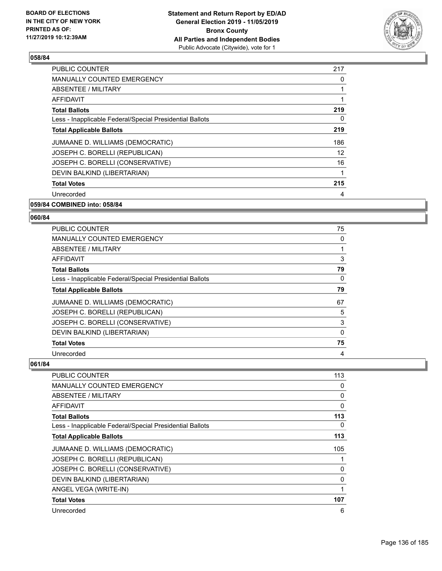

| <b>PUBLIC COUNTER</b>                                    | 217 |
|----------------------------------------------------------|-----|
| <b>MANUALLY COUNTED EMERGENCY</b>                        | 0   |
| ABSENTEE / MILITARY                                      |     |
| AFFIDAVIT                                                |     |
| <b>Total Ballots</b>                                     | 219 |
| Less - Inapplicable Federal/Special Presidential Ballots | 0   |
| <b>Total Applicable Ballots</b>                          | 219 |
| JUMAANE D. WILLIAMS (DEMOCRATIC)                         | 186 |
| JOSEPH C. BORELLI (REPUBLICAN)                           | 12  |
| JOSEPH C. BORELLI (CONSERVATIVE)                         | 16  |
| DEVIN BALKIND (LIBERTARIAN)                              | 1   |
| <b>Total Votes</b>                                       | 215 |
| Unrecorded                                               | 4   |
|                                                          |     |

#### **059/84 COMBINED into: 058/84**

#### **060/84**

| <b>PUBLIC COUNTER</b>                                    | 75       |
|----------------------------------------------------------|----------|
| MANUALLY COUNTED EMERGENCY                               | 0        |
| ABSENTEE / MILITARY                                      |          |
| AFFIDAVIT                                                | 3        |
| <b>Total Ballots</b>                                     | 79       |
| Less - Inapplicable Federal/Special Presidential Ballots | $\Omega$ |
| <b>Total Applicable Ballots</b>                          | 79       |
| JUMAANE D. WILLIAMS (DEMOCRATIC)                         | 67       |
| JOSEPH C. BORELLI (REPUBLICAN)                           | 5        |
| JOSEPH C. BORELLI (CONSERVATIVE)                         | 3        |
| DEVIN BALKIND (LIBERTARIAN)                              | $\Omega$ |
| <b>Total Votes</b>                                       | 75       |
| Unrecorded                                               | 4        |

| <b>PUBLIC COUNTER</b>                                    | 113          |
|----------------------------------------------------------|--------------|
| <b>MANUALLY COUNTED EMERGENCY</b>                        | 0            |
| ABSENTEE / MILITARY                                      | 0            |
| AFFIDAVIT                                                | $\mathbf{0}$ |
| <b>Total Ballots</b>                                     | 113          |
| Less - Inapplicable Federal/Special Presidential Ballots | 0            |
| <b>Total Applicable Ballots</b>                          | 113          |
| JUMAANE D. WILLIAMS (DEMOCRATIC)                         | 105          |
| JOSEPH C. BORELLI (REPUBLICAN)                           |              |
| JOSEPH C. BORELLI (CONSERVATIVE)                         | 0            |
| DEVIN BALKIND (LIBERTARIAN)                              | 0            |
| ANGEL VEGA (WRITE-IN)                                    | 1            |
| <b>Total Votes</b>                                       | 107          |
| Unrecorded                                               | 6            |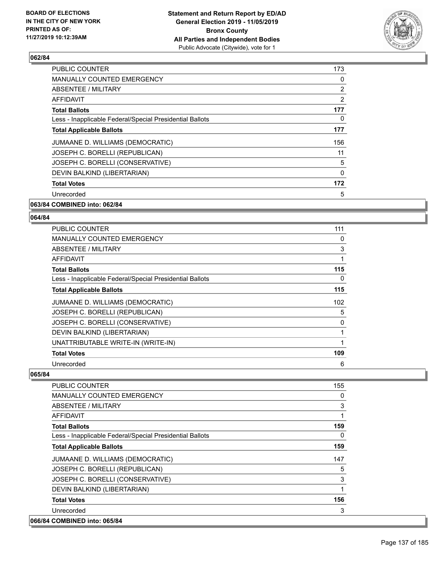

| <b>PUBLIC COUNTER</b>                                    | 173            |
|----------------------------------------------------------|----------------|
| <b>MANUALLY COUNTED EMERGENCY</b>                        | $\Omega$       |
| ABSENTEE / MILITARY                                      | $\overline{2}$ |
| AFFIDAVIT                                                | $\overline{2}$ |
| <b>Total Ballots</b>                                     | 177            |
| Less - Inapplicable Federal/Special Presidential Ballots | 0              |
| <b>Total Applicable Ballots</b>                          | 177            |
| JUMAANE D. WILLIAMS (DEMOCRATIC)                         | 156            |
| JOSEPH C. BORELLI (REPUBLICAN)                           | 11             |
| JOSEPH C. BORELLI (CONSERVATIVE)                         | 5              |
| DEVIN BALKIND (LIBERTARIAN)                              | $\mathbf{0}$   |
| <b>Total Votes</b>                                       | 172            |
| Unrecorded                                               | 5              |
| 063/84 COMBINED into: 062/84                             |                |

## **064/84**

| PUBLIC COUNTER                                           | 111      |
|----------------------------------------------------------|----------|
| MANUALLY COUNTED EMERGENCY                               | 0        |
| ABSENTEE / MILITARY                                      | 3        |
| AFFIDAVIT                                                |          |
| <b>Total Ballots</b>                                     | 115      |
| Less - Inapplicable Federal/Special Presidential Ballots | $\Omega$ |
| <b>Total Applicable Ballots</b>                          | 115      |
| JUMAANE D. WILLIAMS (DEMOCRATIC)                         | 102      |
| JOSEPH C. BORELLI (REPUBLICAN)                           | 5        |
| JOSEPH C. BORELLI (CONSERVATIVE)                         | 0        |
| DEVIN BALKIND (LIBERTARIAN)                              |          |
| UNATTRIBUTABLE WRITE-IN (WRITE-IN)                       |          |
| <b>Total Votes</b>                                       | 109      |
| Unrecorded                                               | 6        |

| PUBLIC COUNTER                                           | 155 |
|----------------------------------------------------------|-----|
| <b>MANUALLY COUNTED EMERGENCY</b>                        | 0   |
| ABSENTEE / MILITARY                                      | 3   |
| AFFIDAVIT                                                | 1   |
| <b>Total Ballots</b>                                     | 159 |
| Less - Inapplicable Federal/Special Presidential Ballots | 0   |
| <b>Total Applicable Ballots</b>                          | 159 |
| JUMAANE D. WILLIAMS (DEMOCRATIC)                         | 147 |
| JOSEPH C. BORELLI (REPUBLICAN)                           | 5   |
| JOSEPH C. BORELLI (CONSERVATIVE)                         | 3   |
| DEVIN BALKIND (LIBERTARIAN)                              | 1   |
| <b>Total Votes</b>                                       | 156 |
| Unrecorded                                               | 3   |
| 066/84 COMBINED into: 065/84                             |     |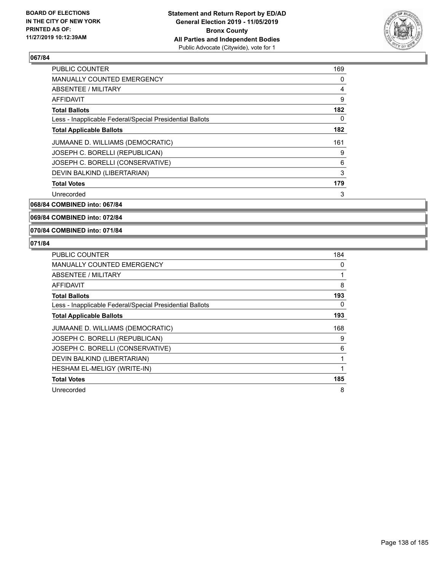

| 169 |
|-----|
| 0   |
| 4   |
| 9   |
| 182 |
| 0   |
| 182 |
| 161 |
| 9   |
| 6   |
| 3   |
| 179 |
| 3   |
|     |

**068/84 COMBINED into: 067/84**

**069/84 COMBINED into: 072/84**

**070/84 COMBINED into: 071/84**

| <b>PUBLIC COUNTER</b>                                    | 184 |
|----------------------------------------------------------|-----|
| <b>MANUALLY COUNTED EMERGENCY</b>                        | 0   |
| ABSENTEE / MILITARY                                      | 1   |
| AFFIDAVIT                                                | 8   |
| <b>Total Ballots</b>                                     | 193 |
| Less - Inapplicable Federal/Special Presidential Ballots | 0   |
| <b>Total Applicable Ballots</b>                          | 193 |
| JUMAANE D. WILLIAMS (DEMOCRATIC)                         | 168 |
| JOSEPH C. BORELLI (REPUBLICAN)                           | 9   |
| JOSEPH C. BORELLI (CONSERVATIVE)                         | 6   |
| DEVIN BALKIND (LIBERTARIAN)                              | 1   |
| HESHAM EL-MELIGY (WRITE-IN)                              | 1   |
| <b>Total Votes</b>                                       | 185 |
| Unrecorded                                               | 8   |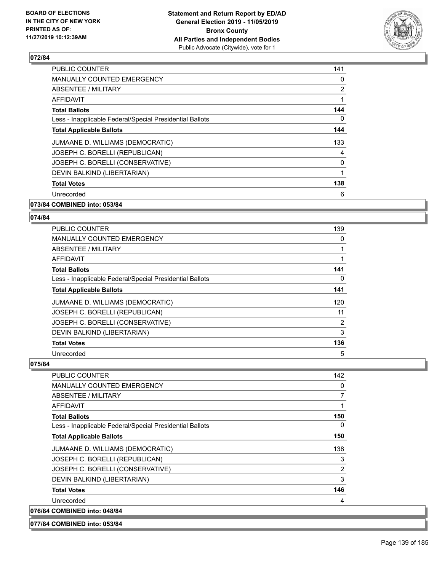

| PUBLIC COUNTER                                           | 141 |
|----------------------------------------------------------|-----|
| <b>MANUALLY COUNTED EMERGENCY</b>                        | 0   |
| ABSENTEE / MILITARY                                      | 2   |
| AFFIDAVIT                                                | 1   |
| <b>Total Ballots</b>                                     | 144 |
| Less - Inapplicable Federal/Special Presidential Ballots | 0   |
| <b>Total Applicable Ballots</b>                          | 144 |
| JUMAANE D. WILLIAMS (DEMOCRATIC)                         | 133 |
| JOSEPH C. BORELLI (REPUBLICAN)                           | 4   |
| JOSEPH C. BORELLI (CONSERVATIVE)                         | 0   |
| DEVIN BALKIND (LIBERTARIAN)                              | 1   |
| <b>Total Votes</b>                                       | 138 |
| Unrecorded                                               | 6   |
|                                                          |     |

#### **073/84 COMBINED into: 053/84**

#### **074/84**

| <b>PUBLIC COUNTER</b>                                    | 139            |
|----------------------------------------------------------|----------------|
| <b>MANUALLY COUNTED EMERGENCY</b>                        | 0              |
| ABSENTEE / MILITARY                                      | 1              |
| AFFIDAVIT                                                |                |
| <b>Total Ballots</b>                                     | 141            |
| Less - Inapplicable Federal/Special Presidential Ballots | $\Omega$       |
| <b>Total Applicable Ballots</b>                          | 141            |
| JUMAANE D. WILLIAMS (DEMOCRATIC)                         | 120            |
| JOSEPH C. BORELLI (REPUBLICAN)                           | 11             |
| JOSEPH C. BORELLI (CONSERVATIVE)                         | $\overline{2}$ |
| DEVIN BALKIND (LIBERTARIAN)                              | 3              |
| <b>Total Votes</b>                                       | 136            |
| Unrecorded                                               | 5              |

#### **075/84**

| <b>PUBLIC COUNTER</b>                                    | 142 |
|----------------------------------------------------------|-----|
| <b>MANUALLY COUNTED EMERGENCY</b>                        | 0   |
| ABSENTEE / MILITARY                                      | 7   |
| <b>AFFIDAVIT</b>                                         | 1   |
| <b>Total Ballots</b>                                     | 150 |
| Less - Inapplicable Federal/Special Presidential Ballots | 0   |
| <b>Total Applicable Ballots</b>                          | 150 |
| JUMAANE D. WILLIAMS (DEMOCRATIC)                         | 138 |
| JOSEPH C. BORELLI (REPUBLICAN)                           | 3   |
| JOSEPH C. BORELLI (CONSERVATIVE)                         | 2   |
| DEVIN BALKIND (LIBERTARIAN)                              | 3   |
| <b>Total Votes</b>                                       | 146 |
| Unrecorded                                               | 4   |
| 076/84 COMBINED into: 048/84                             |     |

**077/84 COMBINED into: 053/84**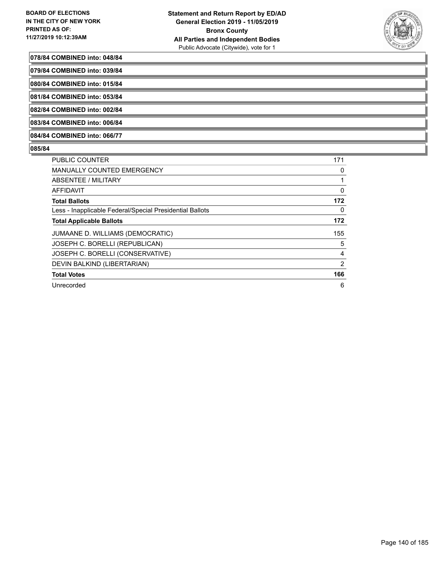

#### **078/84 COMBINED into: 048/84**

**079/84 COMBINED into: 039/84**

**080/84 COMBINED into: 015/84**

**081/84 COMBINED into: 053/84**

**082/84 COMBINED into: 002/84**

**083/84 COMBINED into: 006/84**

**084/84 COMBINED into: 066/77**

| <b>PUBLIC COUNTER</b>                                    | 171            |
|----------------------------------------------------------|----------------|
| <b>MANUALLY COUNTED EMERGENCY</b>                        | 0              |
| ABSENTEE / MILITARY                                      | 1              |
| AFFIDAVIT                                                | 0              |
| <b>Total Ballots</b>                                     | 172            |
| Less - Inapplicable Federal/Special Presidential Ballots | 0              |
| <b>Total Applicable Ballots</b>                          | 172            |
| JUMAANE D. WILLIAMS (DEMOCRATIC)                         | 155            |
| JOSEPH C. BORELLI (REPUBLICAN)                           | 5              |
| JOSEPH C. BORELLI (CONSERVATIVE)                         | 4              |
| DEVIN BALKIND (LIBERTARIAN)                              | $\overline{2}$ |
| <b>Total Votes</b>                                       | 166            |
| Unrecorded                                               | 6              |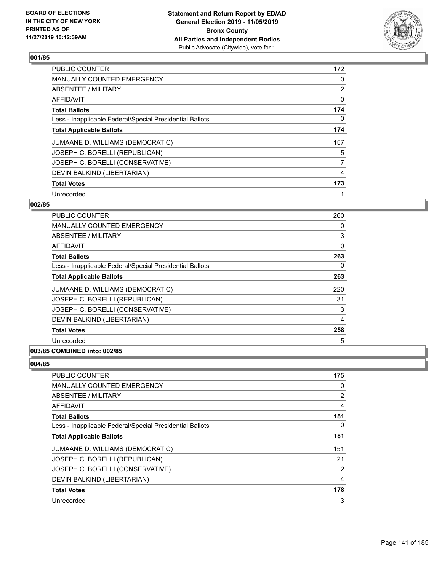

| PUBLIC COUNTER                                           | 172 |
|----------------------------------------------------------|-----|
| MANUALLY COUNTED EMERGENCY                               | 0   |
| ABSENTEE / MILITARY                                      | 2   |
| <b>AFFIDAVIT</b>                                         | 0   |
| <b>Total Ballots</b>                                     | 174 |
| Less - Inapplicable Federal/Special Presidential Ballots | 0   |
| <b>Total Applicable Ballots</b>                          | 174 |
| JUMAANE D. WILLIAMS (DEMOCRATIC)                         | 157 |
| JOSEPH C. BORELLI (REPUBLICAN)                           | 5   |
| JOSEPH C. BORELLI (CONSERVATIVE)                         | 7   |
| DEVIN BALKIND (LIBERTARIAN)                              | 4   |
| <b>Total Votes</b>                                       | 173 |
| Unrecorded                                               | 1   |

## **002/85**

| <b>PUBLIC COUNTER</b>                                    | 260 |
|----------------------------------------------------------|-----|
| MANUALLY COUNTED EMERGENCY                               | 0   |
| ABSENTEE / MILITARY                                      | 3   |
| AFFIDAVIT                                                | 0   |
| <b>Total Ballots</b>                                     | 263 |
| Less - Inapplicable Federal/Special Presidential Ballots | 0   |
| <b>Total Applicable Ballots</b>                          | 263 |
| JUMAANE D. WILLIAMS (DEMOCRATIC)                         | 220 |
| JOSEPH C. BORELLI (REPUBLICAN)                           | 31  |
| JOSEPH C. BORELLI (CONSERVATIVE)                         | 3   |
| DEVIN BALKIND (LIBERTARIAN)                              | 4   |
| <b>Total Votes</b>                                       | 258 |
| Unrecorded                                               | 5   |
|                                                          |     |

## **003/85 COMBINED into: 002/85**

| <b>PUBLIC COUNTER</b>                                    | 175            |
|----------------------------------------------------------|----------------|
| <b>MANUALLY COUNTED EMERGENCY</b>                        | 0              |
| ABSENTEE / MILITARY                                      | 2              |
| AFFIDAVIT                                                | $\overline{4}$ |
| <b>Total Ballots</b>                                     | 181            |
| Less - Inapplicable Federal/Special Presidential Ballots | 0              |
| <b>Total Applicable Ballots</b>                          | 181            |
| JUMAANE D. WILLIAMS (DEMOCRATIC)                         | 151            |
| JOSEPH C. BORELLI (REPUBLICAN)                           | 21             |
| JOSEPH C. BORELLI (CONSERVATIVE)                         | $\overline{2}$ |
| DEVIN BALKIND (LIBERTARIAN)                              | $\overline{4}$ |
| <b>Total Votes</b>                                       | 178            |
| Unrecorded                                               | 3              |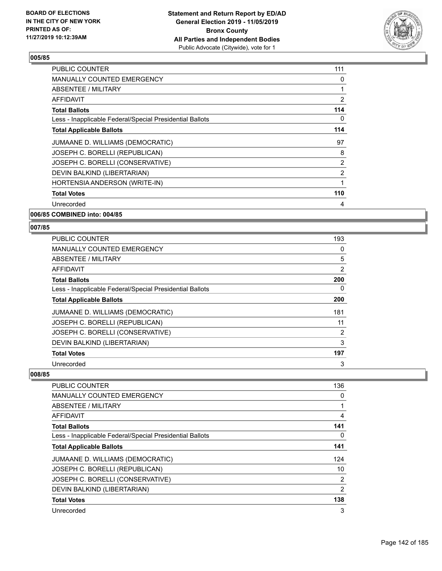

| PUBLIC COUNTER                                           | 111 |
|----------------------------------------------------------|-----|
| <b>MANUALLY COUNTED EMERGENCY</b>                        | 0   |
| ABSENTEE / MILITARY                                      | 1   |
| AFFIDAVIT                                                | 2   |
| Total Ballots                                            | 114 |
| Less - Inapplicable Federal/Special Presidential Ballots | 0   |
| <b>Total Applicable Ballots</b>                          | 114 |
| JUMAANE D. WILLIAMS (DEMOCRATIC)                         | 97  |
| JOSEPH C. BORELLI (REPUBLICAN)                           | 8   |
| JOSEPH C. BORELLI (CONSERVATIVE)                         | 2   |
| DEVIN BALKIND (LIBERTARIAN)                              | 2   |
| HORTENSIA ANDERSON (WRITE-IN)                            | 1   |
| <b>Total Votes</b>                                       | 110 |
| Unrecorded                                               | 4   |
|                                                          |     |

**006/85 COMBINED into: 004/85**

#### **007/85**

| <b>PUBLIC COUNTER</b>                                    | 193 |
|----------------------------------------------------------|-----|
| <b>MANUALLY COUNTED EMERGENCY</b>                        | 0   |
| ABSENTEE / MILITARY                                      | 5   |
| <b>AFFIDAVIT</b>                                         | 2   |
| <b>Total Ballots</b>                                     | 200 |
| Less - Inapplicable Federal/Special Presidential Ballots | 0   |
| <b>Total Applicable Ballots</b>                          | 200 |
| JUMAANE D. WILLIAMS (DEMOCRATIC)                         | 181 |
| JOSEPH C. BORELLI (REPUBLICAN)                           | 11  |
| JOSEPH C. BORELLI (CONSERVATIVE)                         | 2   |
| DEVIN BALKIND (LIBERTARIAN)                              | 3   |
| <b>Total Votes</b>                                       | 197 |
| Unrecorded                                               | 3   |

| PUBLIC COUNTER                                           | 136 |
|----------------------------------------------------------|-----|
| <b>MANUALLY COUNTED EMERGENCY</b>                        | 0   |
| ABSENTEE / MILITARY                                      |     |
| AFFIDAVIT                                                | 4   |
| <b>Total Ballots</b>                                     | 141 |
| Less - Inapplicable Federal/Special Presidential Ballots | 0   |
| <b>Total Applicable Ballots</b>                          | 141 |
| JUMAANE D. WILLIAMS (DEMOCRATIC)                         | 124 |
| JOSEPH C. BORELLI (REPUBLICAN)                           | 10  |
| JOSEPH C. BORELLI (CONSERVATIVE)                         | 2   |
| DEVIN BALKIND (LIBERTARIAN)                              | 2   |
| <b>Total Votes</b>                                       | 138 |
| Unrecorded                                               | 3   |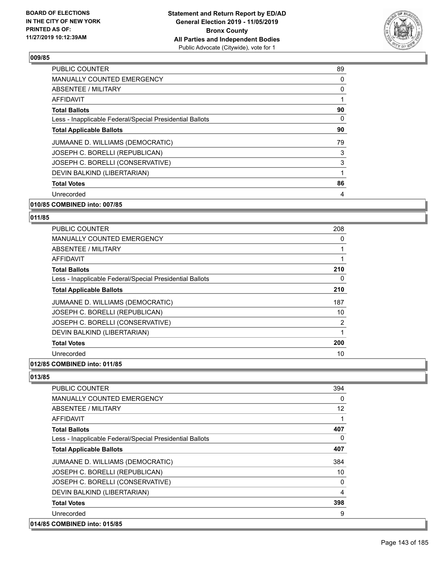

| PUBLIC COUNTER                                           | 89 |
|----------------------------------------------------------|----|
| <b>MANUALLY COUNTED EMERGENCY</b>                        | 0  |
| ABSENTEE / MILITARY                                      | 0  |
| AFFIDAVIT                                                |    |
| <b>Total Ballots</b>                                     | 90 |
| Less - Inapplicable Federal/Special Presidential Ballots | 0  |
| <b>Total Applicable Ballots</b>                          | 90 |
| JUMAANE D. WILLIAMS (DEMOCRATIC)                         | 79 |
| JOSEPH C. BORELLI (REPUBLICAN)                           | 3  |
| JOSEPH C. BORELLI (CONSERVATIVE)                         | 3  |
| DEVIN BALKIND (LIBERTARIAN)                              | 1  |
| <b>Total Votes</b>                                       | 86 |
| Unrecorded                                               | 4  |
|                                                          |    |

## **010/85 COMBINED into: 007/85**

#### **011/85**

| <b>PUBLIC COUNTER</b>                                    | 208 |
|----------------------------------------------------------|-----|
| <b>MANUALLY COUNTED EMERGENCY</b>                        | 0   |
| ABSENTEE / MILITARY                                      | 1   |
| AFFIDAVIT                                                | 1   |
| <b>Total Ballots</b>                                     | 210 |
| Less - Inapplicable Federal/Special Presidential Ballots | 0   |
| <b>Total Applicable Ballots</b>                          | 210 |
| JUMAANE D. WILLIAMS (DEMOCRATIC)                         | 187 |
| JOSEPH C. BORELLI (REPUBLICAN)                           | 10  |
| JOSEPH C. BORELLI (CONSERVATIVE)                         | 2   |
| DEVIN BALKIND (LIBERTARIAN)                              | 1   |
| <b>Total Votes</b>                                       | 200 |
| Unrecorded                                               | 10  |
|                                                          |     |

#### **012/85 COMBINED into: 011/85**

| <b>PUBLIC COUNTER</b>                                    | 394      |
|----------------------------------------------------------|----------|
| <b>MANUALLY COUNTED EMERGENCY</b>                        | $\Omega$ |
| <b>ABSENTEE / MILITARY</b>                               | 12       |
| AFFIDAVIT                                                |          |
| <b>Total Ballots</b>                                     | 407      |
| Less - Inapplicable Federal/Special Presidential Ballots | 0        |
| <b>Total Applicable Ballots</b>                          | 407      |
| JUMAANE D. WILLIAMS (DEMOCRATIC)                         | 384      |
| JOSEPH C. BORELLI (REPUBLICAN)                           | 10       |
| JOSEPH C. BORELLI (CONSERVATIVE)                         | 0        |
| DEVIN BALKIND (LIBERTARIAN)                              | 4        |
| <b>Total Votes</b>                                       | 398      |
| Unrecorded                                               | 9        |
| 014/85 COMBINED into: 015/85                             |          |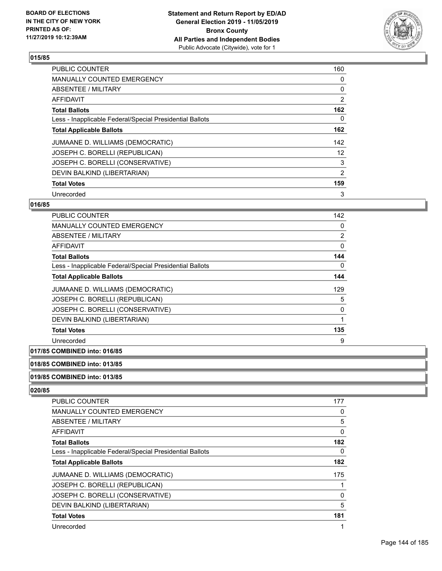

| <b>PUBLIC COUNTER</b>                                    | 160 |
|----------------------------------------------------------|-----|
| <b>MANUALLY COUNTED EMERGENCY</b>                        | 0   |
| ABSENTEE / MILITARY                                      | 0   |
| <b>AFFIDAVIT</b>                                         | 2   |
| <b>Total Ballots</b>                                     | 162 |
| Less - Inapplicable Federal/Special Presidential Ballots | 0   |
| <b>Total Applicable Ballots</b>                          | 162 |
| JUMAANE D. WILLIAMS (DEMOCRATIC)                         | 142 |
| JOSEPH C. BORELLI (REPUBLICAN)                           | 12  |
| JOSEPH C. BORELLI (CONSERVATIVE)                         | 3   |
| DEVIN BALKIND (LIBERTARIAN)                              | 2   |
| <b>Total Votes</b>                                       | 159 |
| Unrecorded                                               | 3   |

## **016/85**

| PUBLIC COUNTER                                           | 142      |
|----------------------------------------------------------|----------|
| <b>MANUALLY COUNTED EMERGENCY</b>                        | 0        |
| ABSENTEE / MILITARY                                      | 2        |
| <b>AFFIDAVIT</b>                                         | $\Omega$ |
| <b>Total Ballots</b>                                     | 144      |
| Less - Inapplicable Federal/Special Presidential Ballots | 0        |
| <b>Total Applicable Ballots</b>                          | 144      |
| JUMAANE D. WILLIAMS (DEMOCRATIC)                         | 129      |
| JOSEPH C. BORELLI (REPUBLICAN)                           | 5        |
| JOSEPH C. BORELLI (CONSERVATIVE)                         | 0        |
| DEVIN BALKIND (LIBERTARIAN)                              |          |
| <b>Total Votes</b>                                       | 135      |
| Unrecorded                                               | 9        |

## **017/85 COMBINED into: 016/85**

#### **018/85 COMBINED into: 013/85**

#### **019/85 COMBINED into: 013/85**

| <b>PUBLIC COUNTER</b>                                    | 177 |
|----------------------------------------------------------|-----|
| <b>MANUALLY COUNTED EMERGENCY</b>                        | 0   |
| ABSENTEE / MILITARY                                      | 5   |
| AFFIDAVIT                                                | 0   |
| <b>Total Ballots</b>                                     | 182 |
| Less - Inapplicable Federal/Special Presidential Ballots | 0   |
| <b>Total Applicable Ballots</b>                          | 182 |
| JUMAANE D. WILLIAMS (DEMOCRATIC)                         | 175 |
| JOSEPH C. BORELLI (REPUBLICAN)                           |     |
| JOSEPH C. BORELLI (CONSERVATIVE)                         | 0   |
| DEVIN BALKIND (LIBERTARIAN)                              | 5   |
| <b>Total Votes</b>                                       | 181 |
| Unrecorded                                               | 4   |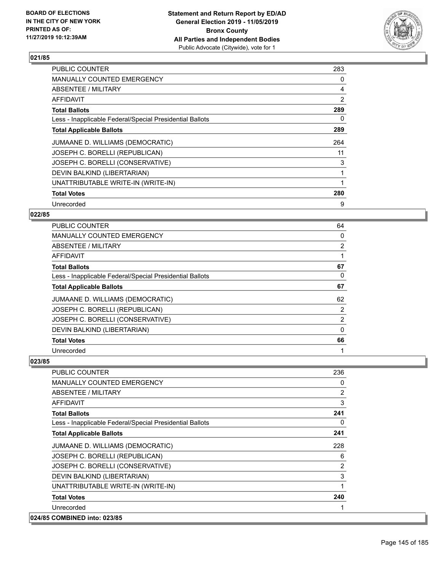

| <b>PUBLIC COUNTER</b>                                    | 283            |
|----------------------------------------------------------|----------------|
| MANUALLY COUNTED EMERGENCY                               | 0              |
| ABSENTEE / MILITARY                                      | 4              |
| AFFIDAVIT                                                | $\overline{2}$ |
| <b>Total Ballots</b>                                     | 289            |
| Less - Inapplicable Federal/Special Presidential Ballots | 0              |
| <b>Total Applicable Ballots</b>                          | 289            |
| JUMAANE D. WILLIAMS (DEMOCRATIC)                         | 264            |
| JOSEPH C. BORELLI (REPUBLICAN)                           | 11             |
| JOSEPH C. BORELLI (CONSERVATIVE)                         | 3              |
| DEVIN BALKIND (LIBERTARIAN)                              | 1              |
| UNATTRIBUTABLE WRITE-IN (WRITE-IN)                       |                |
| <b>Total Votes</b>                                       | 280            |
| Unrecorded                                               | 9              |

## **022/85**

| <b>PUBLIC COUNTER</b>                                    | 64             |
|----------------------------------------------------------|----------------|
| <b>MANUALLY COUNTED EMERGENCY</b>                        | 0              |
| ABSENTEE / MILITARY                                      | $\overline{2}$ |
| AFFIDAVIT                                                |                |
| <b>Total Ballots</b>                                     | 67             |
| Less - Inapplicable Federal/Special Presidential Ballots | 0              |
| <b>Total Applicable Ballots</b>                          | 67             |
| JUMAANE D. WILLIAMS (DEMOCRATIC)                         | 62             |
| JOSEPH C. BORELLI (REPUBLICAN)                           | 2              |
| JOSEPH C. BORELLI (CONSERVATIVE)                         | $\overline{2}$ |
| DEVIN BALKIND (LIBERTARIAN)                              | 0              |
| <b>Total Votes</b>                                       | 66             |
| Unrecorded                                               |                |

| PUBLIC COUNTER                                           | 236      |
|----------------------------------------------------------|----------|
| <b>MANUALLY COUNTED EMERGENCY</b>                        | 0        |
| ABSENTEE / MILITARY                                      | 2        |
| AFFIDAVIT                                                | 3        |
| <b>Total Ballots</b>                                     | 241      |
| Less - Inapplicable Federal/Special Presidential Ballots | $\Omega$ |
| <b>Total Applicable Ballots</b>                          | 241      |
| JUMAANE D. WILLIAMS (DEMOCRATIC)                         | 228      |
| JOSEPH C. BORELLI (REPUBLICAN)                           | 6        |
| JOSEPH C. BORELLI (CONSERVATIVE)                         | 2        |
| DEVIN BALKIND (LIBERTARIAN)                              | 3        |
| UNATTRIBUTABLE WRITE-IN (WRITE-IN)                       | 1        |
| <b>Total Votes</b>                                       | 240      |
| Unrecorded                                               |          |
| 024/85 COMBINED into: 023/85                             |          |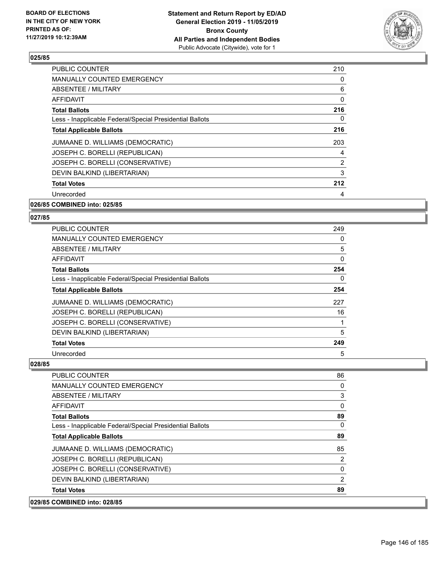

| <b>PUBLIC COUNTER</b>                                    | 210      |
|----------------------------------------------------------|----------|
| MANUALLY COUNTED EMERGENCY                               | 0        |
| ABSENTEE / MILITARY                                      | 6        |
| <b>AFFIDAVIT</b>                                         | $\Omega$ |
| <b>Total Ballots</b>                                     | 216      |
| Less - Inapplicable Federal/Special Presidential Ballots | 0        |
| <b>Total Applicable Ballots</b>                          | 216      |
| JUMAANE D. WILLIAMS (DEMOCRATIC)                         | 203      |
| JOSEPH C. BORELLI (REPUBLICAN)                           | 4        |
| JOSEPH C. BORELLI (CONSERVATIVE)                         | 2        |
| DEVIN BALKIND (LIBERTARIAN)                              | 3        |
| <b>Total Votes</b>                                       | 212      |
| Unrecorded                                               | 4        |
|                                                          |          |

## **026/85 COMBINED into: 025/85**

### **027/85**

| <b>PUBLIC COUNTER</b>                                    | 249 |
|----------------------------------------------------------|-----|
| <b>MANUALLY COUNTED EMERGENCY</b>                        | 0   |
| ABSENTEE / MILITARY                                      | 5   |
| AFFIDAVIT                                                | 0   |
| <b>Total Ballots</b>                                     | 254 |
| Less - Inapplicable Federal/Special Presidential Ballots | 0   |
| <b>Total Applicable Ballots</b>                          | 254 |
| JUMAANE D. WILLIAMS (DEMOCRATIC)                         | 227 |
| JOSEPH C. BORELLI (REPUBLICAN)                           | 16  |
| JOSEPH C. BORELLI (CONSERVATIVE)                         |     |
| DEVIN BALKIND (LIBERTARIAN)                              | 5   |
| <b>Total Votes</b>                                       | 249 |
| Unrecorded                                               | 5   |

| 029/85 COMBINED into: 028/85                             |    |
|----------------------------------------------------------|----|
| <b>Total Votes</b>                                       | 89 |
| DEVIN BALKIND (LIBERTARIAN)                              | 2  |
| JOSEPH C. BORELLI (CONSERVATIVE)                         | 0  |
| JOSEPH C. BORELLI (REPUBLICAN)                           | 2  |
| JUMAANE D. WILLIAMS (DEMOCRATIC)                         | 85 |
| <b>Total Applicable Ballots</b>                          | 89 |
| Less - Inapplicable Federal/Special Presidential Ballots | 0  |
| <b>Total Ballots</b>                                     | 89 |
| <b>AFFIDAVIT</b>                                         | 0  |
| ABSENTEE / MILITARY                                      | 3  |
| <b>MANUALLY COUNTED EMERGENCY</b>                        | 0  |
| <b>PUBLIC COUNTER</b>                                    | 86 |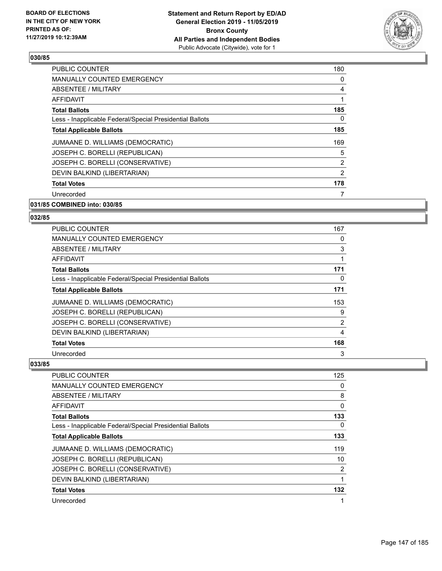

| <b>PUBLIC COUNTER</b>                                    | 180            |
|----------------------------------------------------------|----------------|
| <b>MANUALLY COUNTED EMERGENCY</b>                        | 0              |
| ABSENTEE / MILITARY                                      | 4              |
| AFFIDAVIT                                                |                |
| <b>Total Ballots</b>                                     | 185            |
| Less - Inapplicable Federal/Special Presidential Ballots | 0              |
| <b>Total Applicable Ballots</b>                          | 185            |
| JUMAANE D. WILLIAMS (DEMOCRATIC)                         | 169            |
| JOSEPH C. BORELLI (REPUBLICAN)                           | 5              |
| JOSEPH C. BORELLI (CONSERVATIVE)                         | $\overline{2}$ |
| DEVIN BALKIND (LIBERTARIAN)                              | 2              |
| <b>Total Votes</b>                                       | 178            |
| Unrecorded                                               |                |
| 031/85 COMBINED into: 030/85                             |                |

# **032/85**

| <b>PUBLIC COUNTER</b>                                    | 167 |
|----------------------------------------------------------|-----|
| <b>MANUALLY COUNTED EMERGENCY</b>                        | 0   |
| ABSENTEE / MILITARY                                      | 3   |
| AFFIDAVIT                                                |     |
| <b>Total Ballots</b>                                     | 171 |
| Less - Inapplicable Federal/Special Presidential Ballots | 0   |
| <b>Total Applicable Ballots</b>                          | 171 |
| JUMAANE D. WILLIAMS (DEMOCRATIC)                         | 153 |
| JOSEPH C. BORELLI (REPUBLICAN)                           | 9   |
| JOSEPH C. BORELLI (CONSERVATIVE)                         | 2   |
| DEVIN BALKIND (LIBERTARIAN)                              | 4   |
| <b>Total Votes</b>                                       | 168 |
| Unrecorded                                               | 3   |

| <b>PUBLIC COUNTER</b>                                    | 125 |
|----------------------------------------------------------|-----|
| MANUALLY COUNTED EMERGENCY                               | 0   |
| ABSENTEE / MILITARY                                      | 8   |
| <b>AFFIDAVIT</b>                                         | 0   |
| <b>Total Ballots</b>                                     | 133 |
| Less - Inapplicable Federal/Special Presidential Ballots | 0   |
| <b>Total Applicable Ballots</b>                          | 133 |
| JUMAANE D. WILLIAMS (DEMOCRATIC)                         | 119 |
| JOSEPH C. BORELLI (REPUBLICAN)                           | 10  |
| JOSEPH C. BORELLI (CONSERVATIVE)                         | 2   |
| DEVIN BALKIND (LIBERTARIAN)                              | 1   |
| <b>Total Votes</b>                                       | 132 |
| Unrecorded                                               | 1   |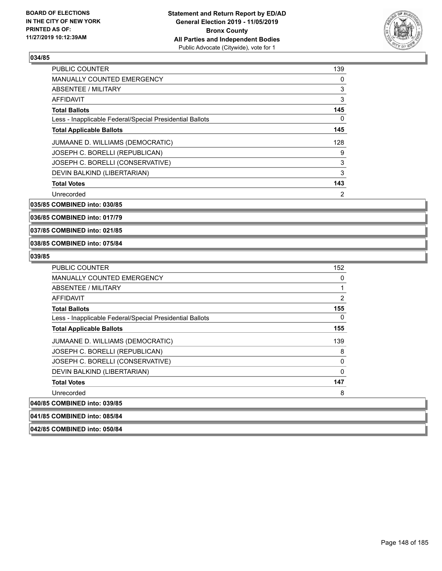

| <b>PUBLIC COUNTER</b>                                    | 139            |
|----------------------------------------------------------|----------------|
| <b>MANUALLY COUNTED EMERGENCY</b>                        | 0              |
| ABSENTEE / MILITARY                                      | 3              |
| <b>AFFIDAVIT</b>                                         | 3              |
| <b>Total Ballots</b>                                     | 145            |
| Less - Inapplicable Federal/Special Presidential Ballots | 0              |
| <b>Total Applicable Ballots</b>                          | 145            |
| JUMAANE D. WILLIAMS (DEMOCRATIC)                         | 128            |
| JOSEPH C. BORELLI (REPUBLICAN)                           | 9              |
| JOSEPH C. BORELLI (CONSERVATIVE)                         | 3              |
| DEVIN BALKIND (LIBERTARIAN)                              | 3              |
| <b>Total Votes</b>                                       | 143            |
| Unrecorded                                               | $\overline{2}$ |

**035/85 COMBINED into: 030/85**

**036/85 COMBINED into: 017/79**

**037/85 COMBINED into: 021/85**

### **038/85 COMBINED into: 075/84**

**042/85 COMBINED into: 050/84**

| <b>PUBLIC COUNTER</b>                                    | 152            |
|----------------------------------------------------------|----------------|
| <b>MANUALLY COUNTED EMERGENCY</b>                        | 0              |
| ABSENTEE / MILITARY                                      |                |
| <b>AFFIDAVIT</b>                                         | $\overline{2}$ |
| <b>Total Ballots</b>                                     | 155            |
| Less - Inapplicable Federal/Special Presidential Ballots | 0              |
| <b>Total Applicable Ballots</b>                          | 155            |
| JUMAANE D. WILLIAMS (DEMOCRATIC)                         | 139            |
| JOSEPH C. BORELLI (REPUBLICAN)                           | 8              |
| JOSEPH C. BORELLI (CONSERVATIVE)                         | 0              |
| DEVIN BALKIND (LIBERTARIAN)                              | 0              |
| <b>Total Votes</b>                                       | 147            |
| Unrecorded                                               | 8              |
| 040/85 COMBINED into: 039/85                             |                |
| 041/85 COMBINED into: 085/84                             |                |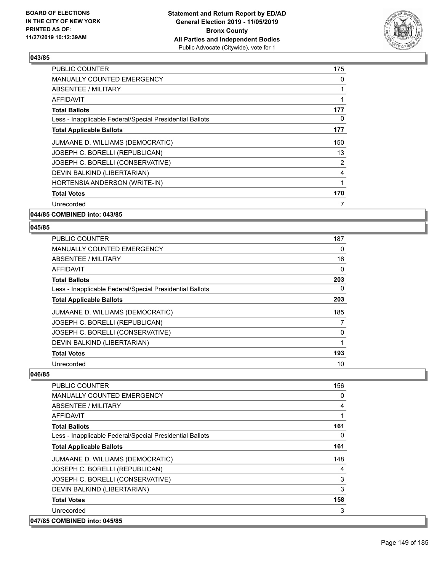

| <b>PUBLIC COUNTER</b>                                    | 175 |
|----------------------------------------------------------|-----|
| <b>MANUALLY COUNTED EMERGENCY</b>                        | 0   |
| ABSENTEE / MILITARY                                      | 1   |
| <b>AFFIDAVIT</b>                                         |     |
| <b>Total Ballots</b>                                     | 177 |
| Less - Inapplicable Federal/Special Presidential Ballots | 0   |
| <b>Total Applicable Ballots</b>                          | 177 |
| JUMAANE D. WILLIAMS (DEMOCRATIC)                         | 150 |
| JOSEPH C. BORELLI (REPUBLICAN)                           | 13  |
| JOSEPH C. BORELLI (CONSERVATIVE)                         | 2   |
| DEVIN BALKIND (LIBERTARIAN)                              | 4   |
| HORTENSIA ANDERSON (WRITE-IN)                            | 1   |
| <b>Total Votes</b>                                       | 170 |
| Unrecorded                                               | 7   |
|                                                          |     |

**044/85 COMBINED into: 043/85**

## **045/85**

| <b>PUBLIC COUNTER</b>                                    | 187 |
|----------------------------------------------------------|-----|
| <b>MANUALLY COUNTED EMERGENCY</b>                        | 0   |
| ABSENTEE / MILITARY                                      | 16  |
| <b>AFFIDAVIT</b>                                         | 0   |
| <b>Total Ballots</b>                                     | 203 |
| Less - Inapplicable Federal/Special Presidential Ballots | 0   |
| <b>Total Applicable Ballots</b>                          | 203 |
| JUMAANE D. WILLIAMS (DEMOCRATIC)                         | 185 |
| JOSEPH C. BORELLI (REPUBLICAN)                           |     |
| JOSEPH C. BORELLI (CONSERVATIVE)                         | 0   |
| DEVIN BALKIND (LIBERTARIAN)                              | 1   |
| <b>Total Votes</b>                                       | 193 |
| Unrecorded                                               | 10  |

| <b>PUBLIC COUNTER</b>                                    | 156 |
|----------------------------------------------------------|-----|
| <b>MANUALLY COUNTED EMERGENCY</b>                        | 0   |
| ABSENTEE / MILITARY                                      | 4   |
| AFFIDAVIT                                                | 1   |
| <b>Total Ballots</b>                                     | 161 |
| Less - Inapplicable Federal/Special Presidential Ballots | 0   |
| <b>Total Applicable Ballots</b>                          | 161 |
| JUMAANE D. WILLIAMS (DEMOCRATIC)                         | 148 |
| JOSEPH C. BORELLI (REPUBLICAN)                           | 4   |
| JOSEPH C. BORELLI (CONSERVATIVE)                         | 3   |
| DEVIN BALKIND (LIBERTARIAN)                              | 3   |
| <b>Total Votes</b>                                       | 158 |
| Unrecorded                                               | 3   |
| 047/85 COMBINED into: 045/85                             |     |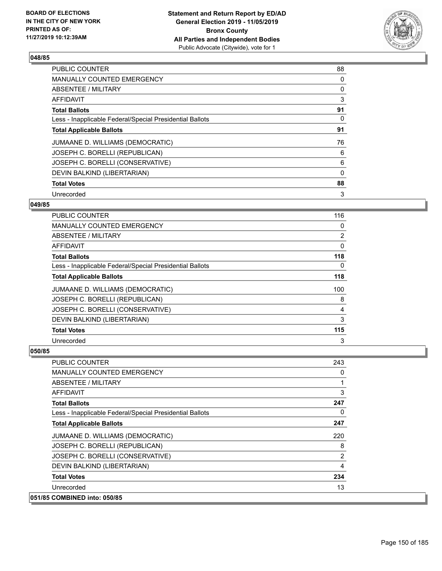

| <b>PUBLIC COUNTER</b>                                    | 88       |
|----------------------------------------------------------|----------|
| <b>MANUALLY COUNTED EMERGENCY</b>                        | 0        |
| ABSENTEE / MILITARY                                      | 0        |
| <b>AFFIDAVIT</b>                                         | 3        |
| <b>Total Ballots</b>                                     | 91       |
| Less - Inapplicable Federal/Special Presidential Ballots | 0        |
| <b>Total Applicable Ballots</b>                          | 91       |
| JUMAANE D. WILLIAMS (DEMOCRATIC)                         | 76       |
| JOSEPH C. BORELLI (REPUBLICAN)                           | 6        |
| JOSEPH C. BORELLI (CONSERVATIVE)                         | 6        |
| DEVIN BALKIND (LIBERTARIAN)                              | $\Omega$ |
| <b>Total Votes</b>                                       | 88       |
| Unrecorded                                               | 3        |

## **049/85**

| PUBLIC COUNTER                                           | 116            |
|----------------------------------------------------------|----------------|
| MANUALLY COUNTED EMERGENCY                               | 0              |
| ABSENTEE / MILITARY                                      | $\overline{2}$ |
| AFFIDAVIT                                                | 0              |
| <b>Total Ballots</b>                                     | 118            |
| Less - Inapplicable Federal/Special Presidential Ballots | 0              |
| <b>Total Applicable Ballots</b>                          | 118            |
| JUMAANE D. WILLIAMS (DEMOCRATIC)                         | 100            |
| JOSEPH C. BORELLI (REPUBLICAN)                           | 8              |
| JOSEPH C. BORELLI (CONSERVATIVE)                         | 4              |
| DEVIN BALKIND (LIBERTARIAN)                              | 3              |
| <b>Total Votes</b>                                       | 115            |
| Unrecorded                                               | 3              |

| <b>PUBLIC COUNTER</b>                                    | 243            |
|----------------------------------------------------------|----------------|
| MANUALLY COUNTED EMERGENCY                               | 0              |
| ABSENTEE / MILITARY                                      | 1              |
| AFFIDAVIT                                                | 3              |
| <b>Total Ballots</b>                                     | 247            |
| Less - Inapplicable Federal/Special Presidential Ballots | 0              |
| <b>Total Applicable Ballots</b>                          | 247            |
| JUMAANE D. WILLIAMS (DEMOCRATIC)                         | 220            |
| JOSEPH C. BORELLI (REPUBLICAN)                           | 8              |
| JOSEPH C. BORELLI (CONSERVATIVE)                         | $\overline{2}$ |
| DEVIN BALKIND (LIBERTARIAN)                              | 4              |
| <b>Total Votes</b>                                       | 234            |
| Unrecorded                                               | 13             |
| 051/85 COMBINED into: 050/85                             |                |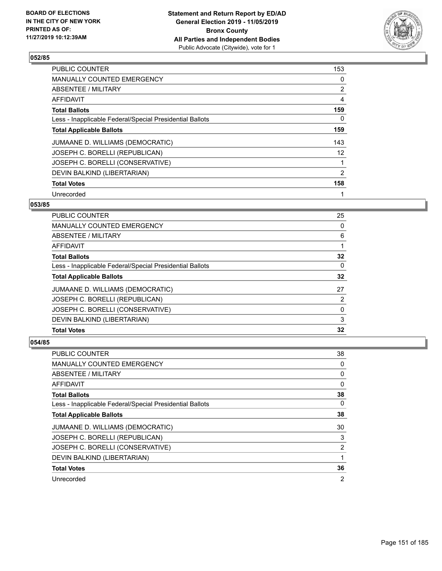

| <b>PUBLIC COUNTER</b>                                    | 153 |
|----------------------------------------------------------|-----|
| MANUALLY COUNTED EMERGENCY                               | 0   |
| ABSENTEE / MILITARY                                      | 2   |
| AFFIDAVIT                                                | 4   |
| <b>Total Ballots</b>                                     | 159 |
| Less - Inapplicable Federal/Special Presidential Ballots | 0   |
| <b>Total Applicable Ballots</b>                          | 159 |
| JUMAANE D. WILLIAMS (DEMOCRATIC)                         | 143 |
| JOSEPH C. BORELLI (REPUBLICAN)                           | 12  |
| JOSEPH C. BORELLI (CONSERVATIVE)                         |     |
| DEVIN BALKIND (LIBERTARIAN)                              | 2   |
| <b>Total Votes</b>                                       | 158 |
| Unrecorded                                               | 1   |

## **053/85**

| <b>PUBLIC COUNTER</b>                                    | 25       |
|----------------------------------------------------------|----------|
| <b>MANUALLY COUNTED EMERGENCY</b>                        | 0        |
| <b>ABSENTEE / MILITARY</b>                               | 6        |
| AFFIDAVIT                                                |          |
| <b>Total Ballots</b>                                     | 32       |
| Less - Inapplicable Federal/Special Presidential Ballots | 0        |
| <b>Total Applicable Ballots</b>                          | 32       |
| JUMAANE D. WILLIAMS (DEMOCRATIC)                         | 27       |
| JOSEPH C. BORELLI (REPUBLICAN)                           | 2        |
| JOSEPH C. BORELLI (CONSERVATIVE)                         | $\Omega$ |
| DEVIN BALKIND (LIBERTARIAN)                              | 3        |
| <b>Total Votes</b>                                       | 32       |

| PUBLIC COUNTER                                           | 38             |
|----------------------------------------------------------|----------------|
| MANUALLY COUNTED EMERGENCY                               | 0              |
| ABSENTEE / MILITARY                                      | 0              |
| AFFIDAVIT                                                | 0              |
| <b>Total Ballots</b>                                     | 38             |
| Less - Inapplicable Federal/Special Presidential Ballots | $\Omega$       |
| <b>Total Applicable Ballots</b>                          | 38             |
| JUMAANE D. WILLIAMS (DEMOCRATIC)                         | 30             |
| JOSEPH C. BORELLI (REPUBLICAN)                           | 3              |
| JOSEPH C. BORELLI (CONSERVATIVE)                         | 2              |
| DEVIN BALKIND (LIBERTARIAN)                              |                |
| <b>Total Votes</b>                                       | 36             |
| Unrecorded                                               | $\overline{2}$ |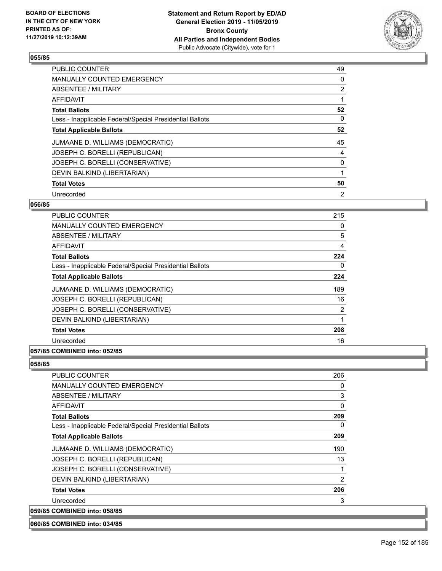

| <b>PUBLIC COUNTER</b>                                    | 49             |
|----------------------------------------------------------|----------------|
| <b>MANUALLY COUNTED EMERGENCY</b>                        | 0              |
| ABSENTEE / MILITARY                                      | $\overline{2}$ |
| <b>AFFIDAVIT</b>                                         |                |
| <b>Total Ballots</b>                                     | 52             |
| Less - Inapplicable Federal/Special Presidential Ballots | 0              |
| <b>Total Applicable Ballots</b>                          | 52             |
| JUMAANE D. WILLIAMS (DEMOCRATIC)                         | 45             |
| JOSEPH C. BORELLI (REPUBLICAN)                           | 4              |
| JOSEPH C. BORELLI (CONSERVATIVE)                         | 0              |
| DEVIN BALKIND (LIBERTARIAN)                              |                |
| <b>Total Votes</b>                                       | 50             |
| Unrecorded                                               | 2              |

## **056/85**

| <b>PUBLIC COUNTER</b>                                    | 215 |
|----------------------------------------------------------|-----|
| MANUALLY COUNTED EMERGENCY                               | 0   |
| ABSENTEE / MILITARY                                      | 5   |
| <b>AFFIDAVIT</b>                                         | 4   |
| <b>Total Ballots</b>                                     | 224 |
| Less - Inapplicable Federal/Special Presidential Ballots | 0   |
| <b>Total Applicable Ballots</b>                          | 224 |
| JUMAANE D. WILLIAMS (DEMOCRATIC)                         | 189 |
| JOSEPH C. BORELLI (REPUBLICAN)                           | 16  |
| JOSEPH C. BORELLI (CONSERVATIVE)                         | 2   |
| DEVIN BALKIND (LIBERTARIAN)                              | 1   |
| <b>Total Votes</b>                                       | 208 |
| Unrecorded                                               | 16  |
|                                                          |     |

## **057/85 COMBINED into: 052/85**

## **058/85**

| <b>PUBLIC COUNTER</b>                                    | 206      |
|----------------------------------------------------------|----------|
| <b>MANUALLY COUNTED EMERGENCY</b>                        | 0        |
| ABSENTEE / MILITARY                                      | 3        |
| <b>AFFIDAVIT</b>                                         | 0        |
| <b>Total Ballots</b>                                     | 209      |
| Less - Inapplicable Federal/Special Presidential Ballots | $\Omega$ |
| <b>Total Applicable Ballots</b>                          | 209      |
| JUMAANE D. WILLIAMS (DEMOCRATIC)                         | 190      |
| JOSEPH C. BORELLI (REPUBLICAN)                           | 13       |
| JOSEPH C. BORELLI (CONSERVATIVE)                         | 1        |
| DEVIN BALKIND (LIBERTARIAN)                              | 2        |
| <b>Total Votes</b>                                       | 206      |
| Unrecorded                                               | 3        |
| 059/85 COMBINED into: 058/85                             |          |

**060/85 COMBINED into: 034/85**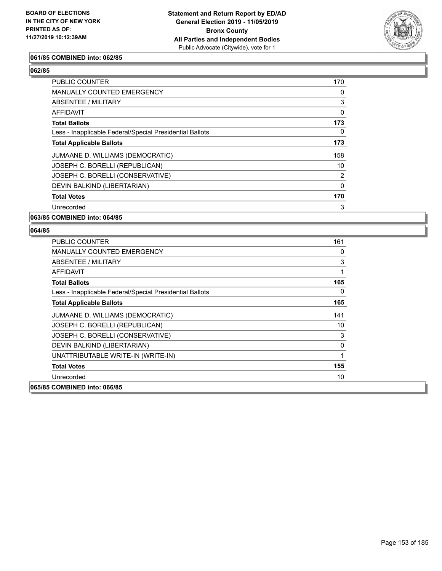

## **061/85 COMBINED into: 062/85**

## **062/85**

| PUBLIC COUNTER                                           | 170            |
|----------------------------------------------------------|----------------|
| MANUALLY COUNTED EMERGENCY                               | 0              |
| ABSENTEE / MILITARY                                      | 3              |
| AFFIDAVIT                                                | 0              |
| <b>Total Ballots</b>                                     | 173            |
| Less - Inapplicable Federal/Special Presidential Ballots | 0              |
| <b>Total Applicable Ballots</b>                          | 173            |
| JUMAANE D. WILLIAMS (DEMOCRATIC)                         | 158            |
| JOSEPH C. BORELLI (REPUBLICAN)                           | 10             |
| JOSEPH C. BORELLI (CONSERVATIVE)                         | $\overline{2}$ |
| DEVIN BALKIND (LIBERTARIAN)                              | $\mathbf{0}$   |
| <b>Total Votes</b>                                       | 170            |
| Unrecorded                                               | 3              |

## **063/85 COMBINED into: 064/85**

| <b>PUBLIC COUNTER</b>                                    | 161      |
|----------------------------------------------------------|----------|
| <b>MANUALLY COUNTED EMERGENCY</b>                        | $\Omega$ |
| ABSENTEE / MILITARY                                      | 3        |
| AFFIDAVIT                                                | 1        |
| <b>Total Ballots</b>                                     | 165      |
| Less - Inapplicable Federal/Special Presidential Ballots | 0        |
| <b>Total Applicable Ballots</b>                          | 165      |
| JUMAANE D. WILLIAMS (DEMOCRATIC)                         | 141      |
| JOSEPH C. BORELLI (REPUBLICAN)                           | 10       |
| JOSEPH C. BORELLI (CONSERVATIVE)                         | 3        |
| DEVIN BALKIND (LIBERTARIAN)                              | 0        |
| UNATTRIBUTABLE WRITE-IN (WRITE-IN)                       | 1        |
| <b>Total Votes</b>                                       | 155      |
| Unrecorded                                               | 10       |
| 065/85 COMBINED into: 066/85                             |          |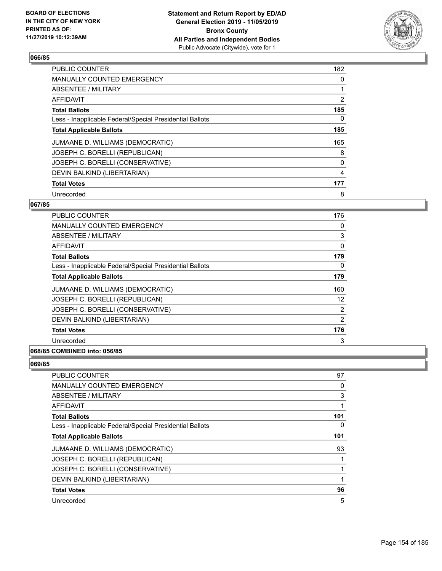

| <b>PUBLIC COUNTER</b>                                    | 182 |
|----------------------------------------------------------|-----|
| <b>MANUALLY COUNTED EMERGENCY</b>                        | 0   |
| ABSENTEE / MILITARY                                      | 1   |
| <b>AFFIDAVIT</b>                                         | 2   |
| <b>Total Ballots</b>                                     | 185 |
| Less - Inapplicable Federal/Special Presidential Ballots | 0   |
| <b>Total Applicable Ballots</b>                          | 185 |
| JUMAANE D. WILLIAMS (DEMOCRATIC)                         | 165 |
| JOSEPH C. BORELLI (REPUBLICAN)                           | 8   |
| JOSEPH C. BORELLI (CONSERVATIVE)                         | 0   |
| DEVIN BALKIND (LIBERTARIAN)                              | 4   |
| <b>Total Votes</b>                                       | 177 |
| Unrecorded                                               | 8   |

## **067/85**

| <b>PUBLIC COUNTER</b>                                    | 176 |
|----------------------------------------------------------|-----|
| MANUALLY COUNTED EMERGENCY                               | 0   |
| ABSENTEE / MILITARY                                      | 3   |
| AFFIDAVIT                                                | 0   |
| <b>Total Ballots</b>                                     | 179 |
| Less - Inapplicable Federal/Special Presidential Ballots | 0   |
| <b>Total Applicable Ballots</b>                          | 179 |
| JUMAANE D. WILLIAMS (DEMOCRATIC)                         | 160 |
| JOSEPH C. BORELLI (REPUBLICAN)                           | 12  |
| JOSEPH C. BORELLI (CONSERVATIVE)                         | 2   |
| DEVIN BALKIND (LIBERTARIAN)                              | 2   |
| <b>Total Votes</b>                                       | 176 |
| Unrecorded                                               | 3   |
|                                                          |     |

## **068/85 COMBINED into: 056/85**

| <b>PUBLIC COUNTER</b>                                    | 97  |
|----------------------------------------------------------|-----|
| <b>MANUALLY COUNTED EMERGENCY</b>                        | 0   |
| ABSENTEE / MILITARY                                      | 3   |
| AFFIDAVIT                                                |     |
| <b>Total Ballots</b>                                     | 101 |
| Less - Inapplicable Federal/Special Presidential Ballots | 0   |
| <b>Total Applicable Ballots</b>                          | 101 |
| JUMAANE D. WILLIAMS (DEMOCRATIC)                         | 93  |
| JOSEPH C. BORELLI (REPUBLICAN)                           |     |
| JOSEPH C. BORELLI (CONSERVATIVE)                         |     |
| DEVIN BALKIND (LIBERTARIAN)                              |     |
| <b>Total Votes</b>                                       | 96  |
| Unrecorded                                               | 5   |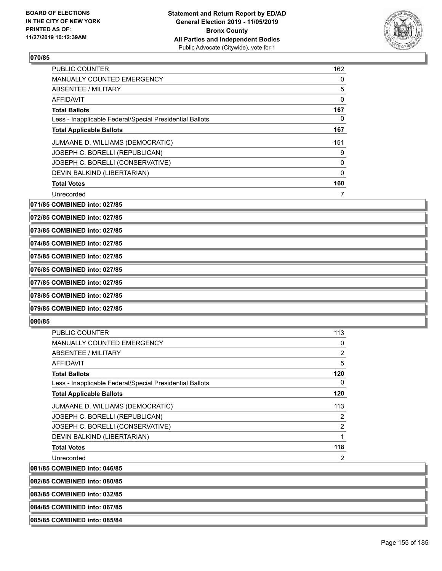

| <b>PUBLIC COUNTER</b>                                    | 162      |
|----------------------------------------------------------|----------|
| <b>MANUALLY COUNTED EMERGENCY</b>                        | 0        |
| ABSENTEE / MILITARY                                      | 5        |
| <b>AFFIDAVIT</b>                                         | 0        |
| <b>Total Ballots</b>                                     | 167      |
| Less - Inapplicable Federal/Special Presidential Ballots | 0        |
| <b>Total Applicable Ballots</b>                          | 167      |
| JUMAANE D. WILLIAMS (DEMOCRATIC)                         | 151      |
| JOSEPH C. BORELLI (REPUBLICAN)                           | 9        |
| JOSEPH C. BORELLI (CONSERVATIVE)                         | $\Omega$ |
| DEVIN BALKIND (LIBERTARIAN)                              | 0        |
| <b>Total Votes</b>                                       | 160      |
| Unrecorded                                               |          |

**071/85 COMBINED into: 027/85**

**072/85 COMBINED into: 027/85**

**073/85 COMBINED into: 027/85**

**074/85 COMBINED into: 027/85**

**075/85 COMBINED into: 027/85**

**076/85 COMBINED into: 027/85**

**077/85 COMBINED into: 027/85**

**078/85 COMBINED into: 027/85**

**079/85 COMBINED into: 027/85**

**080/85** 

| <b>PUBLIC COUNTER</b>                                    | 113 |
|----------------------------------------------------------|-----|
| <b>MANUALLY COUNTED EMERGENCY</b>                        | 0   |
| <b>ABSENTEE / MILITARY</b>                               | 2   |
| AFFIDAVIT                                                | 5   |
| <b>Total Ballots</b>                                     | 120 |
| Less - Inapplicable Federal/Special Presidential Ballots | 0   |
| <b>Total Applicable Ballots</b>                          | 120 |
| JUMAANE D. WILLIAMS (DEMOCRATIC)                         | 113 |
| JOSEPH C. BORELLI (REPUBLICAN)                           | 2   |
| JOSEPH C. BORELLI (CONSERVATIVE)                         | 2   |
| DEVIN BALKIND (LIBERTARIAN)                              | 1   |
| <b>Total Votes</b>                                       | 118 |
| Unrecorded                                               | 2   |
| 081/85 COMBINED into: 046/85                             |     |

**082/85 COMBINED into: 080/85**

**083/85 COMBINED into: 032/85**

**084/85 COMBINED into: 067/85**

**085/85 COMBINED into: 085/84**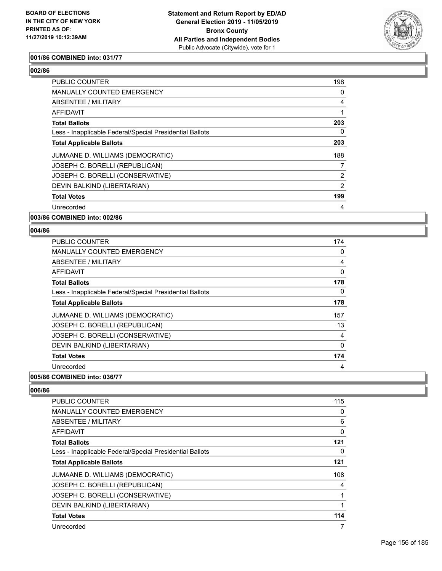

## **001/86 COMBINED into: 031/77**

## **002/86**

| <b>PUBLIC COUNTER</b>                                    | 198            |
|----------------------------------------------------------|----------------|
| <b>MANUALLY COUNTED EMERGENCY</b>                        | 0              |
| ABSENTEE / MILITARY                                      | 4              |
| AFFIDAVIT                                                |                |
| <b>Total Ballots</b>                                     | 203            |
| Less - Inapplicable Federal/Special Presidential Ballots | 0              |
| <b>Total Applicable Ballots</b>                          | 203            |
| JUMAANE D. WILLIAMS (DEMOCRATIC)                         | 188            |
| JOSEPH C. BORELLI (REPUBLICAN)                           | 7              |
| JOSEPH C. BORELLI (CONSERVATIVE)                         | $\overline{2}$ |
| DEVIN BALKIND (LIBERTARIAN)                              | 2              |
| <b>Total Votes</b>                                       | 199            |
| Unrecorded                                               | 4              |

## **003/86 COMBINED into: 002/86**

#### **004/86**

| <b>PUBLIC COUNTER</b>                                    | 174 |
|----------------------------------------------------------|-----|
| <b>MANUALLY COUNTED EMERGENCY</b>                        | 0   |
| ABSENTEE / MILITARY                                      | 4   |
| AFFIDAVIT                                                | 0   |
| <b>Total Ballots</b>                                     | 178 |
| Less - Inapplicable Federal/Special Presidential Ballots | 0   |
| <b>Total Applicable Ballots</b>                          | 178 |
| JUMAANE D. WILLIAMS (DEMOCRATIC)                         | 157 |
| JOSEPH C. BORELLI (REPUBLICAN)                           | 13  |
| JOSEPH C. BORELLI (CONSERVATIVE)                         | 4   |
| DEVIN BALKIND (LIBERTARIAN)                              | 0   |
| <b>Total Votes</b>                                       | 174 |
| Unrecorded                                               | 4   |

## **005/86 COMBINED into: 036/77**

| <b>PUBLIC COUNTER</b>                                    | 115         |
|----------------------------------------------------------|-------------|
| <b>MANUALLY COUNTED EMERGENCY</b>                        | 0           |
| ABSENTEE / MILITARY                                      | 6           |
| <b>AFFIDAVIT</b>                                         | $\mathbf 0$ |
| <b>Total Ballots</b>                                     | 121         |
| Less - Inapplicable Federal/Special Presidential Ballots | 0           |
| <b>Total Applicable Ballots</b>                          | 121         |
| JUMAANE D. WILLIAMS (DEMOCRATIC)                         | 108         |
| JOSEPH C. BORELLI (REPUBLICAN)                           | 4           |
| JOSEPH C. BORELLI (CONSERVATIVE)                         |             |
| DEVIN BALKIND (LIBERTARIAN)                              |             |
| <b>Total Votes</b>                                       | 114         |
| Unrecorded                                               | 7           |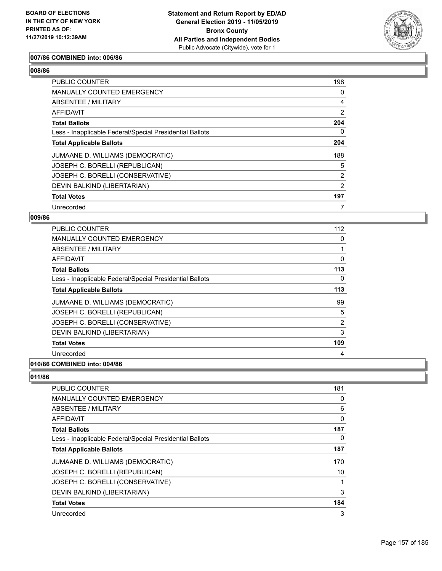

## **007/86 COMBINED into: 006/86**

## **008/86**

| <b>PUBLIC COUNTER</b>                                    | 198            |
|----------------------------------------------------------|----------------|
| <b>MANUALLY COUNTED EMERGENCY</b>                        | 0              |
| <b>ABSENTEE / MILITARY</b>                               | 4              |
| AFFIDAVIT                                                | $\overline{2}$ |
| <b>Total Ballots</b>                                     | 204            |
| Less - Inapplicable Federal/Special Presidential Ballots | 0              |
| <b>Total Applicable Ballots</b>                          | 204            |
| JUMAANE D. WILLIAMS (DEMOCRATIC)                         | 188            |
| JOSEPH C. BORELLI (REPUBLICAN)                           | 5              |
| JOSEPH C. BORELLI (CONSERVATIVE)                         | $\overline{2}$ |
| DEVIN BALKIND (LIBERTARIAN)                              | 2              |
| <b>Total Votes</b>                                       | 197            |
| Unrecorded                                               | 7              |

#### **009/86**

| <b>PUBLIC COUNTER</b>                                    | 112            |
|----------------------------------------------------------|----------------|
| <b>MANUALLY COUNTED EMERGENCY</b>                        | 0              |
| ABSENTEE / MILITARY                                      |                |
| AFFIDAVIT                                                | 0              |
| <b>Total Ballots</b>                                     | 113            |
| Less - Inapplicable Federal/Special Presidential Ballots | 0              |
| <b>Total Applicable Ballots</b>                          | 113            |
| JUMAANE D. WILLIAMS (DEMOCRATIC)                         | 99             |
| JOSEPH C. BORELLI (REPUBLICAN)                           | 5              |
| JOSEPH C. BORELLI (CONSERVATIVE)                         | $\overline{2}$ |
| DEVIN BALKIND (LIBERTARIAN)                              | 3              |
| <b>Total Votes</b>                                       | 109            |
| Unrecorded                                               | 4              |
| A                                                        |                |

### **010/86 COMBINED into: 004/86**

| PUBLIC COUNTER                                           | 181 |
|----------------------------------------------------------|-----|
| <b>MANUALLY COUNTED EMERGENCY</b>                        | 0   |
| ABSENTEE / MILITARY                                      | 6   |
| AFFIDAVIT                                                | 0   |
| <b>Total Ballots</b>                                     | 187 |
| Less - Inapplicable Federal/Special Presidential Ballots | 0   |
| <b>Total Applicable Ballots</b>                          | 187 |
| JUMAANE D. WILLIAMS (DEMOCRATIC)                         | 170 |
| JOSEPH C. BORELLI (REPUBLICAN)                           | 10  |
| JOSEPH C. BORELLI (CONSERVATIVE)                         |     |
| DEVIN BALKIND (LIBERTARIAN)                              | 3   |
| <b>Total Votes</b>                                       | 184 |
| Unrecorded                                               | 3   |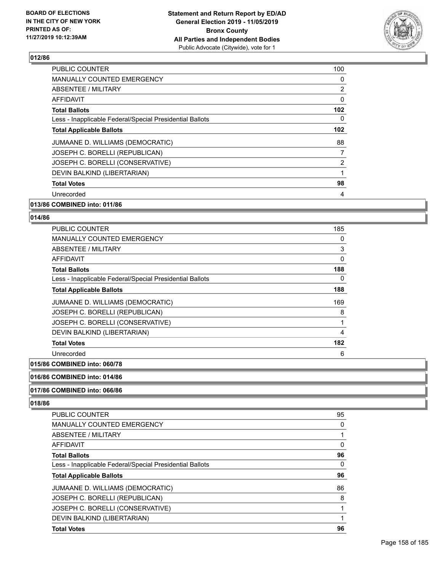

| PUBLIC COUNTER                                           | 100              |
|----------------------------------------------------------|------------------|
| <b>MANUALLY COUNTED EMERGENCY</b>                        | 0                |
| ABSENTEE / MILITARY                                      | 2                |
| AFFIDAVIT                                                | 0                |
| <b>Total Ballots</b>                                     | 102              |
| Less - Inapplicable Federal/Special Presidential Ballots | 0                |
| <b>Total Applicable Ballots</b>                          | 102 <sub>2</sub> |
| JUMAANE D. WILLIAMS (DEMOCRATIC)                         | 88               |
| JOSEPH C. BORELLI (REPUBLICAN)                           | 7                |
| JOSEPH C. BORELLI (CONSERVATIVE)                         | 2                |
| DEVIN BALKIND (LIBERTARIAN)                              | 1                |
| <b>Total Votes</b>                                       | 98               |
| Unrecorded                                               | 4                |
|                                                          |                  |

## **013/86 COMBINED into: 011/86**

### **014/86**

| <b>PUBLIC COUNTER</b>                                    | 185 |
|----------------------------------------------------------|-----|
| MANUALLY COUNTED EMERGENCY                               | 0   |
| ABSENTEE / MILITARY                                      | 3   |
| AFFIDAVIT                                                | 0   |
| <b>Total Ballots</b>                                     | 188 |
| Less - Inapplicable Federal/Special Presidential Ballots | 0   |
| <b>Total Applicable Ballots</b>                          | 188 |
| JUMAANE D. WILLIAMS (DEMOCRATIC)                         | 169 |
| JOSEPH C. BORELLI (REPUBLICAN)                           | 8   |
| JOSEPH C. BORELLI (CONSERVATIVE)                         | 1   |
| DEVIN BALKIND (LIBERTARIAN)                              | 4   |
| <b>Total Votes</b>                                       | 182 |
| Unrecorded                                               | 6   |

### **015/86 COMBINED into: 060/78**

## **016/86 COMBINED into: 014/86**

## **017/86 COMBINED into: 066/86**

| <b>PUBLIC COUNTER</b>                                    | 95 |
|----------------------------------------------------------|----|
| <b>MANUALLY COUNTED EMERGENCY</b>                        | 0  |
| <b>ABSENTEE / MILITARY</b>                               |    |
| <b>AFFIDAVIT</b>                                         | 0  |
| <b>Total Ballots</b>                                     | 96 |
| Less - Inapplicable Federal/Special Presidential Ballots | 0  |
| <b>Total Applicable Ballots</b>                          | 96 |
|                                                          |    |
| JUMAANE D. WILLIAMS (DEMOCRATIC)                         | 86 |
| JOSEPH C. BORELLI (REPUBLICAN)                           | 8  |
| JOSEPH C. BORELLI (CONSERVATIVE)                         |    |
| DEVIN BALKIND (LIBERTARIAN)                              |    |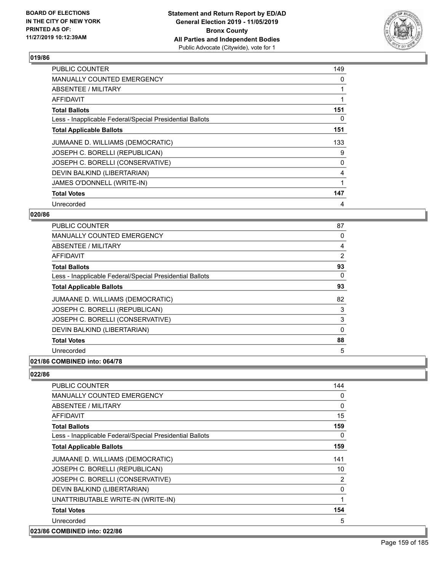

| <b>PUBLIC COUNTER</b>                                    | 149 |
|----------------------------------------------------------|-----|
| <b>MANUALLY COUNTED EMERGENCY</b>                        | 0   |
| ABSENTEE / MILITARY                                      |     |
| AFFIDAVIT                                                |     |
| <b>Total Ballots</b>                                     | 151 |
| Less - Inapplicable Federal/Special Presidential Ballots | 0   |
| <b>Total Applicable Ballots</b>                          | 151 |
| JUMAANE D. WILLIAMS (DEMOCRATIC)                         | 133 |
| JOSEPH C. BORELLI (REPUBLICAN)                           | 9   |
| JOSEPH C. BORELLI (CONSERVATIVE)                         | 0   |
| DEVIN BALKIND (LIBERTARIAN)                              | 4   |
| JAMES O'DONNELL (WRITE-IN)                               |     |
| <b>Total Votes</b>                                       | 147 |
| Unrecorded                                               | 4   |

## **020/86**

| <b>PUBLIC COUNTER</b>                                    | 87             |
|----------------------------------------------------------|----------------|
| <b>MANUALLY COUNTED EMERGENCY</b>                        | 0              |
| ABSENTEE / MILITARY                                      | 4              |
| AFFIDAVIT                                                | $\overline{2}$ |
| <b>Total Ballots</b>                                     | 93             |
| Less - Inapplicable Federal/Special Presidential Ballots | 0              |
| <b>Total Applicable Ballots</b>                          | 93             |
| JUMAANE D. WILLIAMS (DEMOCRATIC)                         | 82             |
| JOSEPH C. BORELLI (REPUBLICAN)                           | 3              |
| JOSEPH C. BORELLI (CONSERVATIVE)                         | 3              |
| DEVIN BALKIND (LIBERTARIAN)                              | $\Omega$       |
| <b>Total Votes</b>                                       | 88             |
| Unrecorded                                               | 5              |
| 0.01101100004170                                         |                |

## **021/86 COMBINED into: 064/78**

| <b>PUBLIC COUNTER</b>                                    | 144 |
|----------------------------------------------------------|-----|
| <b>MANUALLY COUNTED EMERGENCY</b>                        | 0   |
| ABSENTEE / MILITARY                                      | 0   |
| AFFIDAVIT                                                | 15  |
| <b>Total Ballots</b>                                     | 159 |
| Less - Inapplicable Federal/Special Presidential Ballots | 0   |
| <b>Total Applicable Ballots</b>                          | 159 |
| JUMAANE D. WILLIAMS (DEMOCRATIC)                         | 141 |
| JOSEPH C. BORELLI (REPUBLICAN)                           | 10  |
| JOSEPH C. BORELLI (CONSERVATIVE)                         | 2   |
| DEVIN BALKIND (LIBERTARIAN)                              | 0   |
| UNATTRIBUTABLE WRITE-IN (WRITE-IN)                       | 1   |
| <b>Total Votes</b>                                       | 154 |
| Unrecorded                                               | 5   |
| 023/86 COMBINED into: 022/86                             |     |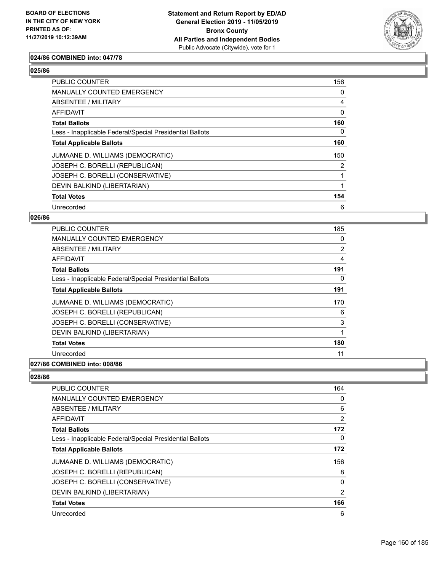

## **024/86 COMBINED into: 047/78**

## **025/86**

| <b>PUBLIC COUNTER</b>                                    | 156 |
|----------------------------------------------------------|-----|
| <b>MANUALLY COUNTED EMERGENCY</b>                        | 0   |
| ABSENTEE / MILITARY                                      | 4   |
| AFFIDAVIT                                                | 0   |
| <b>Total Ballots</b>                                     | 160 |
| Less - Inapplicable Federal/Special Presidential Ballots | 0   |
| <b>Total Applicable Ballots</b>                          | 160 |
| JUMAANE D. WILLIAMS (DEMOCRATIC)                         | 150 |
| JOSEPH C. BORELLI (REPUBLICAN)                           | 2   |
| JOSEPH C. BORELLI (CONSERVATIVE)                         |     |
| DEVIN BALKIND (LIBERTARIAN)                              |     |
| <b>Total Votes</b>                                       | 154 |
| Unrecorded                                               | 6   |

#### **026/86**

| <b>PUBLIC COUNTER</b>                                    | 185            |
|----------------------------------------------------------|----------------|
| <b>MANUALLY COUNTED EMERGENCY</b>                        | 0              |
| ABSENTEE / MILITARY                                      | $\overline{2}$ |
| AFFIDAVIT                                                | 4              |
| <b>Total Ballots</b>                                     | 191            |
| Less - Inapplicable Federal/Special Presidential Ballots | 0              |
| <b>Total Applicable Ballots</b>                          | 191            |
| JUMAANE D. WILLIAMS (DEMOCRATIC)                         | 170            |
| JOSEPH C. BORELLI (REPUBLICAN)                           | 6              |
| JOSEPH C. BORELLI (CONSERVATIVE)                         | 3              |
| DEVIN BALKIND (LIBERTARIAN)                              |                |
| <b>Total Votes</b>                                       | 180            |
| Unrecorded                                               | 11             |
|                                                          |                |

### **027/86 COMBINED into: 008/86**

| <b>PUBLIC COUNTER</b>                                    | 164 |
|----------------------------------------------------------|-----|
| <b>MANUALLY COUNTED EMERGENCY</b>                        | 0   |
| ABSENTEE / MILITARY                                      | 6   |
| AFFIDAVIT                                                | 2   |
| <b>Total Ballots</b>                                     | 172 |
| Less - Inapplicable Federal/Special Presidential Ballots | 0   |
| <b>Total Applicable Ballots</b>                          | 172 |
| JUMAANE D. WILLIAMS (DEMOCRATIC)                         | 156 |
| JOSEPH C. BORELLI (REPUBLICAN)                           | 8   |
| JOSEPH C. BORELLI (CONSERVATIVE)                         | 0   |
| DEVIN BALKIND (LIBERTARIAN)                              | 2   |
| <b>Total Votes</b>                                       | 166 |
| Unrecorded                                               | 6   |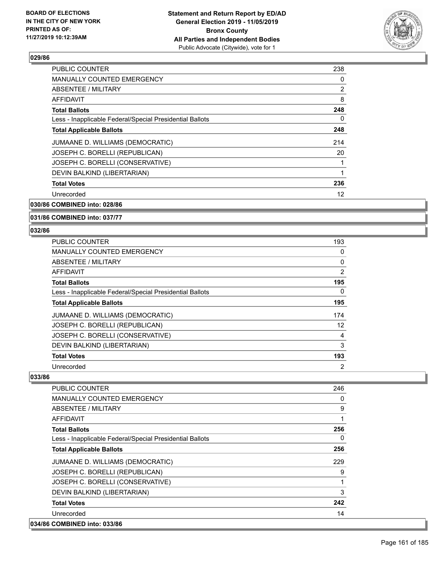

| <b>PUBLIC COUNTER</b>                                    | 238 |
|----------------------------------------------------------|-----|
| <b>MANUALLY COUNTED EMERGENCY</b>                        | 0   |
| ABSENTEE / MILITARY                                      | 2   |
| AFFIDAVIT                                                | 8   |
| <b>Total Ballots</b>                                     | 248 |
| Less - Inapplicable Federal/Special Presidential Ballots | 0   |
| <b>Total Applicable Ballots</b>                          | 248 |
| JUMAANE D. WILLIAMS (DEMOCRATIC)                         | 214 |
| JOSEPH C. BORELLI (REPUBLICAN)                           | 20  |
| JOSEPH C. BORELLI (CONSERVATIVE)                         |     |
| DEVIN BALKIND (LIBERTARIAN)                              | 1   |
| <b>Total Votes</b>                                       | 236 |
| Unrecorded                                               | 12  |
|                                                          |     |

**030/86 COMBINED into: 028/86**

**031/86 COMBINED into: 037/77**

#### **032/86**

| PUBLIC COUNTER                                           | 193            |
|----------------------------------------------------------|----------------|
| <b>MANUALLY COUNTED EMERGENCY</b>                        | 0              |
| ABSENTEE / MILITARY                                      | 0              |
| AFFIDAVIT                                                | 2              |
| <b>Total Ballots</b>                                     | 195            |
| Less - Inapplicable Federal/Special Presidential Ballots | 0              |
| <b>Total Applicable Ballots</b>                          | 195            |
| JUMAANE D. WILLIAMS (DEMOCRATIC)                         | 174            |
| JOSEPH C. BORELLI (REPUBLICAN)                           | 12             |
| JOSEPH C. BORELLI (CONSERVATIVE)                         | 4              |
| DEVIN BALKIND (LIBERTARIAN)                              | 3              |
| <b>Total Votes</b>                                       | 193            |
| Unrecorded                                               | $\overline{2}$ |

| PUBLIC COUNTER                                           | 246      |
|----------------------------------------------------------|----------|
| <b>MANUALLY COUNTED EMERGENCY</b>                        | 0        |
| ABSENTEE / MILITARY                                      | 9        |
| AFFIDAVIT                                                |          |
| <b>Total Ballots</b>                                     | 256      |
| Less - Inapplicable Federal/Special Presidential Ballots | $\Omega$ |
| <b>Total Applicable Ballots</b>                          | 256      |
| JUMAANE D. WILLIAMS (DEMOCRATIC)                         | 229      |
| JOSEPH C. BORELLI (REPUBLICAN)                           | 9        |
| JOSEPH C. BORELLI (CONSERVATIVE)                         |          |
| DEVIN BALKIND (LIBERTARIAN)                              | 3        |
| <b>Total Votes</b>                                       | 242      |
| Unrecorded                                               | 14       |
| 034/86 COMBINED into: 033/86                             |          |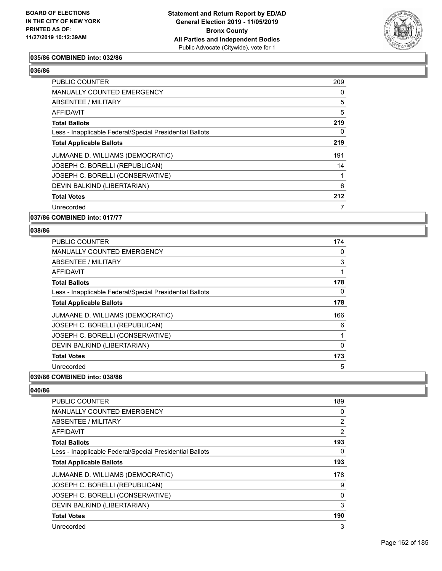

## **035/86 COMBINED into: 032/86**

#### **036/86**

| <b>PUBLIC COUNTER</b>                                    | 209 |
|----------------------------------------------------------|-----|
| MANUALLY COUNTED EMERGENCY                               | 0   |
| ABSENTEE / MILITARY                                      | 5   |
| AFFIDAVIT                                                | 5   |
| <b>Total Ballots</b>                                     | 219 |
| Less - Inapplicable Federal/Special Presidential Ballots | 0   |
| <b>Total Applicable Ballots</b>                          | 219 |
| JUMAANE D. WILLIAMS (DEMOCRATIC)                         | 191 |
| JOSEPH C. BORELLI (REPUBLICAN)                           | 14  |
| JOSEPH C. BORELLI (CONSERVATIVE)                         | 1   |
| DEVIN BALKIND (LIBERTARIAN)                              | 6   |
| <b>Total Votes</b>                                       | 212 |
| Unrecorded                                               | 7   |

**037/86 COMBINED into: 017/77**

#### **038/86**

| <b>PUBLIC COUNTER</b>                                    | 174 |
|----------------------------------------------------------|-----|
| <b>MANUALLY COUNTED EMERGENCY</b>                        | 0   |
| ABSENTEE / MILITARY                                      | 3   |
| AFFIDAVIT                                                | 1   |
| <b>Total Ballots</b>                                     | 178 |
| Less - Inapplicable Federal/Special Presidential Ballots | 0   |
| <b>Total Applicable Ballots</b>                          | 178 |
| JUMAANE D. WILLIAMS (DEMOCRATIC)                         | 166 |
| JOSEPH C. BORELLI (REPUBLICAN)                           | 6   |
| JOSEPH C. BORELLI (CONSERVATIVE)                         | 1   |
| DEVIN BALKIND (LIBERTARIAN)                              | 0   |
| <b>Total Votes</b>                                       | 173 |
| Unrecorded                                               | 5   |

## **039/86 COMBINED into: 038/86**

| <b>PUBLIC COUNTER</b>                                    | 189            |
|----------------------------------------------------------|----------------|
| <b>MANUALLY COUNTED EMERGENCY</b>                        | 0              |
| ABSENTEE / MILITARY                                      | $\overline{2}$ |
| AFFIDAVIT                                                | $\overline{2}$ |
| <b>Total Ballots</b>                                     | 193            |
| Less - Inapplicable Federal/Special Presidential Ballots | 0              |
| <b>Total Applicable Ballots</b>                          | 193            |
| JUMAANE D. WILLIAMS (DEMOCRATIC)                         | 178            |
| JOSEPH C. BORELLI (REPUBLICAN)                           | 9              |
| JOSEPH C. BORELLI (CONSERVATIVE)                         | $\mathbf{0}$   |
| DEVIN BALKIND (LIBERTARIAN)                              | 3              |
| <b>Total Votes</b>                                       | 190            |
| Unrecorded                                               | 3              |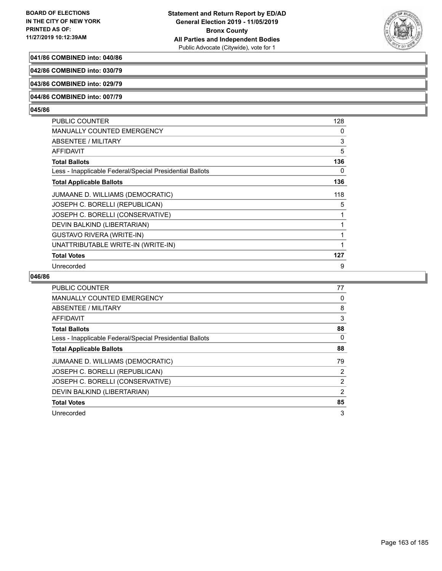

## **041/86 COMBINED into: 040/86**

**042/86 COMBINED into: 030/79**

**043/86 COMBINED into: 029/79**

### **044/86 COMBINED into: 007/79**

#### **045/86**

| PUBLIC COUNTER                                           | 128 |
|----------------------------------------------------------|-----|
| <b>MANUALLY COUNTED EMERGENCY</b>                        | 0   |
| ABSENTEE / MILITARY                                      | 3   |
| AFFIDAVIT                                                | 5   |
| <b>Total Ballots</b>                                     | 136 |
| Less - Inapplicable Federal/Special Presidential Ballots | 0   |
| <b>Total Applicable Ballots</b>                          | 136 |
| JUMAANE D. WILLIAMS (DEMOCRATIC)                         | 118 |
| JOSEPH C. BORELLI (REPUBLICAN)                           | 5   |
| JOSEPH C. BORELLI (CONSERVATIVE)                         | 1   |
| DEVIN BALKIND (LIBERTARIAN)                              |     |
| <b>GUSTAVO RIVERA (WRITE-IN)</b>                         |     |
| UNATTRIBUTABLE WRITE-IN (WRITE-IN)                       |     |
| <b>Total Votes</b>                                       | 127 |
| Unrecorded                                               | 9   |

| <b>PUBLIC COUNTER</b>                                    | 77 |
|----------------------------------------------------------|----|
| <b>MANUALLY COUNTED EMERGENCY</b>                        | 0  |
| ABSENTEE / MILITARY                                      | 8  |
| AFFIDAVIT                                                | 3  |
| <b>Total Ballots</b>                                     | 88 |
| Less - Inapplicable Federal/Special Presidential Ballots | 0  |
| <b>Total Applicable Ballots</b>                          | 88 |
| JUMAANE D. WILLIAMS (DEMOCRATIC)                         | 79 |
| JOSEPH C. BORELLI (REPUBLICAN)                           | 2  |
| JOSEPH C. BORELLI (CONSERVATIVE)                         | 2  |
| DEVIN BALKIND (LIBERTARIAN)                              | 2  |
| <b>Total Votes</b>                                       | 85 |
| Unrecorded                                               | 3  |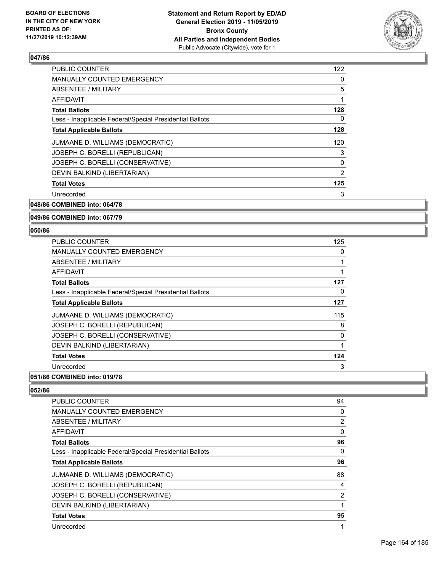

| 122      |
|----------|
| 0        |
| 5        |
|          |
| 128      |
| 0        |
| 128      |
| 120      |
| 3        |
| $\Omega$ |
| 2        |
| 125      |
| 3        |
|          |

# **048/86 COMBINED into: 064/78**

### **049/86 COMBINED into: 067/79**

#### **050/86**

| <b>PUBLIC COUNTER</b>                                    | 125 |
|----------------------------------------------------------|-----|
| <b>MANUALLY COUNTED EMERGENCY</b>                        | 0   |
| ABSENTEE / MILITARY                                      |     |
| AFFIDAVIT                                                |     |
| <b>Total Ballots</b>                                     | 127 |
| Less - Inapplicable Federal/Special Presidential Ballots | 0   |
| <b>Total Applicable Ballots</b>                          | 127 |
| JUMAANE D. WILLIAMS (DEMOCRATIC)                         | 115 |
| JOSEPH C. BORELLI (REPUBLICAN)                           | 8   |
| JOSEPH C. BORELLI (CONSERVATIVE)                         | 0   |
| DEVIN BALKIND (LIBERTARIAN)                              | 1   |
| <b>Total Votes</b>                                       | 124 |
| Unrecorded                                               | 3   |

## **051/86 COMBINED into: 019/78**

| <b>PUBLIC COUNTER</b>                                    | 94 |
|----------------------------------------------------------|----|
| <b>MANUALLY COUNTED EMERGENCY</b>                        | 0  |
| ABSENTEE / MILITARY                                      | 2  |
| AFFIDAVIT                                                | 0  |
| <b>Total Ballots</b>                                     | 96 |
| Less - Inapplicable Federal/Special Presidential Ballots | 0  |
| <b>Total Applicable Ballots</b>                          | 96 |
| JUMAANE D. WILLIAMS (DEMOCRATIC)                         | 88 |
| JOSEPH C. BORELLI (REPUBLICAN)                           | 4  |
| JOSEPH C. BORELLI (CONSERVATIVE)                         | 2  |
| DEVIN BALKIND (LIBERTARIAN)                              |    |
| <b>Total Votes</b>                                       | 95 |
| Unrecorded                                               | 1  |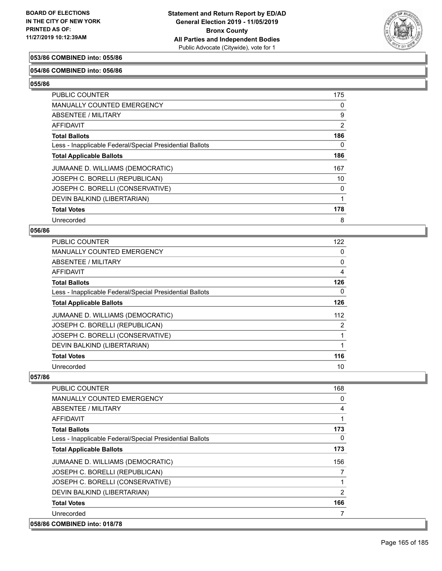

## **053/86 COMBINED into: 055/86**

### **054/86 COMBINED into: 056/86**

**055/86** 

| PUBLIC COUNTER                                           | 175      |
|----------------------------------------------------------|----------|
| <b>MANUALLY COUNTED EMERGENCY</b>                        | 0        |
| <b>ABSENTEE / MILITARY</b>                               | 9        |
| <b>AFFIDAVIT</b>                                         | 2        |
| <b>Total Ballots</b>                                     | 186      |
| Less - Inapplicable Federal/Special Presidential Ballots | $\Omega$ |
| <b>Total Applicable Ballots</b>                          | 186      |
| JUMAANE D. WILLIAMS (DEMOCRATIC)                         | 167      |
| JOSEPH C. BORELLI (REPUBLICAN)                           | 10       |
| JOSEPH C. BORELLI (CONSERVATIVE)                         | 0        |
| DEVIN BALKIND (LIBERTARIAN)                              |          |
| <b>Total Votes</b>                                       | 178      |
| Unrecorded                                               | 8        |

### **056/86**

| <b>PUBLIC COUNTER</b>                                    | 122 |
|----------------------------------------------------------|-----|
| MANUALLY COUNTED EMERGENCY                               | 0   |
| ABSENTEE / MILITARY                                      | 0   |
| AFFIDAVIT                                                | 4   |
| <b>Total Ballots</b>                                     | 126 |
| Less - Inapplicable Federal/Special Presidential Ballots | 0   |
| <b>Total Applicable Ballots</b>                          | 126 |
| JUMAANE D. WILLIAMS (DEMOCRATIC)                         | 112 |
| JOSEPH C. BORELLI (REPUBLICAN)                           | 2   |
| JOSEPH C. BORELLI (CONSERVATIVE)                         |     |
| DEVIN BALKIND (LIBERTARIAN)                              |     |
| <b>Total Votes</b>                                       | 116 |
| Unrecorded                                               | 10  |

| <b>PUBLIC COUNTER</b>                                    | 168      |
|----------------------------------------------------------|----------|
| <b>MANUALLY COUNTED EMERGENCY</b>                        | 0        |
| ABSENTEE / MILITARY                                      | 4        |
| <b>AFFIDAVIT</b>                                         | 1        |
| <b>Total Ballots</b>                                     | 173      |
| Less - Inapplicable Federal/Special Presidential Ballots | $\Omega$ |
| <b>Total Applicable Ballots</b>                          | 173      |
| JUMAANE D. WILLIAMS (DEMOCRATIC)                         | 156      |
| JOSEPH C. BORELLI (REPUBLICAN)                           | 7        |
| JOSEPH C. BORELLI (CONSERVATIVE)                         |          |
| DEVIN BALKIND (LIBERTARIAN)                              | 2        |
| <b>Total Votes</b>                                       | 166      |
| Unrecorded                                               | 7        |
| 058/86 COMBINED into: 018/78                             |          |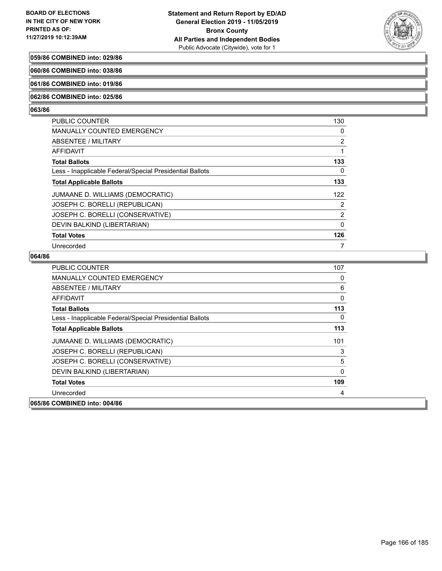

## **059/86 COMBINED into: 029/86**

**060/86 COMBINED into: 038/86**

## **061/86 COMBINED into: 019/86**

#### **062/86 COMBINED into: 025/86**

#### **063/86**

| <b>PUBLIC COUNTER</b>                                    | 130      |
|----------------------------------------------------------|----------|
| MANUALLY COUNTED EMERGENCY                               | 0        |
| ABSENTEE / MILITARY                                      | 2        |
| AFFIDAVIT                                                |          |
| <b>Total Ballots</b>                                     | 133      |
| Less - Inapplicable Federal/Special Presidential Ballots | $\Omega$ |
| <b>Total Applicable Ballots</b>                          | 133      |
| JUMAANE D. WILLIAMS (DEMOCRATIC)                         | 122      |
| JOSEPH C. BORELLI (REPUBLICAN)                           | 2        |
| JOSEPH C. BORELLI (CONSERVATIVE)                         | 2        |
| DEVIN BALKIND (LIBERTARIAN)                              | $\Omega$ |
| <b>Total Votes</b>                                       | 126      |
| Unrecorded                                               |          |

| <b>PUBLIC COUNTER</b>                                    | 107 |
|----------------------------------------------------------|-----|
| <b>MANUALLY COUNTED EMERGENCY</b>                        | 0   |
| ABSENTEE / MILITARY                                      | 6   |
| AFFIDAVIT                                                | 0   |
| <b>Total Ballots</b>                                     | 113 |
| Less - Inapplicable Federal/Special Presidential Ballots | 0   |
| <b>Total Applicable Ballots</b>                          | 113 |
| JUMAANE D. WILLIAMS (DEMOCRATIC)                         | 101 |
| JOSEPH C. BORELLI (REPUBLICAN)                           | 3   |
| JOSEPH C. BORELLI (CONSERVATIVE)                         | 5   |
| DEVIN BALKIND (LIBERTARIAN)                              | 0   |
| <b>Total Votes</b>                                       | 109 |
| Unrecorded                                               | 4   |
| 065/86 COMBINED into: 004/86                             |     |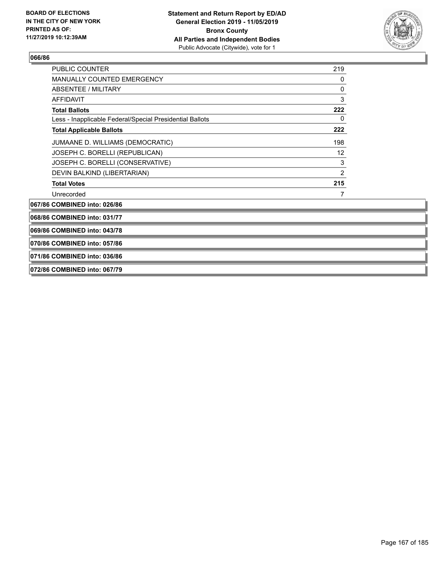

| <b>PUBLIC COUNTER</b>                                    | 219            |
|----------------------------------------------------------|----------------|
| MANUALLY COUNTED EMERGENCY                               | 0              |
| <b>ABSENTEE / MILITARY</b><br>AFFIDAVIT                  | 0              |
|                                                          | 3              |
| <b>Total Ballots</b>                                     | 222            |
| Less - Inapplicable Federal/Special Presidential Ballots | 0              |
| <b>Total Applicable Ballots</b>                          | 222            |
| JUMAANE D. WILLIAMS (DEMOCRATIC)                         | 198            |
| JOSEPH C. BORELLI (REPUBLICAN)                           | 12             |
| JOSEPH C. BORELLI (CONSERVATIVE)                         | 3              |
| DEVIN BALKIND (LIBERTARIAN)                              | $\overline{2}$ |
| <b>Total Votes</b>                                       | 215            |
| Unrecorded                                               | 7              |
| 067/86 COMBINED into: 026/86                             |                |
| 068/86 COMBINED into: 031/77                             |                |
| 069/86 COMBINED into: 043/78                             |                |
| 070/86 COMBINED into: 057/86                             |                |
| 071/86 COMBINED into: 036/86                             |                |
| 072/86 COMBINED into: 067/79                             |                |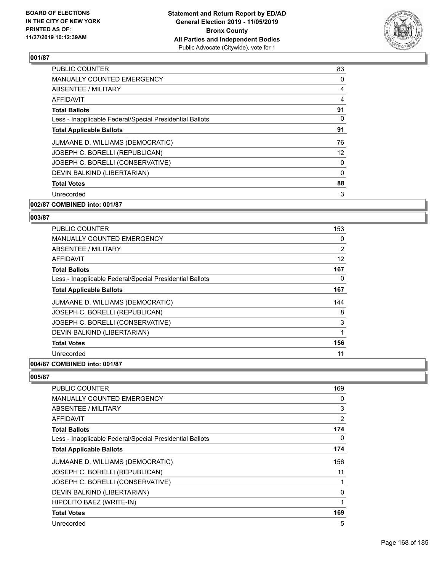

| <b>PUBLIC COUNTER</b>                                    | 83       |
|----------------------------------------------------------|----------|
| <b>MANUALLY COUNTED EMERGENCY</b>                        | 0        |
| <b>ABSENTEE / MILITARY</b>                               | 4        |
| <b>AFFIDAVIT</b>                                         | 4        |
| <b>Total Ballots</b>                                     | 91       |
| Less - Inapplicable Federal/Special Presidential Ballots | 0        |
| <b>Total Applicable Ballots</b>                          | 91       |
| JUMAANE D. WILLIAMS (DEMOCRATIC)                         | 76       |
| JOSEPH C. BORELLI (REPUBLICAN)                           | 12       |
| JOSEPH C. BORELLI (CONSERVATIVE)                         | 0        |
| DEVIN BALKIND (LIBERTARIAN)                              | $\Omega$ |
| <b>Total Votes</b>                                       | 88       |
| Unrecorded                                               | 3        |
| 002/87 COMBINED into: 001/87                             |          |

## **003/87**

| <b>PUBLIC COUNTER</b>                                    | 153      |
|----------------------------------------------------------|----------|
| MANUALLY COUNTED EMERGENCY                               | $\Omega$ |
| ABSENTEE / MILITARY                                      | 2        |
| <b>AFFIDAVIT</b>                                         | 12       |
| <b>Total Ballots</b>                                     | 167      |
| Less - Inapplicable Federal/Special Presidential Ballots | 0        |
| <b>Total Applicable Ballots</b>                          | 167      |
| JUMAANE D. WILLIAMS (DEMOCRATIC)                         | 144      |
| JOSEPH C. BORELLI (REPUBLICAN)                           | 8        |
| JOSEPH C. BORELLI (CONSERVATIVE)                         | 3        |
| DEVIN BALKIND (LIBERTARIAN)                              | 1        |
| <b>Total Votes</b>                                       | 156      |
| Unrecorded                                               | 11       |
| A                                                        |          |

## **004/87 COMBINED into: 001/87**

| PUBLIC COUNTER                                           | 169            |
|----------------------------------------------------------|----------------|
| <b>MANUALLY COUNTED EMERGENCY</b>                        | 0              |
| ABSENTEE / MILITARY                                      | 3              |
| AFFIDAVIT                                                | $\overline{2}$ |
| <b>Total Ballots</b>                                     | 174            |
| Less - Inapplicable Federal/Special Presidential Ballots | 0              |
| <b>Total Applicable Ballots</b>                          | 174            |
| JUMAANE D. WILLIAMS (DEMOCRATIC)                         | 156            |
| JOSEPH C. BORELLI (REPUBLICAN)                           | 11             |
| JOSEPH C. BORELLI (CONSERVATIVE)                         | 1              |
| DEVIN BALKIND (LIBERTARIAN)                              | 0              |
| HIPOLITO BAEZ (WRITE-IN)                                 | 1              |
| <b>Total Votes</b>                                       | 169            |
| Unrecorded                                               | 5              |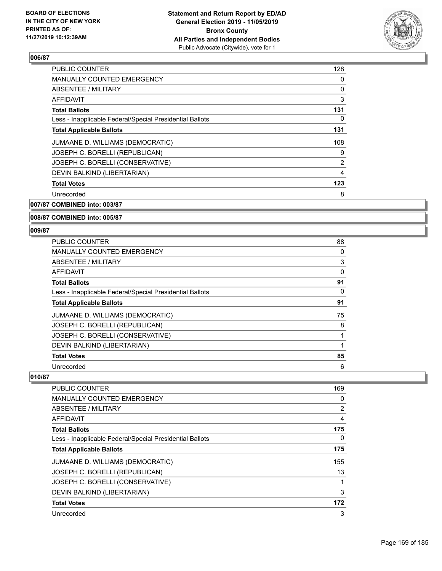

| <b>PUBLIC COUNTER</b>                                    | 128 |
|----------------------------------------------------------|-----|
| <b>MANUALLY COUNTED EMERGENCY</b>                        | 0   |
| ABSENTEE / MILITARY                                      | 0   |
| <b>AFFIDAVIT</b>                                         | 3   |
| <b>Total Ballots</b>                                     | 131 |
| Less - Inapplicable Federal/Special Presidential Ballots | 0   |
| <b>Total Applicable Ballots</b>                          | 131 |
| JUMAANE D. WILLIAMS (DEMOCRATIC)                         | 108 |
| JOSEPH C. BORELLI (REPUBLICAN)                           | 9   |
| JOSEPH C. BORELLI (CONSERVATIVE)                         | 2   |
| DEVIN BALKIND (LIBERTARIAN)                              | 4   |
| <b>Total Votes</b>                                       | 123 |
| Unrecorded                                               | 8   |
|                                                          |     |

**007/87 COMBINED into: 003/87**

### **008/87 COMBINED into: 005/87**

#### **009/87**

| PUBLIC COUNTER                                           | 88 |
|----------------------------------------------------------|----|
| <b>MANUALLY COUNTED EMERGENCY</b>                        | 0  |
| ABSENTEE / MILITARY                                      | 3  |
| AFFIDAVIT                                                | 0  |
| <b>Total Ballots</b>                                     | 91 |
| Less - Inapplicable Federal/Special Presidential Ballots | 0  |
| <b>Total Applicable Ballots</b>                          | 91 |
| JUMAANE D. WILLIAMS (DEMOCRATIC)                         | 75 |
| JOSEPH C. BORELLI (REPUBLICAN)                           | 8  |
| JOSEPH C. BORELLI (CONSERVATIVE)                         |    |
| DEVIN BALKIND (LIBERTARIAN)                              |    |
| <b>Total Votes</b>                                       | 85 |
| Unrecorded                                               | 6  |

| <b>PUBLIC COUNTER</b>                                    | 169 |
|----------------------------------------------------------|-----|
| <b>MANUALLY COUNTED EMERGENCY</b>                        | 0   |
| ABSENTEE / MILITARY                                      | 2   |
| AFFIDAVIT                                                | 4   |
| <b>Total Ballots</b>                                     | 175 |
| Less - Inapplicable Federal/Special Presidential Ballots | 0   |
| <b>Total Applicable Ballots</b>                          | 175 |
| JUMAANE D. WILLIAMS (DEMOCRATIC)                         | 155 |
| JOSEPH C. BORELLI (REPUBLICAN)                           | 13  |
| JOSEPH C. BORELLI (CONSERVATIVE)                         | 1   |
| DEVIN BALKIND (LIBERTARIAN)                              | 3   |
| <b>Total Votes</b>                                       | 172 |
| Unrecorded                                               | 3   |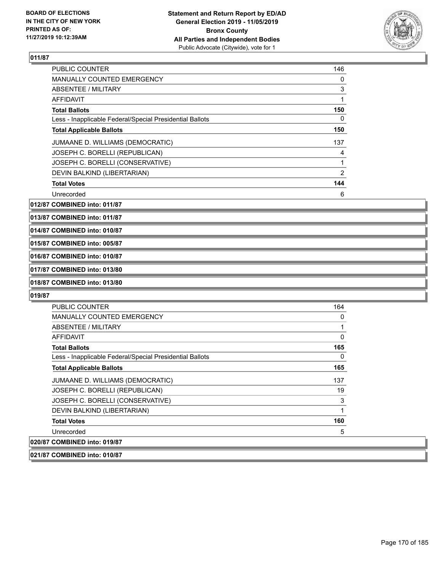

| <b>PUBLIC COUNTER</b>                                    | 146 |
|----------------------------------------------------------|-----|
| <b>MANUALLY COUNTED EMERGENCY</b>                        | 0   |
| ABSENTEE / MILITARY                                      | 3   |
| AFFIDAVIT                                                |     |
| <b>Total Ballots</b>                                     | 150 |
| Less - Inapplicable Federal/Special Presidential Ballots | 0   |
| <b>Total Applicable Ballots</b>                          | 150 |
| JUMAANE D. WILLIAMS (DEMOCRATIC)                         | 137 |
| JOSEPH C. BORELLI (REPUBLICAN)                           | 4   |
| JOSEPH C. BORELLI (CONSERVATIVE)                         |     |
| DEVIN BALKIND (LIBERTARIAN)                              | 2   |
| <b>Total Votes</b>                                       | 144 |
| Unrecorded                                               | 6   |

**012/87 COMBINED into: 011/87**

**013/87 COMBINED into: 011/87**

**014/87 COMBINED into: 010/87**

## **015/87 COMBINED into: 005/87**

**016/87 COMBINED into: 010/87**

## **017/87 COMBINED into: 013/80**

## **018/87 COMBINED into: 013/80**

#### **019/87**

| <b>PUBLIC COUNTER</b>                                    | 164 |
|----------------------------------------------------------|-----|
| <b>MANUALLY COUNTED EMERGENCY</b>                        | 0   |
| ABSENTEE / MILITARY                                      | 1   |
| AFFIDAVIT                                                | 0   |
| <b>Total Ballots</b>                                     | 165 |
| Less - Inapplicable Federal/Special Presidential Ballots | 0   |
| <b>Total Applicable Ballots</b>                          | 165 |
| JUMAANE D. WILLIAMS (DEMOCRATIC)                         | 137 |
| JOSEPH C. BORELLI (REPUBLICAN)                           | 19  |
| JOSEPH C. BORELLI (CONSERVATIVE)                         | 3   |
| DEVIN BALKIND (LIBERTARIAN)                              | 1   |
| <b>Total Votes</b>                                       | 160 |
| Unrecorded                                               | 5   |
| 020/87 COMBINED into: 019/87                             |     |

### **021/87 COMBINED into: 010/87**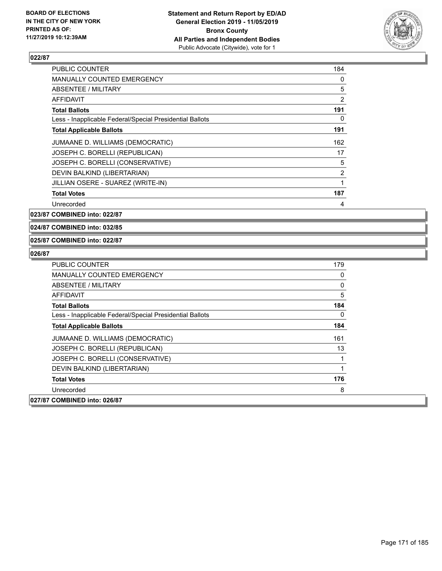

| <b>PUBLIC COUNTER</b>                                    | 184 |
|----------------------------------------------------------|-----|
| <b>MANUALLY COUNTED EMERGENCY</b>                        | 0   |
| ABSENTEE / MILITARY                                      | 5   |
| AFFIDAVIT                                                | 2   |
| <b>Total Ballots</b>                                     | 191 |
| Less - Inapplicable Federal/Special Presidential Ballots | 0   |
| <b>Total Applicable Ballots</b>                          | 191 |
| JUMAANE D. WILLIAMS (DEMOCRATIC)                         | 162 |
| JOSEPH C. BORELLI (REPUBLICAN)                           | 17  |
| JOSEPH C. BORELLI (CONSERVATIVE)                         | 5   |
| DEVIN BALKIND (LIBERTARIAN)                              | 2   |
| JILLIAN OSERE - SUAREZ (WRITE-IN)                        | 1   |
| <b>Total Votes</b>                                       | 187 |
| Unrecorded                                               | 4   |

**023/87 COMBINED into: 022/87**

**024/87 COMBINED into: 032/85**

### **025/87 COMBINED into: 022/87**

| PUBLIC COUNTER                                           | 179      |
|----------------------------------------------------------|----------|
| <b>MANUALLY COUNTED EMERGENCY</b>                        | 0        |
| ABSENTEE / MILITARY                                      | $\Omega$ |
| <b>AFFIDAVIT</b>                                         | 5        |
| <b>Total Ballots</b>                                     | 184      |
| Less - Inapplicable Federal/Special Presidential Ballots | 0        |
| <b>Total Applicable Ballots</b>                          | 184      |
| JUMAANE D. WILLIAMS (DEMOCRATIC)                         | 161      |
| JOSEPH C. BORELLI (REPUBLICAN)                           | 13       |
| JOSEPH C. BORELLI (CONSERVATIVE)                         |          |
| DEVIN BALKIND (LIBERTARIAN)                              |          |
| <b>Total Votes</b>                                       | 176      |
| Unrecorded                                               | 8        |
| 027/87 COMBINED into: 026/87                             |          |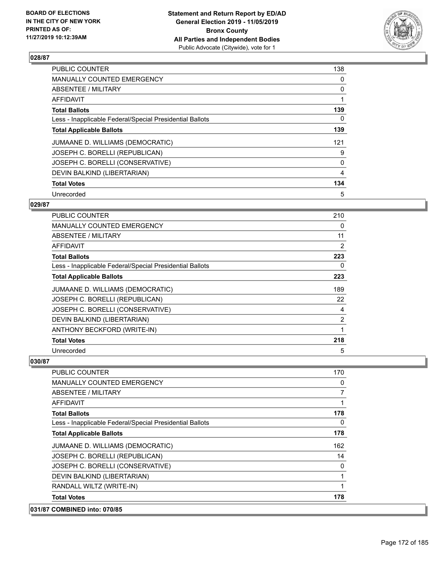

| <b>PUBLIC COUNTER</b>                                    | 138 |
|----------------------------------------------------------|-----|
| <b>MANUALLY COUNTED EMERGENCY</b>                        | 0   |
| ABSENTEE / MILITARY                                      | 0   |
| <b>AFFIDAVIT</b>                                         |     |
| <b>Total Ballots</b>                                     | 139 |
| Less - Inapplicable Federal/Special Presidential Ballots | 0   |
| <b>Total Applicable Ballots</b>                          | 139 |
| JUMAANE D. WILLIAMS (DEMOCRATIC)                         | 121 |
| JOSEPH C. BORELLI (REPUBLICAN)                           | 9   |
| JOSEPH C. BORELLI (CONSERVATIVE)                         | 0   |
| DEVIN BALKIND (LIBERTARIAN)                              | 4   |
| <b>Total Votes</b>                                       | 134 |
| Unrecorded                                               | 5   |

## **029/87**

| PUBLIC COUNTER                                           | 210 |
|----------------------------------------------------------|-----|
| <b>MANUALLY COUNTED EMERGENCY</b>                        | 0   |
| ABSENTEE / MILITARY                                      | 11  |
| AFFIDAVIT                                                | 2   |
| <b>Total Ballots</b>                                     | 223 |
| Less - Inapplicable Federal/Special Presidential Ballots | 0   |
| <b>Total Applicable Ballots</b>                          | 223 |
| JUMAANE D. WILLIAMS (DEMOCRATIC)                         | 189 |
| JOSEPH C. BORELLI (REPUBLICAN)                           | 22  |
| JOSEPH C. BORELLI (CONSERVATIVE)                         | 4   |
| DEVIN BALKIND (LIBERTARIAN)                              | 2   |
| ANTHONY BECKFORD (WRITE-IN)                              | 1   |
| <b>Total Votes</b>                                       | 218 |
| Unrecorded                                               | 5   |

| 031/87 COMBINED into: 070/85                             |                |
|----------------------------------------------------------|----------------|
| <b>Total Votes</b>                                       | 178            |
| RANDALL WILTZ (WRITE-IN)                                 | 1              |
| DEVIN BALKIND (LIBERTARIAN)                              | 1              |
| JOSEPH C. BORELLI (CONSERVATIVE)                         | 0              |
| JOSEPH C. BORELLI (REPUBLICAN)                           | 14             |
| JUMAANE D. WILLIAMS (DEMOCRATIC)                         | 162            |
| <b>Total Applicable Ballots</b>                          | 178            |
| Less - Inapplicable Federal/Special Presidential Ballots | 0              |
| <b>Total Ballots</b>                                     | 178            |
| AFFIDAVIT                                                | 1              |
| <b>ABSENTEE / MILITARY</b>                               | $\overline{7}$ |
| <b>MANUALLY COUNTED EMERGENCY</b>                        | 0              |
| <b>PUBLIC COUNTER</b>                                    | 170            |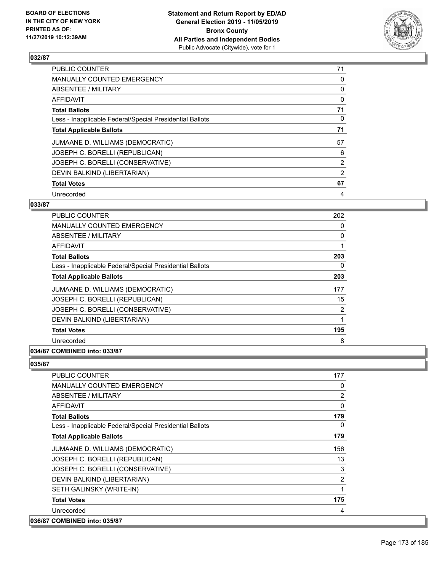

| <b>PUBLIC COUNTER</b>                                    | 71 |
|----------------------------------------------------------|----|
| <b>MANUALLY COUNTED EMERGENCY</b>                        | 0  |
| ABSENTEE / MILITARY                                      | 0  |
| <b>AFFIDAVIT</b>                                         | 0  |
| <b>Total Ballots</b>                                     | 71 |
| Less - Inapplicable Federal/Special Presidential Ballots | 0  |
| <b>Total Applicable Ballots</b>                          | 71 |
| JUMAANE D. WILLIAMS (DEMOCRATIC)                         | 57 |
| JOSEPH C. BORELLI (REPUBLICAN)                           | 6  |
| JOSEPH C. BORELLI (CONSERVATIVE)                         | 2  |
| DEVIN BALKIND (LIBERTARIAN)                              | 2  |
| <b>Total Votes</b>                                       | 67 |
| Unrecorded                                               | 4  |

## **033/87**

| <b>PUBLIC COUNTER</b>                                    | 202 |
|----------------------------------------------------------|-----|
| MANUALLY COUNTED EMERGENCY                               | 0   |
| ABSENTEE / MILITARY                                      | 0   |
| AFFIDAVIT                                                | 1   |
| <b>Total Ballots</b>                                     | 203 |
| Less - Inapplicable Federal/Special Presidential Ballots | 0   |
| <b>Total Applicable Ballots</b>                          | 203 |
| JUMAANE D. WILLIAMS (DEMOCRATIC)                         | 177 |
| JOSEPH C. BORELLI (REPUBLICAN)                           | 15  |
| JOSEPH C. BORELLI (CONSERVATIVE)                         | 2   |
| DEVIN BALKIND (LIBERTARIAN)                              | 1   |
| <b>Total Votes</b>                                       | 195 |
| Unrecorded                                               | 8   |
|                                                          |     |

## **034/87 COMBINED into: 033/87**

| PUBLIC COUNTER                                           | 177 |
|----------------------------------------------------------|-----|
| <b>MANUALLY COUNTED EMERGENCY</b>                        | 0   |
| ABSENTEE / MILITARY                                      | 2   |
| AFFIDAVIT                                                | 0   |
| <b>Total Ballots</b>                                     | 179 |
| Less - Inapplicable Federal/Special Presidential Ballots | 0   |
| <b>Total Applicable Ballots</b>                          | 179 |
| JUMAANE D. WILLIAMS (DEMOCRATIC)                         | 156 |
| JOSEPH C. BORELLI (REPUBLICAN)                           | 13  |
| JOSEPH C. BORELLI (CONSERVATIVE)                         | 3   |
| DEVIN BALKIND (LIBERTARIAN)                              | 2   |
| SETH GALINSKY (WRITE-IN)                                 | 1   |
| <b>Total Votes</b>                                       | 175 |
| Unrecorded                                               | 4   |
| 036/87 COMBINED into: 035/87                             |     |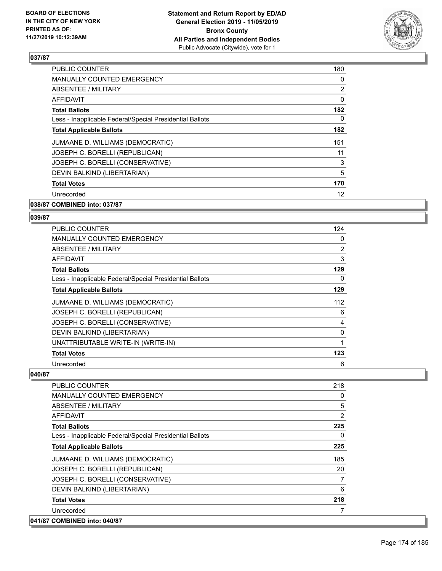

| <b>PUBLIC COUNTER</b>                                    | 180            |
|----------------------------------------------------------|----------------|
| <b>MANUALLY COUNTED EMERGENCY</b>                        | 0              |
| <b>ABSENTEE / MILITARY</b>                               | $\overline{2}$ |
| <b>AFFIDAVIT</b>                                         | 0              |
| <b>Total Ballots</b>                                     | 182            |
| Less - Inapplicable Federal/Special Presidential Ballots | 0              |
| <b>Total Applicable Ballots</b>                          | 182            |
| JUMAANE D. WILLIAMS (DEMOCRATIC)                         | 151            |
| JOSEPH C. BORELLI (REPUBLICAN)                           | 11             |
| JOSEPH C. BORELLI (CONSERVATIVE)                         | 3              |
| DEVIN BALKIND (LIBERTARIAN)                              | 5              |
| <b>Total Votes</b>                                       | 170            |
| Unrecorded                                               | 12             |
| 038/87 COMBINED into: 037/87                             |                |

## **039/87**

| <b>PUBLIC COUNTER</b>                                    | 124            |
|----------------------------------------------------------|----------------|
| <b>MANUALLY COUNTED EMERGENCY</b>                        | 0              |
| ABSENTEE / MILITARY                                      | $\overline{2}$ |
| AFFIDAVIT                                                | 3              |
| <b>Total Ballots</b>                                     | 129            |
| Less - Inapplicable Federal/Special Presidential Ballots | 0              |
| <b>Total Applicable Ballots</b>                          | 129            |
| JUMAANE D. WILLIAMS (DEMOCRATIC)                         | 112            |
| JOSEPH C. BORELLI (REPUBLICAN)                           | 6              |
| JOSEPH C. BORELLI (CONSERVATIVE)                         | 4              |
| DEVIN BALKIND (LIBERTARIAN)                              | 0              |
| UNATTRIBUTABLE WRITE-IN (WRITE-IN)                       | 1              |
| <b>Total Votes</b>                                       | 123            |
| Unrecorded                                               | 6              |

| <b>PUBLIC COUNTER</b>                                    | 218      |
|----------------------------------------------------------|----------|
| <b>MANUALLY COUNTED EMERGENCY</b>                        | 0        |
| ABSENTEE / MILITARY                                      | 5        |
| AFFIDAVIT                                                | 2        |
| <b>Total Ballots</b>                                     | 225      |
| Less - Inapplicable Federal/Special Presidential Ballots | $\Omega$ |
| <b>Total Applicable Ballots</b>                          | 225      |
| JUMAANE D. WILLIAMS (DEMOCRATIC)                         | 185      |
| JOSEPH C. BORELLI (REPUBLICAN)                           | 20       |
| JOSEPH C. BORELLI (CONSERVATIVE)                         | 7        |
| DEVIN BALKIND (LIBERTARIAN)                              | 6        |
| <b>Total Votes</b>                                       | 218      |
| Unrecorded                                               |          |
| 041/87 COMBINED into: 040/87                             |          |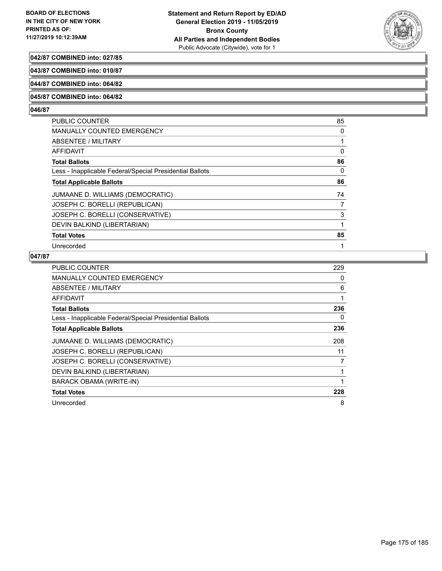

## **042/87 COMBINED into: 027/85**

**043/87 COMBINED into: 010/87**

## **044/87 COMBINED into: 064/82**

#### **045/87 COMBINED into: 064/82**

#### **046/87**

| <b>PUBLIC COUNTER</b>                                    | 85 |
|----------------------------------------------------------|----|
| <b>MANUALLY COUNTED EMERGENCY</b>                        | 0  |
| ABSENTEE / MILITARY                                      | 1  |
| AFFIDAVIT                                                | 0  |
| <b>Total Ballots</b>                                     | 86 |
| Less - Inapplicable Federal/Special Presidential Ballots | 0  |
| <b>Total Applicable Ballots</b>                          | 86 |
| JUMAANE D. WILLIAMS (DEMOCRATIC)                         | 74 |
| JOSEPH C. BORELLI (REPUBLICAN)                           | 7  |
| JOSEPH C. BORELLI (CONSERVATIVE)                         | 3  |
| DEVIN BALKIND (LIBERTARIAN)                              | 1  |
| <b>Total Votes</b>                                       | 85 |
| Unrecorded                                               | 1  |
|                                                          |    |

| <b>PUBLIC COUNTER</b>                                    | 229 |
|----------------------------------------------------------|-----|
| <b>MANUALLY COUNTED EMERGENCY</b>                        | 0   |
| ABSENTEE / MILITARY                                      | 6   |
| AFFIDAVIT                                                | 1   |
| <b>Total Ballots</b>                                     | 236 |
| Less - Inapplicable Federal/Special Presidential Ballots | 0   |
| <b>Total Applicable Ballots</b>                          | 236 |
| JUMAANE D. WILLIAMS (DEMOCRATIC)                         | 208 |
| JOSEPH C. BORELLI (REPUBLICAN)                           | 11  |
| JOSEPH C. BORELLI (CONSERVATIVE)                         | 7   |
| DEVIN BALKIND (LIBERTARIAN)                              |     |
| <b>BARACK OBAMA (WRITE-IN)</b>                           |     |
| <b>Total Votes</b>                                       | 228 |
| Unrecorded                                               | 8   |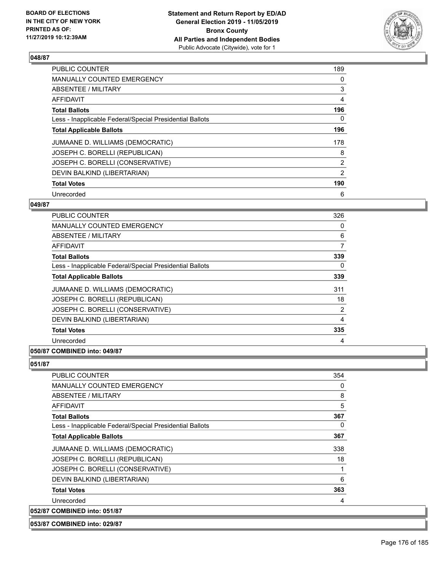

| <b>PUBLIC COUNTER</b>                                    | 189            |
|----------------------------------------------------------|----------------|
| <b>MANUALLY COUNTED EMERGENCY</b>                        | 0              |
| ABSENTEE / MILITARY                                      | 3              |
| <b>AFFIDAVIT</b>                                         | 4              |
| <b>Total Ballots</b>                                     | 196            |
| Less - Inapplicable Federal/Special Presidential Ballots | 0              |
| <b>Total Applicable Ballots</b>                          | 196            |
| JUMAANE D. WILLIAMS (DEMOCRATIC)                         | 178            |
| JOSEPH C. BORELLI (REPUBLICAN)                           | 8              |
| JOSEPH C. BORELLI (CONSERVATIVE)                         | $\overline{2}$ |
| DEVIN BALKIND (LIBERTARIAN)                              | $\overline{2}$ |
| <b>Total Votes</b>                                       | 190            |
| Unrecorded                                               | 6              |

## **049/87**

| <b>PUBLIC COUNTER</b>                                    | 326 |
|----------------------------------------------------------|-----|
| MANUALLY COUNTED EMERGENCY                               | 0   |
| ABSENTEE / MILITARY                                      | 6   |
| <b>AFFIDAVIT</b>                                         | 7   |
| <b>Total Ballots</b>                                     | 339 |
| Less - Inapplicable Federal/Special Presidential Ballots | 0   |
| <b>Total Applicable Ballots</b>                          | 339 |
| JUMAANE D. WILLIAMS (DEMOCRATIC)                         | 311 |
| JOSEPH C. BORELLI (REPUBLICAN)                           | 18  |
| JOSEPH C. BORELLI (CONSERVATIVE)                         | 2   |
| DEVIN BALKIND (LIBERTARIAN)                              | 4   |
| <b>Total Votes</b>                                       | 335 |
| Unrecorded                                               | 4   |
|                                                          |     |

## **050/87 COMBINED into: 049/87**

## **051/87**

| <b>PUBLIC COUNTER</b>                                    | 354 |
|----------------------------------------------------------|-----|
| <b>MANUALLY COUNTED EMERGENCY</b>                        | 0   |
| ABSENTEE / MILITARY                                      | 8   |
| AFFIDAVIT                                                | 5   |
| <b>Total Ballots</b>                                     | 367 |
| Less - Inapplicable Federal/Special Presidential Ballots | 0   |
| <b>Total Applicable Ballots</b>                          | 367 |
| JUMAANE D. WILLIAMS (DEMOCRATIC)                         | 338 |
| JOSEPH C. BORELLI (REPUBLICAN)                           | 18  |
| JOSEPH C. BORELLI (CONSERVATIVE)                         | 1   |
| DEVIN BALKIND (LIBERTARIAN)                              | 6   |
| <b>Total Votes</b>                                       | 363 |
| Unrecorded                                               | 4   |
| 052/87 COMBINED into: 051/87                             |     |

**053/87 COMBINED into: 029/87**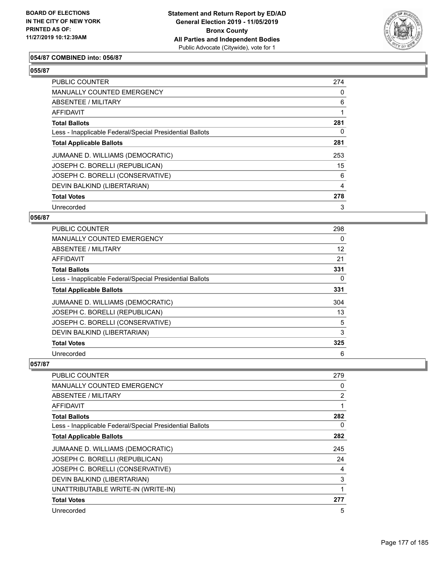

## **054/87 COMBINED into: 056/87**

## **055/87**

| <b>PUBLIC COUNTER</b>                                    | 274 |
|----------------------------------------------------------|-----|
| <b>MANUALLY COUNTED EMERGENCY</b>                        | 0   |
| <b>ABSENTEE / MILITARY</b>                               | 6   |
| <b>AFFIDAVIT</b>                                         |     |
| <b>Total Ballots</b>                                     | 281 |
| Less - Inapplicable Federal/Special Presidential Ballots | 0   |
| <b>Total Applicable Ballots</b>                          | 281 |
| JUMAANE D. WILLIAMS (DEMOCRATIC)                         | 253 |
| JOSEPH C. BORELLI (REPUBLICAN)                           | 15  |
| JOSEPH C. BORELLI (CONSERVATIVE)                         | 6   |
| DEVIN BALKIND (LIBERTARIAN)                              | 4   |
| <b>Total Votes</b>                                       | 278 |
| Unrecorded                                               | 3   |

### **056/87**

| <b>PUBLIC COUNTER</b>                                    | 298 |
|----------------------------------------------------------|-----|
| MANUALLY COUNTED EMERGENCY                               | 0   |
| <b>ABSENTEE / MILITARY</b>                               | 12  |
| AFFIDAVIT                                                | 21  |
| <b>Total Ballots</b>                                     | 331 |
| Less - Inapplicable Federal/Special Presidential Ballots | 0   |
| <b>Total Applicable Ballots</b>                          | 331 |
| JUMAANE D. WILLIAMS (DEMOCRATIC)                         | 304 |
| JOSEPH C. BORELLI (REPUBLICAN)                           | 13  |
| JOSEPH C. BORELLI (CONSERVATIVE)                         | 5   |
| DEVIN BALKIND (LIBERTARIAN)                              | 3   |
| <b>Total Votes</b>                                       | 325 |
| Unrecorded                                               | 6   |

| <b>PUBLIC COUNTER</b>                                    | 279 |
|----------------------------------------------------------|-----|
| <b>MANUALLY COUNTED EMERGENCY</b>                        | 0   |
| ABSENTEE / MILITARY                                      | 2   |
| AFFIDAVIT                                                | 1   |
| <b>Total Ballots</b>                                     | 282 |
| Less - Inapplicable Federal/Special Presidential Ballots | 0   |
| <b>Total Applicable Ballots</b>                          | 282 |
| JUMAANE D. WILLIAMS (DEMOCRATIC)                         | 245 |
| JOSEPH C. BORELLI (REPUBLICAN)                           | 24  |
| JOSEPH C. BORELLI (CONSERVATIVE)                         | 4   |
| DEVIN BALKIND (LIBERTARIAN)                              | 3   |
| UNATTRIBUTABLE WRITE-IN (WRITE-IN)                       | 1   |
| <b>Total Votes</b>                                       | 277 |
| Unrecorded                                               | 5   |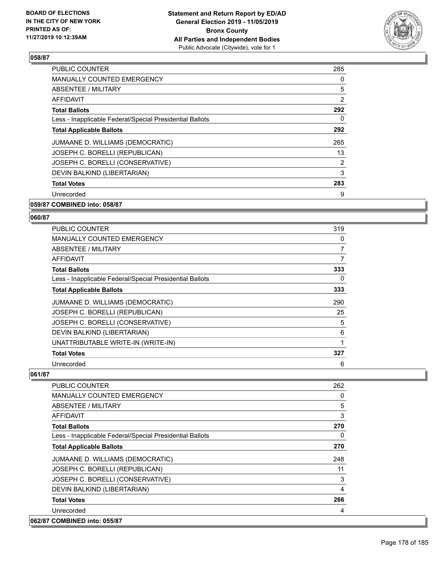

| <b>PUBLIC COUNTER</b>                                    | 285            |
|----------------------------------------------------------|----------------|
| <b>MANUALLY COUNTED EMERGENCY</b>                        | 0              |
| <b>ABSENTEE / MILITARY</b>                               | 5              |
| AFFIDAVIT                                                | $\overline{2}$ |
| <b>Total Ballots</b>                                     | 292            |
| Less - Inapplicable Federal/Special Presidential Ballots | 0              |
| <b>Total Applicable Ballots</b>                          | 292            |
| JUMAANE D. WILLIAMS (DEMOCRATIC)                         | 265            |
| JOSEPH C. BORELLI (REPUBLICAN)                           | 13             |
| JOSEPH C. BORELLI (CONSERVATIVE)                         | 2              |
| DEVIN BALKIND (LIBERTARIAN)                              | 3              |
| <b>Total Votes</b>                                       | 283            |
| Unrecorded                                               | 9              |
|                                                          |                |

## **059/87 COMBINED into: 058/87**

#### **060/87**

| PUBLIC COUNTER                                           | 319            |
|----------------------------------------------------------|----------------|
| MANUALLY COUNTED EMERGENCY                               | 0              |
| ABSENTEE / MILITARY                                      | $\overline{7}$ |
| AFFIDAVIT                                                | 7              |
| <b>Total Ballots</b>                                     | 333            |
| Less - Inapplicable Federal/Special Presidential Ballots | 0              |
| <b>Total Applicable Ballots</b>                          | 333            |
| JUMAANE D. WILLIAMS (DEMOCRATIC)                         | 290            |
| JOSEPH C. BORELLI (REPUBLICAN)                           | 25             |
| JOSEPH C. BORELLI (CONSERVATIVE)                         | 5              |
| DEVIN BALKIND (LIBERTARIAN)                              | 6              |
| UNATTRIBUTABLE WRITE-IN (WRITE-IN)                       |                |
| <b>Total Votes</b>                                       | 327            |
| Unrecorded                                               | 6              |

| <b>PUBLIC COUNTER</b>                                    | 262 |
|----------------------------------------------------------|-----|
| <b>MANUALLY COUNTED EMERGENCY</b>                        | 0   |
| ABSENTEE / MILITARY                                      | 5   |
| AFFIDAVIT                                                | 3   |
| <b>Total Ballots</b>                                     | 270 |
| Less - Inapplicable Federal/Special Presidential Ballots | 0   |
| <b>Total Applicable Ballots</b>                          | 270 |
| JUMAANE D. WILLIAMS (DEMOCRATIC)                         | 248 |
| JOSEPH C. BORELLI (REPUBLICAN)                           | 11  |
| JOSEPH C. BORELLI (CONSERVATIVE)                         | 3   |
| DEVIN BALKIND (LIBERTARIAN)                              | 4   |
| <b>Total Votes</b>                                       | 266 |
| Unrecorded                                               | 4   |
| 062/87 COMBINED into: 055/87                             |     |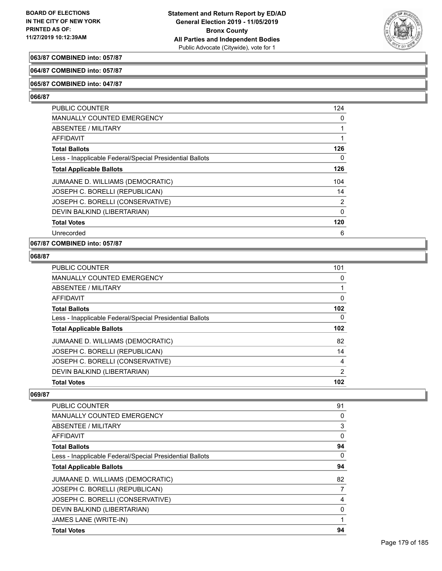

## **063/87 COMBINED into: 057/87**

#### **064/87 COMBINED into: 057/87**

#### **065/87 COMBINED into: 047/87**

#### **066/87**

| <b>PUBLIC COUNTER</b>                                    | 124      |
|----------------------------------------------------------|----------|
| <b>MANUALLY COUNTED EMERGENCY</b>                        | 0        |
| ABSENTEE / MILITARY                                      |          |
| <b>AFFIDAVIT</b>                                         |          |
| <b>Total Ballots</b>                                     | 126      |
| Less - Inapplicable Federal/Special Presidential Ballots | 0        |
| <b>Total Applicable Ballots</b>                          | 126      |
| JUMAANE D. WILLIAMS (DEMOCRATIC)                         | 104      |
| JOSEPH C. BORELLI (REPUBLICAN)                           | 14       |
| JOSEPH C. BORELLI (CONSERVATIVE)                         | 2        |
| DEVIN BALKIND (LIBERTARIAN)                              | $\Omega$ |
| <b>Total Votes</b>                                       | 120      |
| Unrecorded                                               | 6        |

## **067/87 COMBINED into: 057/87**

### **068/87**

| PUBLIC COUNTER                                           | 101            |
|----------------------------------------------------------|----------------|
| MANUALLY COUNTED EMERGENCY                               | $\Omega$       |
| ABSENTEE / MILITARY                                      |                |
| <b>AFFIDAVIT</b>                                         | 0              |
| <b>Total Ballots</b>                                     | 102            |
| Less - Inapplicable Federal/Special Presidential Ballots | $\Omega$       |
| <b>Total Applicable Ballots</b>                          | 102            |
| JUMAANE D. WILLIAMS (DEMOCRATIC)                         | 82             |
| JOSEPH C. BORELLI (REPUBLICAN)                           | 14             |
| JOSEPH C. BORELLI (CONSERVATIVE)                         | $\overline{4}$ |
| DEVIN BALKIND (LIBERTARIAN)                              | $\overline{2}$ |
| <b>Total Votes</b>                                       | 102            |

| <b>PUBLIC COUNTER</b>                                    | 91       |
|----------------------------------------------------------|----------|
| <b>MANUALLY COUNTED EMERGENCY</b>                        | 0        |
| ABSENTEE / MILITARY                                      | 3        |
| <b>AFFIDAVIT</b>                                         | $\Omega$ |
| <b>Total Ballots</b>                                     | 94       |
| Less - Inapplicable Federal/Special Presidential Ballots | 0        |
| <b>Total Applicable Ballots</b>                          | 94       |
| JUMAANE D. WILLIAMS (DEMOCRATIC)                         | 82       |
| JOSEPH C. BORELLI (REPUBLICAN)                           | 7        |
| JOSEPH C. BORELLI (CONSERVATIVE)                         | 4        |
| DEVIN BALKIND (LIBERTARIAN)                              | 0        |
| JAMES LANE (WRITE-IN)                                    |          |
| <b>Total Votes</b>                                       | 94       |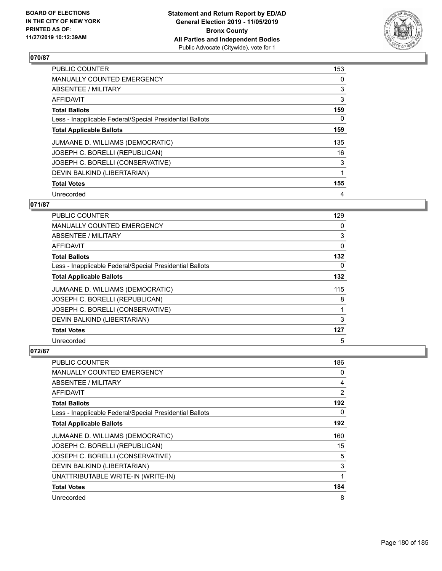

| <b>PUBLIC COUNTER</b>                                    | 153 |
|----------------------------------------------------------|-----|
| MANUALLY COUNTED EMERGENCY                               | 0   |
| ABSENTEE / MILITARY                                      | 3   |
| <b>AFFIDAVIT</b>                                         | 3   |
| <b>Total Ballots</b>                                     | 159 |
| Less - Inapplicable Federal/Special Presidential Ballots | 0   |
| <b>Total Applicable Ballots</b>                          | 159 |
| JUMAANE D. WILLIAMS (DEMOCRATIC)                         | 135 |
| JOSEPH C. BORELLI (REPUBLICAN)                           | 16  |
| JOSEPH C. BORELLI (CONSERVATIVE)                         | 3   |
| DEVIN BALKIND (LIBERTARIAN)                              | 1   |
| <b>Total Votes</b>                                       | 155 |
| Unrecorded                                               | 4   |

## **071/87**

| PUBLIC COUNTER                                           | 129 |
|----------------------------------------------------------|-----|
| MANUALLY COUNTED EMERGENCY                               | 0   |
| ABSENTEE / MILITARY                                      | 3   |
| AFFIDAVIT                                                | 0   |
| <b>Total Ballots</b>                                     | 132 |
| Less - Inapplicable Federal/Special Presidential Ballots | 0   |
| <b>Total Applicable Ballots</b>                          | 132 |
| JUMAANE D. WILLIAMS (DEMOCRATIC)                         | 115 |
| JOSEPH C. BORELLI (REPUBLICAN)                           | 8   |
| JOSEPH C. BORELLI (CONSERVATIVE)                         |     |
| DEVIN BALKIND (LIBERTARIAN)                              | 3   |
| <b>Total Votes</b>                                       | 127 |
| Unrecorded                                               | 5   |

| <b>PUBLIC COUNTER</b>                                    | 186            |
|----------------------------------------------------------|----------------|
| MANUALLY COUNTED EMERGENCY                               | 0              |
| ABSENTEE / MILITARY                                      | 4              |
| AFFIDAVIT                                                | $\overline{2}$ |
| <b>Total Ballots</b>                                     | 192            |
| Less - Inapplicable Federal/Special Presidential Ballots | $\Omega$       |
| <b>Total Applicable Ballots</b>                          | 192            |
| JUMAANE D. WILLIAMS (DEMOCRATIC)                         | 160            |
| JOSEPH C. BORELLI (REPUBLICAN)                           | 15             |
| JOSEPH C. BORELLI (CONSERVATIVE)                         | 5              |
| DEVIN BALKIND (LIBERTARIAN)                              | 3              |
| UNATTRIBUTABLE WRITE-IN (WRITE-IN)                       | 1              |
| <b>Total Votes</b>                                       | 184            |
| Unrecorded                                               | 8              |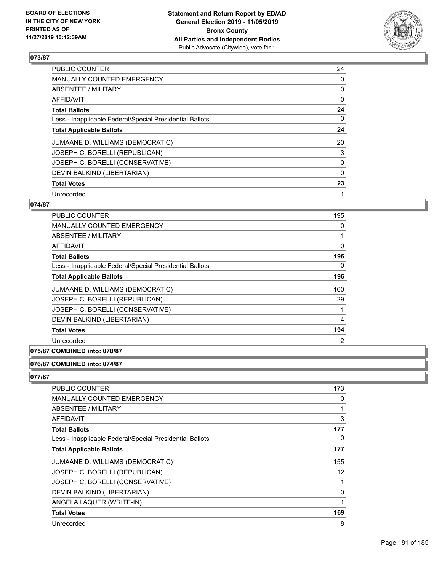

| <b>PUBLIC COUNTER</b>                                    | 24       |
|----------------------------------------------------------|----------|
| <b>MANUALLY COUNTED EMERGENCY</b>                        | 0        |
| ABSENTEE / MILITARY                                      | 0        |
| <b>AFFIDAVIT</b>                                         | 0        |
| <b>Total Ballots</b>                                     | 24       |
| Less - Inapplicable Federal/Special Presidential Ballots | 0        |
| <b>Total Applicable Ballots</b>                          | 24       |
| JUMAANE D. WILLIAMS (DEMOCRATIC)                         | 20       |
| JOSEPH C. BORELLI (REPUBLICAN)                           | 3        |
| JOSEPH C. BORELLI (CONSERVATIVE)                         | 0        |
| DEVIN BALKIND (LIBERTARIAN)                              | $\Omega$ |
| <b>Total Votes</b>                                       | 23       |
| Unrecorded                                               | 1        |

# **074/87**

| <b>PUBLIC COUNTER</b>                                    | 195            |
|----------------------------------------------------------|----------------|
| <b>MANUALLY COUNTED EMERGENCY</b>                        | 0              |
| ABSENTEE / MILITARY                                      | 1              |
| AFFIDAVIT                                                | 0              |
| <b>Total Ballots</b>                                     | 196            |
| Less - Inapplicable Federal/Special Presidential Ballots | 0              |
| <b>Total Applicable Ballots</b>                          | 196            |
| JUMAANE D. WILLIAMS (DEMOCRATIC)                         | 160            |
| JOSEPH C. BORELLI (REPUBLICAN)                           | 29             |
| JOSEPH C. BORELLI (CONSERVATIVE)                         |                |
| DEVIN BALKIND (LIBERTARIAN)                              | 4              |
| <b>Total Votes</b>                                       | 194            |
| Unrecorded                                               | $\overline{2}$ |
|                                                          |                |

# **075/87 COMBINED into: 070/87**

### **076/87 COMBINED into: 074/87**

# **077/87**

| PUBLIC COUNTER                                           | 173      |
|----------------------------------------------------------|----------|
| <b>MANUALLY COUNTED EMERGENCY</b>                        | 0        |
| ABSENTEE / MILITARY                                      |          |
| AFFIDAVIT                                                | 3        |
| <b>Total Ballots</b>                                     | 177      |
| Less - Inapplicable Federal/Special Presidential Ballots | 0        |
| <b>Total Applicable Ballots</b>                          | 177      |
| JUMAANE D. WILLIAMS (DEMOCRATIC)                         | 155      |
| JOSEPH C. BORELLI (REPUBLICAN)                           | 12       |
| JOSEPH C. BORELLI (CONSERVATIVE)                         |          |
| DEVIN BALKIND (LIBERTARIAN)                              | $\Omega$ |
| ANGELA LAQUER (WRITE-IN)                                 |          |
| <b>Total Votes</b>                                       | 169      |
| Unrecorded                                               | 8        |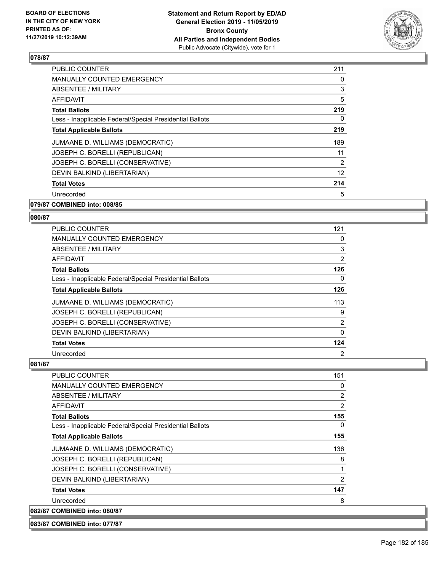

| <b>PUBLIC COUNTER</b>                                    | 211 |
|----------------------------------------------------------|-----|
| <b>MANUALLY COUNTED EMERGENCY</b>                        | 0   |
| ABSENTEE / MILITARY                                      | 3   |
| AFFIDAVIT                                                | 5   |
| <b>Total Ballots</b>                                     | 219 |
| Less - Inapplicable Federal/Special Presidential Ballots | 0   |
| <b>Total Applicable Ballots</b>                          | 219 |
| JUMAANE D. WILLIAMS (DEMOCRATIC)                         | 189 |
| JOSEPH C. BORELLI (REPUBLICAN)                           | 11  |
| JOSEPH C. BORELLI (CONSERVATIVE)                         | 2   |
| DEVIN BALKIND (LIBERTARIAN)                              | 12  |
| <b>Total Votes</b>                                       | 214 |
| Unrecorded                                               | 5   |
|                                                          |     |

## **079/87 COMBINED into: 008/85**

# **080/87**

| <b>PUBLIC COUNTER</b>                                    | 121          |
|----------------------------------------------------------|--------------|
| MANUALLY COUNTED EMERGENCY                               | 0            |
| ABSENTEE / MILITARY                                      | 3            |
| AFFIDAVIT                                                | 2            |
| <b>Total Ballots</b>                                     | 126          |
| Less - Inapplicable Federal/Special Presidential Ballots | 0            |
| <b>Total Applicable Ballots</b>                          | 126          |
| JUMAANE D. WILLIAMS (DEMOCRATIC)                         | 113          |
| JOSEPH C. BORELLI (REPUBLICAN)                           | 9            |
| JOSEPH C. BORELLI (CONSERVATIVE)                         | 2            |
| DEVIN BALKIND (LIBERTARIAN)                              | $\mathbf{0}$ |
| <b>Total Votes</b>                                       | 124          |
| Unrecorded                                               | 2            |

#### **081/87**

| PUBLIC COUNTER                                           | 151 |
|----------------------------------------------------------|-----|
| <b>MANUALLY COUNTED EMERGENCY</b>                        | 0   |
| <b>ABSENTEE / MILITARY</b>                               | 2   |
| <b>AFFIDAVIT</b>                                         | 2   |
| <b>Total Ballots</b>                                     | 155 |
| Less - Inapplicable Federal/Special Presidential Ballots | 0   |
| <b>Total Applicable Ballots</b>                          | 155 |
| JUMAANE D. WILLIAMS (DEMOCRATIC)                         | 136 |
| JOSEPH C. BORELLI (REPUBLICAN)                           | 8   |
| JOSEPH C. BORELLI (CONSERVATIVE)                         | 1   |
| DEVIN BALKIND (LIBERTARIAN)                              | 2   |
| <b>Total Votes</b>                                       | 147 |
| Unrecorded                                               | 8   |
| 082/87 COMBINED into: 080/87                             |     |

**083/87 COMBINED into: 077/87**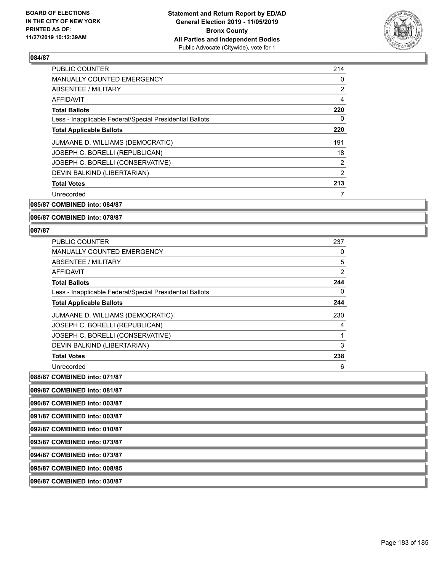

| <b>PUBLIC COUNTER</b>                                    | 214 |
|----------------------------------------------------------|-----|
| <b>MANUALLY COUNTED EMERGENCY</b>                        | 0   |
| ABSENTEE / MILITARY                                      | 2   |
| <b>AFFIDAVIT</b>                                         | 4   |
| <b>Total Ballots</b>                                     | 220 |
| Less - Inapplicable Federal/Special Presidential Ballots | 0   |
| <b>Total Applicable Ballots</b>                          | 220 |
| JUMAANE D. WILLIAMS (DEMOCRATIC)                         | 191 |
| JOSEPH C. BORELLI (REPUBLICAN)                           | 18  |
| JOSEPH C. BORELLI (CONSERVATIVE)                         | 2   |
| DEVIN BALKIND (LIBERTARIAN)                              | 2   |
| <b>Total Votes</b>                                       | 213 |
| Unrecorded                                               |     |

**085/87 COMBINED into: 084/87**

### **086/87 COMBINED into: 078/87**

#### **087/87**

| <b>PUBLIC COUNTER</b>                                    | 237            |
|----------------------------------------------------------|----------------|
| <b>MANUALLY COUNTED EMERGENCY</b>                        | 0              |
| ABSENTEE / MILITARY                                      | 5              |
| <b>AFFIDAVIT</b>                                         | $\overline{2}$ |
| <b>Total Ballots</b>                                     | 244            |
| Less - Inapplicable Federal/Special Presidential Ballots | 0              |
| <b>Total Applicable Ballots</b>                          | 244            |
| JUMAANE D. WILLIAMS (DEMOCRATIC)                         | 230            |
| JOSEPH C. BORELLI (REPUBLICAN)                           | 4              |
| JOSEPH C. BORELLI (CONSERVATIVE)                         |                |
| DEVIN BALKIND (LIBERTARIAN)                              | 3              |
| <b>Total Votes</b>                                       | 238            |
| Unrecorded                                               | 6              |

**088/87 COMBINED into: 071/87**

| 089/87 COMBINED into: 081/87 |  |
|------------------------------|--|
| 090/87 COMBINED into: 003/87 |  |
| 091/87 COMBINED into: 003/87 |  |
| 092/87 COMBINED into: 010/87 |  |
| 093/87 COMBINED into: 073/87 |  |
| 094/87 COMBINED into: 073/87 |  |
| 095/87 COMBINED into: 008/85 |  |
| 096/87 COMBINED into: 030/87 |  |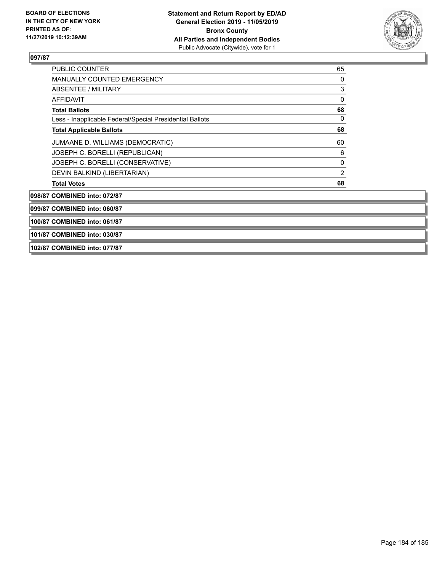

| PUBLIC COUNTER                                           | 65             |
|----------------------------------------------------------|----------------|
| <b>MANUALLY COUNTED EMERGENCY</b>                        | 0              |
| ABSENTEE / MILITARY                                      | 3              |
| AFFIDAVIT                                                | 0              |
| <b>Total Ballots</b>                                     | 68             |
| Less - Inapplicable Federal/Special Presidential Ballots | $\Omega$       |
| <b>Total Applicable Ballots</b>                          | 68             |
| JUMAANE D. WILLIAMS (DEMOCRATIC)                         | 60             |
| JOSEPH C. BORELLI (REPUBLICAN)                           | 6              |
| JOSEPH C. BORELLI (CONSERVATIVE)                         | 0              |
| DEVIN BALKIND (LIBERTARIAN)                              | $\overline{2}$ |
| <b>Total Votes</b>                                       | 68             |
| 098/87 COMBINED into: 072/87                             |                |
| 099/87 COMBINED into: 060/87                             |                |

**100/87 COMBINED into: 061/87**

**101/87 COMBINED into: 030/87**

**102/87 COMBINED into: 077/87**